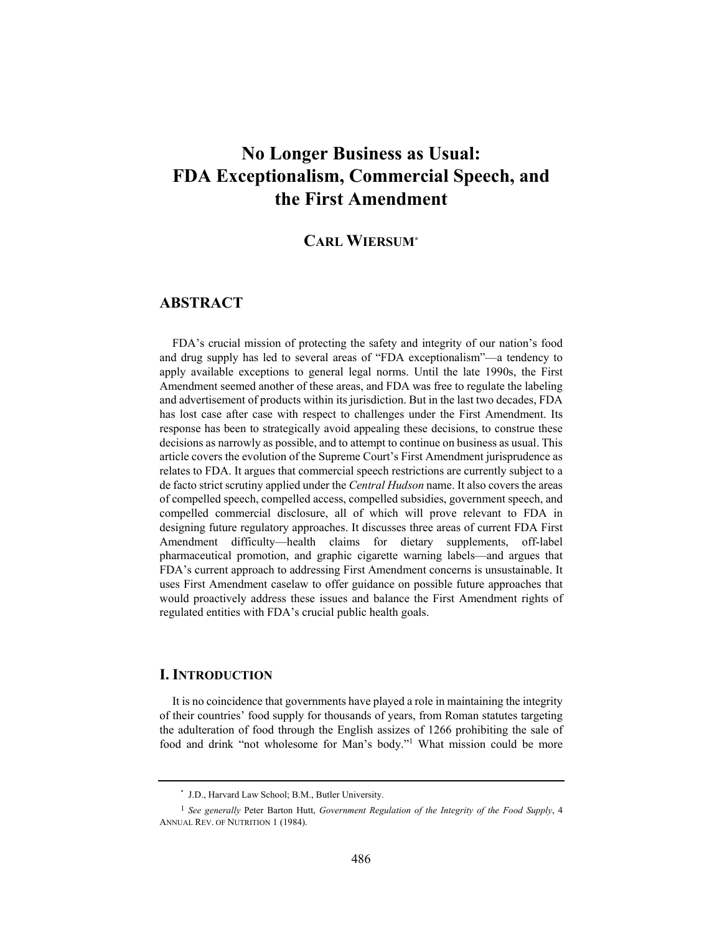# **No Longer Business as Usual: FDA Exceptionalism, Commercial Speech, and the First Amendment**

# **CARL WIERSUM\***

# **ABSTRACT**

FDA's crucial mission of protecting the safety and integrity of our nation's food and drug supply has led to several areas of "FDA exceptionalism"—a tendency to apply available exceptions to general legal norms. Until the late 1990s, the First Amendment seemed another of these areas, and FDA was free to regulate the labeling and advertisement of products within its jurisdiction. But in the last two decades, FDA has lost case after case with respect to challenges under the First Amendment. Its response has been to strategically avoid appealing these decisions, to construe these decisions as narrowly as possible, and to attempt to continue on business as usual. This article covers the evolution of the Supreme Court's First Amendment jurisprudence as relates to FDA. It argues that commercial speech restrictions are currently subject to a de facto strict scrutiny applied under the *Central Hudson* name. It also covers the areas of compelled speech, compelled access, compelled subsidies, government speech, and compelled commercial disclosure, all of which will prove relevant to FDA in designing future regulatory approaches. It discusses three areas of current FDA First Amendment difficulty—health claims for dietary supplements, off-label pharmaceutical promotion, and graphic cigarette warning labels—and argues that FDA's current approach to addressing First Amendment concerns is unsustainable. It uses First Amendment caselaw to offer guidance on possible future approaches that would proactively address these issues and balance the First Amendment rights of regulated entities with FDA's crucial public health goals.

# **I. INTRODUCTION**

It is no coincidence that governments have played a role in maintaining the integrity of their countries' food supply for thousands of years, from Roman statutes targeting the adulteration of food through the English assizes of 1266 prohibiting the sale of food and drink "not wholesome for Man's body."1 What mission could be more

<sup>\*</sup> J.D., Harvard Law School; B.M., Butler University.

<sup>1</sup> *See generally* Peter Barton Hutt, *Government Regulation of the Integrity of the Food Supply*, 4 ANNUAL REV. OF NUTRITION 1 (1984).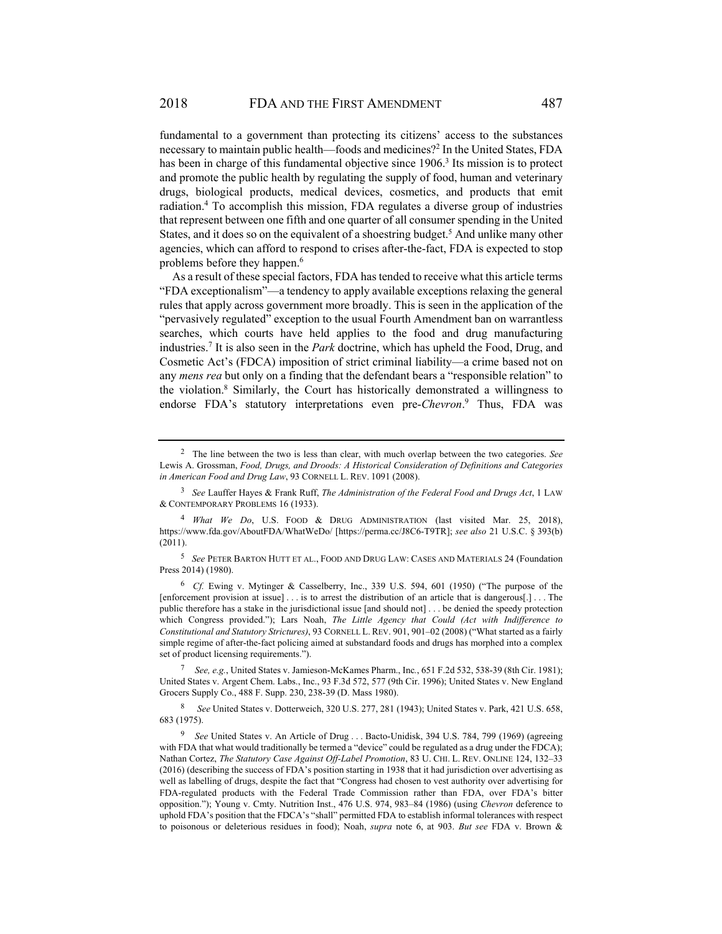fundamental to a government than protecting its citizens' access to the substances necessary to maintain public health—foods and medicines?2 In the United States, FDA has been in charge of this fundamental objective since 1906.<sup>3</sup> Its mission is to protect and promote the public health by regulating the supply of food, human and veterinary drugs, biological products, medical devices, cosmetics, and products that emit radiation.4 To accomplish this mission, FDA regulates a diverse group of industries that represent between one fifth and one quarter of all consumer spending in the United States, and it does so on the equivalent of a shoestring budget.<sup>5</sup> And unlike many other agencies, which can afford to respond to crises after-the-fact, FDA is expected to stop problems before they happen.<sup>6</sup>

As a result of these special factors, FDA has tended to receive what this article terms "FDA exceptionalism"—a tendency to apply available exceptions relaxing the general rules that apply across government more broadly. This is seen in the application of the "pervasively regulated" exception to the usual Fourth Amendment ban on warrantless searches, which courts have held applies to the food and drug manufacturing industries.7 It is also seen in the *Park* doctrine, which has upheld the Food, Drug, and Cosmetic Act's (FDCA) imposition of strict criminal liability—a crime based not on any *mens rea* but only on a finding that the defendant bears a "responsible relation" to the violation.8 Similarly, the Court has historically demonstrated a willingness to endorse FDA's statutory interpretations even pre-*Chevron*. 9 Thus, FDA was

<sup>5</sup> *See* PETER BARTON HUTT ET AL., FOOD AND DRUG LAW: CASES AND MATERIALS 24 (Foundation Press 2014) (1980).

<sup>6</sup> *Cf.* Ewing v. Mytinger & Casselberry, Inc., 339 U.S. 594, 601 (1950) ("The purpose of the [enforcement provision at issue] . . . is to arrest the distribution of an article that is dangerous[.] . . . The public therefore has a stake in the jurisdictional issue [and should not] . . . be denied the speedy protection which Congress provided."); Lars Noah, *The Little Agency that Could (Act with Indifference to Constitutional and Statutory Strictures)*, 93 CORNELL L. REV. 901, 901–02 (2008) ("What started as a fairly simple regime of after-the-fact policing aimed at substandard foods and drugs has morphed into a complex set of product licensing requirements.").

<sup>7</sup> *See, e.g.*, United States v. Jamieson-McKames Pharm., Inc*.*, 651 F.2d 532, 538-39 (8th Cir. 1981); United States v. Argent Chem. Labs., Inc., 93 F.3d 572, 577 (9th Cir. 1996); United States v. New England Grocers Supply Co., 488 F. Supp. 230, 238-39 (D. Mass 1980).

<sup>8</sup> *See* United States v. Dotterweich, 320 U.S. 277, 281 (1943); United States v. Park, 421 U.S. 658, 683 (1975).

<sup>2</sup> The line between the two is less than clear, with much overlap between the two categories. *See*  Lewis A. Grossman, *Food, Drugs, and Droods: A Historical Consideration of Definitions and Categories in American Food and Drug Law*, 93 CORNELL L. REV. 1091 (2008).

<sup>3</sup> *See* Lauffer Hayes & Frank Ruff, *The Administration of the Federal Food and Drugs Act*, 1 LAW & CONTEMPORARY PROBLEMS 16 (1933).

<sup>4</sup> *What We Do*, U.S. FOOD & DRUG ADMINISTRATION (last visited Mar. 25, 2018), https://www.fda.gov/AboutFDA/WhatWeDo/ [https://perma.cc/J8C6-T9TR]; *see also* 21 U.S.C. § 393(b) (2011).

<sup>&</sup>lt;sup>9</sup> See United States v. An Article of Drug . . . Bacto-Unidisk, 394 U.S. 784, 799 (1969) (agreeing with FDA that what would traditionally be termed a "device" could be regulated as a drug under the FDCA); Nathan Cortez, *The Statutory Case Against Off-Label Promotion*, 83 U. CHI. L. REV. ONLINE 124, 132–33 (2016) (describing the success of FDA's position starting in 1938 that it had jurisdiction over advertising as well as labelling of drugs, despite the fact that "Congress had chosen to vest authority over advertising for FDA-regulated products with the Federal Trade Commission rather than FDA, over FDA's bitter opposition."); Young v. Cmty. Nutrition Inst., 476 U.S. 974, 983–84 (1986) (using *Chevron* deference to uphold FDA's position that the FDCA's "shall" permitted FDA to establish informal tolerances with respect to poisonous or deleterious residues in food); Noah, *supra* note 6, at 903. *But see* FDA v. Brown &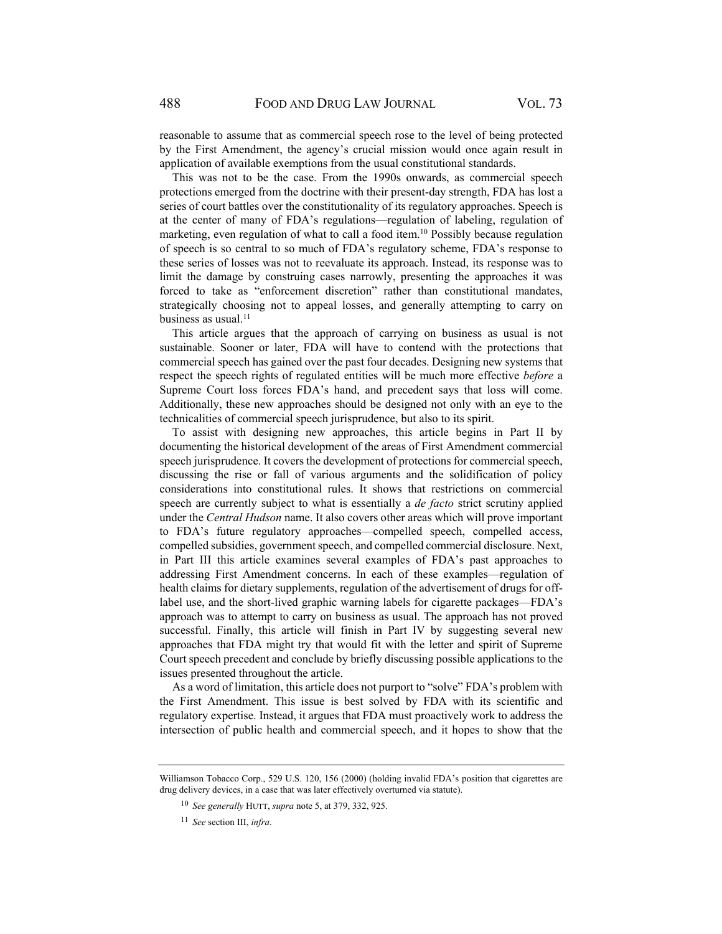reasonable to assume that as commercial speech rose to the level of being protected by the First Amendment, the agency's crucial mission would once again result in application of available exemptions from the usual constitutional standards.

This was not to be the case. From the 1990s onwards, as commercial speech protections emerged from the doctrine with their present-day strength, FDA has lost a series of court battles over the constitutionality of its regulatory approaches. Speech is at the center of many of FDA's regulations—regulation of labeling, regulation of marketing, even regulation of what to call a food item.<sup>10</sup> Possibly because regulation of speech is so central to so much of FDA's regulatory scheme, FDA's response to these series of losses was not to reevaluate its approach. Instead, its response was to limit the damage by construing cases narrowly, presenting the approaches it was forced to take as "enforcement discretion" rather than constitutional mandates, strategically choosing not to appeal losses, and generally attempting to carry on business as usual.<sup>11</sup>

This article argues that the approach of carrying on business as usual is not sustainable. Sooner or later, FDA will have to contend with the protections that commercial speech has gained over the past four decades. Designing new systems that respect the speech rights of regulated entities will be much more effective *before* a Supreme Court loss forces FDA's hand, and precedent says that loss will come. Additionally, these new approaches should be designed not only with an eye to the technicalities of commercial speech jurisprudence, but also to its spirit.

To assist with designing new approaches, this article begins in Part II by documenting the historical development of the areas of First Amendment commercial speech jurisprudence. It covers the development of protections for commercial speech, discussing the rise or fall of various arguments and the solidification of policy considerations into constitutional rules. It shows that restrictions on commercial speech are currently subject to what is essentially a *de facto* strict scrutiny applied under the *Central Hudson* name. It also covers other areas which will prove important to FDA's future regulatory approaches—compelled speech, compelled access, compelled subsidies, government speech, and compelled commercial disclosure. Next, in Part III this article examines several examples of FDA's past approaches to addressing First Amendment concerns. In each of these examples—regulation of health claims for dietary supplements, regulation of the advertisement of drugs for offlabel use, and the short-lived graphic warning labels for cigarette packages—FDA's approach was to attempt to carry on business as usual. The approach has not proved successful. Finally, this article will finish in Part IV by suggesting several new approaches that FDA might try that would fit with the letter and spirit of Supreme Court speech precedent and conclude by briefly discussing possible applications to the issues presented throughout the article.

As a word of limitation, this article does not purport to "solve" FDA's problem with the First Amendment. This issue is best solved by FDA with its scientific and regulatory expertise. Instead, it argues that FDA must proactively work to address the intersection of public health and commercial speech, and it hopes to show that the

Williamson Tobacco Corp., 529 U.S. 120, 156 (2000) (holding invalid FDA's position that cigarettes are drug delivery devices, in a case that was later effectively overturned via statute).

<sup>10</sup> *See generally* HUTT, *supra* note 5, at 379, 332, 925.

<sup>11</sup> *See* section III, *infra*.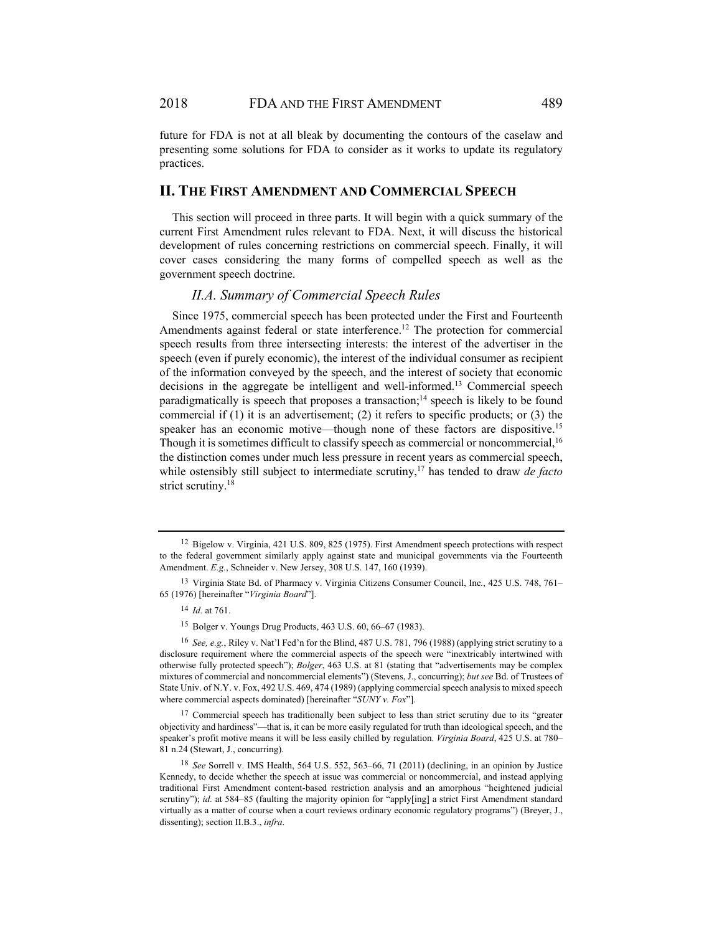future for FDA is not at all bleak by documenting the contours of the caselaw and presenting some solutions for FDA to consider as it works to update its regulatory practices.

### **II. THE FIRST AMENDMENT AND COMMERCIAL SPEECH**

This section will proceed in three parts. It will begin with a quick summary of the current First Amendment rules relevant to FDA. Next, it will discuss the historical development of rules concerning restrictions on commercial speech. Finally, it will cover cases considering the many forms of compelled speech as well as the government speech doctrine.

#### *II.A. Summary of Commercial Speech Rules*

Since 1975, commercial speech has been protected under the First and Fourteenth Amendments against federal or state interference.<sup>12</sup> The protection for commercial speech results from three intersecting interests: the interest of the advertiser in the speech (even if purely economic), the interest of the individual consumer as recipient of the information conveyed by the speech, and the interest of society that economic decisions in the aggregate be intelligent and well-informed.13 Commercial speech paradigmatically is speech that proposes a transaction;<sup>14</sup> speech is likely to be found commercial if (1) it is an advertisement; (2) it refers to specific products; or (3) the speaker has an economic motive—though none of these factors are dispositive.<sup>15</sup> Though it is sometimes difficult to classify speech as commercial or noncommercial, <sup>16</sup> the distinction comes under much less pressure in recent years as commercial speech, while ostensibly still subject to intermediate scrutiny,<sup>17</sup> has tended to draw *de facto* strict scrutiny.<sup>18</sup>

<sup>12</sup> Bigelow v. Virginia, 421 U.S. 809, 825 (1975). First Amendment speech protections with respect to the federal government similarly apply against state and municipal governments via the Fourteenth Amendment. *E.g.*, Schneider v. New Jersey, 308 U.S. 147, 160 (1939).

<sup>13</sup> Virginia State Bd. of Pharmacy v. Virginia Citizens Consumer Council, Inc*.*, 425 U.S. 748, 761– 65 (1976) [hereinafter "*Virginia Board*"].

<sup>14</sup> *Id.* at 761.

<sup>15</sup> Bolger v. Youngs Drug Products, 463 U.S. 60, 66–67 (1983).

<sup>16</sup> *See, e.g.*, Riley v. Nat'l Fed'n for the Blind, 487 U.S. 781, 796 (1988) (applying strict scrutiny to a disclosure requirement where the commercial aspects of the speech were "inextricably intertwined with otherwise fully protected speech"); *Bolger*, 463 U.S. at 81 (stating that "advertisements may be complex mixtures of commercial and noncommercial elements") (Stevens, J., concurring); *but see* Bd. of Trustees of State Univ. of N.Y. v. Fox, 492 U.S. 469, 474 (1989) (applying commercial speech analysis to mixed speech where commercial aspects dominated) [hereinafter "*SUNY v. Fox*"].

 $17$  Commercial speech has traditionally been subject to less than strict scrutiny due to its "greater objectivity and hardiness"—that is, it can be more easily regulated for truth than ideological speech, and the speaker's profit motive means it will be less easily chilled by regulation. *Virginia Board*, 425 U.S. at 780– 81 n.24 (Stewart, J., concurring).

<sup>18</sup> *See* Sorrell v. IMS Health, 564 U.S. 552, 563–66, 71 (2011) (declining, in an opinion by Justice Kennedy, to decide whether the speech at issue was commercial or noncommercial, and instead applying traditional First Amendment content-based restriction analysis and an amorphous "heightened judicial scrutiny"); *id.* at 584–85 (faulting the majority opinion for "apply[ing] a strict First Amendment standard virtually as a matter of course when a court reviews ordinary economic regulatory programs") (Breyer, J., dissenting); section II.B.3., *infra*.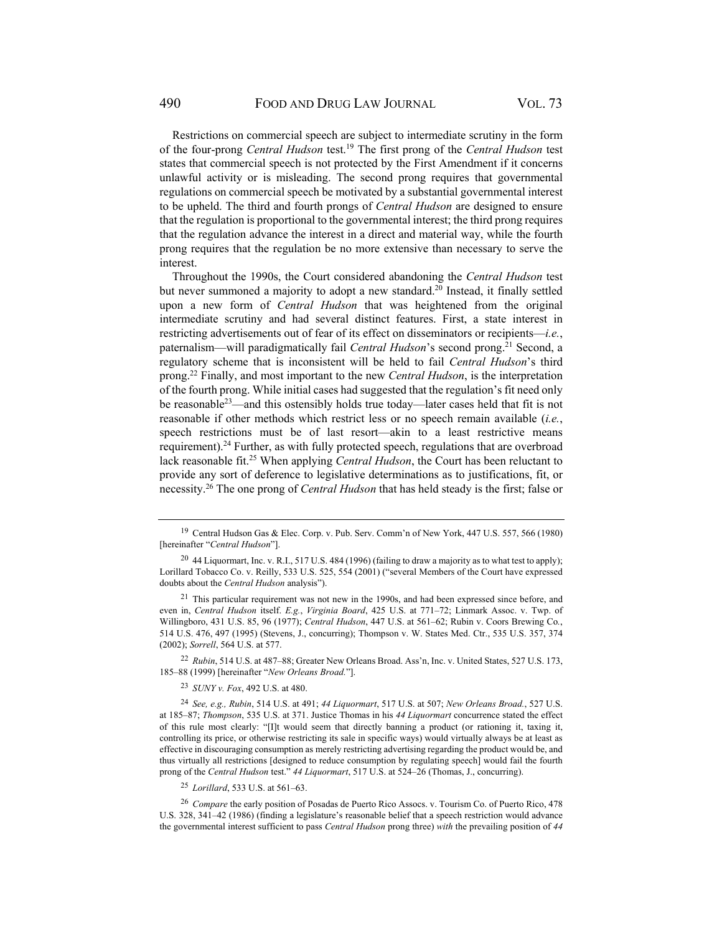Restrictions on commercial speech are subject to intermediate scrutiny in the form of the four-prong *Central Hudson* test.19 The first prong of the *Central Hudson* test states that commercial speech is not protected by the First Amendment if it concerns unlawful activity or is misleading. The second prong requires that governmental regulations on commercial speech be motivated by a substantial governmental interest to be upheld. The third and fourth prongs of *Central Hudson* are designed to ensure that the regulation is proportional to the governmental interest; the third prong requires that the regulation advance the interest in a direct and material way, while the fourth prong requires that the regulation be no more extensive than necessary to serve the interest.

Throughout the 1990s, the Court considered abandoning the *Central Hudson* test but never summoned a majority to adopt a new standard.<sup>20</sup> Instead, it finally settled upon a new form of *Central Hudson* that was heightened from the original intermediate scrutiny and had several distinct features. First, a state interest in restricting advertisements out of fear of its effect on disseminators or recipients—*i.e.*, paternalism—will paradigmatically fail *Central Hudson*'s second prong.<sup>21</sup> Second, a regulatory scheme that is inconsistent will be held to fail *Central Hudson*'s third prong.22 Finally, and most important to the new *Central Hudson*, is the interpretation of the fourth prong. While initial cases had suggested that the regulation's fit need only be reasonable23—and this ostensibly holds true today—later cases held that fit is not reasonable if other methods which restrict less or no speech remain available (*i.e.*, speech restrictions must be of last resort—akin to a least restrictive means requirement).<sup>24</sup> Further, as with fully protected speech, regulations that are overbroad lack reasonable fit.<sup>25</sup> When applying *Central Hudson*, the Court has been reluctant to provide any sort of deference to legislative determinations as to justifications, fit, or necessity.26 The one prong of *Central Hudson* that has held steady is the first; false or

<sup>22</sup> *Rubin*, 514 U.S. at 487–88; Greater New Orleans Broad. Ass'n, Inc. v. United States, 527 U.S. 173, 185–88 (1999) [hereinafter "*New Orleans Broad.*"].

<sup>23</sup> *SUNY v. Fox*, 492 U.S. at 480.

<sup>25</sup> *Lorillard*, 533 U.S. at 561–63.

<sup>26</sup> *Compare* the early position of Posadas de Puerto Rico Assocs. v. Tourism Co. of Puerto Rico, 478 U.S. 328, 341–42 (1986) (finding a legislature's reasonable belief that a speech restriction would advance the governmental interest sufficient to pass *Central Hudson* prong three) *with* the prevailing position of *44* 

<sup>19</sup> Central Hudson Gas & Elec. Corp. v. Pub. Serv. Comm'n of New York, 447 U.S. 557, 566 (1980) [hereinafter "*Central Hudson*"].

<sup>&</sup>lt;sup>20</sup> 44 Liquormart, Inc. v. R.I., 517 U.S. 484 (1996) (failing to draw a majority as to what test to apply); Lorillard Tobacco Co. v. Reilly, 533 U.S. 525, 554 (2001) ("several Members of the Court have expressed doubts about the *Central Hudson* analysis").

<sup>&</sup>lt;sup>21</sup> This particular requirement was not new in the 1990s, and had been expressed since before, and even in, *Central Hudson* itself. *E.g.*, *Virginia Board*, 425 U.S. at 771–72; Linmark Assoc. v. Twp. of Willingboro, 431 U.S. 85, 96 (1977); *Central Hudson*, 447 U.S. at 561–62; Rubin v. Coors Brewing Co*.*, 514 U.S. 476, 497 (1995) (Stevens, J., concurring); Thompson v. W. States Med. Ctr., 535 U.S. 357, 374 (2002); *Sorrell*, 564 U.S. at 577.

<sup>24</sup> *See, e.g., Rubin*, 514 U.S. at 491; *44 Liquormart*, 517 U.S. at 507; *New Orleans Broad.*, 527 U.S. at 185–87; *Thompson*, 535 U.S. at 371. Justice Thomas in his *44 Liquormart* concurrence stated the effect of this rule most clearly: "[I]t would seem that directly banning a product (or rationing it, taxing it, controlling its price, or otherwise restricting its sale in specific ways) would virtually always be at least as effective in discouraging consumption as merely restricting advertising regarding the product would be, and thus virtually all restrictions [designed to reduce consumption by regulating speech] would fail the fourth prong of the *Central Hudson* test." *44 Liquormart*, 517 U.S. at 524–26 (Thomas, J., concurring).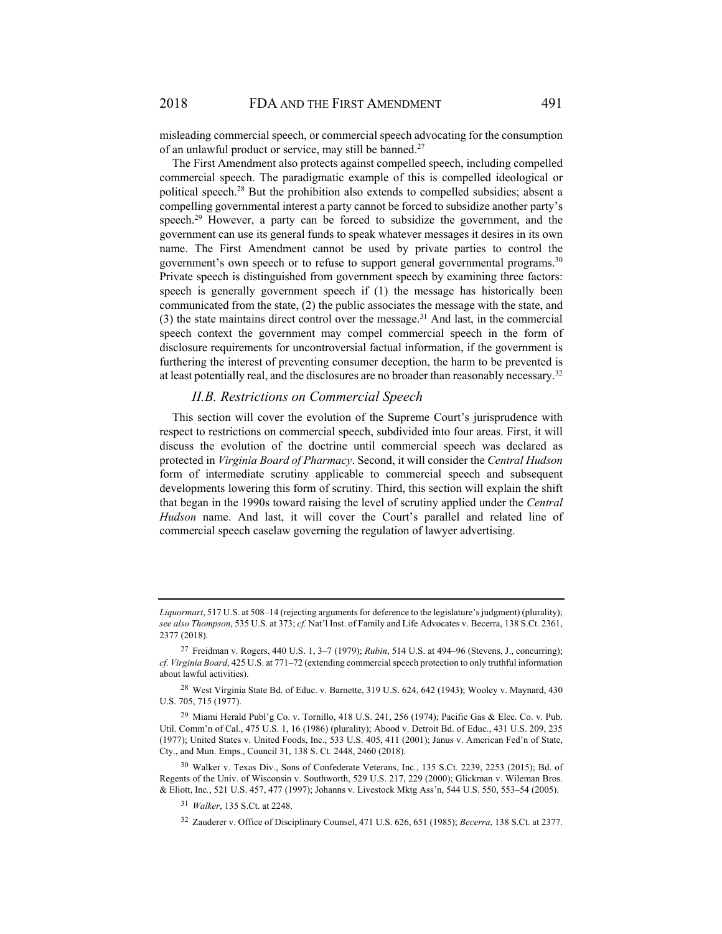misleading commercial speech, or commercial speech advocating for the consumption of an unlawful product or service, may still be banned.27

The First Amendment also protects against compelled speech, including compelled commercial speech. The paradigmatic example of this is compelled ideological or political speech.28 But the prohibition also extends to compelled subsidies; absent a compelling governmental interest a party cannot be forced to subsidize another party's speech.<sup>29</sup> However, a party can be forced to subsidize the government, and the government can use its general funds to speak whatever messages it desires in its own name. The First Amendment cannot be used by private parties to control the government's own speech or to refuse to support general governmental programs.<sup>30</sup> Private speech is distinguished from government speech by examining three factors: speech is generally government speech if (1) the message has historically been communicated from the state, (2) the public associates the message with the state, and (3) the state maintains direct control over the message.<sup>31</sup> And last, in the commercial speech context the government may compel commercial speech in the form of disclosure requirements for uncontroversial factual information, if the government is furthering the interest of preventing consumer deception, the harm to be prevented is at least potentially real, and the disclosures are no broader than reasonably necessary.32

### *II.B. Restrictions on Commercial Speech*

This section will cover the evolution of the Supreme Court's jurisprudence with respect to restrictions on commercial speech, subdivided into four areas. First, it will discuss the evolution of the doctrine until commercial speech was declared as protected in *Virginia Board of Pharmacy*. Second, it will consider the *Central Hudson* form of intermediate scrutiny applicable to commercial speech and subsequent developments lowering this form of scrutiny. Third, this section will explain the shift that began in the 1990s toward raising the level of scrutiny applied under the *Central Hudson* name. And last, it will cover the Court's parallel and related line of commercial speech caselaw governing the regulation of lawyer advertising.

*Liquormart*, 517 U.S. at 508–14 (rejecting arguments for deference to the legislature's judgment) (plurality); *see also Thompson*, 535 U.S. at 373; *cf.* Nat'l Inst. of Family and Life Advocates v. Becerra, 138 S.Ct. 2361, 2377 (2018).

<sup>27</sup> Freidman v. Rogers, 440 U.S. 1, 3–7 (1979); *Rubin*, 514 U.S. at 494–96 (Stevens, J., concurring); *cf. Virginia Board*, 425 U.S. at 771–72 (extending commercial speech protection to only truthful information about lawful activities).

<sup>28</sup> West Virginia State Bd. of Educ. v. Barnette, 319 U.S. 624, 642 (1943); Wooley v. Maynard, 430 U.S. 705, 715 (1977).

<sup>&</sup>lt;sup>29</sup> Miami Herald Publ'g Co. v. Tornillo, 418 U.S. 241, 256 (1974); Pacific Gas & Elec. Co. v. Pub. Util. Comm'n of Cal., 475 U.S. 1, 16 (1986) (plurality); Abood v. Detroit Bd. of Educ., 431 U.S. 209, 235 (1977); United States v. United Foods, Inc., 533 U.S. 405, 411 (2001); Janus v. American Fed'n of State, Cty., and Mun. Emps., Council 31, 138 S. Ct. 2448, 2460 (2018).

<sup>30</sup> Walker v. Texas Div., Sons of Confederate Veterans, Inc*.*, 135 S.Ct. 2239, 2253 (2015); Bd. of Regents of the Univ. of Wisconsin v. Southworth, 529 U.S. 217, 229 (2000); Glickman v. Wileman Bros. & Eliott, Inc*.*, 521 U.S. 457, 477 (1997); Johanns v. Livestock Mktg Ass'n, 544 U.S. 550, 553–54 (2005).

<sup>31</sup> *Walker*, 135 S.Ct. at 2248.

<sup>32</sup> Zauderer v. Office of Disciplinary Counsel, 471 U.S. 626, 651 (1985); *Becerra*, 138 S.Ct. at 2377.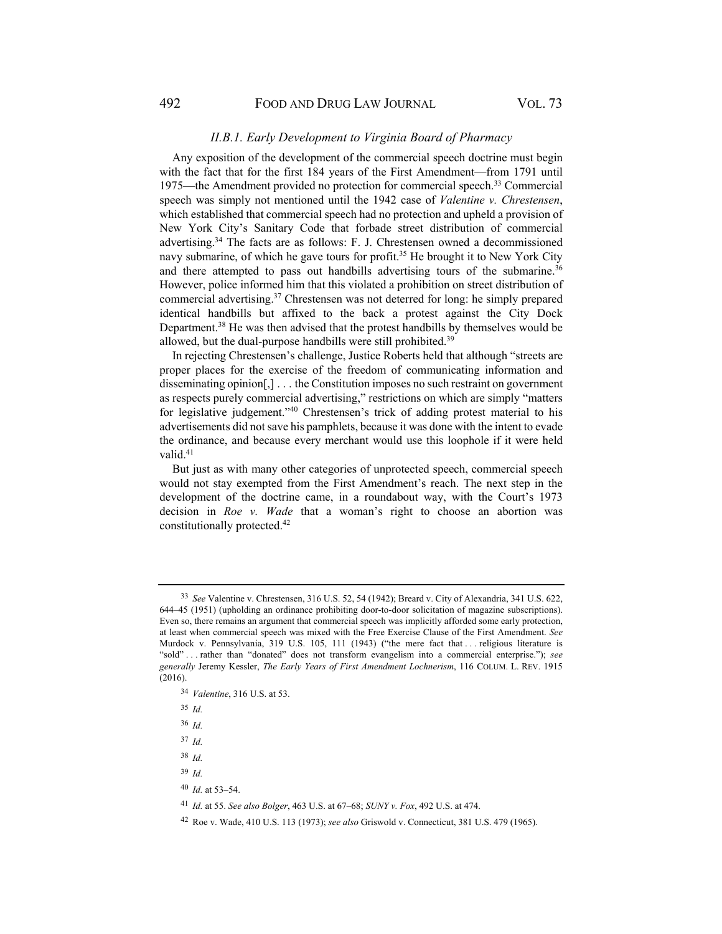#### *II.B.1. Early Development to Virginia Board of Pharmacy*

Any exposition of the development of the commercial speech doctrine must begin with the fact that for the first 184 years of the First Amendment—from 1791 until 1975—the Amendment provided no protection for commercial speech. 33 Commercial speech was simply not mentioned until the 1942 case of *Valentine v. Chrestensen*, which established that commercial speech had no protection and upheld a provision of New York City's Sanitary Code that forbade street distribution of commercial advertising.34 The facts are as follows: F. J. Chrestensen owned a decommissioned navy submarine, of which he gave tours for profit.35 He brought it to New York City and there attempted to pass out handbills advertising tours of the submarine.<sup>36</sup> However, police informed him that this violated a prohibition on street distribution of commercial advertising.37 Chrestensen was not deterred for long: he simply prepared identical handbills but affixed to the back a protest against the City Dock Department.38 He was then advised that the protest handbills by themselves would be allowed, but the dual-purpose handbills were still prohibited.<sup>39</sup>

In rejecting Chrestensen's challenge, Justice Roberts held that although "streets are proper places for the exercise of the freedom of communicating information and disseminating opinion[,] . . . the Constitution imposes no such restraint on government as respects purely commercial advertising," restrictions on which are simply "matters for legislative judgement."40 Chrestensen's trick of adding protest material to his advertisements did not save his pamphlets, because it was done with the intent to evade the ordinance, and because every merchant would use this loophole if it were held valid.<sup>41</sup>

But just as with many other categories of unprotected speech, commercial speech would not stay exempted from the First Amendment's reach. The next step in the development of the doctrine came, in a roundabout way, with the Court's 1973 decision in *Roe v. Wade* that a woman's right to choose an abortion was constitutionally protected.42

<sup>37</sup> *Id.* 

<sup>38</sup> *Id.* 

- <sup>39</sup> *Id.*
- <sup>40</sup> *Id.* at 53–54.

<sup>33</sup> *See* Valentine v. Chrestensen, 316 U.S. 52, 54 (1942); Breard v. City of Alexandria, 341 U.S. 622, 644–45 (1951) (upholding an ordinance prohibiting door-to-door solicitation of magazine subscriptions). Even so, there remains an argument that commercial speech was implicitly afforded some early protection, at least when commercial speech was mixed with the Free Exercise Clause of the First Amendment. *See* Murdock v. Pennsylvania, 319 U.S. 105, 111 (1943) ("the mere fact that . . . religious literature is "sold" . . . rather than "donated" does not transform evangelism into a commercial enterprise."); *see generally* Jeremy Kessler, *The Early Years of First Amendment Lochnerism*, 116 COLUM. L. REV. 1915 (2016).

<sup>34</sup> *Valentine*, 316 U.S. at 53.

<sup>35</sup> *Id.*

<sup>36</sup> *Id.*

<sup>41</sup> *Id.* at 55. *See also Bolger*, 463 U.S. at 67–68; *SUNY v. Fox*, 492 U.S. at 474.

<sup>42</sup> Roe v. Wade, 410 U.S. 113 (1973); *see also* Griswold v. Connecticut, 381 U.S. 479 (1965).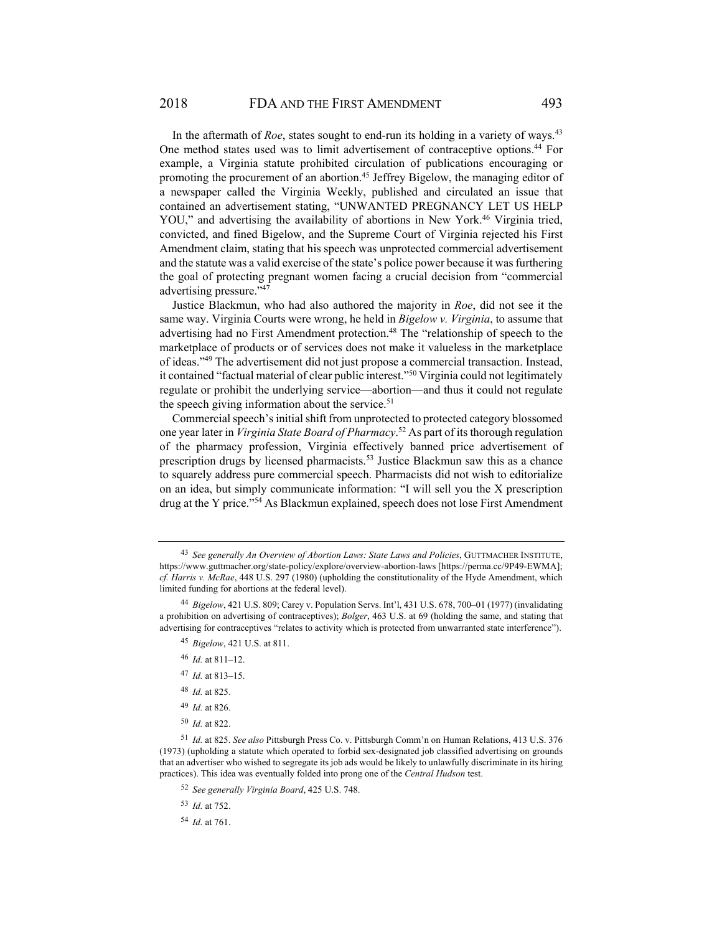In the aftermath of *Roe*, states sought to end-run its holding in a variety of ways.<sup>43</sup> One method states used was to limit advertisement of contraceptive options.<sup>44</sup> For example, a Virginia statute prohibited circulation of publications encouraging or promoting the procurement of an abortion.45 Jeffrey Bigelow, the managing editor of a newspaper called the Virginia Weekly, published and circulated an issue that contained an advertisement stating, "UNWANTED PREGNANCY LET US HELP YOU," and advertising the availability of abortions in New York.<sup>46</sup> Virginia tried, convicted, and fined Bigelow, and the Supreme Court of Virginia rejected his First Amendment claim, stating that his speech was unprotected commercial advertisement and the statute was a valid exercise of the state's police power because it was furthering the goal of protecting pregnant women facing a crucial decision from "commercial advertising pressure."47

Justice Blackmun, who had also authored the majority in *Roe*, did not see it the same way. Virginia Courts were wrong, he held in *Bigelow v. Virginia*, to assume that advertising had no First Amendment protection.<sup>48</sup> The "relationship of speech to the marketplace of products or of services does not make it valueless in the marketplace of ideas."49 The advertisement did not just propose a commercial transaction. Instead, it contained "factual material of clear public interest."50 Virginia could not legitimately regulate or prohibit the underlying service—abortion—and thus it could not regulate the speech giving information about the service. $51$ 

Commercial speech's initial shift from unprotected to protected category blossomed one year later in *Virginia State Board of Pharmacy*. 52 As part of its thorough regulation of the pharmacy profession, Virginia effectively banned price advertisement of prescription drugs by licensed pharmacists.<sup>53</sup> Justice Blackmun saw this as a chance to squarely address pure commercial speech. Pharmacists did not wish to editorialize on an idea, but simply communicate information: "I will sell you the X prescription drug at the Y price."54 As Blackmun explained, speech does not lose First Amendment

- <sup>46</sup> *Id.* at 811–12.
- <sup>47</sup> *Id.* at 813–15.
- <sup>48</sup> *Id.* at 825.
- <sup>49</sup> *Id.* at 826.
- <sup>50</sup> *Id.* at 822.

<sup>43</sup> *See generally An Overview of Abortion Laws: State Laws and Policies*, GUTTMACHER INSTITUTE, https://www.guttmacher.org/state-policy/explore/overview-abortion-laws [https://perma.cc/9P49-EWMA]; *cf. Harris v. McRae*, 448 U.S. 297 (1980) (upholding the constitutionality of the Hyde Amendment, which limited funding for abortions at the federal level).

<sup>44</sup> *Bigelow*, 421 U.S. 809; Carey v. Population Servs. Int'l, 431 U.S. 678, 700–01 (1977) (invalidating a prohibition on advertising of contraceptives); *Bolger*, 463 U.S. at 69 (holding the same, and stating that advertising for contraceptives "relates to activity which is protected from unwarranted state interference").

<sup>45</sup> *Bigelow*, 421 U.S. at 811.

<sup>51</sup> *Id.* at 825. *See also* Pittsburgh Press Co. v. Pittsburgh Comm'n on Human Relations, 413 U.S. 376 (1973) (upholding a statute which operated to forbid sex-designated job classified advertising on grounds that an advertiser who wished to segregate its job ads would be likely to unlawfully discriminate in its hiring practices). This idea was eventually folded into prong one of the *Central Hudson* test.

<sup>52</sup> *See generally Virginia Board*, 425 U.S. 748.

<sup>53</sup> *Id.* at 752.

<sup>54</sup> *Id.* at 761.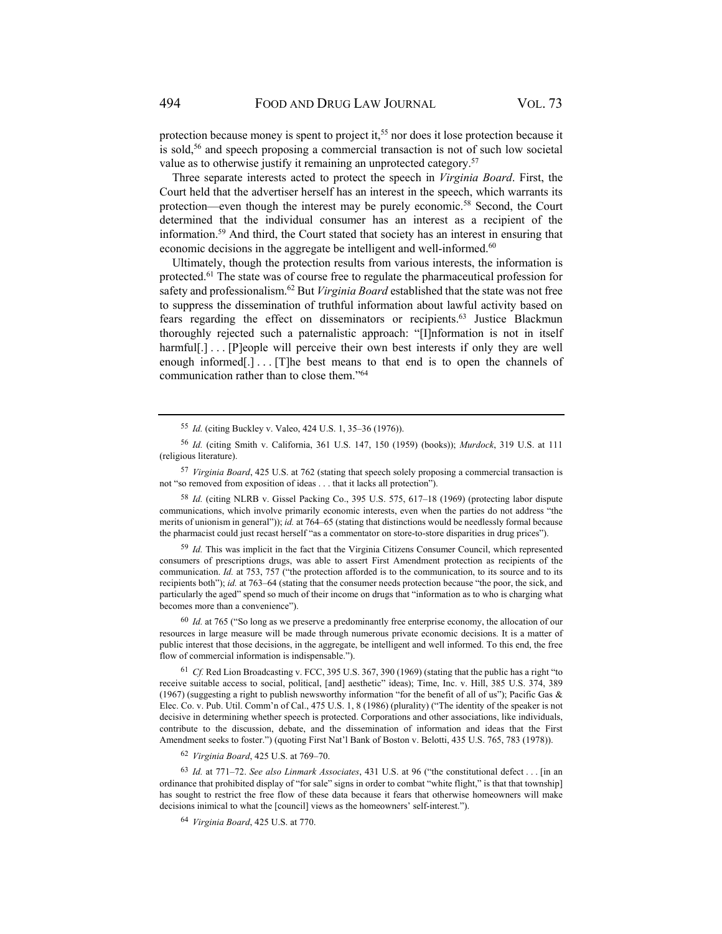protection because money is spent to project it,<sup>55</sup> nor does it lose protection because it is sold,<sup>56</sup> and speech proposing a commercial transaction is not of such low societal value as to otherwise justify it remaining an unprotected category.<sup>57</sup>

Three separate interests acted to protect the speech in *Virginia Board*. First, the Court held that the advertiser herself has an interest in the speech, which warrants its protection—even though the interest may be purely economic.58 Second, the Court determined that the individual consumer has an interest as a recipient of the information.59 And third, the Court stated that society has an interest in ensuring that economic decisions in the aggregate be intelligent and well-informed.<sup>60</sup>

Ultimately, though the protection results from various interests, the information is protected.61 The state was of course free to regulate the pharmaceutical profession for safety and professionalism.62 But *Virginia Board* established that the state was not free to suppress the dissemination of truthful information about lawful activity based on fears regarding the effect on disseminators or recipients.<sup>63</sup> Justice Blackmun thoroughly rejected such a paternalistic approach: "[I]nformation is not in itself harmful[.]... [P]eople will perceive their own best interests if only they are well enough informed[.] . . . [T]he best means to that end is to open the channels of communication rather than to close them."64

<sup>58</sup> *Id.* (citing NLRB v. Gissel Packing Co., 395 U.S. 575, 617–18 (1969) (protecting labor dispute communications, which involve primarily economic interests, even when the parties do not address "the merits of unionism in general")); *id.* at 764–65 (stating that distinctions would be needlessly formal because the pharmacist could just recast herself "as a commentator on store-to-store disparities in drug prices").

<sup>59</sup> *Id.* This was implicit in the fact that the Virginia Citizens Consumer Council, which represented consumers of prescriptions drugs, was able to assert First Amendment protection as recipients of the communication. *Id.* at 753, 757 ("the protection afforded is to the communication, to its source and to its recipients both"); *id.* at 763–64 (stating that the consumer needs protection because "the poor, the sick, and particularly the aged" spend so much of their income on drugs that "information as to who is charging what becomes more than a convenience").

<sup>60</sup> *Id.* at 765 ("So long as we preserve a predominantly free enterprise economy, the allocation of our resources in large measure will be made through numerous private economic decisions. It is a matter of public interest that those decisions, in the aggregate, be intelligent and well informed. To this end, the free flow of commercial information is indispensable.").

<sup>61</sup> Cf. Red Lion Broadcasting v. FCC, 395 U.S. 367, 390 (1969) (stating that the public has a right "to receive suitable access to social, political, [and] aesthetic" ideas); Time, Inc. v. Hill, 385 U.S. 374, 389 (1967) (suggesting a right to publish newsworthy information "for the benefit of all of us"); Pacific Gas  $\&$ Elec. Co. v. Pub. Util. Comm'n of Cal., 475 U.S. 1, 8 (1986) (plurality) ("The identity of the speaker is not decisive in determining whether speech is protected. Corporations and other associations, like individuals, contribute to the discussion, debate, and the dissemination of information and ideas that the First Amendment seeks to foster.") (quoting First Nat'l Bank of Boston v. Belotti, 435 U.S. 765, 783 (1978)).

<sup>62</sup> *Virginia Board*, 425 U.S. at 769–70.

<sup>63</sup> *Id.* at 771–72. *See also Linmark Associates*, 431 U.S. at 96 ("the constitutional defect . . . [in an ordinance that prohibited display of "for sale" signs in order to combat "white flight," is that that township] has sought to restrict the free flow of these data because it fears that otherwise homeowners will make decisions inimical to what the [council] views as the homeowners' self-interest.").

<sup>64</sup> *Virginia Board*, 425 U.S. at 770.

<sup>55</sup> *Id.* (citing Buckley v. Valeo, 424 U.S. 1, 35–36 (1976)).

<sup>56</sup> *Id.* (citing Smith v. California, 361 U.S. 147, 150 (1959) (books)); *Murdock*, 319 U.S. at 111 (religious literature).

<sup>57</sup> *Virginia Board*, 425 U.S. at 762 (stating that speech solely proposing a commercial transaction is not "so removed from exposition of ideas . . . that it lacks all protection").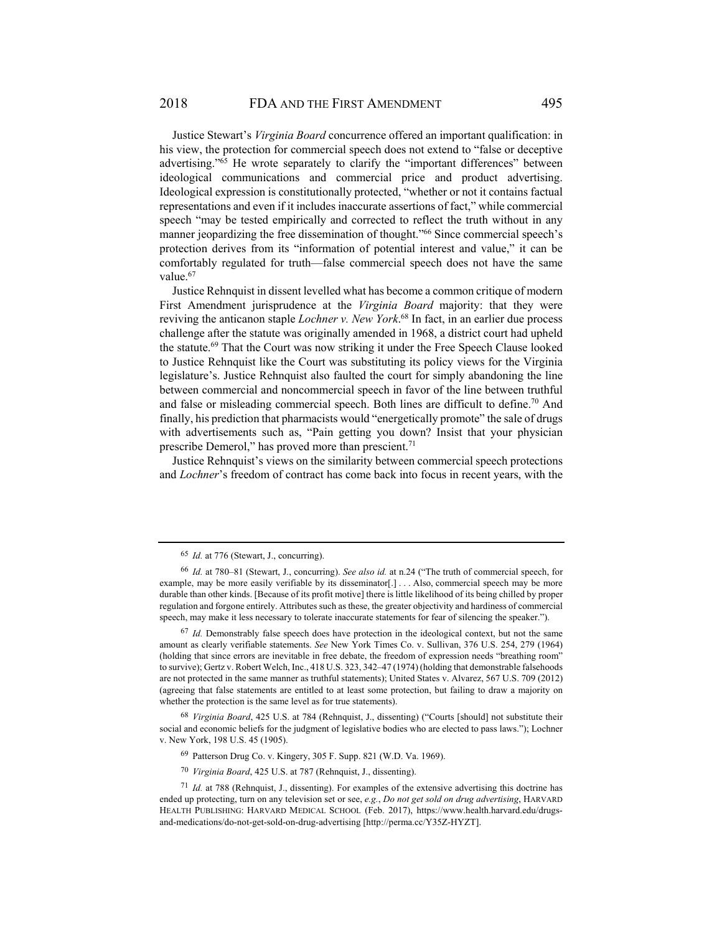Justice Stewart's *Virginia Board* concurrence offered an important qualification: in his view, the protection for commercial speech does not extend to "false or deceptive advertising."65 He wrote separately to clarify the "important differences" between ideological communications and commercial price and product advertising. Ideological expression is constitutionally protected, "whether or not it contains factual representations and even if it includes inaccurate assertions of fact," while commercial speech "may be tested empirically and corrected to reflect the truth without in any manner jeopardizing the free dissemination of thought."<sup>66</sup> Since commercial speech's protection derives from its "information of potential interest and value," it can be comfortably regulated for truth—false commercial speech does not have the same value.<sup>67</sup>

Justice Rehnquist in dissent levelled what has become a common critique of modern First Amendment jurisprudence at the *Virginia Board* majority: that they were reviving the anticanon staple *Lochner v. New York*. 68 In fact, in an earlier due process challenge after the statute was originally amended in 1968, a district court had upheld the statute.69 That the Court was now striking it under the Free Speech Clause looked to Justice Rehnquist like the Court was substituting its policy views for the Virginia legislature's. Justice Rehnquist also faulted the court for simply abandoning the line between commercial and noncommercial speech in favor of the line between truthful and false or misleading commercial speech. Both lines are difficult to define.<sup>70</sup> And finally, his prediction that pharmacists would "energetically promote" the sale of drugs with advertisements such as, "Pain getting you down? Insist that your physician prescribe Demerol," has proved more than prescient.<sup>71</sup>

Justice Rehnquist's views on the similarity between commercial speech protections and *Lochner*'s freedom of contract has come back into focus in recent years, with the

<sup>65</sup> *Id.* at 776 (Stewart, J., concurring).

<sup>66</sup> *Id.* at 780–81 (Stewart, J., concurring). *See also id.* at n.24 ("The truth of commercial speech, for example, may be more easily verifiable by its disseminator[.] . . . Also, commercial speech may be more durable than other kinds. [Because of its profit motive] there is little likelihood of its being chilled by proper regulation and forgone entirely. Attributes such as these, the greater objectivity and hardiness of commercial speech, may make it less necessary to tolerate inaccurate statements for fear of silencing the speaker.").

<sup>67</sup> *Id.* Demonstrably false speech does have protection in the ideological context, but not the same amount as clearly verifiable statements. *See* New York Times Co. v. Sullivan, 376 U.S. 254, 279 (1964) (holding that since errors are inevitable in free debate, the freedom of expression needs "breathing room" to survive); Gertz v. Robert Welch, Inc., 418 U.S. 323, 342–47 (1974) (holding that demonstrable falsehoods are not protected in the same manner as truthful statements); United States v. Alvarez, 567 U.S. 709 (2012) (agreeing that false statements are entitled to at least some protection, but failing to draw a majority on whether the protection is the same level as for true statements).

<sup>68</sup> *Virginia Board*, 425 U.S. at 784 (Rehnquist, J., dissenting) ("Courts [should] not substitute their social and economic beliefs for the judgment of legislative bodies who are elected to pass laws."); Lochner v. New York, 198 U.S. 45 (1905).

<sup>69</sup> Patterson Drug Co. v. Kingery, 305 F. Supp. 821 (W.D. Va. 1969).

<sup>70</sup> *Virginia Board*, 425 U.S. at 787 (Rehnquist, J., dissenting).

<sup>71</sup> *Id.* at 788 (Rehnquist, J., dissenting). For examples of the extensive advertising this doctrine has ended up protecting, turn on any television set or see, *e.g.*, *Do not get sold on drug advertising*, HARVARD HEALTH PUBLISHING: HARVARD MEDICAL SCHOOL (Feb. 2017), https://www.health.harvard.edu/drugsand-medications/do-not-get-sold-on-drug-advertising [http://perma.cc/Y35Z-HYZT].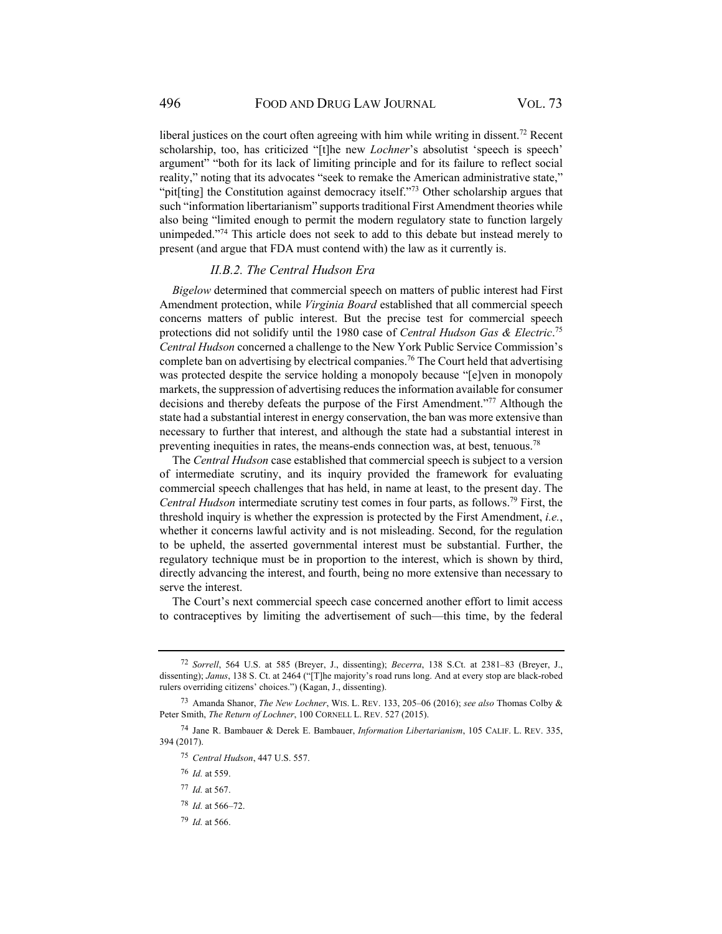liberal justices on the court often agreeing with him while writing in dissent.<sup>72</sup> Recent scholarship, too, has criticized "[t]he new *Lochner*'s absolutist 'speech is speech' argument" "both for its lack of limiting principle and for its failure to reflect social reality," noting that its advocates "seek to remake the American administrative state," "pit[ting] the Constitution against democracy itself."<sup>73</sup> Other scholarship argues that such "information libertarianism" supports traditional First Amendment theories while also being "limited enough to permit the modern regulatory state to function largely unimpeded."74 This article does not seek to add to this debate but instead merely to present (and argue that FDA must contend with) the law as it currently is.

#### *II.B.2. The Central Hudson Era*

*Bigelow* determined that commercial speech on matters of public interest had First Amendment protection, while *Virginia Board* established that all commercial speech concerns matters of public interest. But the precise test for commercial speech protections did not solidify until the 1980 case of *Central Hudson Gas & Electric*. 75 *Central Hudson* concerned a challenge to the New York Public Service Commission's complete ban on advertising by electrical companies.76 The Court held that advertising was protected despite the service holding a monopoly because "[e]ven in monopoly markets, the suppression of advertising reduces the information available for consumer decisions and thereby defeats the purpose of the First Amendment."77 Although the state had a substantial interest in energy conservation, the ban was more extensive than necessary to further that interest, and although the state had a substantial interest in preventing inequities in rates, the means-ends connection was, at best, tenuous.<sup>78</sup>

The *Central Hudson* case established that commercial speech is subject to a version of intermediate scrutiny, and its inquiry provided the framework for evaluating commercial speech challenges that has held, in name at least, to the present day. The *Central Hudson* intermediate scrutiny test comes in four parts, as follows.79 First, the threshold inquiry is whether the expression is protected by the First Amendment, *i.e.*, whether it concerns lawful activity and is not misleading. Second, for the regulation to be upheld, the asserted governmental interest must be substantial. Further, the regulatory technique must be in proportion to the interest, which is shown by third, directly advancing the interest, and fourth, being no more extensive than necessary to serve the interest.

The Court's next commercial speech case concerned another effort to limit access to contraceptives by limiting the advertisement of such—this time, by the federal

- <sup>77</sup> *Id.* at 567.
- <sup>78</sup> *Id.* at 566–72.
- <sup>79</sup> *Id.* at 566.

<sup>72</sup> *Sorrell*, 564 U.S. at 585 (Breyer, J., dissenting); *Becerra*, 138 S.Ct. at 2381–83 (Breyer, J., dissenting); *Janus*, 138 S. Ct. at 2464 ("[T]he majority's road runs long. And at every stop are black-robed rulers overriding citizens' choices.") (Kagan, J., dissenting).

<sup>73</sup> Amanda Shanor, *The New Lochner*, WIS. L. REV. 133, 205–06 (2016); *see also* Thomas Colby & Peter Smith, *The Return of Lochner*, 100 CORNELL L. REV. 527 (2015).

<sup>74</sup> Jane R. Bambauer & Derek E. Bambauer, *Information Libertarianism*, 105 CALIF. L. REV. 335, 394 (2017).

<sup>75</sup> *Central Hudson*, 447 U.S. 557.

<sup>76</sup> *Id.* at 559.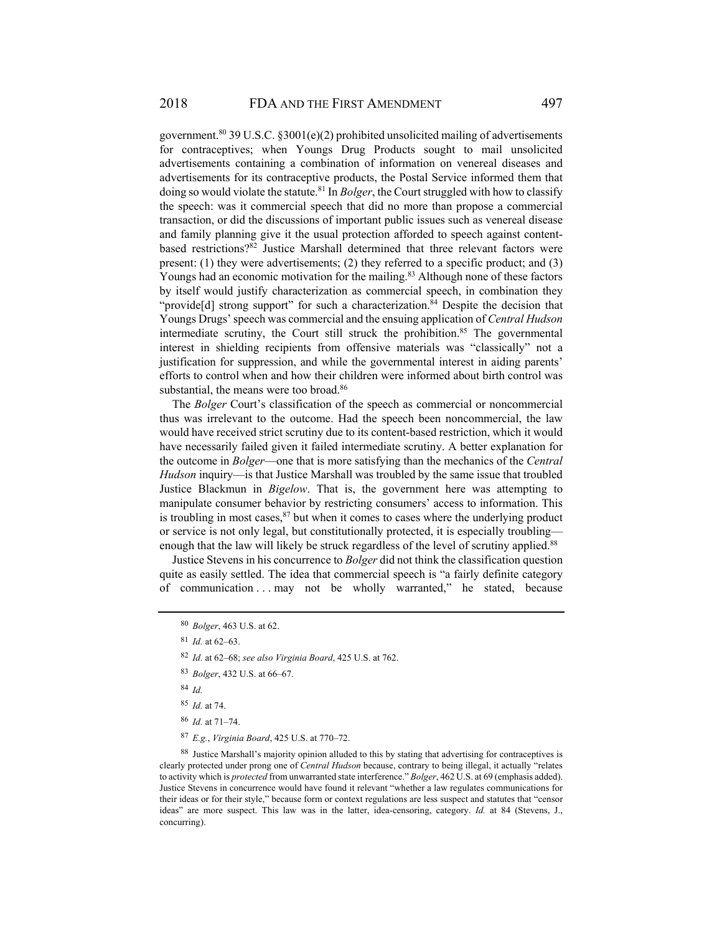government.<sup>80</sup> 39 U.S.C. §3001(e)(2) prohibited unsolicited mailing of advertisements for contraceptives; when Youngs Drug Products sought to mail unsolicited advertisements containing a combination of information on venereal diseases and advertisements for its contraceptive products, the Postal Service informed them that doing so would violate the statute.81 In *Bolger*, the Court struggled with how to classify the speech: was it commercial speech that did no more than propose a commercial transaction, or did the discussions of important public issues such as venereal disease and family planning give it the usual protection afforded to speech against contentbased restrictions?<sup>82</sup> Justice Marshall determined that three relevant factors were present: (1) they were advertisements; (2) they referred to a specific product; and (3) Youngs had an economic motivation for the mailing.<sup>83</sup> Although none of these factors by itself would justify characterization as commercial speech, in combination they "provide<sup>[d]</sup> strong support" for such a characterization.<sup>84</sup> Despite the decision that Youngs Drugs' speech was commercial and the ensuing application of *Central Hudson* intermediate scrutiny, the Court still struck the prohibition.<sup>85</sup> The governmental interest in shielding recipients from offensive materials was "classically" not a justification for suppression, and while the governmental interest in aiding parents' efforts to control when and how their children were informed about birth control was substantial, the means were too broad.<sup>86</sup>

The *Bolger* Court's classification of the speech as commercial or noncommercial thus was irrelevant to the outcome. Had the speech been noncommercial, the law would have received strict scrutiny due to its content-based restriction, which it would have necessarily failed given it failed intermediate scrutiny. A better explanation for the outcome in *Bolger*—one that is more satisfying than the mechanics of the *Central Hudson* inquiry—is that Justice Marshall was troubled by the same issue that troubled Justice Blackmun in *Bigelow*. That is, the government here was attempting to manipulate consumer behavior by restricting consumers' access to information. This is troubling in most cases,  $87$  but when it comes to cases where the underlying product or service is not only legal, but constitutionally protected, it is especially troubling enough that the law will likely be struck regardless of the level of scrutiny applied.<sup>88</sup>

Justice Stevens in his concurrence to *Bolger* did not think the classification question quite as easily settled. The idea that commercial speech is "a fairly definite category of communication . . . may not be wholly warranted," he stated, because

- <sup>83</sup> *Bolger*, 432 U.S. at 66–67.
- <sup>84</sup> *Id.*
- <sup>85</sup> *Id.* at 74.
- <sup>86</sup> *Id.* at 71–74.
- <sup>87</sup> *E.g.*, *Virginia Board*, 425 U.S. at 770–72.

88 Justice Marshall's majority opinion alluded to this by stating that advertising for contraceptives is clearly protected under prong one of *Central Hudson* because, contrary to being illegal, it actually "relates to activity which is *protected* from unwarranted state interference." *Bolger*, 462 U.S. at 69 (emphasis added). Justice Stevens in concurrence would have found it relevant "whether a law regulates communications for their ideas or for their style," because form or context regulations are less suspect and statutes that "censor ideas" are more suspect. This law was in the latter, idea-censoring, category. *Id.* at 84 (Stevens, J., concurring).

<sup>80</sup> *Bolger*, 463 U.S. at 62.

<sup>81</sup> *Id.* at 62–63.

<sup>82</sup> *Id.* at 62–68; *see also Virginia Board*, 425 U.S. at 762.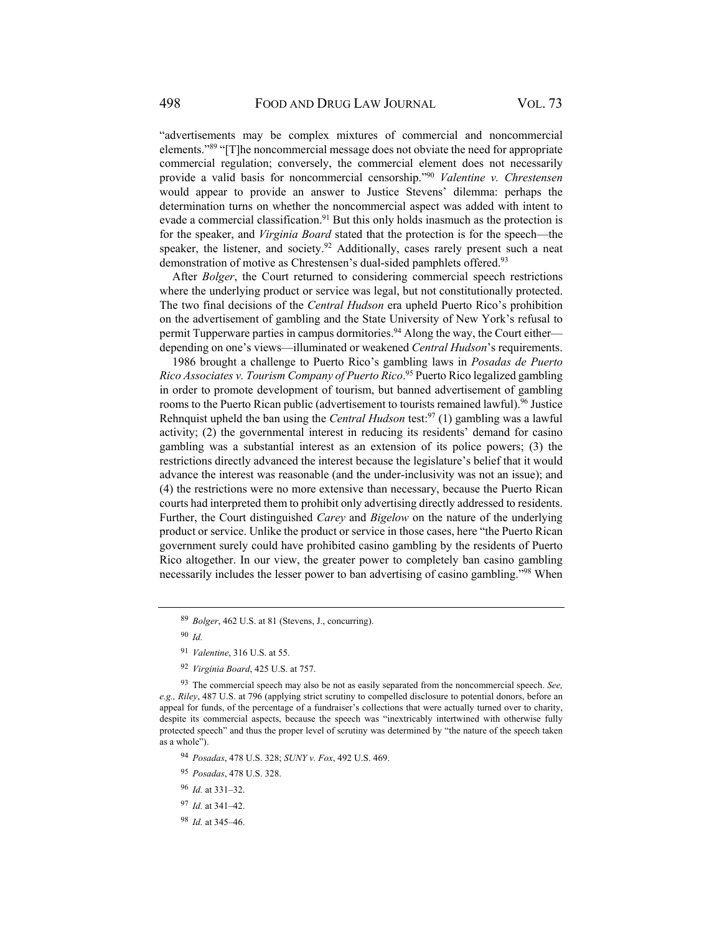"advertisements may be complex mixtures of commercial and noncommercial elements."89 "[T]he noncommercial message does not obviate the need for appropriate commercial regulation; conversely, the commercial element does not necessarily provide a valid basis for noncommercial censorship."90 *Valentine v. Chrestensen* would appear to provide an answer to Justice Stevens' dilemma: perhaps the determination turns on whether the noncommercial aspect was added with intent to evade a commercial classification.<sup>91</sup> But this only holds inasmuch as the protection is for the speaker, and *Virginia Board* stated that the protection is for the speech—the speaker, the listener, and society.<sup>92</sup> Additionally, cases rarely present such a neat demonstration of motive as Chrestensen's dual-sided pamphlets offered.<sup>93</sup>

After *Bolger*, the Court returned to considering commercial speech restrictions where the underlying product or service was legal, but not constitutionally protected. The two final decisions of the *Central Hudson* era upheld Puerto Rico's prohibition on the advertisement of gambling and the State University of New York's refusal to permit Tupperware parties in campus dormitories.94 Along the way, the Court either depending on one's views—illuminated or weakened *Central Hudson*'s requirements.

1986 brought a challenge to Puerto Rico's gambling laws in *Posadas de Puerto Rico Associates v. Tourism Company of Puerto Rico*. 95 Puerto Rico legalized gambling in order to promote development of tourism, but banned advertisement of gambling rooms to the Puerto Rican public (advertisement to tourists remained lawful).<sup>96</sup> Justice Rehnquist upheld the ban using the *Central Hudson* test:<sup>97</sup> (1) gambling was a lawful activity; (2) the governmental interest in reducing its residents' demand for casino gambling was a substantial interest as an extension of its police powers; (3) the restrictions directly advanced the interest because the legislature's belief that it would advance the interest was reasonable (and the under-inclusivity was not an issue); and (4) the restrictions were no more extensive than necessary, because the Puerto Rican courts had interpreted them to prohibit only advertising directly addressed to residents. Further, the Court distinguished *Carey* and *Bigelow* on the nature of the underlying product or service. Unlike the product or service in those cases, here "the Puerto Rican government surely could have prohibited casino gambling by the residents of Puerto Rico altogether. In our view, the greater power to completely ban casino gambling necessarily includes the lesser power to ban advertising of casino gambling."98 When

<sup>90</sup> *Id.*

<sup>96</sup> *Id.* at 331–32.

<sup>89</sup> *Bolger*, 462 U.S. at 81 (Stevens, J., concurring).

<sup>91</sup> *Valentine*, 316 U.S. at 55.

<sup>92</sup> *Virginia Board*, 425 U.S. at 757.

<sup>93</sup> The commercial speech may also be not as easily separated from the noncommercial speech. *See, e.g., Riley*, 487 U.S. at 796 (applying strict scrutiny to compelled disclosure to potential donors, before an appeal for funds, of the percentage of a fundraiser's collections that were actually turned over to charity, despite its commercial aspects, because the speech was "inextricably intertwined with otherwise fully protected speech" and thus the proper level of scrutiny was determined by "the nature of the speech taken as a whole").

<sup>94</sup> *Posadas*, 478 U.S. 328; *SUNY v. Fox*, 492 U.S. 469.

<sup>95</sup> *Posadas*, 478 U.S. 328.

<sup>97</sup> *Id.* at 341–42.

<sup>98</sup> *Id.* at 345–46.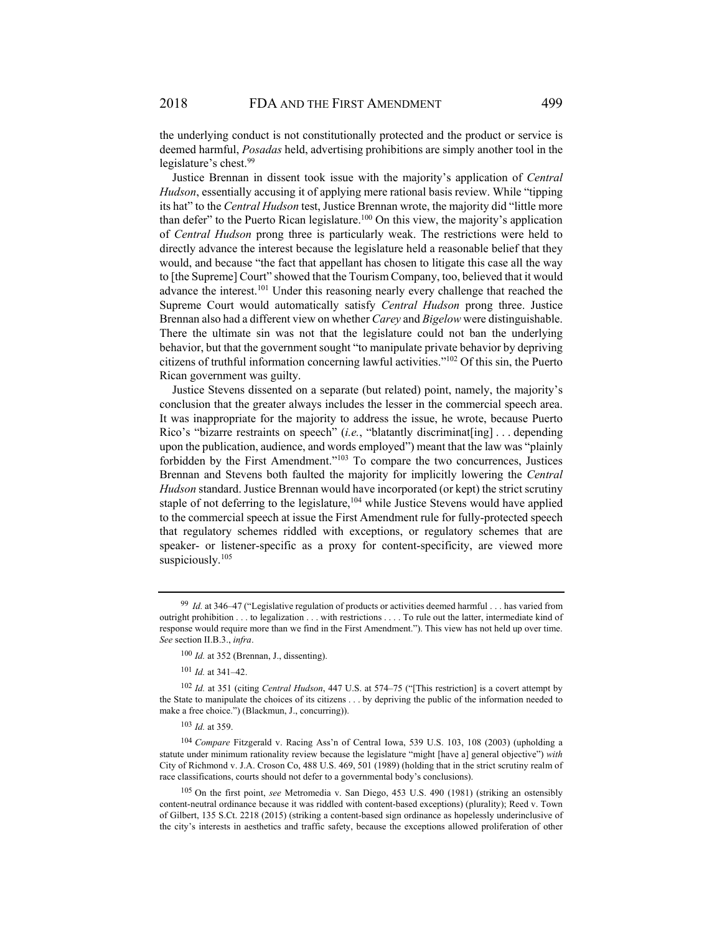the underlying conduct is not constitutionally protected and the product or service is deemed harmful, *Posadas* held, advertising prohibitions are simply another tool in the legislature's chest.<sup>99</sup>

Justice Brennan in dissent took issue with the majority's application of *Central Hudson*, essentially accusing it of applying mere rational basis review. While "tipping its hat" to the *Central Hudson* test, Justice Brennan wrote, the majority did "little more than defer" to the Puerto Rican legislature.<sup>100</sup> On this view, the majority's application of *Central Hudson* prong three is particularly weak. The restrictions were held to directly advance the interest because the legislature held a reasonable belief that they would, and because "the fact that appellant has chosen to litigate this case all the way to [the Supreme] Court" showed that the Tourism Company, too, believed that it would advance the interest.101 Under this reasoning nearly every challenge that reached the Supreme Court would automatically satisfy *Central Hudson* prong three. Justice Brennan also had a different view on whether *Carey* and *Bigelow* were distinguishable. There the ultimate sin was not that the legislature could not ban the underlying behavior, but that the government sought "to manipulate private behavior by depriving citizens of truthful information concerning lawful activities."102 Of this sin, the Puerto Rican government was guilty.

Justice Stevens dissented on a separate (but related) point, namely, the majority's conclusion that the greater always includes the lesser in the commercial speech area. It was inappropriate for the majority to address the issue, he wrote, because Puerto Rico's "bizarre restraints on speech" (*i.e.*, "blatantly discriminat[ing] . . . depending upon the publication, audience, and words employed") meant that the law was "plainly forbidden by the First Amendment."103 To compare the two concurrences, Justices Brennan and Stevens both faulted the majority for implicitly lowering the *Central Hudson* standard. Justice Brennan would have incorporated (or kept) the strict scrutiny staple of not deferring to the legislature,  $104$  while Justice Stevens would have applied to the commercial speech at issue the First Amendment rule for fully-protected speech that regulatory schemes riddled with exceptions, or regulatory schemes that are speaker- or listener-specific as a proxy for content-specificity, are viewed more suspiciously.<sup>105</sup>

<sup>99</sup> *Id.* at 346–47 ("Legislative regulation of products or activities deemed harmful . . . has varied from outright prohibition . . . to legalization . . . with restrictions . . . . To rule out the latter, intermediate kind of response would require more than we find in the First Amendment."). This view has not held up over time. *See* section II.B.3., *infra*.

<sup>100</sup> *Id.* at 352 (Brennan, J., dissenting).

<sup>101</sup> *Id.* at 341–42.

<sup>102</sup> *Id.* at 351 (citing *Central Hudson*, 447 U.S. at 574–75 ("[This restriction] is a covert attempt by the State to manipulate the choices of its citizens . . . by depriving the public of the information needed to make a free choice.") (Blackmun, J., concurring)).

<sup>103</sup> *Id.* at 359.

<sup>104</sup> *Compare* Fitzgerald v. Racing Ass'n of Central Iowa, 539 U.S. 103, 108 (2003) (upholding a statute under minimum rationality review because the legislature "might [have a] general objective") *with* City of Richmond v. J.A. Croson Co, 488 U.S. 469, 501 (1989) (holding that in the strict scrutiny realm of race classifications, courts should not defer to a governmental body's conclusions).

<sup>105</sup> On the first point, *see* Metromedia v. San Diego, 453 U.S. 490 (1981) (striking an ostensibly content-neutral ordinance because it was riddled with content-based exceptions) (plurality); Reed v. Town of Gilbert, 135 S.Ct. 2218 (2015) (striking a content-based sign ordinance as hopelessly underinclusive of the city's interests in aesthetics and traffic safety, because the exceptions allowed proliferation of other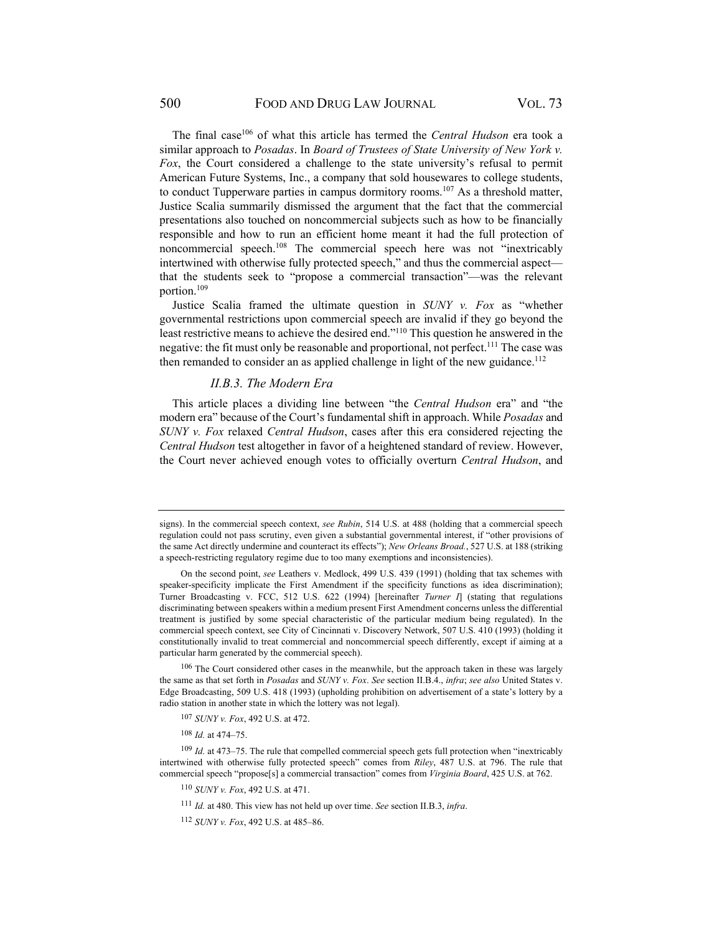The final case106 of what this article has termed the *Central Hudson* era took a similar approach to *Posadas*. In *Board of Trustees of State University of New York v. Fox*, the Court considered a challenge to the state university's refusal to permit American Future Systems, Inc., a company that sold housewares to college students, to conduct Tupperware parties in campus dormitory rooms.107 As a threshold matter, Justice Scalia summarily dismissed the argument that the fact that the commercial presentations also touched on noncommercial subjects such as how to be financially responsible and how to run an efficient home meant it had the full protection of noncommercial speech.108 The commercial speech here was not "inextricably intertwined with otherwise fully protected speech," and thus the commercial aspect that the students seek to "propose a commercial transaction"—was the relevant portion.109

Justice Scalia framed the ultimate question in *SUNY v. Fox* as "whether governmental restrictions upon commercial speech are invalid if they go beyond the least restrictive means to achieve the desired end."110 This question he answered in the negative: the fit must only be reasonable and proportional, not perfect.<sup>111</sup> The case was then remanded to consider an as applied challenge in light of the new guidance.<sup>112</sup>

#### *II.B.3. The Modern Era*

This article places a dividing line between "the *Central Hudson* era" and "the modern era" because of the Court's fundamental shift in approach. While *Posadas* and *SUNY v. Fox* relaxed *Central Hudson*, cases after this era considered rejecting the *Central Hudson* test altogether in favor of a heightened standard of review. However, the Court never achieved enough votes to officially overturn *Central Hudson*, and

<sup>108</sup> *Id.* at 474–75.

<sup>110</sup> *SUNY v. Fox*, 492 U.S. at 471.

signs). In the commercial speech context, *see Rubin*, 514 U.S. at 488 (holding that a commercial speech regulation could not pass scrutiny, even given a substantial governmental interest, if "other provisions of the same Act directly undermine and counteract its effects"); *New Orleans Broad.*, 527 U.S. at 188 (striking a speech-restricting regulatory regime due to too many exemptions and inconsistencies).

On the second point, *see* Leathers v. Medlock, 499 U.S. 439 (1991) (holding that tax schemes with speaker-specificity implicate the First Amendment if the specificity functions as idea discrimination); Turner Broadcasting v. FCC, 512 U.S. 622 (1994) [hereinafter *Turner I*] (stating that regulations discriminating between speakers within a medium present First Amendment concerns unless the differential treatment is justified by some special characteristic of the particular medium being regulated). In the commercial speech context, see City of Cincinnati v. Discovery Network, 507 U.S. 410 (1993) (holding it constitutionally invalid to treat commercial and noncommercial speech differently, except if aiming at a particular harm generated by the commercial speech).

<sup>&</sup>lt;sup>106</sup> The Court considered other cases in the meanwhile, but the approach taken in these was largely the same as that set forth in *Posadas* and *SUNY v. Fox*. *See* section II.B.4., *infra*; *see also* United States v. Edge Broadcasting, 509 U.S. 418 (1993) (upholding prohibition on advertisement of a state's lottery by a radio station in another state in which the lottery was not legal).

<sup>107</sup> *SUNY v. Fox*, 492 U.S. at 472.

<sup>109</sup> *Id.* at 473–75. The rule that compelled commercial speech gets full protection when "inextricably intertwined with otherwise fully protected speech" comes from *Riley*, 487 U.S. at 796. The rule that commercial speech "propose[s] a commercial transaction" comes from *Virginia Board*, 425 U.S. at 762.

<sup>111</sup> *Id.* at 480. This view has not held up over time. *See* section II.B.3, *infra*.

<sup>112</sup> *SUNY v. Fox*, 492 U.S. at 485–86.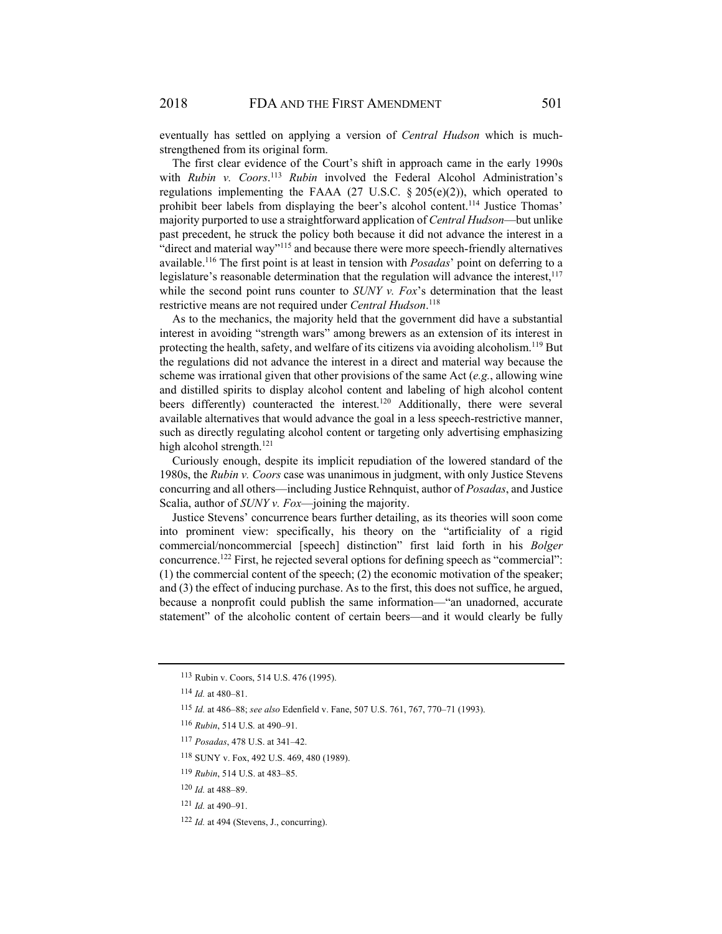eventually has settled on applying a version of *Central Hudson* which is muchstrengthened from its original form.

The first clear evidence of the Court's shift in approach came in the early 1990s with *Rubin v. Coors*. <sup>113</sup> *Rubin* involved the Federal Alcohol Administration's regulations implementing the FAAA (27 U.S.C.  $\S 205(e)(2)$ ), which operated to prohibit beer labels from displaying the beer's alcohol content. 114 Justice Thomas' majority purported to use a straightforward application of *Central Hudson*—but unlike past precedent, he struck the policy both because it did not advance the interest in a "direct and material way"115 and because there were more speech-friendly alternatives available.116 The first point is at least in tension with *Posadas*' point on deferring to a legislature's reasonable determination that the regulation will advance the interest, $117$ while the second point runs counter to *SUNY v. Fox's* determination that the least restrictive means are not required under *Central Hudson*. 118

As to the mechanics, the majority held that the government did have a substantial interest in avoiding "strength wars" among brewers as an extension of its interest in protecting the health, safety, and welfare of its citizens via avoiding alcoholism.<sup>119</sup> But the regulations did not advance the interest in a direct and material way because the scheme was irrational given that other provisions of the same Act (*e.g.*, allowing wine and distilled spirits to display alcohol content and labeling of high alcohol content beers differently) counteracted the interest.<sup>120</sup> Additionally, there were several available alternatives that would advance the goal in a less speech-restrictive manner, such as directly regulating alcohol content or targeting only advertising emphasizing high alcohol strength.<sup>121</sup>

Curiously enough, despite its implicit repudiation of the lowered standard of the 1980s, the *Rubin v. Coors* case was unanimous in judgment, with only Justice Stevens concurring and all others—including Justice Rehnquist, author of *Posadas*, and Justice Scalia, author of *SUNY v. Fox*—joining the majority.

Justice Stevens' concurrence bears further detailing, as its theories will soon come into prominent view: specifically, his theory on the "artificiality of a rigid commercial/noncommercial [speech] distinction" first laid forth in his *Bolger* concurrence.122 First, he rejected several options for defining speech as "commercial": (1) the commercial content of the speech; (2) the economic motivation of the speaker; and (3) the effect of inducing purchase. As to the first, this does not suffice, he argued, because a nonprofit could publish the same information—"an unadorned, accurate statement" of the alcoholic content of certain beers—and it would clearly be fully

<sup>113</sup>Rubin v. Coors, 514 U.S. 476 (1995).

<sup>114</sup> *Id.* at 480–81.

<sup>115</sup> *Id.* at 486–88; *see also* Edenfield v. Fane, 507 U.S. 761, 767, 770–71 (1993).

<sup>116</sup> *Rubin*, 514 U.S*.* at 490–91.

<sup>117</sup> *Posadas*, 478 U.S. at 341–42.

<sup>118</sup>SUNY v. Fox, 492 U.S. 469, 480 (1989).

<sup>119</sup> *Rubin*, 514 U.S. at 483–85.

<sup>120</sup> *Id.* at 488–89.

<sup>121</sup> *Id.* at 490–91.

<sup>122</sup> *Id.* at 494 (Stevens, J., concurring).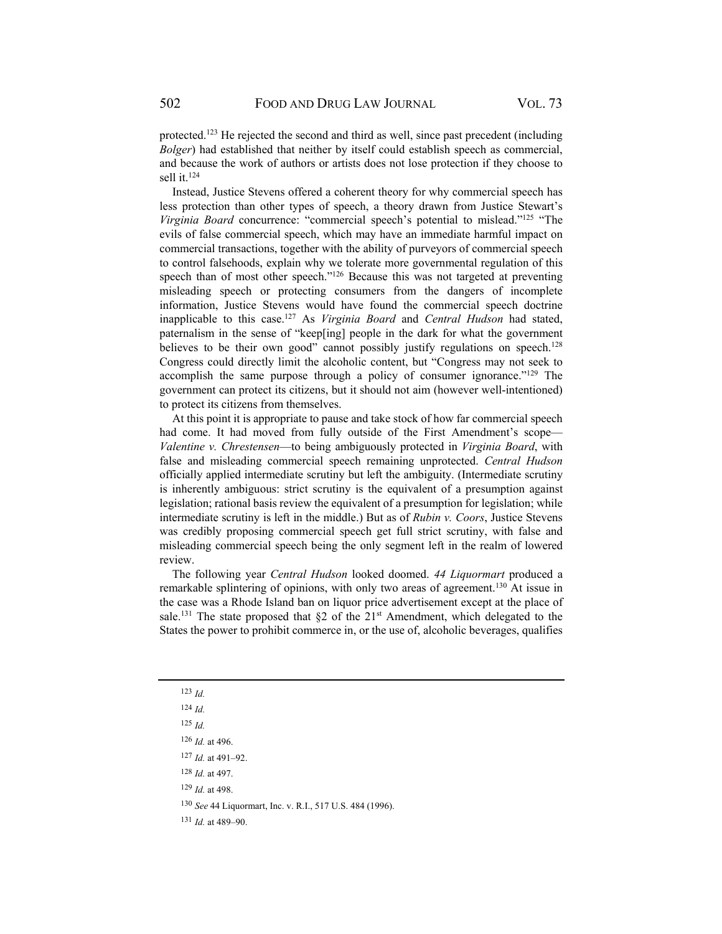protected.123 He rejected the second and third as well, since past precedent (including *Bolger*) had established that neither by itself could establish speech as commercial, and because the work of authors or artists does not lose protection if they choose to sell it.124

Instead, Justice Stevens offered a coherent theory for why commercial speech has less protection than other types of speech, a theory drawn from Justice Stewart's *Virginia Board* concurrence: "commercial speech's potential to mislead."125 "The evils of false commercial speech, which may have an immediate harmful impact on commercial transactions, together with the ability of purveyors of commercial speech to control falsehoods, explain why we tolerate more governmental regulation of this speech than of most other speech."<sup>126</sup> Because this was not targeted at preventing misleading speech or protecting consumers from the dangers of incomplete information, Justice Stevens would have found the commercial speech doctrine inapplicable to this case.127 As *Virginia Board* and *Central Hudson* had stated, paternalism in the sense of "keep[ing] people in the dark for what the government believes to be their own good" cannot possibly justify regulations on speech.<sup>128</sup> Congress could directly limit the alcoholic content, but "Congress may not seek to accomplish the same purpose through a policy of consumer ignorance."129 The government can protect its citizens, but it should not aim (however well-intentioned) to protect its citizens from themselves.

At this point it is appropriate to pause and take stock of how far commercial speech had come. It had moved from fully outside of the First Amendment's scope— *Valentine v. Chrestensen*—to being ambiguously protected in *Virginia Board*, with false and misleading commercial speech remaining unprotected. *Central Hudson* officially applied intermediate scrutiny but left the ambiguity. (Intermediate scrutiny is inherently ambiguous: strict scrutiny is the equivalent of a presumption against legislation; rational basis review the equivalent of a presumption for legislation; while intermediate scrutiny is left in the middle.) But as of *Rubin v. Coors*, Justice Stevens was credibly proposing commercial speech get full strict scrutiny, with false and misleading commercial speech being the only segment left in the realm of lowered review.

The following year *Central Hudson* looked doomed. *44 Liquormart* produced a remarkable splintering of opinions, with only two areas of agreement.<sup>130</sup> At issue in the case was a Rhode Island ban on liquor price advertisement except at the place of sale.<sup>131</sup> The state proposed that  $\S2$  of the  $21<sup>st</sup>$  Amendment, which delegated to the States the power to prohibit commerce in, or the use of, alcoholic beverages, qualifies

<sup>129</sup> *Id.* at 498.

<sup>130</sup> *See* 44 Liquormart, Inc. v. R.I., 517 U.S. 484 (1996).

<sup>131</sup> *Id.* at 489–90.

<sup>123</sup> *Id.*

<sup>124</sup> *Id.*

<sup>125</sup> *Id.*

<sup>126</sup> *Id.* at 496.

<sup>127</sup> *Id.* at 491–92.

<sup>128</sup> *Id.* at 497.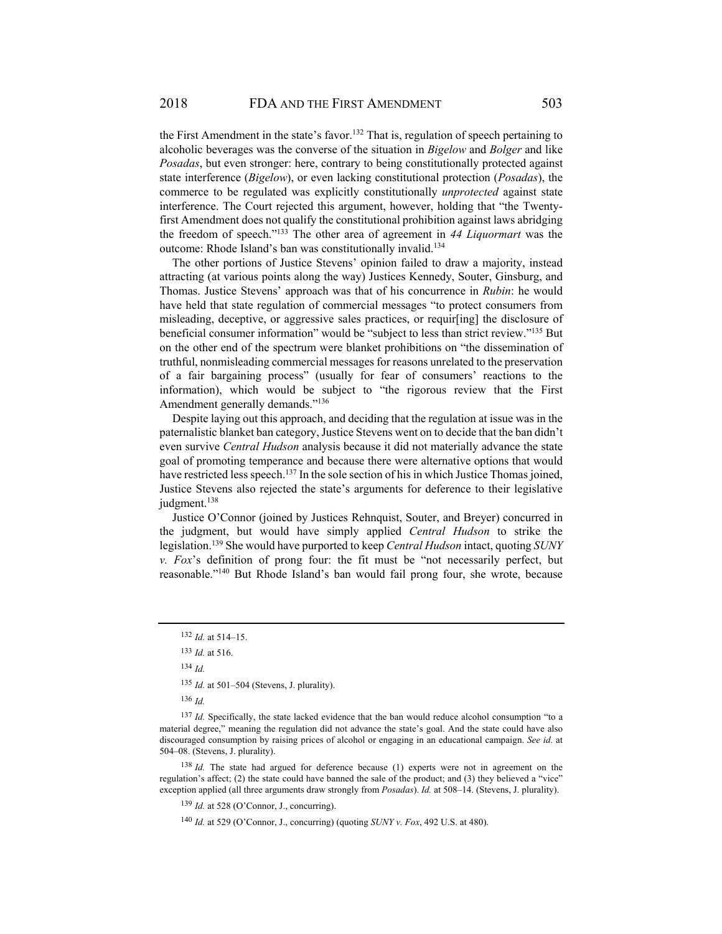the First Amendment in the state's favor.<sup>132</sup> That is, regulation of speech pertaining to alcoholic beverages was the converse of the situation in *Bigelow* and *Bolger* and like *Posadas*, but even stronger: here, contrary to being constitutionally protected against state interference (*Bigelow*), or even lacking constitutional protection (*Posadas*), the commerce to be regulated was explicitly constitutionally *unprotected* against state interference. The Court rejected this argument, however, holding that "the Twentyfirst Amendment does not qualify the constitutional prohibition against laws abridging the freedom of speech."133 The other area of agreement in *44 Liquormart* was the outcome: Rhode Island's ban was constitutionally invalid.134

The other portions of Justice Stevens' opinion failed to draw a majority, instead attracting (at various points along the way) Justices Kennedy, Souter, Ginsburg, and Thomas. Justice Stevens' approach was that of his concurrence in *Rubin*: he would have held that state regulation of commercial messages "to protect consumers from misleading, deceptive, or aggressive sales practices, or requir[ing] the disclosure of beneficial consumer information" would be "subject to less than strict review."135 But on the other end of the spectrum were blanket prohibitions on "the dissemination of truthful, nonmisleading commercial messages for reasons unrelated to the preservation of a fair bargaining process" (usually for fear of consumers' reactions to the information), which would be subject to "the rigorous review that the First Amendment generally demands."<sup>136</sup>

Despite laying out this approach, and deciding that the regulation at issue was in the paternalistic blanket ban category, Justice Stevens went on to decide that the ban didn't even survive *Central Hudson* analysis because it did not materially advance the state goal of promoting temperance and because there were alternative options that would have restricted less speech.<sup>137</sup> In the sole section of his in which Justice Thomas joined, Justice Stevens also rejected the state's arguments for deference to their legislative judgment.<sup>138</sup>

Justice O'Connor (joined by Justices Rehnquist, Souter, and Breyer) concurred in the judgment, but would have simply applied *Central Hudson* to strike the legislation.139 She would have purported to keep *Central Hudson* intact, quoting *SUNY v. Fox*'s definition of prong four: the fit must be "not necessarily perfect, but reasonable."140 But Rhode Island's ban would fail prong four, she wrote, because

138 *Id.* The state had argued for deference because (1) experts were not in agreement on the regulation's affect; (2) the state could have banned the sale of the product; and (3) they believed a "vice" exception applied (all three arguments draw strongly from *Posadas*). *Id.* at 508–14. (Stevens, J. plurality).

<sup>139</sup> *Id.* at 528 (O'Connor, J., concurring).

<sup>140</sup> *Id.* at 529 (O'Connor, J., concurring) (quoting *SUNY v. Fox*, 492 U.S. at 480).

<sup>132</sup> *Id.* at 514–15.

<sup>133</sup> *Id.* at 516.

<sup>134</sup> *Id.*

<sup>135</sup> *Id.* at 501–504 (Stevens, J. plurality).

<sup>136</sup> *Id.*

<sup>137</sup> *Id.* Specifically, the state lacked evidence that the ban would reduce alcohol consumption "to a material degree," meaning the regulation did not advance the state's goal. And the state could have also discouraged consumption by raising prices of alcohol or engaging in an educational campaign. *See id*. at 504–08. (Stevens, J. plurality).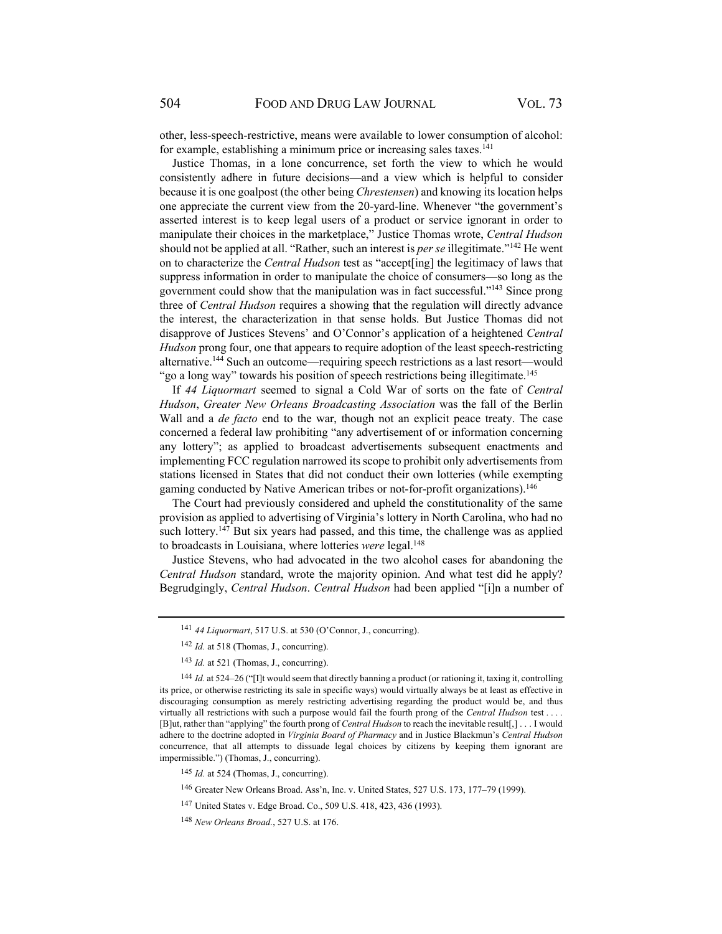other, less-speech-restrictive, means were available to lower consumption of alcohol: for example, establishing a minimum price or increasing sales taxes. $^{141}$ 

Justice Thomas, in a lone concurrence, set forth the view to which he would consistently adhere in future decisions—and a view which is helpful to consider because it is one goalpost (the other being *Chrestensen*) and knowing its location helps one appreciate the current view from the 20-yard-line. Whenever "the government's asserted interest is to keep legal users of a product or service ignorant in order to manipulate their choices in the marketplace," Justice Thomas wrote, *Central Hudson* should not be applied at all. "Rather, such an interest is *per se* illegitimate."142 He went on to characterize the *Central Hudson* test as "accept[ing] the legitimacy of laws that suppress information in order to manipulate the choice of consumers—so long as the government could show that the manipulation was in fact successful."143 Since prong three of *Central Hudson* requires a showing that the regulation will directly advance the interest, the characterization in that sense holds. But Justice Thomas did not disapprove of Justices Stevens' and O'Connor's application of a heightened *Central Hudson* prong four, one that appears to require adoption of the least speech-restricting alternative.144 Such an outcome—requiring speech restrictions as a last resort—would "go a long way" towards his position of speech restrictions being illegitimate.<sup>145</sup>

If *44 Liquormart* seemed to signal a Cold War of sorts on the fate of *Central Hudson*, *Greater New Orleans Broadcasting Association* was the fall of the Berlin Wall and a *de facto* end to the war, though not an explicit peace treaty. The case concerned a federal law prohibiting "any advertisement of or information concerning any lottery"; as applied to broadcast advertisements subsequent enactments and implementing FCC regulation narrowed its scope to prohibit only advertisements from stations licensed in States that did not conduct their own lotteries (while exempting gaming conducted by Native American tribes or not-for-profit organizations).146

The Court had previously considered and upheld the constitutionality of the same provision as applied to advertising of Virginia's lottery in North Carolina, who had no such lottery.<sup>147</sup> But six years had passed, and this time, the challenge was as applied to broadcasts in Louisiana, where lotteries *were* legal.<sup>148</sup>

Justice Stevens, who had advocated in the two alcohol cases for abandoning the *Central Hudson* standard, wrote the majority opinion. And what test did he apply? Begrudgingly, *Central Hudson*. *Central Hudson* had been applied "[i]n a number of

<sup>141</sup> *44 Liquormart*, 517 U.S. at 530 (O'Connor, J., concurring).

<sup>142</sup> *Id.* at 518 (Thomas, J., concurring).

<sup>&</sup>lt;sup>143</sup> Id. at 521 (Thomas, J., concurring).

<sup>144</sup> *Id.* at 524–26 ("[I]t would seem that directly banning a product (or rationing it, taxing it, controlling its price, or otherwise restricting its sale in specific ways) would virtually always be at least as effective in discouraging consumption as merely restricting advertising regarding the product would be, and thus virtually all restrictions with such a purpose would fail the fourth prong of the *Central Hudson* test . . . . [B]ut, rather than "applying" the fourth prong of *Central Hudson* to reach the inevitable result[,] . . . I would adhere to the doctrine adopted in *Virginia Board of Pharmacy* and in Justice Blackmun's *Central Hudson* concurrence, that all attempts to dissuade legal choices by citizens by keeping them ignorant are impermissible.") (Thomas, J., concurring).

<sup>145</sup> *Id.* at 524 (Thomas, J., concurring).

<sup>146</sup>Greater New Orleans Broad. Ass'n, Inc. v. United States, 527 U.S. 173, 177–79 (1999).

<sup>147</sup>United States v. Edge Broad. Co., 509 U.S. 418, 423, 436 (1993).

<sup>148</sup> *New Orleans Broad.*, 527 U.S. at 176.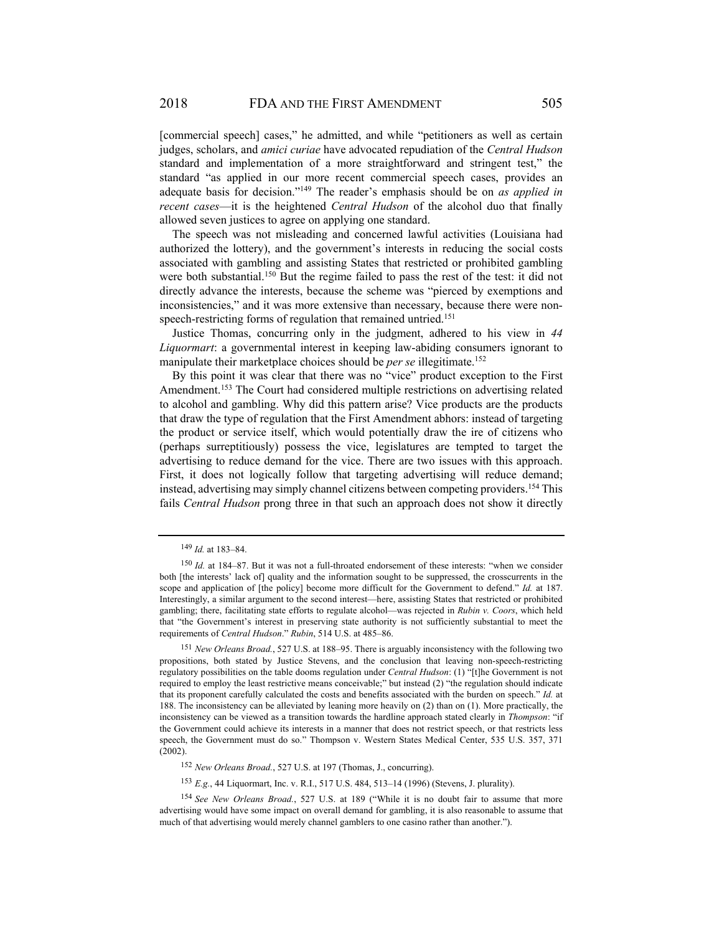[commercial speech] cases," he admitted, and while "petitioners as well as certain judges, scholars, and *amici curiae* have advocated repudiation of the *Central Hudson* standard and implementation of a more straightforward and stringent test," the standard "as applied in our more recent commercial speech cases, provides an adequate basis for decision."149 The reader's emphasis should be on *as applied in recent cases*—it is the heightened *Central Hudson* of the alcohol duo that finally allowed seven justices to agree on applying one standard.

The speech was not misleading and concerned lawful activities (Louisiana had authorized the lottery), and the government's interests in reducing the social costs associated with gambling and assisting States that restricted or prohibited gambling were both substantial.<sup>150</sup> But the regime failed to pass the rest of the test: it did not directly advance the interests, because the scheme was "pierced by exemptions and inconsistencies," and it was more extensive than necessary, because there were nonspeech-restricting forms of regulation that remained untried.<sup>151</sup>

Justice Thomas, concurring only in the judgment, adhered to his view in *44 Liquormart*: a governmental interest in keeping law-abiding consumers ignorant to manipulate their marketplace choices should be *per se* illegitimate.<sup>152</sup>

By this point it was clear that there was no "vice" product exception to the First Amendment.<sup>153</sup> The Court had considered multiple restrictions on advertising related to alcohol and gambling. Why did this pattern arise? Vice products are the products that draw the type of regulation that the First Amendment abhors: instead of targeting the product or service itself, which would potentially draw the ire of citizens who (perhaps surreptitiously) possess the vice, legislatures are tempted to target the advertising to reduce demand for the vice. There are two issues with this approach. First, it does not logically follow that targeting advertising will reduce demand; instead, advertising may simply channel citizens between competing providers.154 This fails *Central Hudson* prong three in that such an approach does not show it directly

<sup>152</sup> *New Orleans Broad.*, 527 U.S. at 197 (Thomas, J., concurring).

<sup>153</sup> *E.g.*, 44 Liquormart, Inc. v. R.I., 517 U.S. 484, 513–14 (1996) (Stevens, J. plurality).

<sup>149</sup> *Id.* at 183–84.

<sup>&</sup>lt;sup>150</sup> Id. at 184–87. But it was not a full-throated endorsement of these interests: "when we consider both [the interests' lack of] quality and the information sought to be suppressed, the crosscurrents in the scope and application of [the policy] become more difficult for the Government to defend." *Id.* at 187. Interestingly, a similar argument to the second interest—here, assisting States that restricted or prohibited gambling; there, facilitating state efforts to regulate alcohol—was rejected in *Rubin v. Coors*, which held that "the Government's interest in preserving state authority is not sufficiently substantial to meet the requirements of *Central Hudson*." *Rubin*, 514 U.S. at 485–86.

<sup>151</sup> *New Orleans Broad.*, 527 U.S. at 188–95. There is arguably inconsistency with the following two propositions, both stated by Justice Stevens, and the conclusion that leaving non-speech-restricting regulatory possibilities on the table dooms regulation under *Central Hudson*: (1) "[t]he Government is not required to employ the least restrictive means conceivable;" but instead (2) "the regulation should indicate that its proponent carefully calculated the costs and benefits associated with the burden on speech." *Id.* at 188. The inconsistency can be alleviated by leaning more heavily on (2) than on (1). More practically, the inconsistency can be viewed as a transition towards the hardline approach stated clearly in *Thompson*: "if the Government could achieve its interests in a manner that does not restrict speech, or that restricts less speech, the Government must do so." Thompson v. Western States Medical Center, 535 U.S. 357, 371 (2002).

<sup>154</sup> *See New Orleans Broad.*, 527 U.S. at 189 ("While it is no doubt fair to assume that more advertising would have some impact on overall demand for gambling, it is also reasonable to assume that much of that advertising would merely channel gamblers to one casino rather than another.").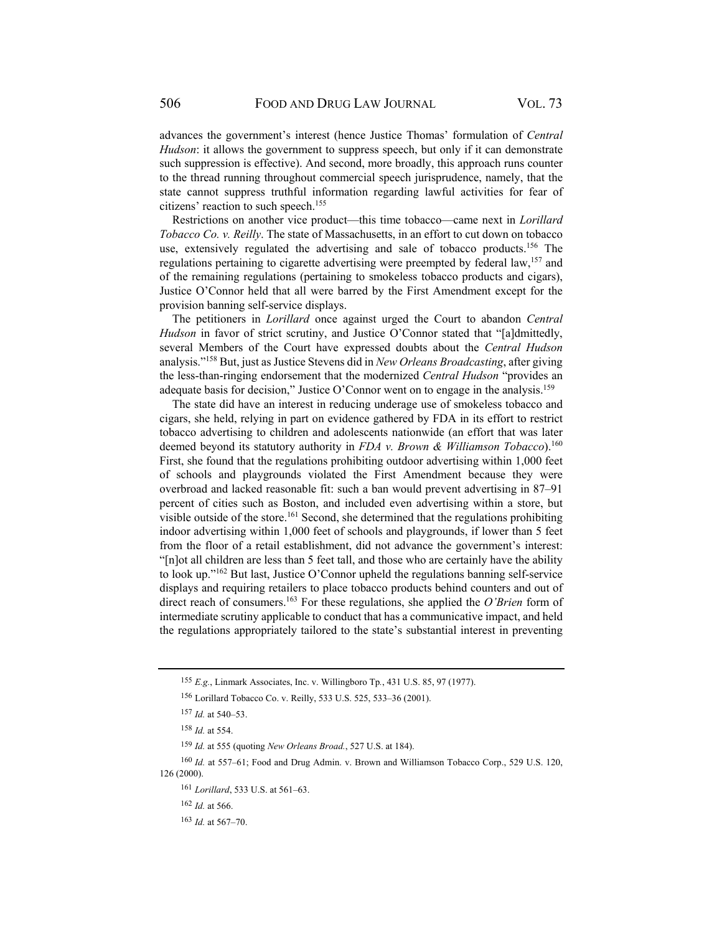advances the government's interest (hence Justice Thomas' formulation of *Central Hudson*: it allows the government to suppress speech, but only if it can demonstrate such suppression is effective). And second, more broadly, this approach runs counter to the thread running throughout commercial speech jurisprudence, namely, that the state cannot suppress truthful information regarding lawful activities for fear of citizens' reaction to such speech.155

Restrictions on another vice product—this time tobacco—came next in *Lorillard Tobacco Co. v. Reilly*. The state of Massachusetts, in an effort to cut down on tobacco use, extensively regulated the advertising and sale of tobacco products.<sup>156</sup> The regulations pertaining to cigarette advertising were preempted by federal law,<sup>157</sup> and of the remaining regulations (pertaining to smokeless tobacco products and cigars), Justice O'Connor held that all were barred by the First Amendment except for the provision banning self-service displays.

The petitioners in *Lorillard* once against urged the Court to abandon *Central Hudson* in favor of strict scrutiny, and Justice O'Connor stated that "[a]dmittedly, several Members of the Court have expressed doubts about the *Central Hudson* analysis."158 But, just as Justice Stevens did in *New Orleans Broadcasting*, after giving the less-than-ringing endorsement that the modernized *Central Hudson* "provides an adequate basis for decision," Justice O'Connor went on to engage in the analysis.<sup>159</sup>

The state did have an interest in reducing underage use of smokeless tobacco and cigars, she held, relying in part on evidence gathered by FDA in its effort to restrict tobacco advertising to children and adolescents nationwide (an effort that was later deemed beyond its statutory authority in *FDA v. Brown & Williamson Tobacco*).<sup>160</sup> First, she found that the regulations prohibiting outdoor advertising within 1,000 feet of schools and playgrounds violated the First Amendment because they were overbroad and lacked reasonable fit: such a ban would prevent advertising in 87–91 percent of cities such as Boston, and included even advertising within a store, but visible outside of the store.<sup>161</sup> Second, she determined that the regulations prohibiting indoor advertising within 1,000 feet of schools and playgrounds, if lower than 5 feet from the floor of a retail establishment, did not advance the government's interest: "[n]ot all children are less than 5 feet tall, and those who are certainly have the ability to look up."162 But last, Justice O'Connor upheld the regulations banning self-service displays and requiring retailers to place tobacco products behind counters and out of direct reach of consumers.163 For these regulations, she applied the *O'Brien* form of intermediate scrutiny applicable to conduct that has a communicative impact, and held the regulations appropriately tailored to the state's substantial interest in preventing

<sup>160</sup> *Id.* at 557–61; Food and Drug Admin. v. Brown and Williamson Tobacco Corp., 529 U.S. 120, 126 (2000).

<sup>161</sup> *Lorillard*, 533 U.S. at 561–63.

<sup>162</sup> *Id.* at 566.

<sup>155</sup> *E.g.*, Linmark Associates, Inc. v. Willingboro Tp*.*, 431 U.S. 85, 97 (1977).

<sup>156</sup>Lorillard Tobacco Co. v. Reilly, 533 U.S. 525, 533–36 (2001).

<sup>157</sup> *Id.* at 540–53.

<sup>158</sup> *Id.* at 554.

<sup>159</sup> *Id.* at 555 (quoting *New Orleans Broad.*, 527 U.S. at 184).

<sup>163</sup> *Id.* at 567–70.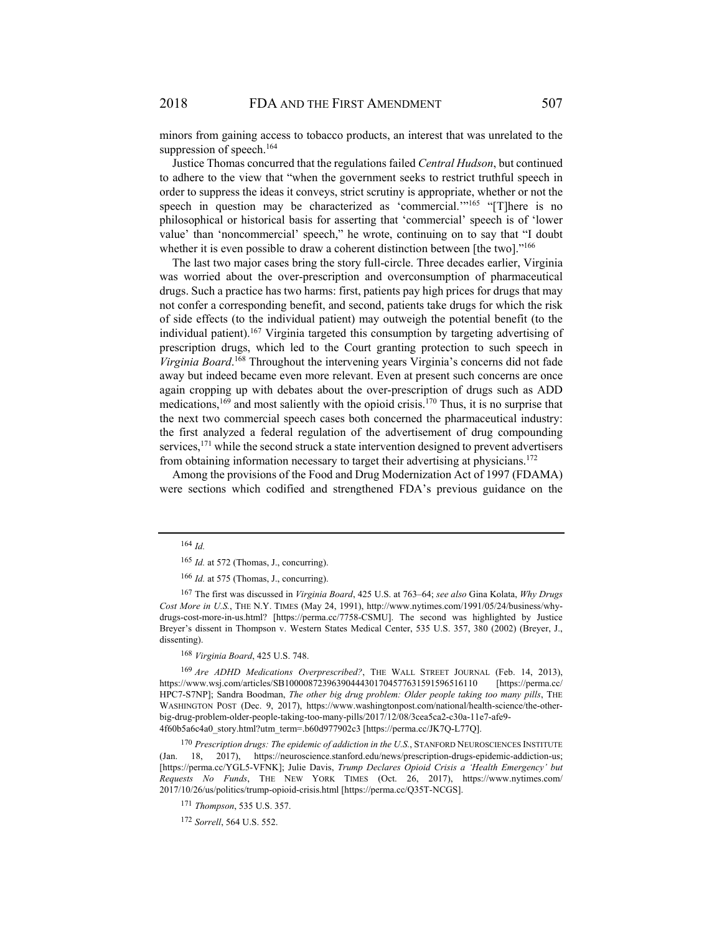minors from gaining access to tobacco products, an interest that was unrelated to the suppression of speech.<sup>164</sup>

Justice Thomas concurred that the regulations failed *Central Hudson*, but continued to adhere to the view that "when the government seeks to restrict truthful speech in order to suppress the ideas it conveys, strict scrutiny is appropriate, whether or not the speech in question may be characterized as 'commercial.'"<sup>165</sup> "[T]here is no philosophical or historical basis for asserting that 'commercial' speech is of 'lower value' than 'noncommercial' speech," he wrote, continuing on to say that "I doubt whether it is even possible to draw a coherent distinction between [the two]."<sup>166</sup>

The last two major cases bring the story full-circle. Three decades earlier, Virginia was worried about the over-prescription and overconsumption of pharmaceutical drugs. Such a practice has two harms: first, patients pay high prices for drugs that may not confer a corresponding benefit, and second, patients take drugs for which the risk of side effects (to the individual patient) may outweigh the potential benefit (to the individual patient).167 Virginia targeted this consumption by targeting advertising of prescription drugs, which led to the Court granting protection to such speech in *Virginia Board*. 168 Throughout the intervening years Virginia's concerns did not fade away but indeed became even more relevant. Even at present such concerns are once again cropping up with debates about the over-prescription of drugs such as ADD medications,  $169$  and most saliently with the opioid crisis.<sup>170</sup> Thus, it is no surprise that the next two commercial speech cases both concerned the pharmaceutical industry: the first analyzed a federal regulation of the advertisement of drug compounding services,<sup>171</sup> while the second struck a state intervention designed to prevent advertisers from obtaining information necessary to target their advertising at physicians.<sup>172</sup>

Among the provisions of the Food and Drug Modernization Act of 1997 (FDAMA) were sections which codified and strengthened FDA's previous guidance on the

<sup>168</sup> *Virginia Board*, 425 U.S. 748.

<sup>169</sup> *Are ADHD Medications Overprescribed?*, THE WALL STREET JOURNAL (Feb. 14, 2013), https://www.wsj.com/articles/SB10000872396390444301704577631591596516110 [https://perma.cc/ HPC7-S7NP]; Sandra Boodman, *The other big drug problem: Older people taking too many pills*, THE WASHINGTON POST (Dec. 9, 2017), https://www.washingtonpost.com/national/health-science/the-otherbig-drug-problem-older-people-taking-too-many-pills/2017/12/08/3cea5ca2-c30a-11e7-afe9- 4f60b5a6c4a0\_story.html?utm\_term=.b60d977902c3 [https://perma.cc/JK7Q-L77Q].

<sup>170</sup> *Prescription drugs: The epidemic of addiction in the U.S.*, STANFORD NEUROSCIENCES INSTITUTE (Jan. 18, 2017), https://neuroscience.stanford.edu/news/prescription-drugs-epidemic-addiction-us; [https://perma.cc/YGL5-VFNK]; Julie Davis, *Trump Declares Opioid Crisis a 'Health Emergency' but Requests No Funds*, THE NEW YORK TIMES (Oct. 26, 2017), https://www.nytimes.com/ 2017/10/26/us/politics/trump-opioid-crisis.html [https://perma.cc/Q35T-NCGS].

<sup>164</sup> *Id.*

<sup>165</sup> *Id.* at 572 (Thomas, J., concurring).

<sup>166</sup> *Id.* at 575 (Thomas, J., concurring).

<sup>167</sup> The first was discussed in *Virginia Board*, 425 U.S. at 763–64; *see also* Gina Kolata, *Why Drugs Cost More in U.S.*, THE N.Y. TIMES (May 24, 1991), http://www.nytimes.com/1991/05/24/business/whydrugs-cost-more-in-us.html? [https://perma.cc/7758-CSMU]. The second was highlighted by Justice Breyer's dissent in Thompson v. Western States Medical Center, 535 U.S. 357, 380 (2002) (Breyer, J., dissenting).

<sup>171</sup> *Thompson*, 535 U.S. 357.

<sup>172</sup> *Sorrell*, 564 U.S. 552.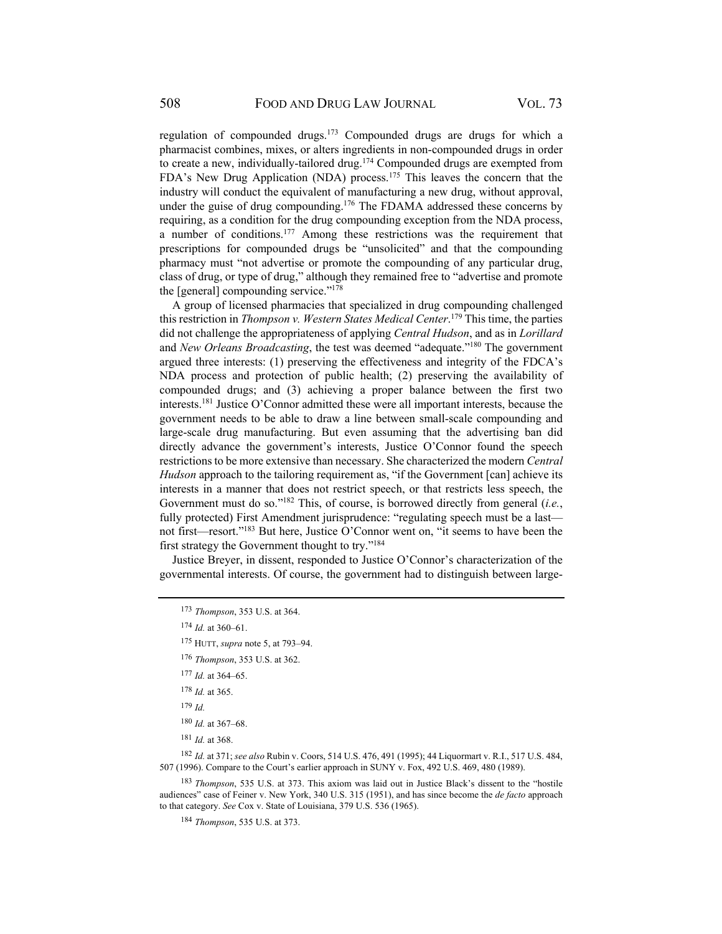regulation of compounded drugs.173 Compounded drugs are drugs for which a pharmacist combines, mixes, or alters ingredients in non-compounded drugs in order to create a new, individually-tailored drug.174 Compounded drugs are exempted from FDA's New Drug Application (NDA) process.175 This leaves the concern that the industry will conduct the equivalent of manufacturing a new drug, without approval, under the guise of drug compounding.<sup>176</sup> The FDAMA addressed these concerns by requiring, as a condition for the drug compounding exception from the NDA process, a number of conditions.<sup>177</sup> Among these restrictions was the requirement that prescriptions for compounded drugs be "unsolicited" and that the compounding pharmacy must "not advertise or promote the compounding of any particular drug, class of drug, or type of drug," although they remained free to "advertise and promote the [general] compounding service."178

A group of licensed pharmacies that specialized in drug compounding challenged this restriction in *Thompson v. Western States Medical Center*. 179 This time, the parties did not challenge the appropriateness of applying *Central Hudson*, and as in *Lorillard* and *New Orleans Broadcasting*, the test was deemed "adequate."180 The government argued three interests: (1) preserving the effectiveness and integrity of the FDCA's NDA process and protection of public health; (2) preserving the availability of compounded drugs; and (3) achieving a proper balance between the first two interests.181 Justice O'Connor admitted these were all important interests, because the government needs to be able to draw a line between small-scale compounding and large-scale drug manufacturing. But even assuming that the advertising ban did directly advance the government's interests, Justice O'Connor found the speech restrictions to be more extensive than necessary. She characterized the modern *Central Hudson* approach to the tailoring requirement as, "if the Government [can] achieve its interests in a manner that does not restrict speech, or that restricts less speech, the Government must do so."182 This, of course, is borrowed directly from general (*i.e.*, fully protected) First Amendment jurisprudence: "regulating speech must be a lastnot first—resort."183 But here, Justice O'Connor went on, "it seems to have been the first strategy the Government thought to try."184

Justice Breyer, in dissent, responded to Justice O'Connor's characterization of the governmental interests. Of course, the government had to distinguish between large-

<sup>182</sup> *Id.* at 371; *see also* Rubin v. Coors, 514 U.S. 476, 491 (1995); 44 Liquormart v. R.I., 517 U.S. 484, 507 (1996). Compare to the Court's earlier approach in SUNY v. Fox, 492 U.S. 469, 480 (1989).

<sup>183</sup> *Thompson*, 535 U.S. at 373. This axiom was laid out in Justice Black's dissent to the "hostile audiences" case of Feiner v. New York, 340 U.S. 315 (1951), and has since become the *de facto* approach to that category. *See* Cox v. State of Louisiana, 379 U.S. 536 (1965).

<sup>184</sup> *Thompson*, 535 U.S. at 373.

<sup>173</sup> *Thompson*, 353 U.S. at 364.

<sup>174</sup> *Id.* at 360–61.

<sup>175</sup> HUTT, *supra* note 5, at 793–94.

<sup>176</sup> *Thompson*, 353 U.S. at 362.

<sup>177</sup> *Id.* at 364–65.

<sup>178</sup> *Id.* at 365.

<sup>179</sup> *Id.*

<sup>180</sup> *Id.* at 367–68.

<sup>181</sup> *Id.* at 368.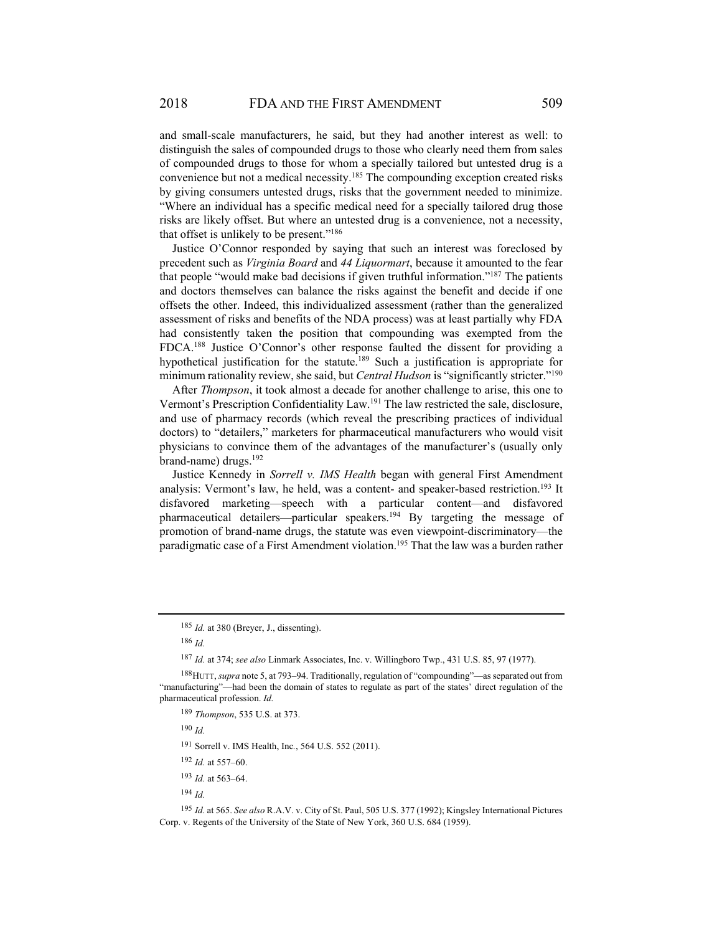and small-scale manufacturers, he said, but they had another interest as well: to distinguish the sales of compounded drugs to those who clearly need them from sales of compounded drugs to those for whom a specially tailored but untested drug is a convenience but not a medical necessity.185 The compounding exception created risks by giving consumers untested drugs, risks that the government needed to minimize. "Where an individual has a specific medical need for a specially tailored drug those risks are likely offset. But where an untested drug is a convenience, not a necessity, that offset is unlikely to be present."186

Justice O'Connor responded by saying that such an interest was foreclosed by precedent such as *Virginia Board* and *44 Liquormart*, because it amounted to the fear that people "would make bad decisions if given truthful information."187 The patients and doctors themselves can balance the risks against the benefit and decide if one offsets the other. Indeed, this individualized assessment (rather than the generalized assessment of risks and benefits of the NDA process) was at least partially why FDA had consistently taken the position that compounding was exempted from the FDCA.188 Justice O'Connor's other response faulted the dissent for providing a hypothetical justification for the statute.<sup>189</sup> Such a justification is appropriate for minimum rationality review, she said, but *Central Hudson* is "significantly stricter."190

After *Thompson*, it took almost a decade for another challenge to arise, this one to Vermont's Prescription Confidentiality Law.191 The law restricted the sale, disclosure, and use of pharmacy records (which reveal the prescribing practices of individual doctors) to "detailers," marketers for pharmaceutical manufacturers who would visit physicians to convince them of the advantages of the manufacturer's (usually only brand-name) drugs.<sup>192</sup>

Justice Kennedy in *Sorrell v. IMS Health* began with general First Amendment analysis: Vermont's law, he held, was a content- and speaker-based restriction.<sup>193</sup> It disfavored marketing—speech with a particular content—and disfavored pharmaceutical detailers—particular speakers.194 By targeting the message of promotion of brand-name drugs, the statute was even viewpoint-discriminatory—the paradigmatic case of a First Amendment violation.195 That the law was a burden rather

<sup>190</sup> *Id.* 

191 Sorrell v. IMS Health, Inc*.*, 564 U.S. 552 (2011).

<sup>185</sup> *Id.* at 380 (Breyer, J., dissenting).

<sup>186</sup> *Id.*

<sup>187</sup> *Id.* at 374; *see also* Linmark Associates, Inc. v. Willingboro Twp., 431 U.S. 85, 97 (1977).

<sup>188</sup> HUTT, *supra* note 5, at 793–94. Traditionally, regulation of "compounding"—as separated out from "manufacturing"—had been the domain of states to regulate as part of the states' direct regulation of the pharmaceutical profession. *Id.*

<sup>189</sup> *Thompson*, 535 U.S. at 373.

<sup>192</sup> *Id.* at 557–60.

<sup>193</sup> *Id.* at 563–64.

<sup>194</sup> *Id.*

<sup>195</sup> *Id.* at 565. *See also* R.A.V. v. City of St. Paul, 505 U.S. 377 (1992); Kingsley International Pictures Corp. v. Regents of the University of the State of New York, 360 U.S. 684 (1959).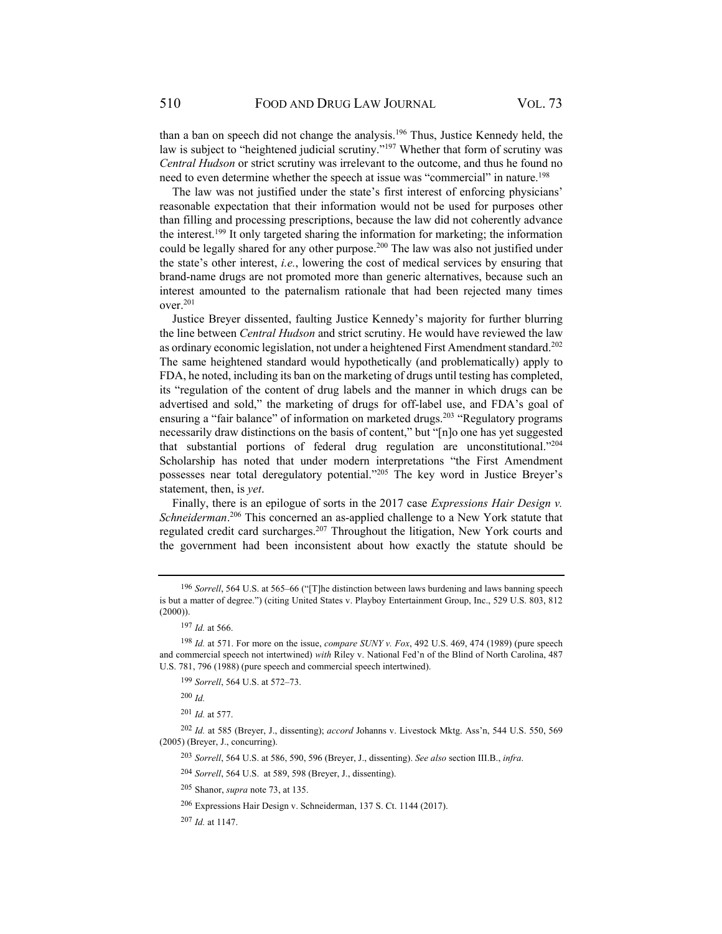than a ban on speech did not change the analysis.196 Thus, Justice Kennedy held, the law is subject to "heightened judicial scrutiny."<sup>197</sup> Whether that form of scrutiny was *Central Hudson* or strict scrutiny was irrelevant to the outcome, and thus he found no need to even determine whether the speech at issue was "commercial" in nature.198

The law was not justified under the state's first interest of enforcing physicians' reasonable expectation that their information would not be used for purposes other than filling and processing prescriptions, because the law did not coherently advance the interest.199 It only targeted sharing the information for marketing; the information could be legally shared for any other purpose.<sup>200</sup> The law was also not justified under the state's other interest, *i.e.*, lowering the cost of medical services by ensuring that brand-name drugs are not promoted more than generic alternatives, because such an interest amounted to the paternalism rationale that had been rejected many times over.201

Justice Breyer dissented, faulting Justice Kennedy's majority for further blurring the line between *Central Hudson* and strict scrutiny. He would have reviewed the law as ordinary economic legislation, not under a heightened First Amendment standard.202 The same heightened standard would hypothetically (and problematically) apply to FDA, he noted, including its ban on the marketing of drugs until testing has completed, its "regulation of the content of drug labels and the manner in which drugs can be advertised and sold," the marketing of drugs for off-label use, and FDA's goal of ensuring a "fair balance" of information on marketed drugs.<sup>203</sup> "Regulatory programs necessarily draw distinctions on the basis of content," but "[n]o one has yet suggested that substantial portions of federal drug regulation are unconstitutional."204 Scholarship has noted that under modern interpretations "the First Amendment possesses near total deregulatory potential."205 The key word in Justice Breyer's statement, then, is *yet*.

Finally, there is an epilogue of sorts in the 2017 case *Expressions Hair Design v. Schneiderman*. 206 This concerned an as-applied challenge to a New York statute that regulated credit card surcharges.207 Throughout the litigation, New York courts and the government had been inconsistent about how exactly the statute should be

<sup>202</sup> *Id.* at 585 (Breyer, J., dissenting); *accord* Johanns v. Livestock Mktg. Ass'n, 544 U.S. 550, 569 (2005) (Breyer, J., concurring).

<sup>203</sup> *Sorrell*, 564 U.S. at 586, 590, 596 (Breyer, J., dissenting). *See also* section III.B., *infra*.

<sup>204</sup> *Sorrell*, 564 U.S. at 589, 598 (Breyer, J., dissenting).

205 Shanor, *supra* note 73, at 135.

<sup>206</sup>Expressions Hair Design v. Schneiderman, 137 S. Ct. 1144 (2017).

<sup>207</sup> *Id.* at 1147.

<sup>196</sup> *Sorrell*, 564 U.S. at 565–66 ("[T]he distinction between laws burdening and laws banning speech is but a matter of degree.") (citing United States v. Playboy Entertainment Group, Inc., 529 U.S. 803, 812  $(2000)$ ).

<sup>197</sup> *Id.* at 566.

<sup>198</sup> *Id.* at 571. For more on the issue, *compare SUNY v. Fox*, 492 U.S. 469, 474 (1989) (pure speech and commercial speech not intertwined) *with* Riley v. National Fed'n of the Blind of North Carolina, 487 U.S. 781, 796 (1988) (pure speech and commercial speech intertwined).

<sup>199</sup> *Sorrell*, 564 U.S. at 572–73.

<sup>200</sup> *Id.* 

<sup>201</sup> *Id.* at 577.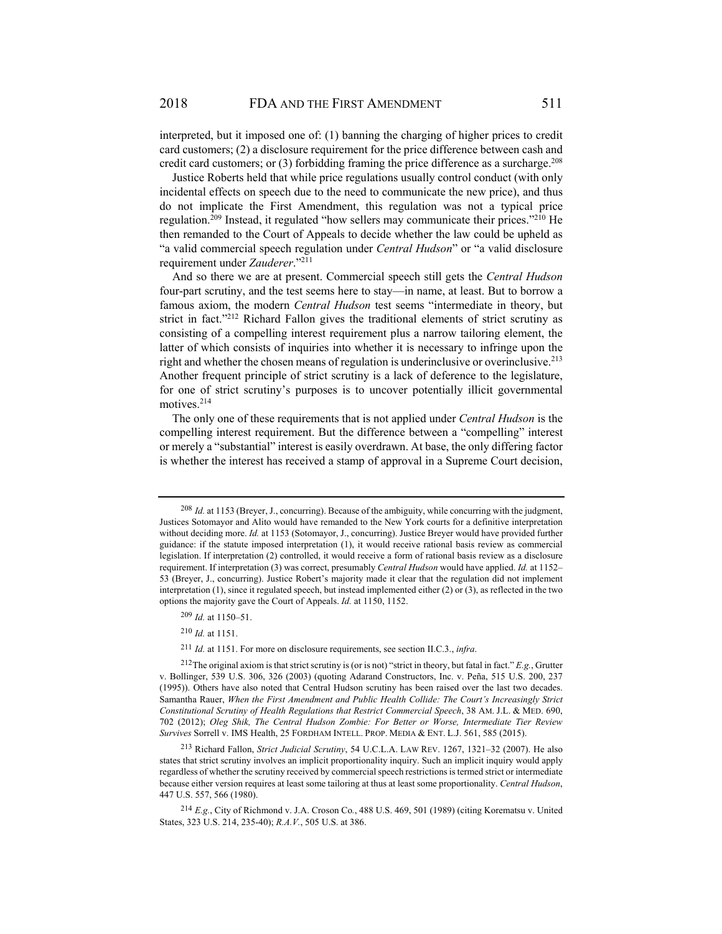interpreted, but it imposed one of: (1) banning the charging of higher prices to credit card customers; (2) a disclosure requirement for the price difference between cash and credit card customers; or  $(3)$  forbidding framing the price difference as a surcharge.<sup>208</sup>

Justice Roberts held that while price regulations usually control conduct (with only incidental effects on speech due to the need to communicate the new price), and thus do not implicate the First Amendment, this regulation was not a typical price regulation.<sup>209</sup> Instead, it regulated "how sellers may communicate their prices."<sup>210</sup> He then remanded to the Court of Appeals to decide whether the law could be upheld as "a valid commercial speech regulation under *Central Hudson*" or "a valid disclosure requirement under *Zauderer*."211

And so there we are at present. Commercial speech still gets the *Central Hudson* four-part scrutiny, and the test seems here to stay—in name, at least. But to borrow a famous axiom, the modern *Central Hudson* test seems "intermediate in theory, but strict in fact."212 Richard Fallon gives the traditional elements of strict scrutiny as consisting of a compelling interest requirement plus a narrow tailoring element, the latter of which consists of inquiries into whether it is necessary to infringe upon the right and whether the chosen means of regulation is underinclusive or overinclusive.<sup>213</sup> Another frequent principle of strict scrutiny is a lack of deference to the legislature, for one of strict scrutiny's purposes is to uncover potentially illicit governmental motives.214

The only one of these requirements that is not applied under *Central Hudson* is the compelling interest requirement. But the difference between a "compelling" interest or merely a "substantial" interest is easily overdrawn. At base, the only differing factor is whether the interest has received a stamp of approval in a Supreme Court decision,

<sup>209</sup> *Id.* at 1150–51.

<sup>210</sup> *Id.* at 1151.

<sup>211</sup> *Id.* at 1151. For more on disclosure requirements, see section II.C.3., *infra*.

<sup>208</sup> *Id.* at 1153 (Breyer, J., concurring). Because of the ambiguity, while concurring with the judgment, Justices Sotomayor and Alito would have remanded to the New York courts for a definitive interpretation without deciding more. *Id.* at 1153 (Sotomayor, J., concurring). Justice Breyer would have provided further guidance: if the statute imposed interpretation (1), it would receive rational basis review as commercial legislation. If interpretation (2) controlled, it would receive a form of rational basis review as a disclosure requirement. If interpretation (3) was correct, presumably *Central Hudson* would have applied. *Id.* at 1152– 53 (Breyer, J., concurring). Justice Robert's majority made it clear that the regulation did not implement interpretation (1), since it regulated speech, but instead implemented either (2) or (3), as reflected in the two options the majority gave the Court of Appeals. *Id.* at 1150, 1152.

<sup>212</sup> The original axiom is that strict scrutiny is (or is not) "strict in theory, but fatal in fact." *E.g.*, Grutter v. Bollinger, 539 U.S. 306, 326 (2003) (quoting Adarand Constructors, Inc. v. Peña, 515 U.S. 200, 237 (1995)). Others have also noted that Central Hudson scrutiny has been raised over the last two decades. Samantha Rauer, *When the First Amendment and Public Health Collide: The Court's Increasingly Strict Constitutional Scrutiny of Health Regulations that Restrict Commercial Speech*, 38 AM. J.L. & MED. 690, 702 (2012); *Oleg Shik, The Central Hudson Zombie: For Better or Worse, Intermediate Tier Review Survives* Sorrell v. IMS Health, 25 FORDHAM INTELL. PROP. MEDIA & ENT. L.J. 561, 585 (2015).

<sup>213</sup> Richard Fallon, *Strict Judicial Scrutiny*, 54 U.C.L.A. LAW REV. 1267, 1321–32 (2007). He also states that strict scrutiny involves an implicit proportionality inquiry. Such an implicit inquiry would apply regardless of whether the scrutiny received by commercial speech restrictions is termed strict or intermediate because either version requires at least some tailoring at thus at least some proportionality. *Central Hudson*, 447 U.S. 557, 566 (1980).

<sup>214</sup> *E.g.*, City of Richmond v. J.A. Croson Co*.*, 488 U.S. 469, 501 (1989) (citing Korematsu v. United States, 323 U.S. 214, 235-40); *R.A.V.*, 505 U.S. at 386.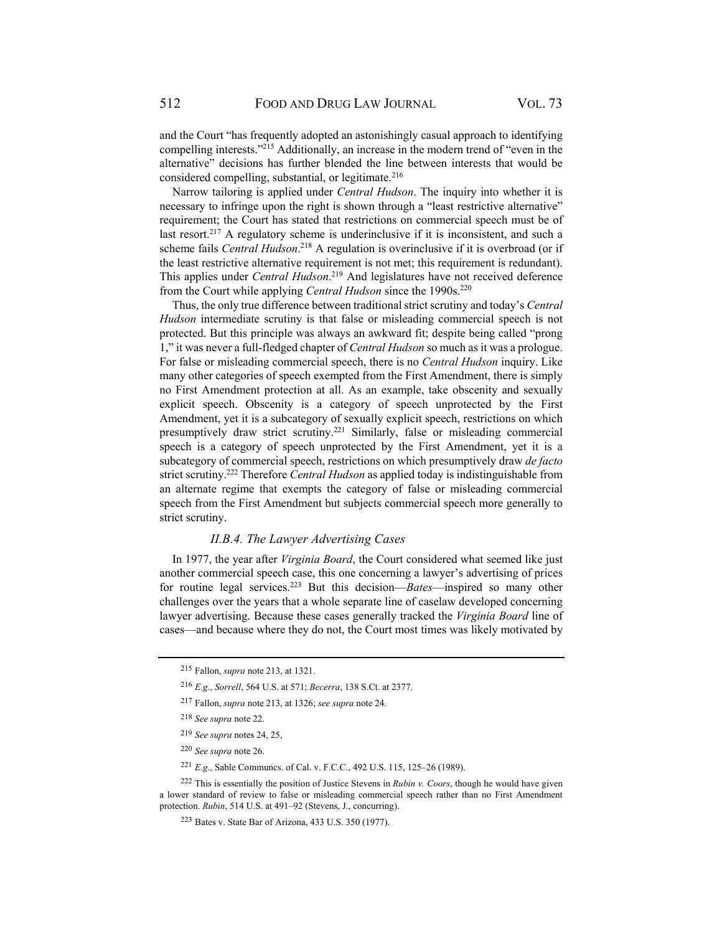and the Court "has frequently adopted an astonishingly casual approach to identifying compelling interests."215 Additionally, an increase in the modern trend of "even in the alternative" decisions has further blended the line between interests that would be considered compelling, substantial, or legitimate. $216$ 

Narrow tailoring is applied under *Central Hudson*. The inquiry into whether it is necessary to infringe upon the right is shown through a "least restrictive alternative" requirement; the Court has stated that restrictions on commercial speech must be of last resort.<sup>217</sup> A regulatory scheme is underinclusive if it is inconsistent, and such a scheme fails *Central Hudson*. 218 A regulation is overinclusive if it is overbroad (or if the least restrictive alternative requirement is not met; this requirement is redundant). This applies under *Central Hudson*. 219 And legislatures have not received deference from the Court while applying *Central Hudson* since the 1990s.<sup>220</sup>

Thus, the only true difference between traditional strict scrutiny and today's *Central Hudson* intermediate scrutiny is that false or misleading commercial speech is not protected. But this principle was always an awkward fit; despite being called "prong 1," it was never a full-fledged chapter of *Central Hudson* so much as it was a prologue. For false or misleading commercial speech, there is no *Central Hudson* inquiry. Like many other categories of speech exempted from the First Amendment, there is simply no First Amendment protection at all. As an example, take obscenity and sexually explicit speech. Obscenity is a category of speech unprotected by the First Amendment, yet it is a subcategory of sexually explicit speech, restrictions on which presumptively draw strict scrutiny.221 Similarly, false or misleading commercial speech is a category of speech unprotected by the First Amendment, yet it is a subcategory of commercial speech, restrictions on which presumptively draw *de facto* strict scrutiny.222 Therefore *Central Hudson* as applied today is indistinguishable from an alternate regime that exempts the category of false or misleading commercial speech from the First Amendment but subjects commercial speech more generally to strict scrutiny.

#### *II.B.4. The Lawyer Advertising Cases*

In 1977, the year after *Virginia Board*, the Court considered what seemed like just another commercial speech case, this one concerning a lawyer's advertising of prices for routine legal services.223 But this decision—*Bates*—inspired so many other challenges over the years that a whole separate line of caselaw developed concerning lawyer advertising. Because these cases generally tracked the *Virginia Board* line of cases—and because where they do not, the Court most times was likely motivated by

<sup>215</sup> Fallon, *supra* note 213, at 1321.

<sup>216</sup> *E.g.*, *Sorrell*, 564 U.S. at 571; *Becerra*, 138 S.Ct. at 2377.

<sup>217</sup> Fallon, *supra* note 213, at 1326; *see supra* note 24.

<sup>218</sup> *See supra* note 22.

<sup>219</sup> *See supra* notes 24, 25,

<sup>220</sup> *See supra* note 26.

<sup>221</sup> *E.g.*, Sable Communcs. of Cal. v. F.C.C., 492 U.S. 115, 125–26 (1989).

<sup>222</sup> This is essentially the position of Justice Stevens in *Rubin v. Coors*, though he would have given a lower standard of review to false or misleading commercial speech rather than no First Amendment protection. *Rubin*, 514 U.S. at 491–92 (Stevens, J., concurring).

<sup>223</sup>Bates v. State Bar of Arizona, 433 U.S. 350 (1977).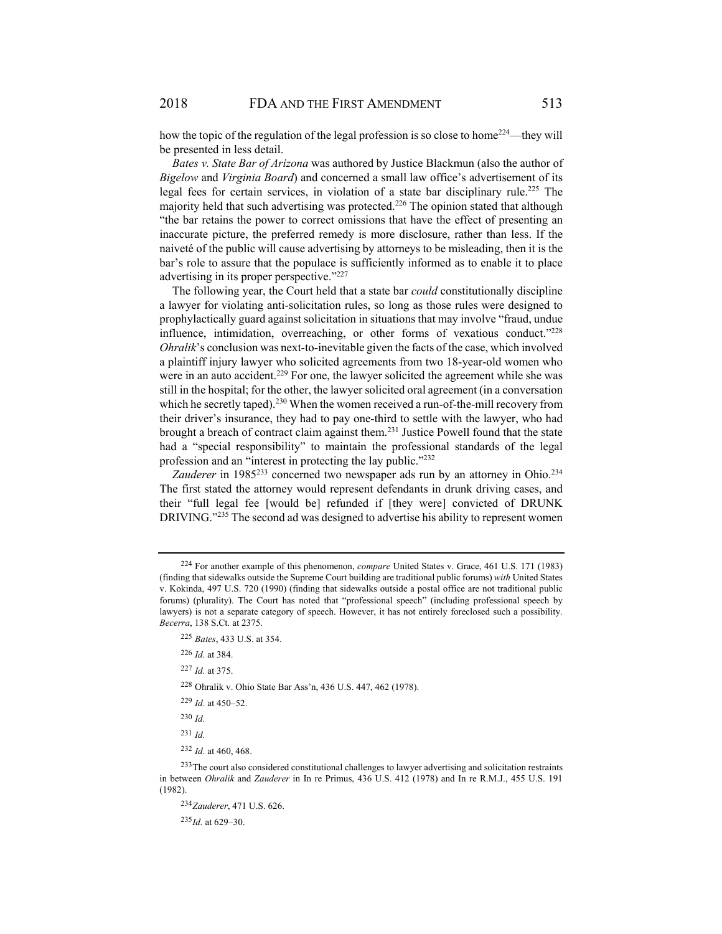how the topic of the regulation of the legal profession is so close to home<sup>224</sup>—they will be presented in less detail.

*Bates v. State Bar of Arizona* was authored by Justice Blackmun (also the author of *Bigelow* and *Virginia Board*) and concerned a small law office's advertisement of its legal fees for certain services, in violation of a state bar disciplinary rule.<sup>225</sup> The majority held that such advertising was protected.<sup>226</sup> The opinion stated that although "the bar retains the power to correct omissions that have the effect of presenting an inaccurate picture, the preferred remedy is more disclosure, rather than less. If the naiveté of the public will cause advertising by attorneys to be misleading, then it is the bar's role to assure that the populace is sufficiently informed as to enable it to place advertising in its proper perspective."227

The following year, the Court held that a state bar *could* constitutionally discipline a lawyer for violating anti-solicitation rules, so long as those rules were designed to prophylactically guard against solicitation in situations that may involve "fraud, undue influence, intimidation, overreaching, or other forms of vexatious conduct." $228$ *Ohralik*'s conclusion was next-to-inevitable given the facts of the case, which involved a plaintiff injury lawyer who solicited agreements from two 18-year-old women who were in an auto accident.<sup>229</sup> For one, the lawyer solicited the agreement while she was still in the hospital; for the other, the lawyer solicited oral agreement (in a conversation which he secretly taped).<sup>230</sup> When the women received a run-of-the-mill recovery from their driver's insurance, they had to pay one-third to settle with the lawyer, who had brought a breach of contract claim against them.<sup>231</sup> Justice Powell found that the state had a "special responsibility" to maintain the professional standards of the legal profession and an "interest in protecting the lay public."232

Zauderer in 1985<sup>233</sup> concerned two newspaper ads run by an attorney in Ohio.<sup>234</sup> The first stated the attorney would represent defendants in drunk driving cases, and their "full legal fee [would be] refunded if [they were] convicted of DRUNK DRIVING.<sup>2235</sup> The second ad was designed to advertise his ability to represent women

<sup>233</sup>The court also considered constitutional challenges to lawyer advertising and solicitation restraints in between *Ohralik* and *Zauderer* in In re Primus, 436 U.S. 412 (1978) and In re R.M.J., 455 U.S. 191 (1982).

<sup>234</sup> *Zauderer*, 471 U.S. 626.

<sup>235</sup> *Id.* at 629–30.

<sup>224</sup> For another example of this phenomenon, *compare* United States v. Grace, 461 U.S. 171 (1983) (finding that sidewalks outside the Supreme Court building are traditional public forums) *with* United States v. Kokinda, 497 U.S. 720 (1990) (finding that sidewalks outside a postal office are not traditional public forums) (plurality). The Court has noted that "professional speech" (including professional speech by lawyers) is not a separate category of speech. However, it has not entirely foreclosed such a possibility. *Becerra*, 138 S.Ct. at 2375.

<sup>225</sup> *Bates*, 433 U.S. at 354.

<sup>226</sup> *Id.* at 384.

<sup>227</sup> *Id.* at 375.

<sup>228</sup>Ohralik v. Ohio State Bar Ass'n, 436 U.S. 447, 462 (1978).

<sup>229</sup> *Id.* at 450–52.

<sup>230</sup> *Id.* 

<sup>231</sup> *Id.*

<sup>232</sup> *Id.* at 460, 468.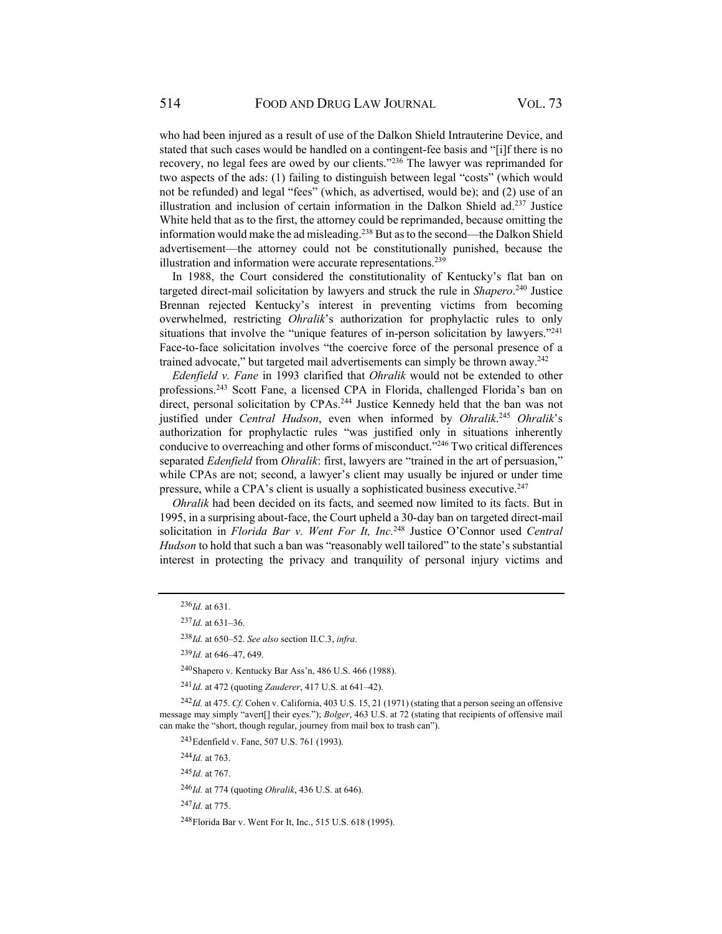who had been injured as a result of use of the Dalkon Shield Intrauterine Device, and stated that such cases would be handled on a contingent-fee basis and "[i]f there is no recovery, no legal fees are owed by our clients."236 The lawyer was reprimanded for two aspects of the ads: (1) failing to distinguish between legal "costs" (which would not be refunded) and legal "fees" (which, as advertised, would be); and (2) use of an illustration and inclusion of certain information in the Dalkon Shield  $ad.237$  Justice White held that as to the first, the attorney could be reprimanded, because omitting the information would make the ad misleading.238 But as to the second—the Dalkon Shield advertisement—the attorney could not be constitutionally punished, because the illustration and information were accurate representations.<sup>239</sup>

In 1988, the Court considered the constitutionality of Kentucky's flat ban on targeted direct-mail solicitation by lawyers and struck the rule in *Shapero*. 240 Justice Brennan rejected Kentucky's interest in preventing victims from becoming overwhelmed, restricting *Ohralik*'s authorization for prophylactic rules to only situations that involve the "unique features of in-person solicitation by lawyers."<sup>241</sup> Face-to-face solicitation involves "the coercive force of the personal presence of a trained advocate," but targeted mail advertisements can simply be thrown away.<sup>242</sup>

*Edenfield v. Fane* in 1993 clarified that *Ohralik* would not be extended to other professions.243 Scott Fane, a licensed CPA in Florida, challenged Florida's ban on direct, personal solicitation by CPAs.<sup>244</sup> Justice Kennedy held that the ban was not justified under *Central Hudson*, even when informed by *Ohralik*. <sup>245</sup> *Ohralik*'s authorization for prophylactic rules "was justified only in situations inherently conducive to overreaching and other forms of misconduct."<sup>246</sup> Two critical differences separated *Edenfield* from *Ohralik*: first, lawyers are "trained in the art of persuasion," while CPAs are not; second, a lawyer's client may usually be injured or under time pressure, while a CPA's client is usually a sophisticated business executive.  $247$ 

*Ohralik* had been decided on its facts, and seemed now limited to its facts. But in 1995, in a surprising about-face, the Court upheld a 30-day ban on targeted direct-mail solicitation in *Florida Bar v. Went For It, Inc.*248 Justice O'Connor used *Central Hudson* to hold that such a ban was "reasonably well tailored" to the state's substantial interest in protecting the privacy and tranquility of personal injury victims and

<sup>241</sup> *Id.* at 472 (quoting *Zauderer*, 417 U.S. at 641–42).

<sup>242</sup> *Id.* at 475. *Cf.* Cohen v. California, 403 U.S. 15, 21 (1971) (stating that a person seeing an offensive message may simply "avert[] their eyes."); *Bolger*, 463 U.S. at 72 (stating that recipients of offensive mail can make the "short, though regular, journey from mail box to trash can").

243Edenfield v. Fane, 507 U.S. 761 (1993).

<sup>244</sup> *Id.* at 763.

<sup>245</sup> *Id.* at 767.

<sup>246</sup> *Id.* at 774 (quoting *Ohralik*, 436 U.S. at 646).

<sup>247</sup> *Id.* at 775.

248Florida Bar v. Went For It, Inc., 515 U.S. 618 (1995).

<sup>236</sup> *Id.* at 631.

 $^{237}$ *Id.* at 631–36.

<sup>238</sup> *Id.* at 650–52. *See also* section II.C.3, *infra*.

<sup>239</sup> *Id.* at 646–47, 649.

<sup>240</sup>Shapero v. Kentucky Bar Ass'n, 486 U.S. 466 (1988).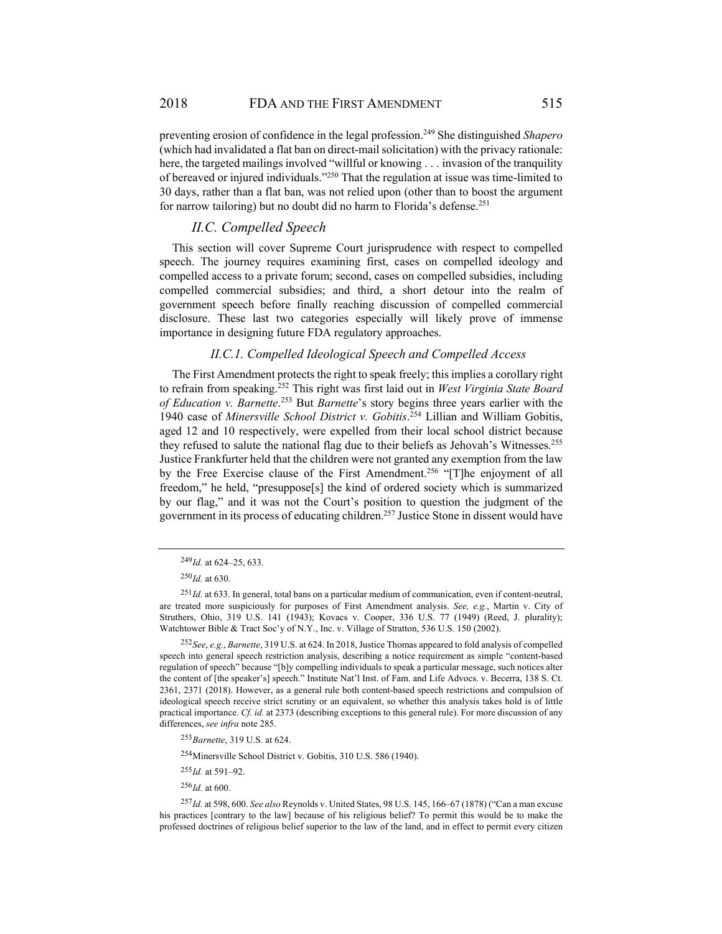preventing erosion of confidence in the legal profession.249 She distinguished *Shapero* (which had invalidated a flat ban on direct-mail solicitation) with the privacy rationale: here, the targeted mailings involved "willful or knowing . . . invasion of the tranquility of bereaved or injured individuals."250 That the regulation at issue was time-limited to 30 days, rather than a flat ban, was not relied upon (other than to boost the argument for narrow tailoring) but no doubt did no harm to Florida's defense.<sup>251</sup>

#### *II.C. Compelled Speech*

This section will cover Supreme Court jurisprudence with respect to compelled speech. The journey requires examining first, cases on compelled ideology and compelled access to a private forum; second, cases on compelled subsidies, including compelled commercial subsidies; and third, a short detour into the realm of government speech before finally reaching discussion of compelled commercial disclosure. These last two categories especially will likely prove of immense importance in designing future FDA regulatory approaches.

#### *II.C.1. Compelled Ideological Speech and Compelled Access*

The First Amendment protects the right to speak freely; this implies a corollary right to refrain from speaking.252 This right was first laid out in *West Virginia State Board of Education v. Barnette*. 253 But *Barnette*'s story begins three years earlier with the 1940 case of *Minersville School District v. Gobitis*. 254 Lillian and William Gobitis, aged 12 and 10 respectively, were expelled from their local school district because they refused to salute the national flag due to their beliefs as Jehovah's Witnesses.<sup>255</sup> Justice Frankfurter held that the children were not granted any exemption from the law by the Free Exercise clause of the First Amendment.<sup>256</sup> "[T]he enjoyment of all freedom," he held, "presuppose[s] the kind of ordered society which is summarized by our flag," and it was not the Court's position to question the judgment of the government in its process of educating children.257 Justice Stone in dissent would have

254Minersville School District v. Gobitis, 310 U.S. 586 (1940).

<sup>255</sup> *Id.* at 591–92.

 $^{256}$ *Id.* at 600.

<sup>249</sup> *Id.* at 624–25, 633.

<sup>250</sup> *Id.* at 630.

<sup>251</sup> *Id.* at 633. In general, total bans on a particular medium of communication, even if content-neutral, are treated more suspiciously for purposes of First Amendment analysis. *See, e.g.*, Martin v. City of Struthers, Ohio, 319 U.S. 141 (1943); Kovacs v. Cooper, 336 U.S. 77 (1949) (Reed, J. plurality); Watchtower Bible & Tract Soc'y of N.Y., Inc. v. Village of Stratton, 536 U.S. 150 (2002).

<sup>252</sup> *See*, *e.g.*, *Barnette*, 319 U.S. at 624. In 2018, Justice Thomas appeared to fold analysis of compelled speech into general speech restriction analysis, describing a notice requirement as simple "content-based regulation of speech" because "[b]y compelling individuals to speak a particular message, such notices alter the content of [the speaker's] speech." Institute Nat'l Inst. of Fam. and Life Advocs. v. Becerra, 138 S. Ct. 2361, 2371 (2018). However, as a general rule both content-based speech restrictions and compulsion of ideological speech receive strict scrutiny or an equivalent, so whether this analysis takes hold is of little practical importance. *Cf. id.* at 2373 (describing exceptions to this general rule). For more discussion of any differences, *see infra* note 285.

<sup>253</sup> *Barnette*, 319 U.S. at 624.

<sup>257</sup> *Id.* at 598, 600. *See also* Reynolds v. United States, 98 U.S. 145, 166–67 (1878) ("Can a man excuse his practices [contrary to the law] because of his religious belief? To permit this would be to make the professed doctrines of religious belief superior to the law of the land, and in effect to permit every citizen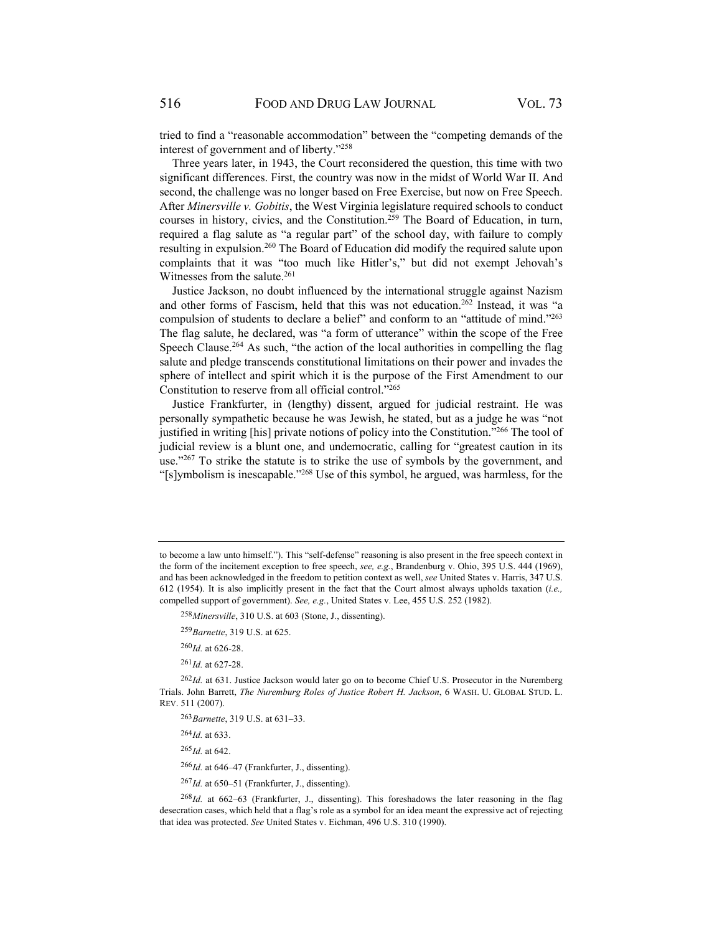tried to find a "reasonable accommodation" between the "competing demands of the interest of government and of liberty."258

Three years later, in 1943, the Court reconsidered the question, this time with two significant differences. First, the country was now in the midst of World War II. And second, the challenge was no longer based on Free Exercise, but now on Free Speech. After *Minersville v. Gobitis*, the West Virginia legislature required schools to conduct courses in history, civics, and the Constitution.<sup>259</sup> The Board of Education, in turn, required a flag salute as "a regular part" of the school day, with failure to comply resulting in expulsion.260 The Board of Education did modify the required salute upon complaints that it was "too much like Hitler's," but did not exempt Jehovah's Witnesses from the salute. $261$ 

Justice Jackson, no doubt influenced by the international struggle against Nazism and other forms of Fascism, held that this was not education.<sup>262</sup> Instead, it was "a compulsion of students to declare a belief" and conform to an "attitude of mind."263 The flag salute, he declared, was "a form of utterance" within the scope of the Free Speech Clause.<sup>264</sup> As such, "the action of the local authorities in compelling the flag salute and pledge transcends constitutional limitations on their power and invades the sphere of intellect and spirit which it is the purpose of the First Amendment to our Constitution to reserve from all official control."265

Justice Frankfurter, in (lengthy) dissent, argued for judicial restraint. He was personally sympathetic because he was Jewish, he stated, but as a judge he was "not justified in writing [his] private notions of policy into the Constitution."266 The tool of judicial review is a blunt one, and undemocratic, calling for "greatest caution in its use."<sup>267</sup> To strike the statute is to strike the use of symbols by the government, and "[s]ymbolism is inescapable."268 Use of this symbol, he argued, was harmless, for the

<sup>258</sup> *Minersville*, 310 U.S. at 603 (Stone, J., dissenting).

<sup>261</sup> *Id.* at 627-28.

<sup>262</sup>Id. at 631. Justice Jackson would later go on to become Chief U.S. Prosecutor in the Nuremberg Trials. John Barrett, *The Nuremburg Roles of Justice Robert H. Jackson*, 6 WASH. U. GLOBAL STUD. L. REV. 511 (2007).

<sup>263</sup> *Barnette*, 319 U.S. at 631–33.

<sup>264</sup> *Id.* at 633.

<sup>265</sup> *Id.* at 642.

<sup>266</sup> *Id.* at 646–47 (Frankfurter, J., dissenting).

<sup>267</sup> *Id.* at 650–51 (Frankfurter, J., dissenting).

<sup>268</sup> *Id.* at 662–63 (Frankfurter, J., dissenting). This foreshadows the later reasoning in the flag desecration cases, which held that a flag's role as a symbol for an idea meant the expressive act of rejecting that idea was protected. *See* United States v. Eichman, 496 U.S. 310 (1990).

to become a law unto himself."). This "self-defense" reasoning is also present in the free speech context in the form of the incitement exception to free speech, *see, e.g.*, Brandenburg v. Ohio, 395 U.S. 444 (1969), and has been acknowledged in the freedom to petition context as well, *see* United States v. Harris, 347 U.S. 612 (1954). It is also implicitly present in the fact that the Court almost always upholds taxation (*i.e.,* compelled support of government). *See, e.g.*, United States v. Lee, 455 U.S. 252 (1982).

<sup>259</sup> *Barnette*, 319 U.S. at 625.

<sup>260</sup> *Id.* at 626-28.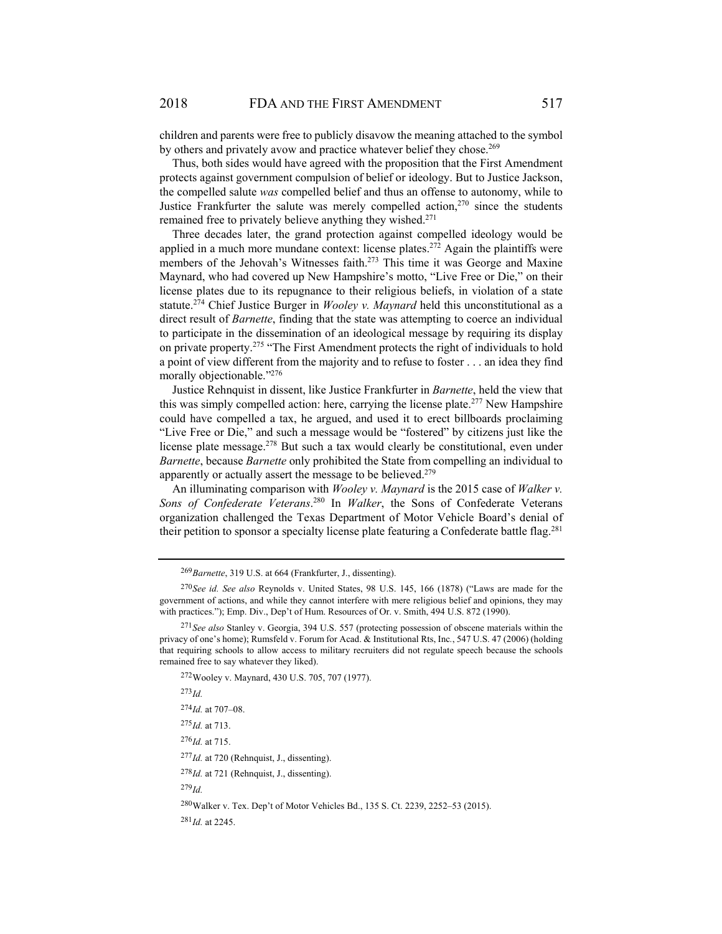children and parents were free to publicly disavow the meaning attached to the symbol by others and privately avow and practice whatever belief they chose.<sup>269</sup>

Thus, both sides would have agreed with the proposition that the First Amendment protects against government compulsion of belief or ideology. But to Justice Jackson, the compelled salute *was* compelled belief and thus an offense to autonomy, while to Justice Frankfurter the salute was merely compelled action, $270$  since the students remained free to privately believe anything they wished.<sup>271</sup>

Three decades later, the grand protection against compelled ideology would be applied in a much more mundane context: license plates.<sup>272</sup> Again the plaintiffs were members of the Jehovah's Witnesses faith.<sup>273</sup> This time it was George and Maxine Maynard, who had covered up New Hampshire's motto, "Live Free or Die," on their license plates due to its repugnance to their religious beliefs, in violation of a state statute.274 Chief Justice Burger in *Wooley v. Maynard* held this unconstitutional as a direct result of *Barnette*, finding that the state was attempting to coerce an individual to participate in the dissemination of an ideological message by requiring its display on private property.<sup>275</sup> "The First Amendment protects the right of individuals to hold a point of view different from the majority and to refuse to foster . . . an idea they find morally objectionable."<sup>276</sup>

Justice Rehnquist in dissent, like Justice Frankfurter in *Barnette*, held the view that this was simply compelled action: here, carrying the license plate.<sup>277</sup> New Hampshire could have compelled a tax, he argued, and used it to erect billboards proclaiming "Live Free or Die," and such a message would be "fostered" by citizens just like the license plate message.278 But such a tax would clearly be constitutional, even under *Barnette*, because *Barnette* only prohibited the State from compelling an individual to apparently or actually assert the message to be believed.<sup>279</sup>

An illuminating comparison with *Wooley v. Maynard* is the 2015 case of *Walker v. Sons of Confederate Veterans*. 280 In *Walker*, the Sons of Confederate Veterans organization challenged the Texas Department of Motor Vehicle Board's denial of their petition to sponsor a specialty license plate featuring a Confederate battle flag.<sup>281</sup>

<sup>273</sup> *Id.*

<sup>276</sup> *Id.* at 715.

<sup>277</sup> *Id.* at 720 (Rehnquist, J., dissenting).

<sup>278</sup> *Id.* at 721 (Rehnquist, J., dissenting).

<sup>279</sup> *Id.*

280 Walker v. Tex. Dep't of Motor Vehicles Bd., 135 S. Ct. 2239, 2252–53 (2015). <sup>281</sup> *Id.* at 2245.

<sup>269</sup> *Barnette*, 319 U.S. at 664 (Frankfurter, J., dissenting).

<sup>270</sup> *See id. See also* Reynolds v. United States, 98 U.S. 145, 166 (1878) ("Laws are made for the government of actions, and while they cannot interfere with mere religious belief and opinions, they may with practices."); Emp. Div., Dep't of Hum. Resources of Or. v. Smith, 494 U.S. 872 (1990).

<sup>271</sup> *See also* Stanley v. Georgia, 394 U.S. 557 (protecting possession of obscene materials within the privacy of one's home); Rumsfeld v. Forum for Acad. & Institutional Rts, Inc*.*, 547 U.S. 47 (2006) (holding that requiring schools to allow access to military recruiters did not regulate speech because the schools remained free to say whatever they liked).

<sup>272</sup>Wooley v. Maynard, 430 U.S. 705, 707 (1977).

<sup>274</sup> *Id.* at 707–08.

<sup>275</sup> *Id.* at 713.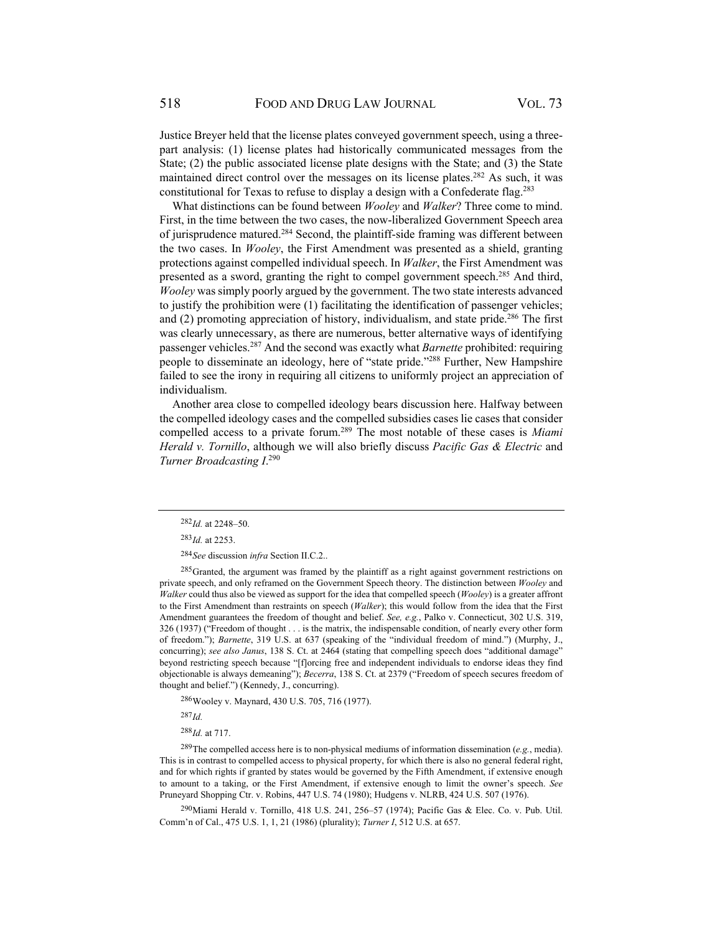Justice Breyer held that the license plates conveyed government speech, using a threepart analysis: (1) license plates had historically communicated messages from the State; (2) the public associated license plate designs with the State; and (3) the State maintained direct control over the messages on its license plates.<sup>282</sup> As such, it was constitutional for Texas to refuse to display a design with a Confederate flag.<sup>283</sup>

What distinctions can be found between *Wooley* and *Walker*? Three come to mind. First, in the time between the two cases, the now-liberalized Government Speech area of jurisprudence matured.284 Second, the plaintiff-side framing was different between the two cases. In *Wooley*, the First Amendment was presented as a shield, granting protections against compelled individual speech. In *Walker*, the First Amendment was presented as a sword, granting the right to compel government speech.285 And third, *Wooley* was simply poorly argued by the government. The two state interests advanced to justify the prohibition were (1) facilitating the identification of passenger vehicles; and  $(2)$  promoting appreciation of history, individualism, and state pride.<sup>286</sup> The first was clearly unnecessary, as there are numerous, better alternative ways of identifying passenger vehicles.287 And the second was exactly what *Barnette* prohibited: requiring people to disseminate an ideology, here of "state pride."288 Further, New Hampshire failed to see the irony in requiring all citizens to uniformly project an appreciation of individualism.

Another area close to compelled ideology bears discussion here. Halfway between the compelled ideology cases and the compelled subsidies cases lie cases that consider compelled access to a private forum.289 The most notable of these cases is *Miami Herald v. Tornillo*, although we will also briefly discuss *Pacific Gas & Electric* and *Turner Broadcasting I*. 290

<sup>285</sup> Granted, the argument was framed by the plaintiff as a right against government restrictions on private speech, and only reframed on the Government Speech theory. The distinction between *Wooley* and *Walker* could thus also be viewed as support for the idea that compelled speech (*Wooley*) is a greater affront to the First Amendment than restraints on speech (*Walker*); this would follow from the idea that the First Amendment guarantees the freedom of thought and belief. *See, e.g.*, Palko v. Connecticut, 302 U.S. 319, 326 (1937) ("Freedom of thought . . . is the matrix, the indispensable condition, of nearly every other form of freedom."); *Barnette*, 319 U.S. at 637 (speaking of the "individual freedom of mind.") (Murphy, J., concurring); *see also Janus*, 138 S. Ct. at 2464 (stating that compelling speech does "additional damage" beyond restricting speech because "[f]orcing free and independent individuals to endorse ideas they find objectionable is always demeaning"); *Becerra*, 138 S. Ct. at 2379 ("Freedom of speech secures freedom of thought and belief.") (Kennedy, J., concurring).

286 Wooley v. Maynard, 430 U.S. 705, 716 (1977).

<sup>287</sup> *Id.*

<sup>288</sup> *Id.* at 717.

289 The compelled access here is to non-physical mediums of information dissemination (*e.g.*, media). This is in contrast to compelled access to physical property, for which there is also no general federal right, and for which rights if granted by states would be governed by the Fifth Amendment, if extensive enough to amount to a taking, or the First Amendment, if extensive enough to limit the owner's speech. *See* Pruneyard Shopping Ctr. v. Robins, 447 U.S. 74 (1980); Hudgens v. NLRB, 424 U.S. 507 (1976).

 $^{290}$ Miami Herald v. Tornillo, 418 U.S. 241, 256–57 (1974); Pacific Gas & Elec. Co. v. Pub. Util. Comm'n of Cal., 475 U.S. 1, 1, 21 (1986) (plurality); *Turner I*, 512 U.S. at 657.

<sup>282</sup> *Id.* at 2248–50.

<sup>283</sup> *Id.* at 2253.

<sup>284</sup> *See* discussion *infra* Section II.C.2..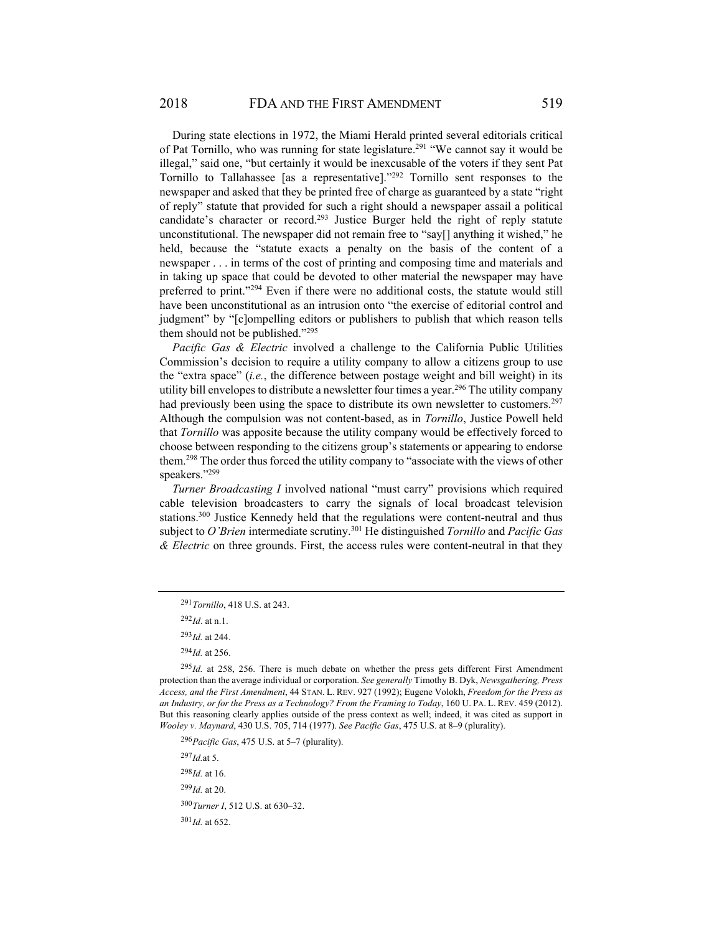During state elections in 1972, the Miami Herald printed several editorials critical of Pat Tornillo, who was running for state legislature.<sup>291</sup> "We cannot say it would be illegal," said one, "but certainly it would be inexcusable of the voters if they sent Pat Tornillo to Tallahassee [as a representative]."292 Tornillo sent responses to the newspaper and asked that they be printed free of charge as guaranteed by a state "right of reply" statute that provided for such a right should a newspaper assail a political candidate's character or record.<sup>293</sup> Justice Burger held the right of reply statute unconstitutional. The newspaper did not remain free to "say[] anything it wished," he held, because the "statute exacts a penalty on the basis of the content of a newspaper . . . in terms of the cost of printing and composing time and materials and in taking up space that could be devoted to other material the newspaper may have preferred to print."<sup>294</sup> Even if there were no additional costs, the statute would still have been unconstitutional as an intrusion onto "the exercise of editorial control and judgment" by "[c]ompelling editors or publishers to publish that which reason tells them should not be published."295

*Pacific Gas & Electric* involved a challenge to the California Public Utilities Commission's decision to require a utility company to allow a citizens group to use the "extra space" (*i.e.*, the difference between postage weight and bill weight) in its utility bill envelopes to distribute a newsletter four times a year.<sup>296</sup> The utility company had previously been using the space to distribute its own newsletter to customers.<sup>297</sup> Although the compulsion was not content-based, as in *Tornillo*, Justice Powell held that *Tornillo* was apposite because the utility company would be effectively forced to choose between responding to the citizens group's statements or appearing to endorse them.298 The order thus forced the utility company to "associate with the views of other speakers."<sup>299</sup>

*Turner Broadcasting I* involved national "must carry" provisions which required cable television broadcasters to carry the signals of local broadcast television stations.300 Justice Kennedy held that the regulations were content-neutral and thus subject to *O'Brien* intermediate scrutiny.301 He distinguished *Tornillo* and *Pacific Gas & Electric* on three grounds. First, the access rules were content-neutral in that they

<sup>296</sup> *Pacific Gas*, 475 U.S. at 5–7 (plurality).

 $^{297}$ *Id.*at 5.

<sup>298</sup> *Id.* at 16.

<sup>299</sup> *Id.* at 20.

<sup>300</sup> *Turner I*, 512 U.S. at 630–32.

 $301$ *Id.* at 652.

<sup>291</sup> *Tornillo*, 418 U.S. at 243.

<sup>292</sup> *Id*. at n.1.

<sup>293</sup> *Id.* at 244.

<sup>294</sup> *Id.* at 256.

<sup>&</sup>lt;sup>295</sup>Id. at 258, 256. There is much debate on whether the press gets different First Amendment protection than the average individual or corporation. *See generally* Timothy B. Dyk, *Newsgathering, Press Access, and the First Amendment*, 44 STAN. L. REV. 927 (1992); Eugene Volokh, *Freedom for the Press as an Industry, or for the Press as a Technology? From the Framing to Today*, 160 U. PA. L. REV. 459 (2012). But this reasoning clearly applies outside of the press context as well; indeed, it was cited as support in *Wooley v. Maynard*, 430 U.S. 705, 714 (1977). *See Pacific Gas*, 475 U.S. at 8–9 (plurality).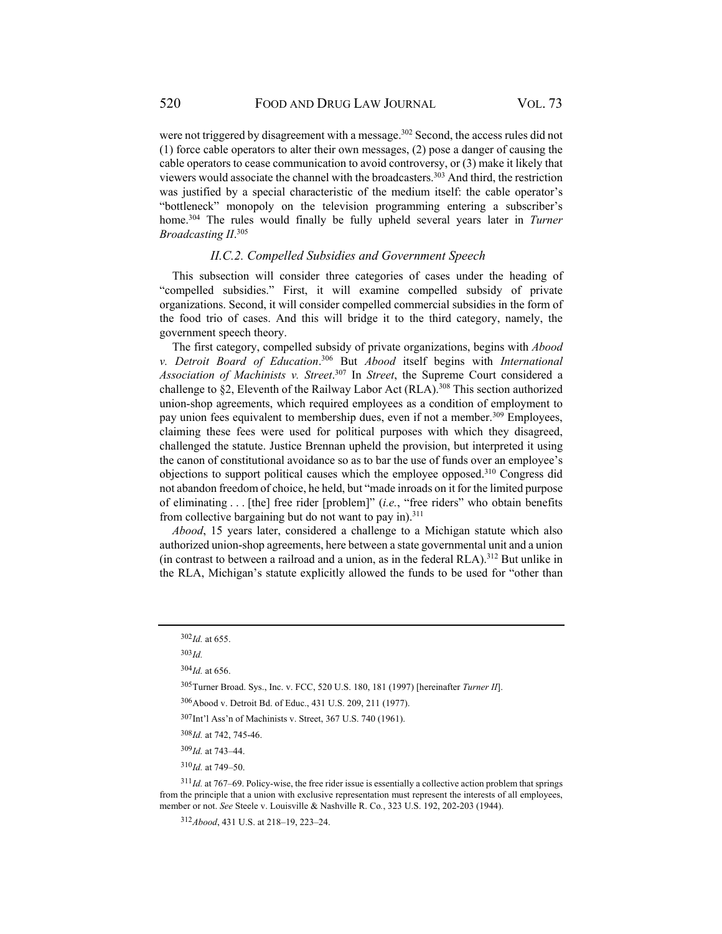were not triggered by disagreement with a message.<sup>302</sup> Second, the access rules did not (1) force cable operators to alter their own messages, (2) pose a danger of causing the cable operators to cease communication to avoid controversy, or (3) make it likely that viewers would associate the channel with the broadcasters.<sup>303</sup> And third, the restriction was justified by a special characteristic of the medium itself: the cable operator's "bottleneck" monopoly on the television programming entering a subscriber's home.304 The rules would finally be fully upheld several years later in *Turner Broadcasting II*. 305

#### *II.C.2. Compelled Subsidies and Government Speech*

This subsection will consider three categories of cases under the heading of "compelled subsidies." First, it will examine compelled subsidy of private organizations. Second, it will consider compelled commercial subsidies in the form of the food trio of cases. And this will bridge it to the third category, namely, the government speech theory.

The first category, compelled subsidy of private organizations, begins with *Abood v. Detroit Board of Education*. 306 But *Abood* itself begins with *International Association of Machinists v. Street*. 307 In *Street*, the Supreme Court considered a challenge to §2, Eleventh of the Railway Labor Act (RLA).308 This section authorized union-shop agreements, which required employees as a condition of employment to pay union fees equivalent to membership dues, even if not a member.<sup>309</sup> Employees, claiming these fees were used for political purposes with which they disagreed, challenged the statute. Justice Brennan upheld the provision, but interpreted it using the canon of constitutional avoidance so as to bar the use of funds over an employee's objections to support political causes which the employee opposed.310 Congress did not abandon freedom of choice, he held, but "made inroads on it for the limited purpose of eliminating . . . [the] free rider [problem]" (*i.e.*, "free riders" who obtain benefits from collective bargaining but do not want to pay in). $311$ 

*Abood*, 15 years later, considered a challenge to a Michigan statute which also authorized union-shop agreements, here between a state governmental unit and a union (in contrast to between a railroad and a union, as in the federal RLA).312 But unlike in the RLA, Michigan's statute explicitly allowed the funds to be used for "other than

304*Id.* at 656.

306 Abood v. Detroit Bd. of Educ., 431 U.S. 209, 211 (1977).

307Int'l Ass'n of Machinists v. Street, 367 U.S. 740 (1961).

<sup>309</sup> *Id.* at 743–44.

 $310$ *Id.* at 749–50.

<sup>311</sup> *Id.* at 767–69. Policy-wise, the free rider issue is essentially a collective action problem that springs from the principle that a union with exclusive representation must represent the interests of all employees, member or not. *See* Steele v. Louisville & Nashville R. Co*.*, 323 U.S. 192, 202-203 (1944).

<sup>312</sup> *Abood*, 431 U.S. at 218–19, 223–24.

 $302$ *Id.* at 655.

<sup>303</sup> *Id.*

<sup>305</sup>Turner Broad. Sys., Inc. v. FCC, 520 U.S. 180, 181 (1997) [hereinafter *Turner II*].

<sup>308</sup> *Id.* at 742, 745-46.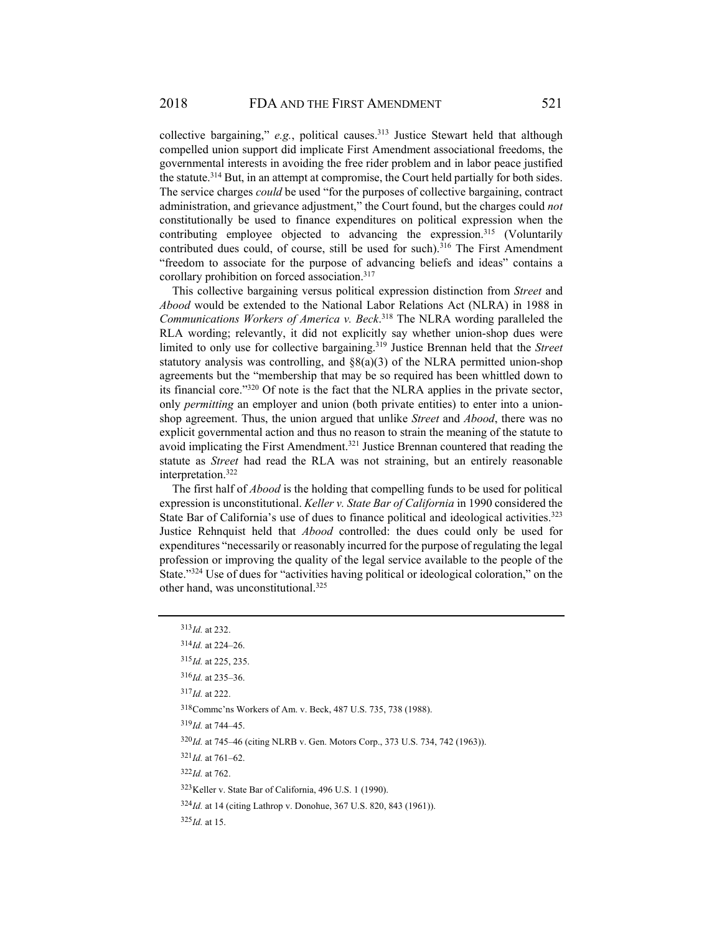collective bargaining," *e.g.*, political causes.313 Justice Stewart held that although compelled union support did implicate First Amendment associational freedoms, the governmental interests in avoiding the free rider problem and in labor peace justified the statute.314 But, in an attempt at compromise, the Court held partially for both sides. The service charges *could* be used "for the purposes of collective bargaining, contract administration, and grievance adjustment," the Court found, but the charges could *not* constitutionally be used to finance expenditures on political expression when the contributing employee objected to advancing the expression.<sup>315</sup> (Voluntarily contributed dues could, of course, still be used for such).<sup>316</sup> The First Amendment "freedom to associate for the purpose of advancing beliefs and ideas" contains a corollary prohibition on forced association.317

This collective bargaining versus political expression distinction from *Street* and *Abood* would be extended to the National Labor Relations Act (NLRA) in 1988 in *Communications Workers of America v. Beck*. 318 The NLRA wording paralleled the RLA wording; relevantly, it did not explicitly say whether union-shop dues were limited to only use for collective bargaining.319 Justice Brennan held that the *Street* statutory analysis was controlling, and  $\delta(8(a)(3)$  of the NLRA permitted union-shop agreements but the "membership that may be so required has been whittled down to its financial core."320 Of note is the fact that the NLRA applies in the private sector, only *permitting* an employer and union (both private entities) to enter into a unionshop agreement. Thus, the union argued that unlike *Street* and *Abood*, there was no explicit governmental action and thus no reason to strain the meaning of the statute to avoid implicating the First Amendment.<sup>321</sup> Justice Brennan countered that reading the statute as *Street* had read the RLA was not straining, but an entirely reasonable interpretation.322

The first half of *Abood* is the holding that compelling funds to be used for political expression is unconstitutional. *Keller v. State Bar of California* in 1990 considered the State Bar of California's use of dues to finance political and ideological activities.<sup>323</sup> Justice Rehnquist held that *Abood* controlled: the dues could only be used for expenditures "necessarily or reasonably incurred for the purpose of regulating the legal profession or improving the quality of the legal service available to the people of the State."324 Use of dues for "activities having political or ideological coloration," on the other hand, was unconstitutional.<sup>325</sup>

# <sup>313</sup> *Id.* at 232.  $314$ *Id.* at 224–26. <sup>315</sup> *Id.* at 225, 235. <sup>316</sup> *Id.* at 235–36. <sup>317</sup> *Id.* at 222. 318 Commc'ns Workers of Am. v. Beck, 487 U.S. 735, 738 (1988). <sup>319</sup> *Id.* at 744–45. 320*Id.* at 745–46 (citing NLRB v. Gen. Motors Corp., 373 U.S. 734, 742 (1963)).  $321$ *Id.* at 761–62. <sup>322</sup> *Id.* at 762. 323 Keller v. State Bar of California, 496 U.S. 1 (1990). <sup>324</sup>*Id.* at 14 (citing Lathrop v. Donohue, 367 U.S. 820, 843 (1961)).

<sup>325</sup> *Id.* at 15.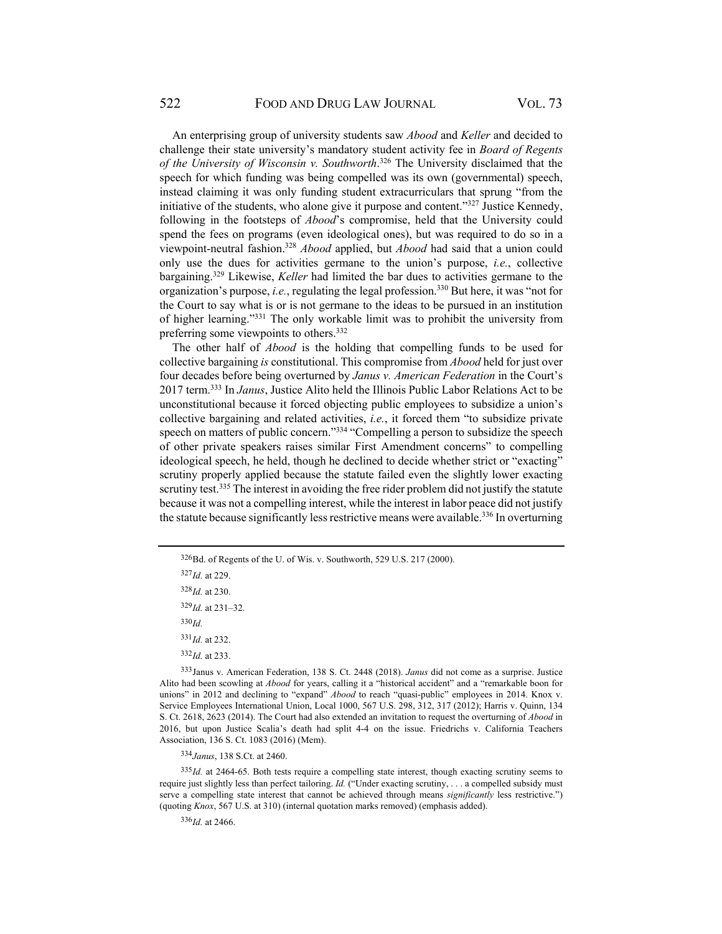An enterprising group of university students saw *Abood* and *Keller* and decided to challenge their state university's mandatory student activity fee in *Board of Regents of the University of Wisconsin v. Southworth*. 326 The University disclaimed that the speech for which funding was being compelled was its own (governmental) speech, instead claiming it was only funding student extracurriculars that sprung "from the initiative of the students, who alone give it purpose and content." $327$  Justice Kennedy, following in the footsteps of *Abood*'s compromise, held that the University could spend the fees on programs (even ideological ones), but was required to do so in a viewpoint-neutral fashion.328 *Abood* applied, but *Abood* had said that a union could only use the dues for activities germane to the union's purpose, *i.e.*, collective bargaining.329 Likewise, *Keller* had limited the bar dues to activities germane to the organization's purpose, *i.e.*, regulating the legal profession.<sup>330</sup> But here, it was "not for the Court to say what is or is not germane to the ideas to be pursued in an institution of higher learning."331 The only workable limit was to prohibit the university from preferring some viewpoints to others.332

The other half of *Abood* is the holding that compelling funds to be used for collective bargaining *is* constitutional. This compromise from *Abood* held for just over four decades before being overturned by *Janus v. American Federation* in the Court's 2017 term.333 In *Janus*, Justice Alito held the Illinois Public Labor Relations Act to be unconstitutional because it forced objecting public employees to subsidize a union's collective bargaining and related activities, *i.e.*, it forced them "to subsidize private speech on matters of public concern."<sup>334</sup> "Compelling a person to subsidize the speech of other private speakers raises similar First Amendment concerns" to compelling ideological speech, he held, though he declined to decide whether strict or "exacting" scrutiny properly applied because the statute failed even the slightly lower exacting scrutiny test.<sup>335</sup> The interest in avoiding the free rider problem did not justify the statute because it was not a compelling interest, while the interest in labor peace did not justify the statute because significantly less restrictive means were available.336 In overturning

<sup>327</sup> *Id.* at 229.

<sup>328</sup> *Id.* at 230.

<sup>329</sup> *Id.* at 231–32.

 $330$  *Id.* 

<sup>331</sup> *Id.* at 232.

<sup>332</sup> *Id.* at 233.

333 Janus v. American Federation, 138 S. Ct. 2448 (2018). *Janus* did not come as a surprise. Justice Alito had been scowling at *Abood* for years, calling it a "historical accident" and a "remarkable boon for unions" in 2012 and declining to "expand" *Abood* to reach "quasi-public" employees in 2014. Knox v. Service Employees International Union, Local 1000, 567 U.S. 298, 312, 317 (2012); Harris v. Quinn, 134 S. Ct. 2618, 2623 (2014). The Court had also extended an invitation to request the overturning of *Abood* in 2016, but upon Justice Scalia's death had split 4-4 on the issue. Friedrichs v. California Teachers Association, 136 S. Ct. 1083 (2016) (Mem).

<sup>334</sup> *Janus*, 138 S.Ct. at 2460.

<sup>335</sup>*Id.* at 2464-65. Both tests require a compelling state interest, though exacting scrutiny seems to require just slightly less than perfect tailoring. *Id.* ("Under exacting scrutiny, . . . a compelled subsidy must serve a compelling state interest that cannot be achieved through means *significantly* less restrictive.") (quoting *Knox*, 567 U.S. at 310) (internal quotation marks removed) (emphasis added).

<sup>336</sup> *Id.* at 2466.

<sup>326</sup> Bd. of Regents of the U. of Wis. v. Southworth, 529 U.S. 217 (2000).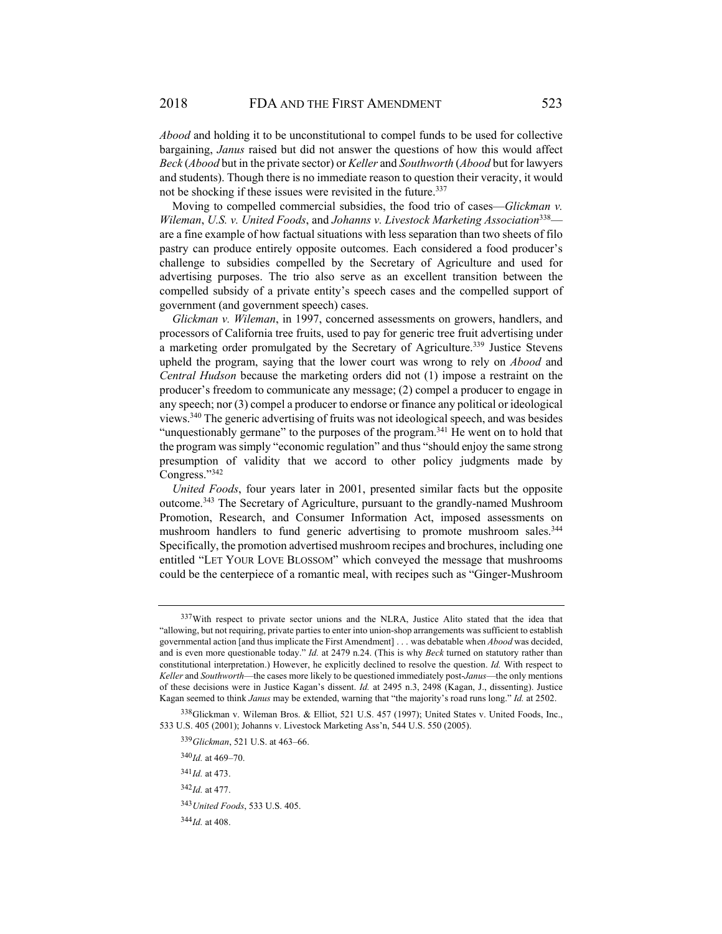*Abood* and holding it to be unconstitutional to compel funds to be used for collective bargaining, *Janus* raised but did not answer the questions of how this would affect *Beck* (*Abood* but in the private sector) or *Keller* and *Southworth* (*Abood* but for lawyers and students). Though there is no immediate reason to question their veracity, it would not be shocking if these issues were revisited in the future.<sup>337</sup>

Moving to compelled commercial subsidies, the food trio of cases—*Glickman v. Wileman*, *U.S. v. United Foods*, and *Johanns v. Livestock Marketing Association*338 are a fine example of how factual situations with less separation than two sheets of filo pastry can produce entirely opposite outcomes. Each considered a food producer's challenge to subsidies compelled by the Secretary of Agriculture and used for advertising purposes. The trio also serve as an excellent transition between the compelled subsidy of a private entity's speech cases and the compelled support of government (and government speech) cases.

*Glickman v. Wileman*, in 1997, concerned assessments on growers, handlers, and processors of California tree fruits, used to pay for generic tree fruit advertising under a marketing order promulgated by the Secretary of Agriculture.<sup>339</sup> Justice Stevens upheld the program, saying that the lower court was wrong to rely on *Abood* and *Central Hudson* because the marketing orders did not (1) impose a restraint on the producer's freedom to communicate any message; (2) compel a producer to engage in any speech; nor (3) compel a producer to endorse or finance any political or ideological views.340 The generic advertising of fruits was not ideological speech, and was besides "unquestionably germane" to the purposes of the program.<sup>341</sup> He went on to hold that the program was simply "economic regulation" and thus "should enjoy the same strong presumption of validity that we accord to other policy judgments made by Congress."342

*United Foods*, four years later in 2001, presented similar facts but the opposite outcome.343 The Secretary of Agriculture, pursuant to the grandly-named Mushroom Promotion, Research, and Consumer Information Act, imposed assessments on mushroom handlers to fund generic advertising to promote mushroom sales.<sup>344</sup> Specifically, the promotion advertised mushroom recipes and brochures, including one entitled "LET YOUR LOVE BLOSSOM" which conveyed the message that mushrooms could be the centerpiece of a romantic meal, with recipes such as "Ginger-Mushroom

 $340$ *Id.* at  $469 - 70$ .

<sup>341</sup> *Id.* at 473.

<sup>342</sup> *Id.* at 477.

<sup>&</sup>lt;sup>337</sup> With respect to private sector unions and the NLRA, Justice Alito stated that the idea that "allowing, but not requiring, private parties to enter into union-shop arrangements was sufficient to establish governmental action [and thus implicate the First Amendment] . . . was debatable when *Abood* was decided, and is even more questionable today." *Id.* at 2479 n.24. (This is why *Beck* turned on statutory rather than constitutional interpretation.) However, he explicitly declined to resolve the question. *Id.* With respect to *Keller* and *Southworth*—the cases more likely to be questioned immediately post-*Janus*—the only mentions of these decisions were in Justice Kagan's dissent. *Id.* at 2495 n.3, 2498 (Kagan, J., dissenting). Justice Kagan seemed to think *Janus* may be extended, warning that "the majority's road runs long." *Id.* at 2502.

<sup>338</sup> Glickman v. Wileman Bros. & Elliot, 521 U.S. 457 (1997); United States v. United Foods, Inc., 533 U.S. 405 (2001); Johanns v. Livestock Marketing Ass'n, 544 U.S. 550 (2005).

<sup>339</sup> *Glickman*, 521 U.S. at 463–66.

<sup>343</sup> *United Foods*, 533 U.S. 405.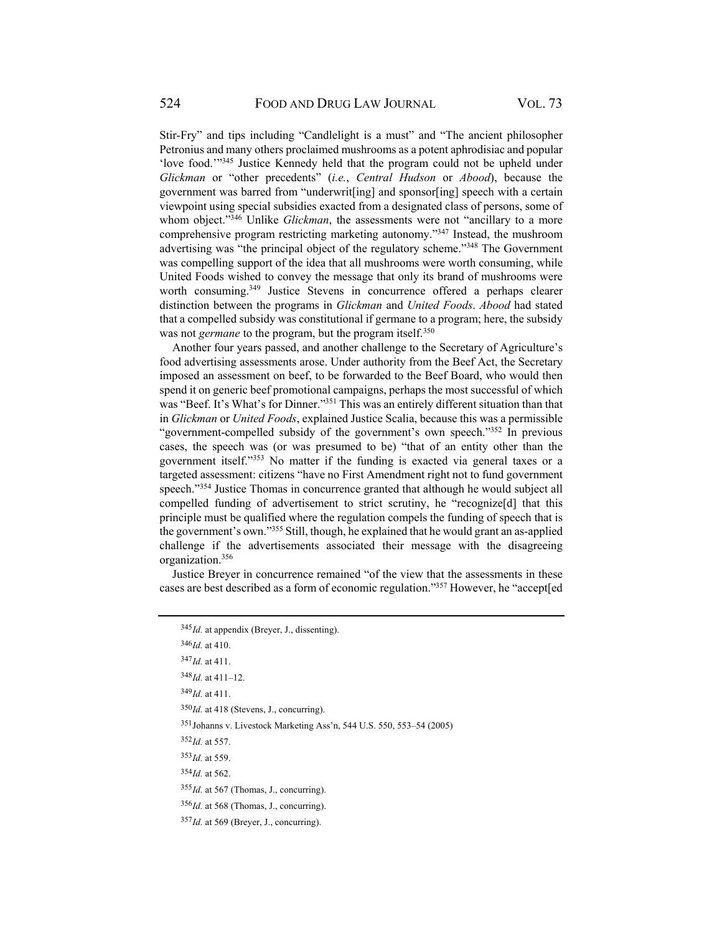Stir-Fry" and tips including "Candlelight is a must" and "The ancient philosopher Petronius and many others proclaimed mushrooms as a potent aphrodisiac and popular 'love food.'"345 Justice Kennedy held that the program could not be upheld under *Glickman* or "other precedents" (*i.e.*, *Central Hudson* or *Abood*), because the government was barred from "underwrit[ing] and sponsor[ing] speech with a certain viewpoint using special subsidies exacted from a designated class of persons, some of whom object."<sup>346</sup> Unlike *Glickman*, the assessments were not "ancillary to a more comprehensive program restricting marketing autonomy."347 Instead, the mushroom advertising was "the principal object of the regulatory scheme."348 The Government was compelling support of the idea that all mushrooms were worth consuming, while United Foods wished to convey the message that only its brand of mushrooms were worth consuming.<sup>349</sup> Justice Stevens in concurrence offered a perhaps clearer distinction between the programs in *Glickman* and *United Foods*. *Abood* had stated that a compelled subsidy was constitutional if germane to a program; here, the subsidy was not *germane* to the program, but the program itself.<sup>350</sup>

Another four years passed, and another challenge to the Secretary of Agriculture's food advertising assessments arose. Under authority from the Beef Act, the Secretary imposed an assessment on beef, to be forwarded to the Beef Board, who would then spend it on generic beef promotional campaigns, perhaps the most successful of which was "Beef. It's What's for Dinner."<sup>351</sup> This was an entirely different situation than that in *Glickman* or *United Foods*, explained Justice Scalia, because this was a permissible "government-compelled subsidy of the government's own speech."<sup>352</sup> In previous cases, the speech was (or was presumed to be) "that of an entity other than the government itself."353 No matter if the funding is exacted via general taxes or a targeted assessment: citizens "have no First Amendment right not to fund government speech."<sup>354</sup> Justice Thomas in concurrence granted that although he would subject all compelled funding of advertisement to strict scrutiny, he "recognize[d] that this principle must be qualified where the regulation compels the funding of speech that is the government's own."355 Still, though, he explained that he would grant an as-applied challenge if the advertisements associated their message with the disagreeing organization.356

Justice Breyer in concurrence remained "of the view that the assessments in these cases are best described as a form of economic regulation."357 However, he "accept[ed

 $346$ *Id.* at 410.

<sup>347</sup> *Id.* at 411.

<sup>348</sup> *Id.* at 411–12.

<sup>349</sup> *Id.* at 411.

<sup>350</sup>*Id.* at 418 (Stevens, J., concurring).

351 Johanns v. Livestock Marketing Ass'n, 544 U.S. 550, 553–54 (2005)

<sup>352</sup> *Id.* at 557.

<sup>353</sup> *Id.* at 559.

 $354$ *Id.* at 562.

<sup>355</sup> *Id.* at 567 (Thomas, J., concurring).

<sup>356</sup> *Id.* at 568 (Thomas, J., concurring).

<sup>357</sup> *Id.* at 569 (Breyer, J., concurring).

<sup>345</sup> *Id.* at appendix (Breyer, J., dissenting).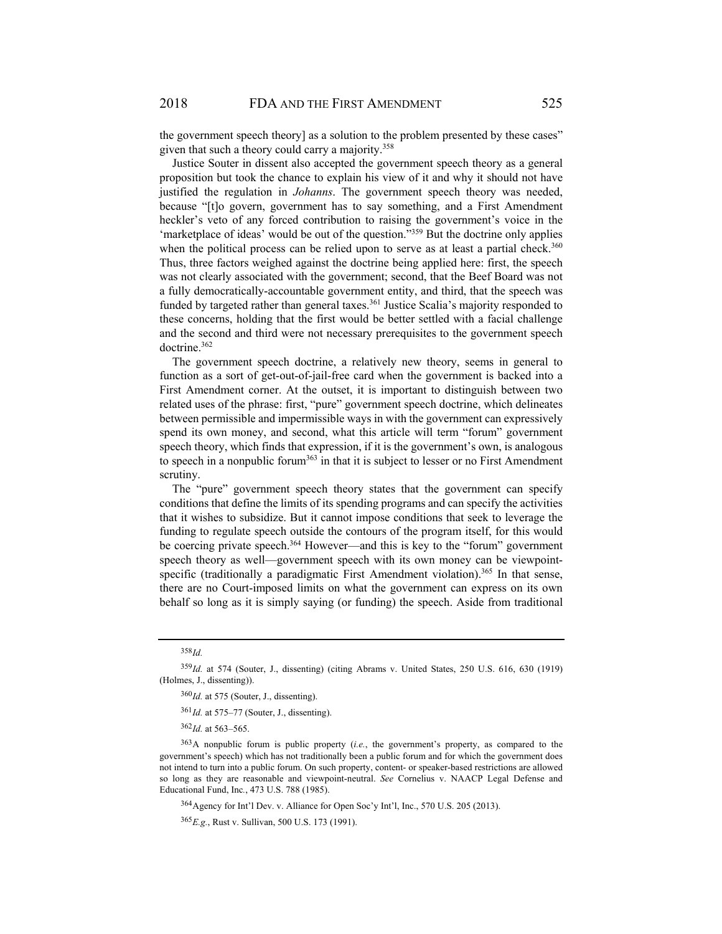the government speech theory] as a solution to the problem presented by these cases" given that such a theory could carry a majority.<sup>358</sup>

Justice Souter in dissent also accepted the government speech theory as a general proposition but took the chance to explain his view of it and why it should not have justified the regulation in *Johanns*. The government speech theory was needed, because "[t]o govern, government has to say something, and a First Amendment heckler's veto of any forced contribution to raising the government's voice in the 'marketplace of ideas' would be out of the question."359 But the doctrine only applies when the political process can be relied upon to serve as at least a partial check.<sup>360</sup> Thus, three factors weighed against the doctrine being applied here: first, the speech was not clearly associated with the government; second, that the Beef Board was not a fully democratically-accountable government entity, and third, that the speech was funded by targeted rather than general taxes.<sup>361</sup> Justice Scalia's majority responded to these concerns, holding that the first would be better settled with a facial challenge and the second and third were not necessary prerequisites to the government speech doctrine.362

The government speech doctrine, a relatively new theory, seems in general to function as a sort of get-out-of-jail-free card when the government is backed into a First Amendment corner. At the outset, it is important to distinguish between two related uses of the phrase: first, "pure" government speech doctrine, which delineates between permissible and impermissible ways in with the government can expressively spend its own money, and second, what this article will term "forum" government speech theory, which finds that expression, if it is the government's own, is analogous to speech in a nonpublic forum<sup>363</sup> in that it is subject to lesser or no First Amendment scrutiny.

The "pure" government speech theory states that the government can specify conditions that define the limits of its spending programs and can specify the activities that it wishes to subsidize. But it cannot impose conditions that seek to leverage the funding to regulate speech outside the contours of the program itself, for this would be coercing private speech.<sup>364</sup> However—and this is key to the "forum" government speech theory as well—government speech with its own money can be viewpointspecific (traditionally a paradigmatic First Amendment violation).<sup>365</sup> In that sense, there are no Court-imposed limits on what the government can express on its own behalf so long as it is simply saying (or funding) the speech. Aside from traditional

<sup>361</sup> *Id.* at 575–77 (Souter, J., dissenting).

<sup>362</sup> *Id.* at 563–565.

364 Agency for Int'l Dev. v. Alliance for Open Soc'y Int'l, Inc., 570 U.S. 205 (2013).

<sup>365</sup> *E.g.*, Rust v. Sullivan, 500 U.S. 173 (1991).

<sup>358</sup> *Id.*

<sup>359</sup> *Id.* at 574 (Souter, J., dissenting) (citing Abrams v. United States, 250 U.S. 616, 630 (1919) (Holmes, J., dissenting)).

<sup>360</sup>Id. at 575 (Souter, J., dissenting).

<sup>363</sup> A nonpublic forum is public property (*i.e.*, the government's property, as compared to the government's speech) which has not traditionally been a public forum and for which the government does not intend to turn into a public forum. On such property, content- or speaker-based restrictions are allowed so long as they are reasonable and viewpoint-neutral. *See* Cornelius v. NAACP Legal Defense and Educational Fund, Inc*.*, 473 U.S. 788 (1985).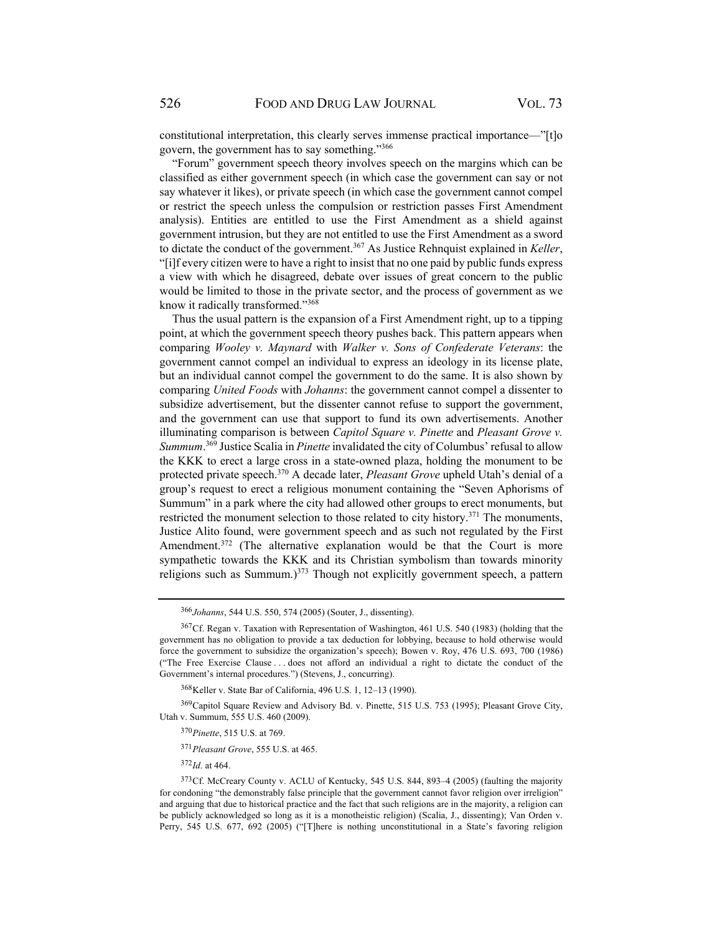constitutional interpretation, this clearly serves immense practical importance—"[t]o govern, the government has to say something."366

"Forum" government speech theory involves speech on the margins which can be classified as either government speech (in which case the government can say or not say whatever it likes), or private speech (in which case the government cannot compel or restrict the speech unless the compulsion or restriction passes First Amendment analysis). Entities are entitled to use the First Amendment as a shield against government intrusion, but they are not entitled to use the First Amendment as a sword to dictate the conduct of the government.367 As Justice Rehnquist explained in *Keller*, "[i]f every citizen were to have a right to insist that no one paid by public funds express a view with which he disagreed, debate over issues of great concern to the public would be limited to those in the private sector, and the process of government as we know it radically transformed."368

Thus the usual pattern is the expansion of a First Amendment right, up to a tipping point, at which the government speech theory pushes back. This pattern appears when comparing *Wooley v. Maynard* with *Walker v. Sons of Confederate Veterans*: the government cannot compel an individual to express an ideology in its license plate, but an individual cannot compel the government to do the same. It is also shown by comparing *United Foods* with *Johanns*: the government cannot compel a dissenter to subsidize advertisement, but the dissenter cannot refuse to support the government, and the government can use that support to fund its own advertisements. Another illuminating comparison is between *Capitol Square v. Pinette* and *Pleasant Grove v. Summum*. 369 Justice Scalia in *Pinette* invalidated the city of Columbus' refusal to allow the KKK to erect a large cross in a state-owned plaza, holding the monument to be protected private speech.370 A decade later, *Pleasant Grove* upheld Utah's denial of a group's request to erect a religious monument containing the "Seven Aphorisms of Summum" in a park where the city had allowed other groups to erect monuments, but restricted the monument selection to those related to city history.<sup>371</sup> The monuments, Justice Alito found, were government speech and as such not regulated by the First Amendment.<sup>372</sup> (The alternative explanation would be that the Court is more sympathetic towards the KKK and its Christian symbolism than towards minority religions such as Summum.) $373$  Though not explicitly government speech, a pattern

<sup>371</sup> *Pleasant Grove*, 555 U.S. at 465.

<sup>372</sup> *Id.* at 464.

<sup>366</sup> *Johanns*, 544 U.S. 550, 574 (2005) (Souter, J., dissenting).

<sup>367</sup> Cf. Regan v. Taxation with Representation of Washington, 461 U.S. 540 (1983) (holding that the government has no obligation to provide a tax deduction for lobbying, because to hold otherwise would force the government to subsidize the organization's speech); Bowen v. Roy, 476 U.S. 693, 700 (1986) ("The Free Exercise Clause . . . does not afford an individual a right to dictate the conduct of the Government's internal procedures.") (Stevens, J., concurring).

<sup>368</sup> Keller v. State Bar of California, 496 U.S. 1, 12–13 (1990).

<sup>369</sup> Capitol Square Review and Advisory Bd. v. Pinette, 515 U.S. 753 (1995); Pleasant Grove City, Utah v. Summum, 555 U.S. 460 (2009).

<sup>370</sup> *Pinette*, 515 U.S. at 769.

<sup>373</sup> Cf. McCreary County v. ACLU of Kentucky, 545 U.S. 844, 893–4 (2005) (faulting the majority for condoning "the demonstrably false principle that the government cannot favor religion over irreligion" and arguing that due to historical practice and the fact that such religions are in the majority, a religion can be publicly acknowledged so long as it is a monotheistic religion) (Scalia, J., dissenting); Van Orden v. Perry, 545 U.S. 677, 692 (2005) ("[T]here is nothing unconstitutional in a State's favoring religion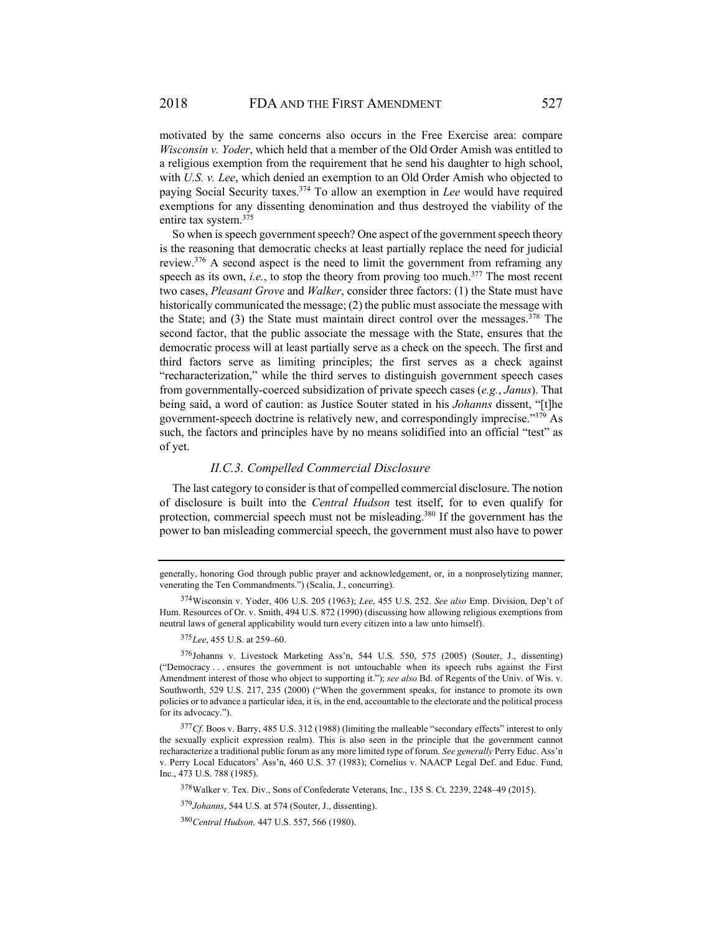motivated by the same concerns also occurs in the Free Exercise area: compare *Wisconsin v. Yoder*, which held that a member of the Old Order Amish was entitled to a religious exemption from the requirement that he send his daughter to high school, with *U.S. v. Lee*, which denied an exemption to an Old Order Amish who objected to paying Social Security taxes.374 To allow an exemption in *Lee* would have required exemptions for any dissenting denomination and thus destroyed the viability of the entire tax system.375

So when is speech government speech? One aspect of the government speech theory is the reasoning that democratic checks at least partially replace the need for judicial review.376 A second aspect is the need to limit the government from reframing any speech as its own, *i.e.*, to stop the theory from proving too much.<sup>377</sup> The most recent two cases, *Pleasant Grove* and *Walker*, consider three factors: (1) the State must have historically communicated the message; (2) the public must associate the message with the State; and  $(3)$  the State must maintain direct control over the messages.<sup>378</sup> The second factor, that the public associate the message with the State, ensures that the democratic process will at least partially serve as a check on the speech. The first and third factors serve as limiting principles; the first serves as a check against "recharacterization," while the third serves to distinguish government speech cases from governmentally-coerced subsidization of private speech cases (*e.g.*, *Janus*). That being said, a word of caution: as Justice Souter stated in his *Johanns* dissent, "[t]he government-speech doctrine is relatively new, and correspondingly imprecise."379 As such, the factors and principles have by no means solidified into an official "test" as of yet.

#### *II.C.3. Compelled Commercial Disclosure*

The last category to consider is that of compelled commercial disclosure. The notion of disclosure is built into the *Central Hudson* test itself, for to even qualify for protection, commercial speech must not be misleading.<sup>380</sup> If the government has the power to ban misleading commercial speech, the government must also have to power

generally, honoring God through public prayer and acknowledgement, or, in a nonproselytizing manner, venerating the Ten Commandments.") (Scalia, J., concurring).

<sup>374</sup> Wisconsin v. Yoder, 406 U.S. 205 (1963); *Lee*, 455 U.S. 252. *See also* Emp. Division, Dep't of Hum. Resources of Or. v. Smith, 494 U.S. 872 (1990) (discussing how allowing religious exemptions from neutral laws of general applicability would turn every citizen into a law unto himself).

<sup>375</sup> *Lee*, 455 U.S. at 259–60.

<sup>376</sup> Johanns v. Livestock Marketing Ass'n, 544 U.S. 550, 575 (2005) (Souter, J., dissenting) ("Democracy . . . ensures the government is not untouchable when its speech rubs against the First Amendment interest of those who object to supporting it."); *see also* Bd. of Regents of the Univ. of Wis. v. Southworth, 529 U.S. 217, 235 (2000) ("When the government speaks, for instance to promote its own policies or to advance a particular idea, it is, in the end, accountable to the electorate and the political process for its advocacy.").

<sup>&</sup>lt;sup>377</sup> Cf. Boos v. Barry, 485 U.S. 312 (1988) (limiting the malleable "secondary effects" interest to only the sexually explicit expression realm). This is also seen in the principle that the government cannot recharacterize a traditional public forum as any more limited type of forum. *See generally* Perry Educ. Ass'n v. Perry Local Educators' Ass'n, 460 U.S. 37 (1983); Cornelius v. NAACP Legal Def. and Educ. Fund, Inc., 473 U.S. 788 (1985).

<sup>378</sup> Walker v. Tex. Div., Sons of Confederate Veterans, Inc., 135 S. Ct. 2239, 2248–49 (2015).

<sup>379</sup> *Johanns*, 544 U.S. at 574 (Souter, J., dissenting).

<sup>380</sup>*Central Hudson,* 447 U.S. 557, 566 (1980).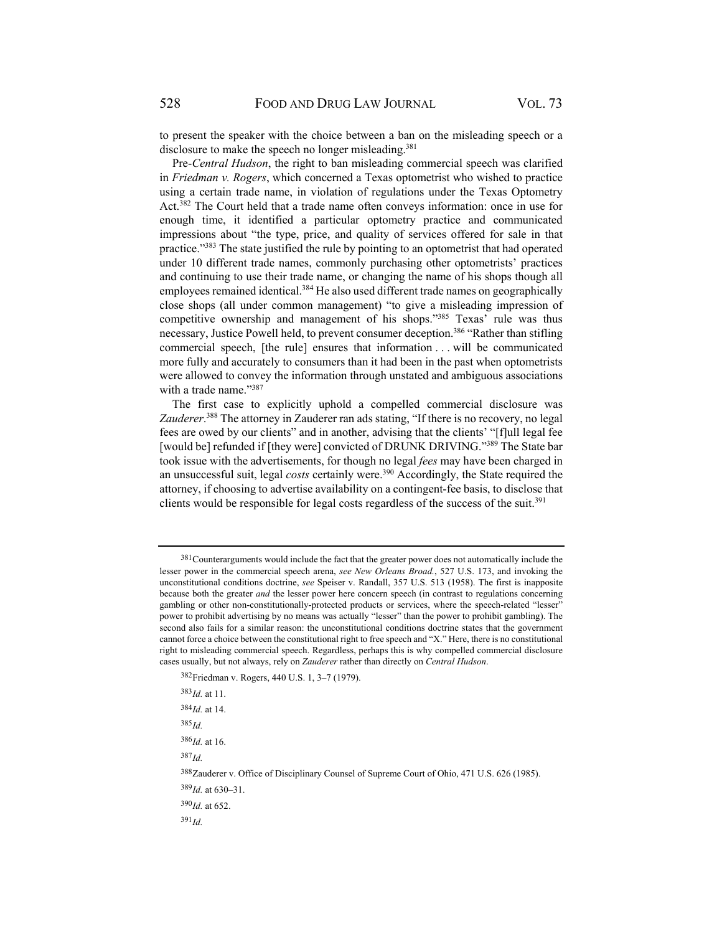to present the speaker with the choice between a ban on the misleading speech or a disclosure to make the speech no longer misleading.<sup>381</sup>

Pre-*Central Hudson*, the right to ban misleading commercial speech was clarified in *Friedman v. Rogers*, which concerned a Texas optometrist who wished to practice using a certain trade name, in violation of regulations under the Texas Optometry Act.382 The Court held that a trade name often conveys information: once in use for enough time, it identified a particular optometry practice and communicated impressions about "the type, price, and quality of services offered for sale in that practice."383 The state justified the rule by pointing to an optometrist that had operated under 10 different trade names, commonly purchasing other optometrists' practices and continuing to use their trade name, or changing the name of his shops though all employees remained identical.<sup>384</sup> He also used different trade names on geographically close shops (all under common management) "to give a misleading impression of competitive ownership and management of his shops."385 Texas' rule was thus necessary, Justice Powell held, to prevent consumer deception.<sup>386</sup> "Rather than stifling commercial speech, [the rule] ensures that information . . . will be communicated more fully and accurately to consumers than it had been in the past when optometrists were allowed to convey the information through unstated and ambiguous associations with a trade name."387

The first case to explicitly uphold a compelled commercial disclosure was Zauderer.<sup>388</sup> The attorney in Zauderer ran ads stating, "If there is no recovery, no legal fees are owed by our clients" and in another, advising that the clients' "[f]ull legal fee [would be] refunded if [they were] convicted of DRUNK DRIVING."389 The State bar took issue with the advertisements, for though no legal *fees* may have been charged in an unsuccessful suit, legal *costs* certainly were.<sup>390</sup> Accordingly, the State required the attorney, if choosing to advertise availability on a contingent-fee basis, to disclose that clients would be responsible for legal costs regardless of the success of the suit.<sup>391</sup>

382 Friedman v. Rogers, 440 U.S. 1, 3–7 (1979). <sup>383</sup> *Id.* at 11.

 $384$ *Id.* at 14. <sup>385</sup> *Id.* <sup>386</sup> *Id.* at 16.

<sup>387</sup> *Id.*

388 Zauderer v. Office of Disciplinary Counsel of Supreme Court of Ohio, 471 U.S. 626 (1985).

<sup>389</sup> *Id.* at 630–31.

<sup>390</sup> *Id.* at 652.

<sup>&</sup>lt;sup>381</sup> Counterarguments would include the fact that the greater power does not automatically include the lesser power in the commercial speech arena, *see New Orleans Broad.*, 527 U.S. 173, and invoking the unconstitutional conditions doctrine, *see* Speiser v. Randall, 357 U.S. 513 (1958). The first is inapposite because both the greater *and* the lesser power here concern speech (in contrast to regulations concerning gambling or other non-constitutionally-protected products or services, where the speech-related "lesser" power to prohibit advertising by no means was actually "lesser" than the power to prohibit gambling). The second also fails for a similar reason: the unconstitutional conditions doctrine states that the government cannot force a choice between the constitutional right to free speech and "X." Here, there is no constitutional right to misleading commercial speech. Regardless, perhaps this is why compelled commercial disclosure cases usually, but not always, rely on *Zauderer* rather than directly on *Central Hudson*.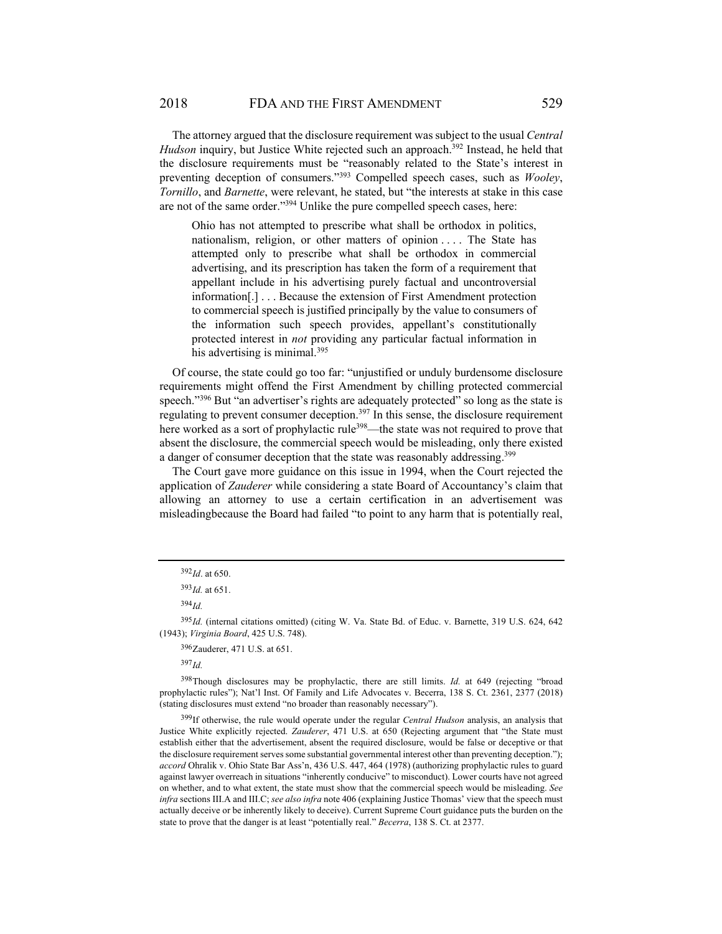The attorney argued that the disclosure requirement was subject to the usual *Central Hudson* inquiry, but Justice White rejected such an approach.<sup>392</sup> Instead, he held that the disclosure requirements must be "reasonably related to the State's interest in preventing deception of consumers."393 Compelled speech cases, such as *Wooley*, *Tornillo*, and *Barnette*, were relevant, he stated, but "the interests at stake in this case are not of the same order."394 Unlike the pure compelled speech cases, here:

Ohio has not attempted to prescribe what shall be orthodox in politics, nationalism, religion, or other matters of opinion .... The State has attempted only to prescribe what shall be orthodox in commercial advertising, and its prescription has taken the form of a requirement that appellant include in his advertising purely factual and uncontroversial information[.] . . . Because the extension of First Amendment protection to commercial speech is justified principally by the value to consumers of the information such speech provides, appellant's constitutionally protected interest in *not* providing any particular factual information in his advertising is minimal.<sup>395</sup>

Of course, the state could go too far: "unjustified or unduly burdensome disclosure requirements might offend the First Amendment by chilling protected commercial speech."<sup>396</sup> But "an advertiser's rights are adequately protected" so long as the state is regulating to prevent consumer deception.<sup>397</sup> In this sense, the disclosure requirement here worked as a sort of prophylactic rule<sup>398</sup>—the state was not required to prove that absent the disclosure, the commercial speech would be misleading, only there existed a danger of consumer deception that the state was reasonably addressing.<sup>399</sup>

The Court gave more guidance on this issue in 1994, when the Court rejected the application of *Zauderer* while considering a state Board of Accountancy's claim that allowing an attorney to use a certain certification in an advertisement was misleadingbecause the Board had failed "to point to any harm that is potentially real,

<sup>394</sup> *Id.*

<sup>392</sup> *Id*. at 650.

 $393$ *Id.* at 651.

<sup>395</sup> *Id.* (internal citations omitted) (citing W. Va. State Bd. of Educ. v. Barnette, 319 U.S. 624, 642 (1943); *Virginia Board*, 425 U.S. 748).

<sup>396</sup>Zauderer, 471 U.S. at 651.

<sup>398</sup> Though disclosures may be prophylactic, there are still limits. *Id.* at 649 (rejecting "broad prophylactic rules"); Nat'l Inst. Of Family and Life Advocates v. Becerra, 138 S. Ct. 2361, 2377 (2018) (stating disclosures must extend "no broader than reasonably necessary").

<sup>399</sup> If otherwise, the rule would operate under the regular *Central Hudson* analysis, an analysis that Justice White explicitly rejected. *Zauderer*, 471 U.S. at 650 (Rejecting argument that "the State must establish either that the advertisement, absent the required disclosure, would be false or deceptive or that the disclosure requirement serves some substantial governmental interest other than preventing deception."); *accord* Ohralik v. Ohio State Bar Ass'n, 436 U.S. 447, 464 (1978) (authorizing prophylactic rules to guard against lawyer overreach in situations "inherently conducive" to misconduct). Lower courts have not agreed on whether, and to what extent, the state must show that the commercial speech would be misleading. *See infra* sections III.A and III.C; *see also infra* note 406 (explaining Justice Thomas' view that the speech must actually deceive or be inherently likely to deceive). Current Supreme Court guidance puts the burden on the state to prove that the danger is at least "potentially real." *Becerra*, 138 S. Ct. at 2377.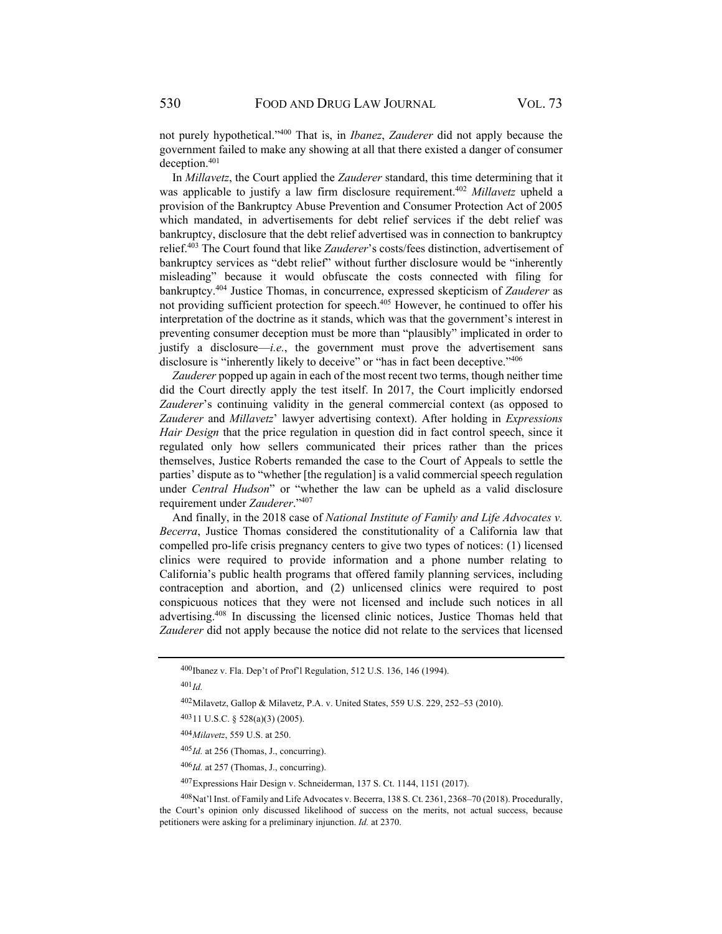not purely hypothetical."400 That is, in *Ibanez*, *Zauderer* did not apply because the government failed to make any showing at all that there existed a danger of consumer deception.401

In *Millavetz*, the Court applied the *Zauderer* standard, this time determining that it was applicable to justify a law firm disclosure requirement.402 *Millavetz* upheld a provision of the Bankruptcy Abuse Prevention and Consumer Protection Act of 2005 which mandated, in advertisements for debt relief services if the debt relief was bankruptcy, disclosure that the debt relief advertised was in connection to bankruptcy relief.403 The Court found that like *Zauderer*'s costs/fees distinction, advertisement of bankruptcy services as "debt relief" without further disclosure would be "inherently misleading" because it would obfuscate the costs connected with filing for bankruptcy.404 Justice Thomas, in concurrence, expressed skepticism of *Zauderer* as not providing sufficient protection for speech.405 However, he continued to offer his interpretation of the doctrine as it stands, which was that the government's interest in preventing consumer deception must be more than "plausibly" implicated in order to justify a disclosure—*i.e.*, the government must prove the advertisement sans disclosure is "inherently likely to deceive" or "has in fact been deceptive."<sup>406</sup>

*Zauderer* popped up again in each of the most recent two terms, though neither time did the Court directly apply the test itself. In 2017, the Court implicitly endorsed *Zauderer*'s continuing validity in the general commercial context (as opposed to *Zauderer* and *Millavetz*' lawyer advertising context). After holding in *Expressions Hair Design* that the price regulation in question did in fact control speech, since it regulated only how sellers communicated their prices rather than the prices themselves, Justice Roberts remanded the case to the Court of Appeals to settle the parties' dispute as to "whether [the regulation] is a valid commercial speech regulation under *Central Hudson*" or "whether the law can be upheld as a valid disclosure requirement under *Zauderer*."407

And finally, in the 2018 case of *National Institute of Family and Life Advocates v. Becerra*, Justice Thomas considered the constitutionality of a California law that compelled pro-life crisis pregnancy centers to give two types of notices: (1) licensed clinics were required to provide information and a phone number relating to California's public health programs that offered family planning services, including contraception and abortion, and (2) unlicensed clinics were required to post conspicuous notices that they were not licensed and include such notices in all advertising.408 In discussing the licensed clinic notices, Justice Thomas held that *Zauderer* did not apply because the notice did not relate to the services that licensed

<sup>400</sup> Ibanez v. Fla. Dep't of Prof'l Regulation, 512 U.S. 136, 146 (1994).

<sup>402</sup> Milavetz, Gallop & Milavetz, P.A. v. United States, 559 U.S. 229, 252–53 (2010).

<sup>403 11</sup> U.S.C. § 528(a)(3) (2005).

<sup>404</sup> *Milavetz*, 559 U.S. at 250.

<sup>405</sup> *Id.* at 256 (Thomas, J., concurring).

<sup>406</sup> *Id.* at 257 (Thomas, J., concurring).

<sup>407</sup> Expressions Hair Design v. Schneiderman, 137 S. Ct. 1144, 1151 (2017).

<sup>408</sup> Nat'l Inst. of Family and Life Advocates v. Becerra, 138 S. Ct. 2361, 2368–70 (2018). Procedurally, the Court's opinion only discussed likelihood of success on the merits, not actual success, because petitioners were asking for a preliminary injunction. *Id.* at 2370.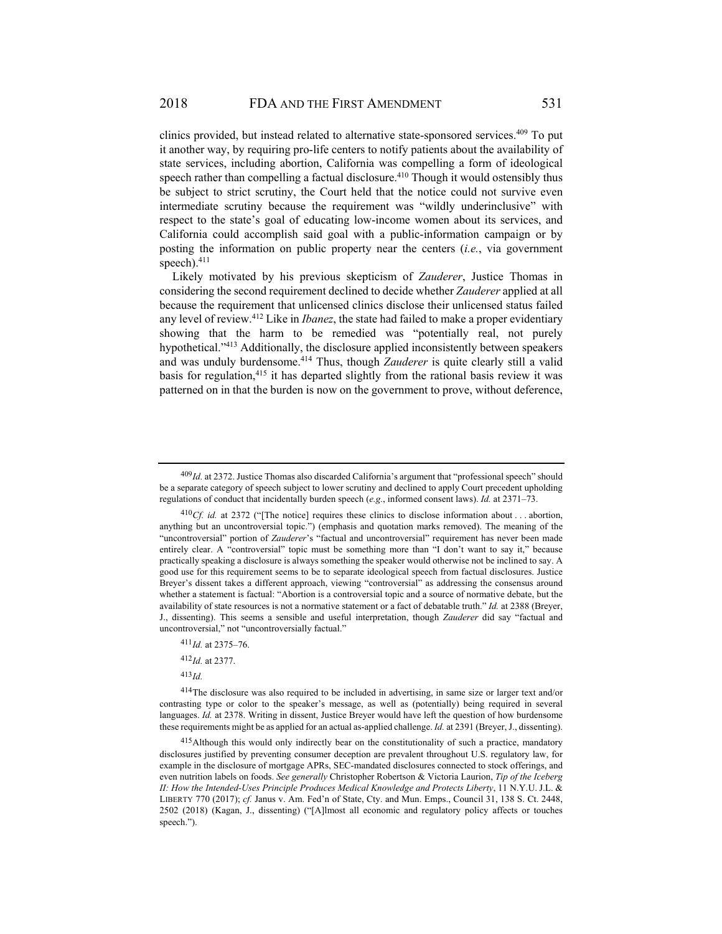clinics provided, but instead related to alternative state-sponsored services.409 To put it another way, by requiring pro-life centers to notify patients about the availability of state services, including abortion, California was compelling a form of ideological speech rather than compelling a factual disclosure.<sup>410</sup> Though it would ostensibly thus be subject to strict scrutiny, the Court held that the notice could not survive even intermediate scrutiny because the requirement was "wildly underinclusive" with respect to the state's goal of educating low-income women about its services, and California could accomplish said goal with a public-information campaign or by posting the information on public property near the centers (*i.e.*, via government speech). $411$ 

Likely motivated by his previous skepticism of *Zauderer*, Justice Thomas in considering the second requirement declined to decide whether *Zauderer* applied at all because the requirement that unlicensed clinics disclose their unlicensed status failed any level of review.412 Like in *Ibanez*, the state had failed to make a proper evidentiary showing that the harm to be remedied was "potentially real, not purely hypothetical."413 Additionally, the disclosure applied inconsistently between speakers and was unduly burdensome.414 Thus, though *Zauderer* is quite clearly still a valid basis for regulation,<sup>415</sup> it has departed slightly from the rational basis review it was patterned on in that the burden is now on the government to prove, without deference,

<sup>409</sup> *Id.* at 2372. Justice Thomas also discarded California's argument that "professional speech" should be a separate category of speech subject to lower scrutiny and declined to apply Court precedent upholding regulations of conduct that incidentally burden speech (*e.g.*, informed consent laws). *Id.* at 2371–73.

<sup>&</sup>lt;sup>410</sup>Cf. id. at 2372 ("[The notice] requires these clinics to disclose information about . . . abortion, anything but an uncontroversial topic.") (emphasis and quotation marks removed). The meaning of the "uncontroversial" portion of *Zauderer*'s "factual and uncontroversial" requirement has never been made entirely clear. A "controversial" topic must be something more than "I don't want to say it," because practically speaking a disclosure is always something the speaker would otherwise not be inclined to say. A good use for this requirement seems to be to separate ideological speech from factual disclosures. Justice Breyer's dissent takes a different approach, viewing "controversial" as addressing the consensus around whether a statement is factual: "Abortion is a controversial topic and a source of normative debate, but the availability of state resources is not a normative statement or a fact of debatable truth." *Id.* at 2388 (Breyer, J., dissenting). This seems a sensible and useful interpretation, though *Zauderer* did say "factual and uncontroversial," not "uncontroversially factual."

<sup>411</sup> *Id.* at 2375–76.

<sup>412</sup> *Id.* at 2377.

<sup>413</sup> *Id.* 

<sup>414</sup> The disclosure was also required to be included in advertising, in same size or larger text and/or contrasting type or color to the speaker's message, as well as (potentially) being required in several languages. *Id.* at 2378. Writing in dissent, Justice Breyer would have left the question of how burdensome these requirements might be as applied for an actual as-applied challenge. *Id.* at 2391 (Breyer, J., dissenting).

<sup>&</sup>lt;sup>415</sup> Although this would only indirectly bear on the constitutionality of such a practice, mandatory disclosures justified by preventing consumer deception are prevalent throughout U.S. regulatory law, for example in the disclosure of mortgage APRs, SEC-mandated disclosures connected to stock offerings, and even nutrition labels on foods. *See generally* Christopher Robertson & Victoria Laurion, *Tip of the Iceberg II: How the Intended-Uses Principle Produces Medical Knowledge and Protects Liberty*, 11 N.Y.U. J.L. & LIBERTY 770 (2017); *cf.* Janus v. Am. Fed'n of State, Cty. and Mun. Emps., Council 31, 138 S. Ct. 2448, 2502 (2018) (Kagan, J., dissenting) ("[A]lmost all economic and regulatory policy affects or touches speech.").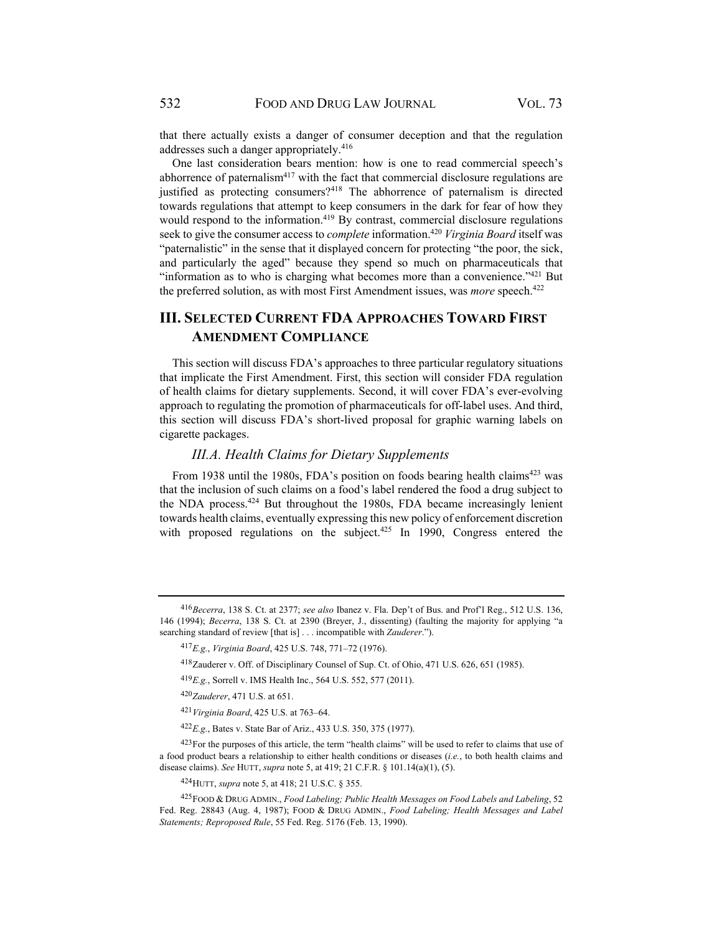that there actually exists a danger of consumer deception and that the regulation addresses such a danger appropriately.<sup>416</sup>

One last consideration bears mention: how is one to read commercial speech's abhorrence of paternalism $417$  with the fact that commercial disclosure regulations are justified as protecting consumers?<sup>418</sup> The abhorrence of paternalism is directed towards regulations that attempt to keep consumers in the dark for fear of how they would respond to the information.<sup>419</sup> By contrast, commercial disclosure regulations seek to give the consumer access to *complete* information.420 *Virginia Board* itself was "paternalistic" in the sense that it displayed concern for protecting "the poor, the sick, and particularly the aged" because they spend so much on pharmaceuticals that "information as to who is charging what becomes more than a convenience." $421$  But the preferred solution, as with most First Amendment issues, was *more* speech.<sup>422</sup>

# **III. SELECTED CURRENT FDA APPROACHES TOWARD FIRST AMENDMENT COMPLIANCE**

This section will discuss FDA's approaches to three particular regulatory situations that implicate the First Amendment. First, this section will consider FDA regulation of health claims for dietary supplements. Second, it will cover FDA's ever-evolving approach to regulating the promotion of pharmaceuticals for off-label uses. And third, this section will discuss FDA's short-lived proposal for graphic warning labels on cigarette packages.

## *III.A. Health Claims for Dietary Supplements*

From 1938 until the 1980s, FDA's position on foods bearing health claims<sup>423</sup> was that the inclusion of such claims on a food's label rendered the food a drug subject to the NDA process.424 But throughout the 1980s, FDA became increasingly lenient towards health claims, eventually expressing this new policy of enforcement discretion with proposed regulations on the subject.<sup>425</sup> In 1990, Congress entered the

<sup>420</sup> *Zauderer*, 471 U.S. at 651.

<sup>416</sup> *Becerra*, 138 S. Ct. at 2377; *see also* Ibanez v. Fla. Dep't of Bus. and Prof'l Reg., 512 U.S. 136, 146 (1994); *Becerra*, 138 S. Ct. at 2390 (Breyer, J., dissenting) (faulting the majority for applying "a searching standard of review [that is] . . . incompatible with *Zauderer*.").

<sup>417</sup> *E.g.*, *Virginia Board*, 425 U.S. 748, 771–72 (1976).

<sup>418</sup> Zauderer v. Off. of Disciplinary Counsel of Sup. Ct. of Ohio, 471 U.S. 626, 651 (1985).

<sup>419</sup> E.g., Sorrell v. IMS Health Inc., 564 U.S. 552, 577 (2011).

<sup>421</sup> *Virginia Board*, 425 U.S. at 763–64.

<sup>422&</sup>lt;sub>*E.g.*, Bates v. State Bar of Ariz., 433 U.S. 350, 375 (1977).</sub>

<sup>&</sup>lt;sup>423</sup> For the purposes of this article, the term "health claims" will be used to refer to claims that use of a food product bears a relationship to either health conditions or diseases (*i.e.*, to both health claims and disease claims). *See* HUTT, *supra* note 5, at 419; 21 C.F.R. § 101.14(a)(1), (5).

<sup>424</sup> HUTT, *supra* note 5, at 418; 21 U.S.C. § 355.

<sup>425</sup> FOOD & DRUG ADMIN., *Food Labeling; Public Health Messages on Food Labels and Labeling*, 52 Fed. Reg. 28843 (Aug. 4, 1987); FOOD & DRUG ADMIN., *Food Labeling; Health Messages and Label Statements; Reproposed Rule*, 55 Fed. Reg. 5176 (Feb. 13, 1990).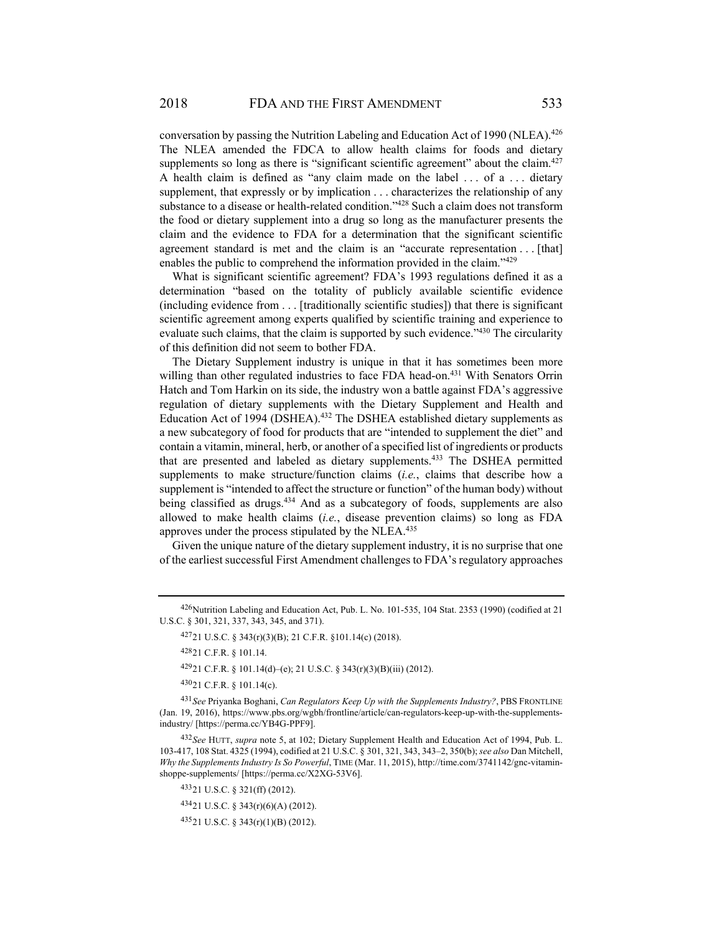conversation by passing the Nutrition Labeling and Education Act of 1990 (NLEA).<sup>426</sup> The NLEA amended the FDCA to allow health claims for foods and dietary supplements so long as there is "significant scientific agreement" about the claim.<sup>427</sup> A health claim is defined as "any claim made on the label . . . of a . . . dietary supplement, that expressly or by implication . . . characterizes the relationship of any substance to a disease or health-related condition."428 Such a claim does not transform the food or dietary supplement into a drug so long as the manufacturer presents the claim and the evidence to FDA for a determination that the significant scientific agreement standard is met and the claim is an "accurate representation . . . [that] enables the public to comprehend the information provided in the claim."<sup>429</sup>

What is significant scientific agreement? FDA's 1993 regulations defined it as a determination "based on the totality of publicly available scientific evidence (including evidence from . . . [traditionally scientific studies]) that there is significant scientific agreement among experts qualified by scientific training and experience to evaluate such claims, that the claim is supported by such evidence." $430$  The circularity of this definition did not seem to bother FDA.

The Dietary Supplement industry is unique in that it has sometimes been more willing than other regulated industries to face FDA head-on.<sup>431</sup> With Senators Orrin Hatch and Tom Harkin on its side, the industry won a battle against FDA's aggressive regulation of dietary supplements with the Dietary Supplement and Health and Education Act of 1994 (DSHEA).<sup>432</sup> The DSHEA established dietary supplements as a new subcategory of food for products that are "intended to supplement the diet" and contain a vitamin, mineral, herb, or another of a specified list of ingredients or products that are presented and labeled as dietary supplements.433 The DSHEA permitted supplements to make structure/function claims (*i.e.*, claims that describe how a supplement is "intended to affect the structure or function" of the human body) without being classified as drugs.<sup>434</sup> And as a subcategory of foods, supplements are also allowed to make health claims (*i.e.*, disease prevention claims) so long as FDA approves under the process stipulated by the NLEA.435

Given the unique nature of the dietary supplement industry, it is no surprise that one of the earliest successful First Amendment challenges to FDA's regulatory approaches

430 21 C.F.R. § 101.14(c).

 $43521$  U.S.C. § 343(r)(1)(B) (2012).

<sup>426</sup> Nutrition Labeling and Education Act, Pub. L. No. 101-535, 104 Stat. 2353 (1990) (codified at 21 U.S.C. § 301, 321, 337, 343, 345, and 371).

<sup>427 21</sup> U.S.C. § 343(r)(3)(B); 21 C.F.R. §101.14(c) (2018).

<sup>428 21</sup> C.F.R. § 101.14.

 $42921$  C.F.R. § 101.14(d)–(e); 21 U.S.C. § 343(r)(3)(B)(iii) (2012).

<sup>431</sup> *See* Priyanka Boghani, *Can Regulators Keep Up with the Supplements Industry?*, PBS FRONTLINE (Jan. 19, 2016), https://www.pbs.org/wgbh/frontline/article/can-regulators-keep-up-with-the-supplementsindustry/ [https://perma.cc/YB4G-PPF9].

<sup>432</sup> *See* HUTT, *supra* note 5, at 102; Dietary Supplement Health and Education Act of 1994, Pub. L. 103-417, 108 Stat. 4325 (1994), codified at 21 U.S.C. § 301, 321, 343, 343–2, 350(b); *see also* Dan Mitchell, *Why the Supplements Industry Is So Powerful*, TIME (Mar. 11, 2015), http://time.com/3741142/gnc-vitaminshoppe-supplements/ [https://perma.cc/X2XG-53V6].

<sup>433 21</sup> U.S.C. § 321(ff) (2012).

<sup>434 21</sup> U.S.C. § 343(r)(6)(A) (2012).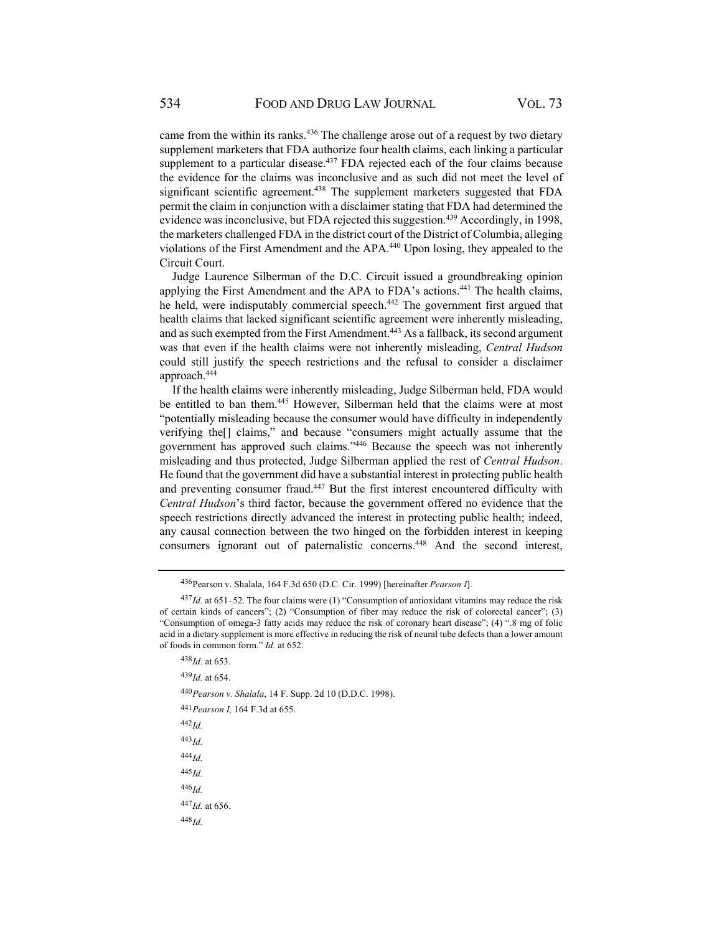came from the within its ranks.<sup>436</sup> The challenge arose out of a request by two dietary supplement marketers that FDA authorize four health claims, each linking a particular supplement to a particular disease.<sup>437</sup> FDA rejected each of the four claims because the evidence for the claims was inconclusive and as such did not meet the level of significant scientific agreement.438 The supplement marketers suggested that FDA permit the claim in conjunction with a disclaimer stating that FDA had determined the evidence was inconclusive, but FDA rejected this suggestion.<sup>439</sup> Accordingly, in 1998, the marketers challenged FDA in the district court of the District of Columbia, alleging violations of the First Amendment and the APA.440 Upon losing, they appealed to the Circuit Court.

Judge Laurence Silberman of the D.C. Circuit issued a groundbreaking opinion applying the First Amendment and the APA to FDA's actions.<sup>441</sup> The health claims, he held, were indisputably commercial speech.<sup>442</sup> The government first argued that health claims that lacked significant scientific agreement were inherently misleading, and as such exempted from the First Amendment.<sup>443</sup> As a fallback, its second argument was that even if the health claims were not inherently misleading, *Central Hudson* could still justify the speech restrictions and the refusal to consider a disclaimer approach.444

If the health claims were inherently misleading, Judge Silberman held, FDA would be entitled to ban them.<sup>445</sup> However, Silberman held that the claims were at most "potentially misleading because the consumer would have difficulty in independently verifying the[] claims," and because "consumers might actually assume that the government has approved such claims."446 Because the speech was not inherently misleading and thus protected, Judge Silberman applied the rest of *Central Hudson*. He found that the government did have a substantial interest in protecting public health and preventing consumer fraud.<sup>447</sup> But the first interest encountered difficulty with *Central Hudson*'s third factor, because the government offered no evidence that the speech restrictions directly advanced the interest in protecting public health; indeed, any causal connection between the two hinged on the forbidden interest in keeping consumers ignorant out of paternalistic concerns.448 And the second interest,

<sup>438</sup> *Id.* at 653.

<sup>439</sup> *Id.* at 654.

<sup>440</sup> *Pearson v. Shalala*, 14 F. Supp. 2d 10 (D.D.C. 1998).

<sup>441</sup> *Pearson I,* 164 F.3d at 655.

<sup>442</sup> *Id.*

<sup>443</sup> *Id.* <sup>444</sup> *Id.* 

<sup>445</sup> *Id.*

<sup>446</sup> *Id.*

<sup>447</sup> *Id.* at 656.

<sup>436</sup>Pearson v. Shalala, 164 F.3d 650 (D.C. Cir. 1999) [hereinafter *Pearson I*].

<sup>437</sup> *Id.* at 651–52. The four claims were (1) "Consumption of antioxidant vitamins may reduce the risk of certain kinds of cancers"; (2) "Consumption of fiber may reduce the risk of colorectal cancer"; (3) "Consumption of omega-3 fatty acids may reduce the risk of coronary heart disease"; (4) ".8 mg of folic acid in a dietary supplement is more effective in reducing the risk of neural tube defects than a lower amount of foods in common form." *Id.* at 652.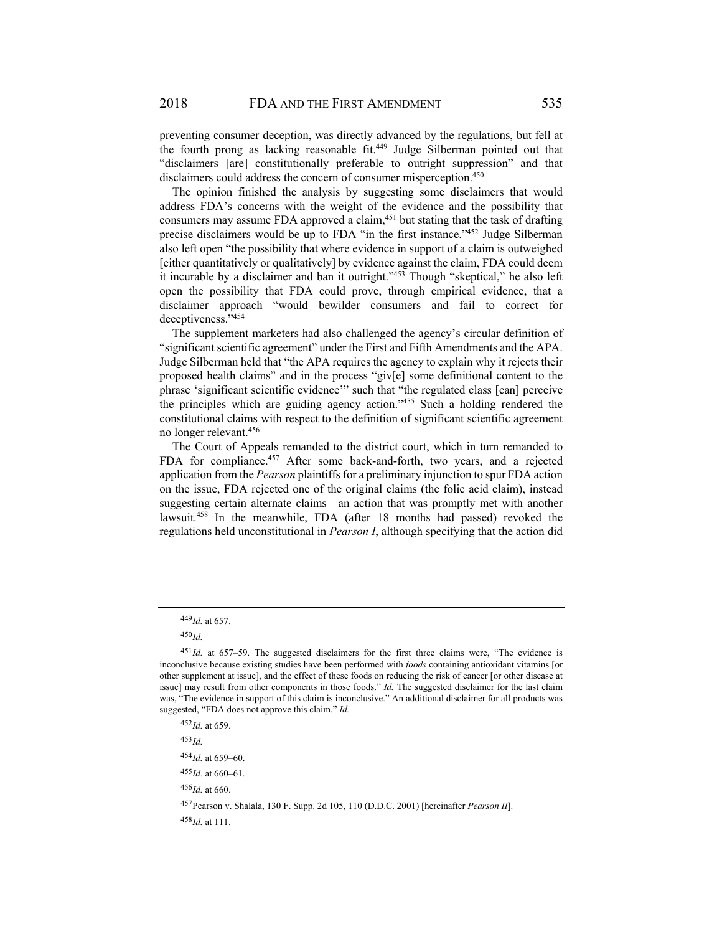preventing consumer deception, was directly advanced by the regulations, but fell at the fourth prong as lacking reasonable fit.<sup>449</sup> Judge Silberman pointed out that "disclaimers [are] constitutionally preferable to outright suppression" and that disclaimers could address the concern of consumer misperception. 450

The opinion finished the analysis by suggesting some disclaimers that would address FDA's concerns with the weight of the evidence and the possibility that consumers may assume FDA approved a claim,451 but stating that the task of drafting precise disclaimers would be up to FDA "in the first instance."452 Judge Silberman also left open "the possibility that where evidence in support of a claim is outweighed [either quantitatively or qualitatively] by evidence against the claim, FDA could deem it incurable by a disclaimer and ban it outright."453 Though "skeptical," he also left open the possibility that FDA could prove, through empirical evidence, that a disclaimer approach "would bewilder consumers and fail to correct for deceptiveness."454

The supplement marketers had also challenged the agency's circular definition of "significant scientific agreement" under the First and Fifth Amendments and the APA. Judge Silberman held that "the APA requires the agency to explain why it rejects their proposed health claims" and in the process "giv[e] some definitional content to the phrase 'significant scientific evidence'" such that "the regulated class [can] perceive the principles which are guiding agency action."455 Such a holding rendered the constitutional claims with respect to the definition of significant scientific agreement no longer relevant.456

The Court of Appeals remanded to the district court, which in turn remanded to FDA for compliance.457 After some back-and-forth, two years, and a rejected application from the *Pearson* plaintiffs for a preliminary injunction to spur FDA action on the issue, FDA rejected one of the original claims (the folic acid claim), instead suggesting certain alternate claims—an action that was promptly met with another lawsuit.458 In the meanwhile, FDA (after 18 months had passed) revoked the regulations held unconstitutional in *Pearson I*, although specifying that the action did

<sup>453</sup> *Id.*

<sup>456</sup> *Id.* at 660.

<sup>449</sup> *Id.* at 657.

<sup>450</sup> *Id.*

<sup>451</sup>*Id.* at 657-59. The suggested disclaimers for the first three claims were, "The evidence is inconclusive because existing studies have been performed with *foods* containing antioxidant vitamins [or other supplement at issue], and the effect of these foods on reducing the risk of cancer [or other disease at issue] may result from other components in those foods." *Id.* The suggested disclaimer for the last claim was, "The evidence in support of this claim is inconclusive." An additional disclaimer for all products was suggested, "FDA does not approve this claim." *Id.*

<sup>452</sup> *Id.* at 659.

<sup>454</sup> *Id.* at 659–60.

<sup>455</sup> *Id.* at 660–61.

<sup>457</sup> Pearson v. Shalala, 130 F. Supp. 2d 105, 110 (D.D.C. 2001) [hereinafter *Pearson II*]. <sup>458</sup> *Id.* at 111.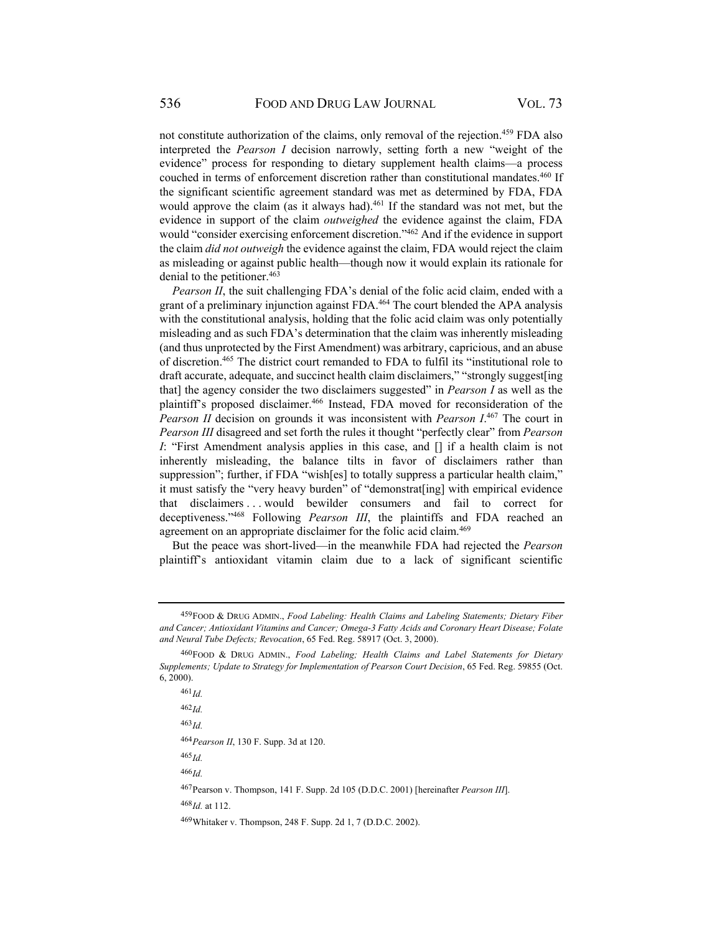not constitute authorization of the claims, only removal of the rejection.459 FDA also interpreted the *Pearson I* decision narrowly, setting forth a new "weight of the evidence" process for responding to dietary supplement health claims—a process couched in terms of enforcement discretion rather than constitutional mandates.460 If the significant scientific agreement standard was met as determined by FDA, FDA would approve the claim (as it always had).<sup>461</sup> If the standard was not met, but the evidence in support of the claim *outweighed* the evidence against the claim, FDA would "consider exercising enforcement discretion."462 And if the evidence in support the claim *did not outweigh* the evidence against the claim, FDA would reject the claim as misleading or against public health—though now it would explain its rationale for denial to the petitioner.<sup>463</sup>

*Pearson II*, the suit challenging FDA's denial of the folic acid claim, ended with a grant of a preliminary injunction against FDA.<sup>464</sup> The court blended the APA analysis with the constitutional analysis, holding that the folic acid claim was only potentially misleading and as such FDA's determination that the claim was inherently misleading (and thus unprotected by the First Amendment) was arbitrary, capricious, and an abuse of discretion.465 The district court remanded to FDA to fulfil its "institutional role to draft accurate, adequate, and succinct health claim disclaimers," "strongly suggest [ing that] the agency consider the two disclaimers suggested" in *Pearson I* as well as the plaintiff's proposed disclaimer.<sup>466</sup> Instead, FDA moved for reconsideration of the *Pearson II* decision on grounds it was inconsistent with *Pearson I*. 467 The court in *Pearson III* disagreed and set forth the rules it thought "perfectly clear" from *Pearson I*: "First Amendment analysis applies in this case, and [] if a health claim is not inherently misleading, the balance tilts in favor of disclaimers rather than suppression"; further, if FDA "wish[es] to totally suppress a particular health claim," it must satisfy the "very heavy burden" of "demonstrat[ing] with empirical evidence that disclaimers . . . would bewilder consumers and fail to correct for deceptiveness."468 Following *Pearson III*, the plaintiffs and FDA reached an agreement on an appropriate disclaimer for the folic acid claim.<sup>469</sup>

But the peace was short-lived—in the meanwhile FDA had rejected the *Pearson* plaintiff's antioxidant vitamin claim due to a lack of significant scientific

<sup>459</sup> FOOD & DRUG ADMIN., *Food Labeling: Health Claims and Labeling Statements; Dietary Fiber and Cancer; Antioxidant Vitamins and Cancer; Omega-3 Fatty Acids and Coronary Heart Disease; Folate and Neural Tube Defects; Revocation*, 65 Fed. Reg. 58917 (Oct. 3, 2000).

<sup>460</sup> FOOD & DRUG ADMIN., *Food Labeling; Health Claims and Label Statements for Dietary Supplements; Update to Strategy for Implementation of Pearson Court Decision*, 65 Fed. Reg. 59855 (Oct. 6, 2000).

<sup>461</sup> *Id.*

<sup>462</sup> *Id.*

<sup>463</sup> *Id.*

<sup>464</sup> *Pearson II*, 130 F. Supp. 3d at 120.

<sup>466</sup> *Id.*

<sup>467</sup> Pearson v. Thompson, 141 F. Supp. 2d 105 (D.D.C. 2001) [hereinafter *Pearson III*].

<sup>468</sup> *Id.* at 112.

<sup>469</sup> Whitaker v. Thompson, 248 F. Supp. 2d 1, 7 (D.D.C. 2002).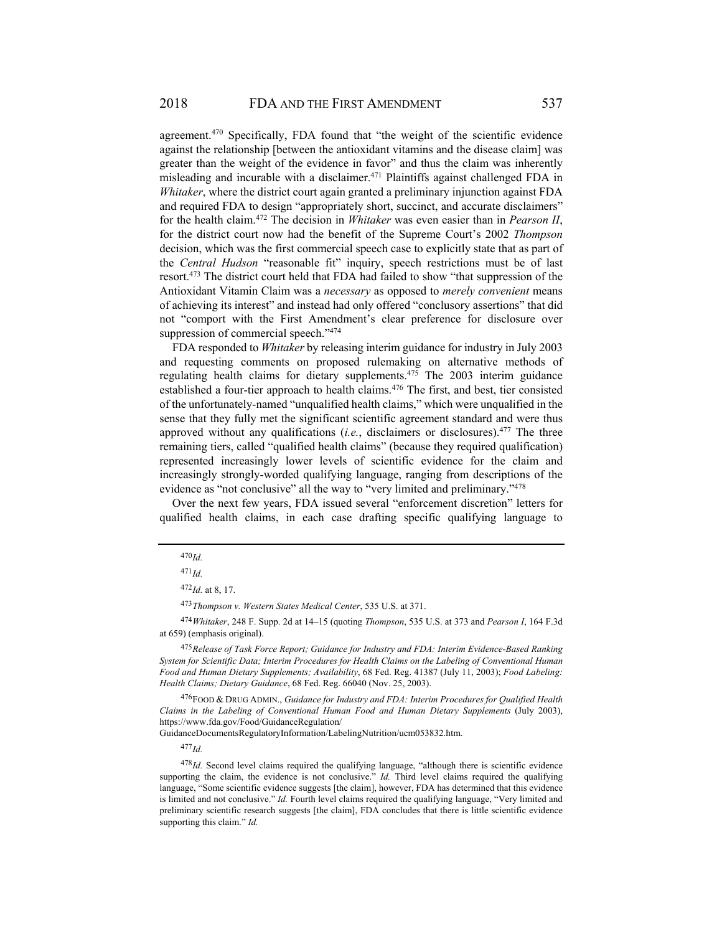agreement.<sup>470</sup> Specifically, FDA found that "the weight of the scientific evidence against the relationship [between the antioxidant vitamins and the disease claim] was greater than the weight of the evidence in favor" and thus the claim was inherently misleading and incurable with a disclaimer.<sup>471</sup> Plaintiffs against challenged FDA in *Whitaker*, where the district court again granted a preliminary injunction against FDA and required FDA to design "appropriately short, succinct, and accurate disclaimers" for the health claim.472 The decision in *Whitaker* was even easier than in *Pearson II*, for the district court now had the benefit of the Supreme Court's 2002 *Thompson* decision, which was the first commercial speech case to explicitly state that as part of the *Central Hudson* "reasonable fit" inquiry, speech restrictions must be of last resort.473 The district court held that FDA had failed to show "that suppression of the Antioxidant Vitamin Claim was a *necessary* as opposed to *merely convenient* means of achieving its interest" and instead had only offered "conclusory assertions" that did not "comport with the First Amendment's clear preference for disclosure over suppression of commercial speech."<sup>474</sup>

FDA responded to *Whitaker* by releasing interim guidance for industry in July 2003 and requesting comments on proposed rulemaking on alternative methods of regulating health claims for dietary supplements.475 The 2003 interim guidance established a four-tier approach to health claims.<sup>476</sup> The first, and best, tier consisted of the unfortunately-named "unqualified health claims," which were unqualified in the sense that they fully met the significant scientific agreement standard and were thus approved without any qualifications  $(i.e.,$  disclaimers or disclosures).<sup>477</sup> The three remaining tiers, called "qualified health claims" (because they required qualification) represented increasingly lower levels of scientific evidence for the claim and increasingly strongly-worded qualifying language, ranging from descriptions of the evidence as "not conclusive" all the way to "very limited and preliminary."<sup>478</sup>

Over the next few years, FDA issued several "enforcement discretion" letters for qualified health claims, in each case drafting specific qualifying language to

<sup>473</sup> *Thompson v. Western States Medical Center*, 535 U.S. at 371.

<sup>474</sup> *Whitaker*, 248 F. Supp. 2d at 14–15 (quoting *Thompson*, 535 U.S. at 373 and *Pearson I*, 164 F.3d at 659) (emphasis original).

<sup>475</sup> *Release of Task Force Report; Guidance for Industry and FDA: Interim Evidence-Based Ranking System for Scientific Data; Interim Procedures for Health Claims on the Labeling of Conventional Human Food and Human Dietary Supplements; Availability*, 68 Fed. Reg. 41387 (July 11, 2003); *Food Labeling: Health Claims; Dietary Guidance*, 68 Fed. Reg. 66040 (Nov. 25, 2003).

476 FOOD & DRUG ADMIN., *Guidance for Industry and FDA: Interim Procedures for Qualified Health Claims in the Labeling of Conventional Human Food and Human Dietary Supplements* (July 2003), https://www.fda.gov/Food/GuidanceRegulation/

GuidanceDocumentsRegulatoryInformation/LabelingNutrition/ucm053832.htm.

<sup>477</sup> *Id.*

<sup>478</sup> *Id.* Second level claims required the qualifying language, "although there is scientific evidence supporting the claim, the evidence is not conclusive." *Id.* Third level claims required the qualifying language, "Some scientific evidence suggests [the claim], however, FDA has determined that this evidence is limited and not conclusive." *Id.* Fourth level claims required the qualifying language, "Very limited and preliminary scientific research suggests [the claim], FDA concludes that there is little scientific evidence supporting this claim." *Id.*

<sup>470</sup> *Id.*

<sup>471</sup> *Id.*

 $472$ *Id.* at 8, 17.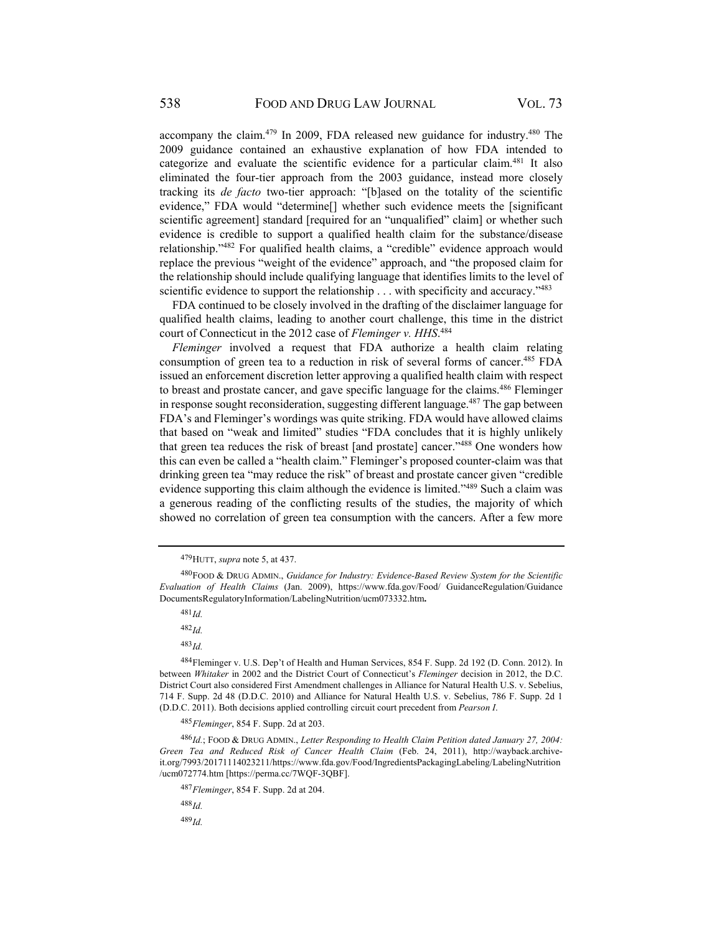accompany the claim.<sup>479</sup> In 2009, FDA released new guidance for industry.<sup>480</sup> The 2009 guidance contained an exhaustive explanation of how FDA intended to categorize and evaluate the scientific evidence for a particular claim.481 It also eliminated the four-tier approach from the 2003 guidance, instead more closely tracking its *de facto* two-tier approach: "[b]ased on the totality of the scientific evidence," FDA would "determine[] whether such evidence meets the [significant scientific agreement] standard [required for an "unqualified" claim] or whether such evidence is credible to support a qualified health claim for the substance/disease relationship."482 For qualified health claims, a "credible" evidence approach would replace the previous "weight of the evidence" approach, and "the proposed claim for the relationship should include qualifying language that identifies limits to the level of scientific evidence to support the relationship . . . with specificity and accuracy."<sup>483</sup>

FDA continued to be closely involved in the drafting of the disclaimer language for qualified health claims, leading to another court challenge, this time in the district court of Connecticut in the 2012 case of *Fleminger v. HHS*. 484

*Fleminger* involved a request that FDA authorize a health claim relating consumption of green tea to a reduction in risk of several forms of cancer.<sup>485</sup> FDA issued an enforcement discretion letter approving a qualified health claim with respect to breast and prostate cancer, and gave specific language for the claims.486 Fleminger in response sought reconsideration, suggesting different language.<sup>487</sup> The gap between FDA's and Fleminger's wordings was quite striking. FDA would have allowed claims that based on "weak and limited" studies "FDA concludes that it is highly unlikely that green tea reduces the risk of breast [and prostate] cancer."488 One wonders how this can even be called a "health claim." Fleminger's proposed counter-claim was that drinking green tea "may reduce the risk" of breast and prostate cancer given "credible evidence supporting this claim although the evidence is limited."489 Such a claim was a generous reading of the conflicting results of the studies, the majority of which showed no correlation of green tea consumption with the cancers. After a few more

 $481$ *Id.* 

<sup>482</sup> *Id.*

<sup>483</sup> *Id.*

<sup>488</sup> *Id.*

<sup>479</sup> HUTT, *supra* note 5, at 437.

<sup>480</sup> FOOD & DRUG ADMIN., *Guidance for Industry: Evidence-Based Review System for the Scientific Evaluation of Health Claims* (Jan. 2009), https://www.fda.gov/Food/ GuidanceRegulation/Guidance DocumentsRegulatoryInformation/LabelingNutrition/ucm073332.htm**.**

<sup>484</sup> Fleminger v. U.S. Dep't of Health and Human Services, 854 F. Supp. 2d 192 (D. Conn. 2012). In between *Whitaker* in 2002 and the District Court of Connecticut's *Fleminger* decision in 2012, the D.C. District Court also considered First Amendment challenges in Alliance for Natural Health U.S. v. Sebelius, 714 F. Supp. 2d 48 (D.D.C. 2010) and Alliance for Natural Health U.S. v. Sebelius, 786 F. Supp. 2d 1 (D.D.C. 2011). Both decisions applied controlling circuit court precedent from *Pearson I*.

<sup>485</sup> *Fleminger*, 854 F. Supp. 2d at 203.

<sup>486</sup> *Id.*; FOOD & DRUG ADMIN., *Letter Responding to Health Claim Petition dated January 27, 2004: Green Tea and Reduced Risk of Cancer Health Claim* (Feb. 24, 2011), http://wayback.archiveit.org/7993/20171114023211/https://www.fda.gov/Food/IngredientsPackagingLabeling/LabelingNutrition /ucm072774.htm [https://perma.cc/7WQF-3QBF].

<sup>487</sup> *Fleminger*, 854 F. Supp. 2d at 204.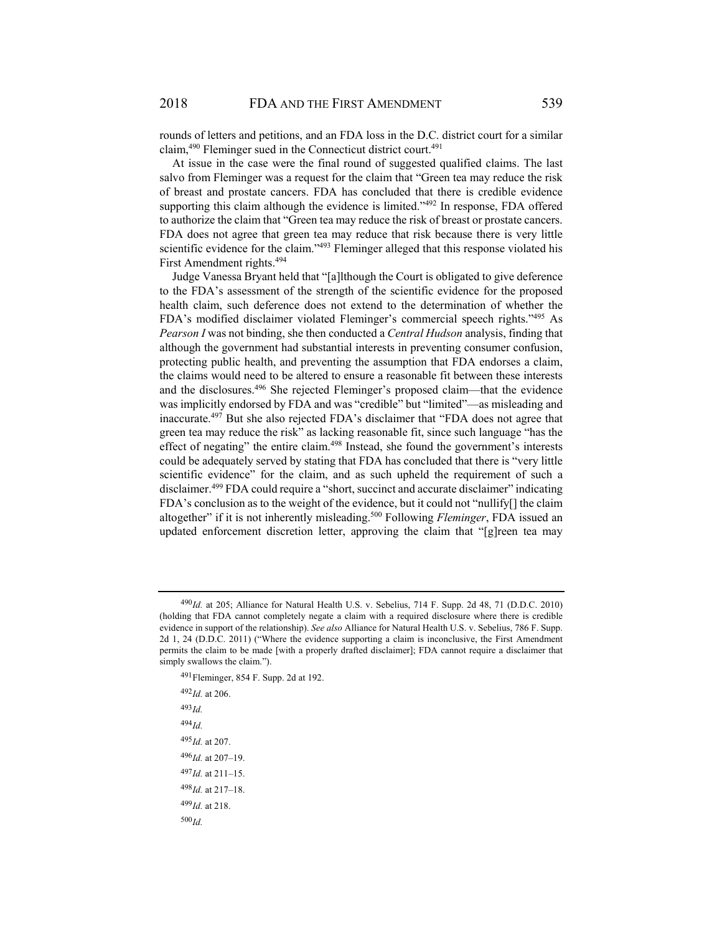rounds of letters and petitions, and an FDA loss in the D.C. district court for a similar claim, $490$  Fleminger sued in the Connecticut district court. $491$ 

At issue in the case were the final round of suggested qualified claims. The last salvo from Fleminger was a request for the claim that "Green tea may reduce the risk of breast and prostate cancers. FDA has concluded that there is credible evidence supporting this claim although the evidence is limited."<sup>492</sup> In response, FDA offered to authorize the claim that "Green tea may reduce the risk of breast or prostate cancers. FDA does not agree that green tea may reduce that risk because there is very little scientific evidence for the claim."<sup>493</sup> Fleminger alleged that this response violated his First Amendment rights.<sup>494</sup>

Judge Vanessa Bryant held that "[a]lthough the Court is obligated to give deference to the FDA's assessment of the strength of the scientific evidence for the proposed health claim, such deference does not extend to the determination of whether the FDA's modified disclaimer violated Fleminger's commercial speech rights."495 As *Pearson I* was not binding, she then conducted a *Central Hudson* analysis, finding that although the government had substantial interests in preventing consumer confusion, protecting public health, and preventing the assumption that FDA endorses a claim, the claims would need to be altered to ensure a reasonable fit between these interests and the disclosures.496 She rejected Fleminger's proposed claim—that the evidence was implicitly endorsed by FDA and was "credible" but "limited"—as misleading and inaccurate.497 But she also rejected FDA's disclaimer that "FDA does not agree that green tea may reduce the risk" as lacking reasonable fit, since such language "has the effect of negating" the entire claim.<sup>498</sup> Instead, she found the government's interests could be adequately served by stating that FDA has concluded that there is "very little scientific evidence" for the claim, and as such upheld the requirement of such a disclaimer.499 FDA could require a "short, succinct and accurate disclaimer" indicating FDA's conclusion as to the weight of the evidence, but it could not "nullify[] the claim altogether" if it is not inherently misleading.500 Following *Fleminger*, FDA issued an updated enforcement discretion letter, approving the claim that "[g]reen tea may

491 Fleminger, 854 F. Supp. 2d at 192. <sup>492</sup> *Id.* at 206. <sup>493</sup> *Id.* <sup>494</sup> *Id.* <sup>495</sup> *Id.* at 207. <sup>496</sup> *Id.* at 207–19. <sup>497</sup> *Id.* at 211–15. <sup>498</sup> *Id.* at 217–18. <sup>499</sup> *Id.* at 218. <sup>500</sup> *Id.*

<sup>&</sup>lt;sup>490</sup>Id. at 205; Alliance for Natural Health U.S. v. Sebelius, 714 F. Supp. 2d 48, 71 (D.D.C. 2010) (holding that FDA cannot completely negate a claim with a required disclosure where there is credible evidence in support of the relationship). *See also* Alliance for Natural Health U.S. v. Sebelius, 786 F. Supp. 2d 1, 24 (D.D.C. 2011) ("Where the evidence supporting a claim is inconclusive, the First Amendment permits the claim to be made [with a properly drafted disclaimer]; FDA cannot require a disclaimer that simply swallows the claim.").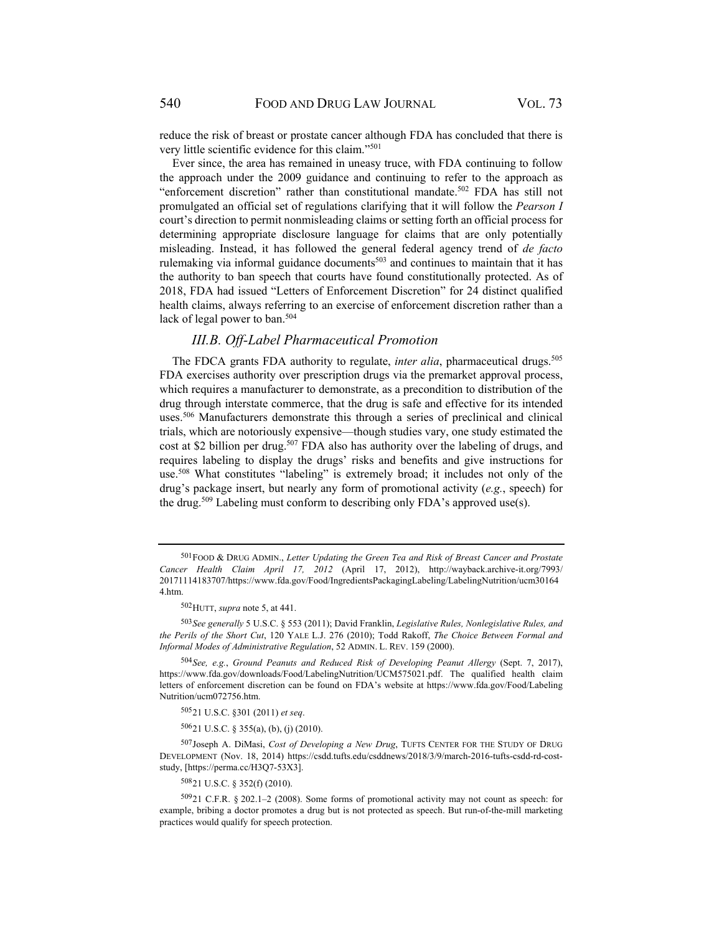reduce the risk of breast or prostate cancer although FDA has concluded that there is very little scientific evidence for this claim."501

Ever since, the area has remained in uneasy truce, with FDA continuing to follow the approach under the 2009 guidance and continuing to refer to the approach as "enforcement discretion" rather than constitutional mandate.<sup>502</sup> FDA has still not promulgated an official set of regulations clarifying that it will follow the *Pearson I* court's direction to permit nonmisleading claims or setting forth an official process for determining appropriate disclosure language for claims that are only potentially misleading. Instead, it has followed the general federal agency trend of *de facto* rulemaking via informal guidance documents<sup>503</sup> and continues to maintain that it has the authority to ban speech that courts have found constitutionally protected. As of 2018, FDA had issued "Letters of Enforcement Discretion" for 24 distinct qualified health claims, always referring to an exercise of enforcement discretion rather than a lack of legal power to ban.<sup>504</sup>

## *III.B. Off-Label Pharmaceutical Promotion*

The FDCA grants FDA authority to regulate, *inter alia*, pharmaceutical drugs.<sup>505</sup> FDA exercises authority over prescription drugs via the premarket approval process, which requires a manufacturer to demonstrate, as a precondition to distribution of the drug through interstate commerce, that the drug is safe and effective for its intended uses.506 Manufacturers demonstrate this through a series of preclinical and clinical trials, which are notoriously expensive—though studies vary, one study estimated the cost at \$2 billion per drug.<sup>507</sup> FDA also has authority over the labeling of drugs, and requires labeling to display the drugs' risks and benefits and give instructions for use.508 What constitutes "labeling" is extremely broad; it includes not only of the drug's package insert, but nearly any form of promotional activity (*e.g.*, speech) for the drug.<sup>509</sup> Labeling must conform to describing only FDA's approved use(s).

505 21 U.S.C. §301 (2011) *et seq*.

506 21 U.S.C. § 355(a), (b), (j) (2010).

507 Joseph A. DiMasi, *Cost of Developing a New Drug*, TUFTS CENTER FOR THE STUDY OF DRUG DEVELOPMENT (Nov. 18, 2014) https://csdd.tufts.edu/csddnews/2018/3/9/march-2016-tufts-csdd-rd-coststudy, [https://perma.cc/H3Q7-53X3].

508 21 U.S.C. § 352(f) (2010).

<sup>501</sup> FOOD & DRUG ADMIN., *Letter Updating the Green Tea and Risk of Breast Cancer and Prostate Cancer Health Claim April 17, 2012* (April 17, 2012), http://wayback.archive-it.org/7993/ 20171114183707/https://www.fda.gov/Food/IngredientsPackagingLabeling/LabelingNutrition/ucm30164 4.htm.

<sup>502</sup> HUTT, *supra* note 5, at 441.

<sup>503</sup> *See generally* 5 U.S.C. § 553 (2011); David Franklin, *Legislative Rules, Nonlegislative Rules, and the Perils of the Short Cut*, 120 YALE L.J. 276 (2010); Todd Rakoff, *The Choice Between Formal and Informal Modes of Administrative Regulation*, 52 ADMIN. L. REV. 159 (2000).

<sup>504</sup> *See, e.g.*, *Ground Peanuts and Reduced Risk of Developing Peanut Allergy* (Sept. 7, 2017), https://www.fda.gov/downloads/Food/LabelingNutrition/UCM575021.pdf. The qualified health claim letters of enforcement discretion can be found on FDA's website at https://www.fda.gov/Food/Labeling Nutrition/ucm072756.htm.

<sup>509 21</sup> C.F.R. § 202.1–2 (2008). Some forms of promotional activity may not count as speech: for example, bribing a doctor promotes a drug but is not protected as speech. But run-of-the-mill marketing practices would qualify for speech protection.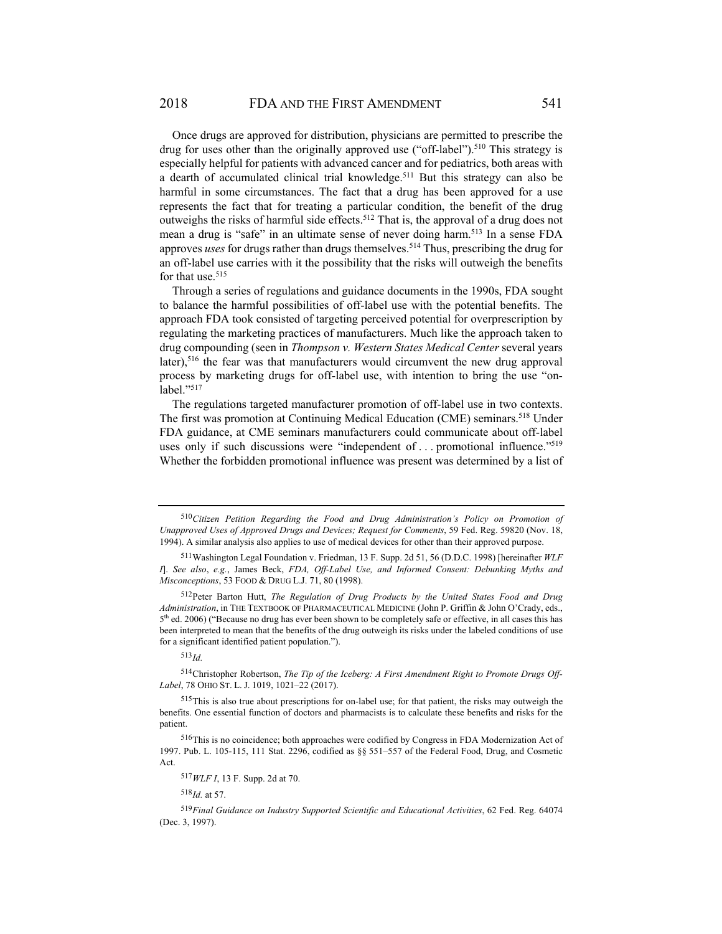Once drugs are approved for distribution, physicians are permitted to prescribe the drug for uses other than the originally approved use ("off-label").<sup>510</sup> This strategy is especially helpful for patients with advanced cancer and for pediatrics, both areas with a dearth of accumulated clinical trial knowledge.<sup>511</sup> But this strategy can also be harmful in some circumstances. The fact that a drug has been approved for a use represents the fact that for treating a particular condition, the benefit of the drug outweighs the risks of harmful side effects.<sup>512</sup> That is, the approval of a drug does not mean a drug is "safe" in an ultimate sense of never doing harm.<sup>513</sup> In a sense FDA approves *uses* for drugs rather than drugs themselves.<sup>514</sup> Thus, prescribing the drug for an off-label use carries with it the possibility that the risks will outweigh the benefits for that use.<sup>515</sup>

Through a series of regulations and guidance documents in the 1990s, FDA sought to balance the harmful possibilities of off-label use with the potential benefits. The approach FDA took consisted of targeting perceived potential for overprescription by regulating the marketing practices of manufacturers. Much like the approach taken to drug compounding (seen in *Thompson v. Western States Medical Center* several years later),<sup>516</sup> the fear was that manufacturers would circumvent the new drug approval process by marketing drugs for off-label use, with intention to bring the use "onlabel."<sup>517</sup>

The regulations targeted manufacturer promotion of off-label use in two contexts. The first was promotion at Continuing Medical Education (CME) seminars.<sup>518</sup> Under FDA guidance, at CME seminars manufacturers could communicate about off-label uses only if such discussions were "independent of ... promotional influence."<sup>519</sup> Whether the forbidden promotional influence was present was determined by a list of

<sup>513</sup> *Id.* 

514 Christopher Robertson, *The Tip of the Iceberg: A First Amendment Right to Promote Drugs Off-Label*, 78 OHIO ST. L. J. 1019, 1021–22 (2017).

 $518$ *Id.* at 57.

<sup>510</sup> *Citizen Petition Regarding the Food and Drug Administration's Policy on Promotion of Unapproved Uses of Approved Drugs and Devices; Request for Comments*, 59 Fed. Reg. 59820 (Nov. 18, 1994). A similar analysis also applies to use of medical devices for other than their approved purpose.

<sup>511</sup> Washington Legal Foundation v. Friedman, 13 F. Supp. 2d 51, 56 (D.D.C. 1998) [hereinafter *WLF I*]. *See also*, *e.g.*, James Beck, *FDA, Off-Label Use, and Informed Consent: Debunking Myths and Misconceptions*, 53 FOOD & DRUG L.J. 71, 80 (1998).

<sup>512</sup> Peter Barton Hutt, *The Regulation of Drug Products by the United States Food and Drug Administration*, in THE TEXTBOOK OF PHARMACEUTICAL MEDICINE (John P. Griffin & John O'Crady, eds., 5th ed. 2006) ("Because no drug has ever been shown to be completely safe or effective, in all cases this has been interpreted to mean that the benefits of the drug outweigh its risks under the labeled conditions of use for a significant identified patient population.").

<sup>515</sup> This is also true about prescriptions for on-label use; for that patient, the risks may outweigh the benefits. One essential function of doctors and pharmacists is to calculate these benefits and risks for the patient.

<sup>516</sup> This is no coincidence; both approaches were codified by Congress in FDA Modernization Act of 1997. Pub. L. 105-115, 111 Stat. 2296, codified as §§ 551–557 of the Federal Food, Drug, and Cosmetic Act.

<sup>517</sup> *WLF I*, 13 F. Supp. 2d at 70.

<sup>519</sup> *Final Guidance on Industry Supported Scientific and Educational Activities*, 62 Fed. Reg. 64074 (Dec. 3, 1997).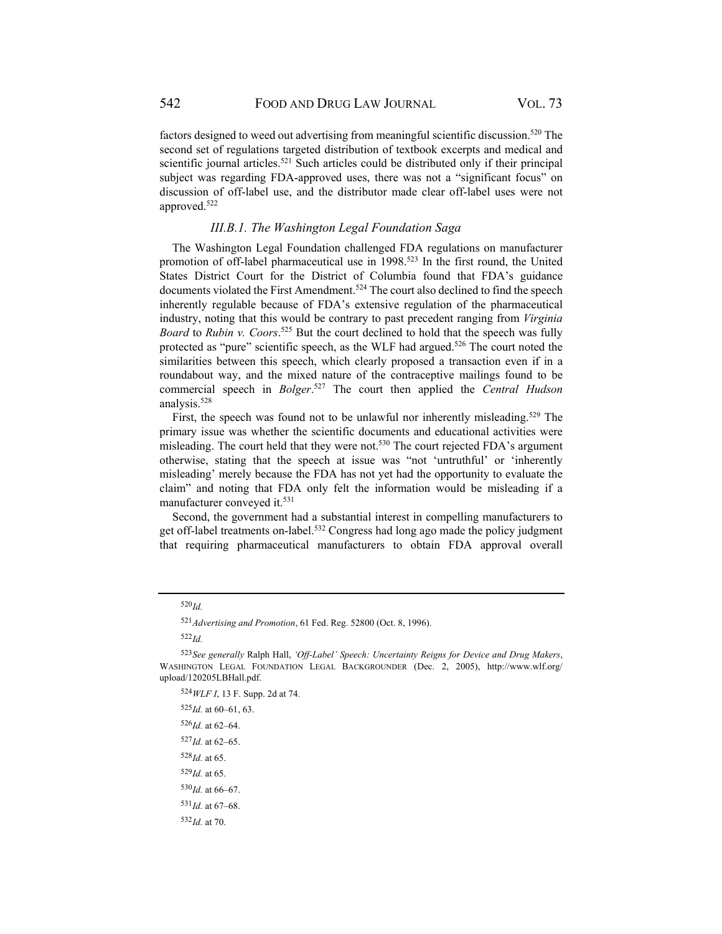factors designed to weed out advertising from meaningful scientific discussion.<sup>520</sup> The second set of regulations targeted distribution of textbook excerpts and medical and scientific journal articles.<sup>521</sup> Such articles could be distributed only if their principal subject was regarding FDA-approved uses, there was not a "significant focus" on discussion of off-label use, and the distributor made clear off-label uses were not approved.522

#### *III.B.1. The Washington Legal Foundation Saga*

The Washington Legal Foundation challenged FDA regulations on manufacturer promotion of off-label pharmaceutical use in 1998.<sup>523</sup> In the first round, the United States District Court for the District of Columbia found that FDA's guidance documents violated the First Amendment.<sup>524</sup> The court also declined to find the speech inherently regulable because of FDA's extensive regulation of the pharmaceutical industry, noting that this would be contrary to past precedent ranging from *Virginia Board* to *Rubin v. Coors*. 525 But the court declined to hold that the speech was fully protected as "pure" scientific speech, as the WLF had argued.<sup>526</sup> The court noted the similarities between this speech, which clearly proposed a transaction even if in a roundabout way, and the mixed nature of the contraceptive mailings found to be commercial speech in *Bolger*. 527 The court then applied the *Central Hudson* analysis.528

First, the speech was found not to be unlawful nor inherently misleading.<sup>529</sup> The primary issue was whether the scientific documents and educational activities were misleading. The court held that they were not.530 The court rejected FDA's argument otherwise, stating that the speech at issue was "not 'untruthful' or 'inherently misleading' merely because the FDA has not yet had the opportunity to evaluate the claim" and noting that FDA only felt the information would be misleading if a manufacturer conveyed it.531

Second, the government had a substantial interest in compelling manufacturers to get off-label treatments on-label.532 Congress had long ago made the policy judgment that requiring pharmaceutical manufacturers to obtain FDA approval overall

<sup>522</sup> *Id.*

<sup>532</sup> *Id.* at 70.

<sup>520</sup> *Id.*

<sup>521</sup> *Advertising and Promotion*, 61 Fed. Reg. 52800 (Oct. 8, 1996).

<sup>523</sup> *See generally* Ralph Hall, *'Off-Label' Speech: Uncertainty Reigns for Device and Drug Makers*, WASHINGTON LEGAL FOUNDATION LEGAL BACKGROUNDER (Dec. 2, 2005), http://www.wlf.org/ upload/120205LBHall.pdf.

<sup>524</sup> *WLF I*, 13 F. Supp. 2d at 74.

<sup>525</sup> *Id.* at 60–61, 63.

<sup>526</sup> *Id.* at 62–64.

<sup>527</sup> *Id.* at 62–65.

<sup>528</sup> *Id.* at 65.

 $529$ *Id.* at 65.

<sup>530</sup>*Id.* at 66-67.

<sup>531</sup> *Id.* at 67–68.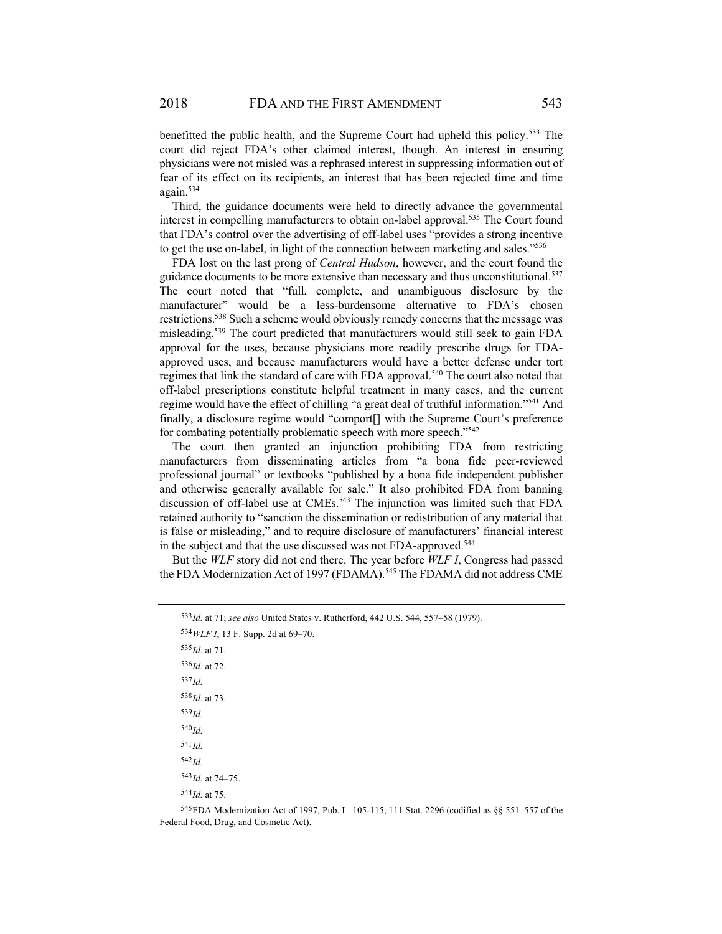benefitted the public health, and the Supreme Court had upheld this policy.<sup>533</sup> The court did reject FDA's other claimed interest, though. An interest in ensuring physicians were not misled was a rephrased interest in suppressing information out of fear of its effect on its recipients, an interest that has been rejected time and time again.534

Third, the guidance documents were held to directly advance the governmental interest in compelling manufacturers to obtain on-label approval.535 The Court found that FDA's control over the advertising of off-label uses "provides a strong incentive to get the use on-label, in light of the connection between marketing and sales."536

FDA lost on the last prong of *Central Hudson*, however, and the court found the guidance documents to be more extensive than necessary and thus unconstitutional.<sup>537</sup> The court noted that "full, complete, and unambiguous disclosure by the manufacturer" would be a less-burdensome alternative to FDA's chosen restrictions.538 Such a scheme would obviously remedy concerns that the message was misleading.539 The court predicted that manufacturers would still seek to gain FDA approval for the uses, because physicians more readily prescribe drugs for FDAapproved uses, and because manufacturers would have a better defense under tort regimes that link the standard of care with FDA approval.540 The court also noted that off-label prescriptions constitute helpful treatment in many cases, and the current regime would have the effect of chilling "a great deal of truthful information."541 And finally, a disclosure regime would "comport[] with the Supreme Court's preference for combating potentially problematic speech with more speech."<sup>542</sup>

The court then granted an injunction prohibiting FDA from restricting manufacturers from disseminating articles from "a bona fide peer-reviewed professional journal" or textbooks "published by a bona fide independent publisher and otherwise generally available for sale." It also prohibited FDA from banning discussion of off-label use at CMEs.<sup>543</sup> The injunction was limited such that FDA retained authority to "sanction the dissemination or redistribution of any material that is false or misleading," and to require disclosure of manufacturers' financial interest in the subject and that the use discussed was not FDA-approved.<sup>544</sup>

But the *WLF* story did not end there. The year before *WLF I*, Congress had passed the FDA Modernization Act of 1997 (FDAMA).<sup>545</sup> The FDAMA did not address CME

<sup>535</sup> *Id.* at 71.  $536$ *Id.* at 72. <sup>537</sup> *Id.* <sup>538</sup> *Id.* at 73. <sup>539</sup> *Id.* <sup>540</sup> *Id.* <sup>541</sup> *Id.* <sup>542</sup> *Id.* <sup>543</sup> *Id.* at 74–75. <sup>544</sup> *Id.* at 75.

545 FDA Modernization Act of 1997, Pub. L. 105-115, 111 Stat. 2296 (codified as §§ 551–557 of the Federal Food, Drug, and Cosmetic Act).

<sup>533</sup> *Id.* at 71; *see also* United States v. Rutherford, 442 U.S. 544, 557–58 (1979).

<sup>534</sup> *WLF I*, 13 F. Supp. 2d at 69–70.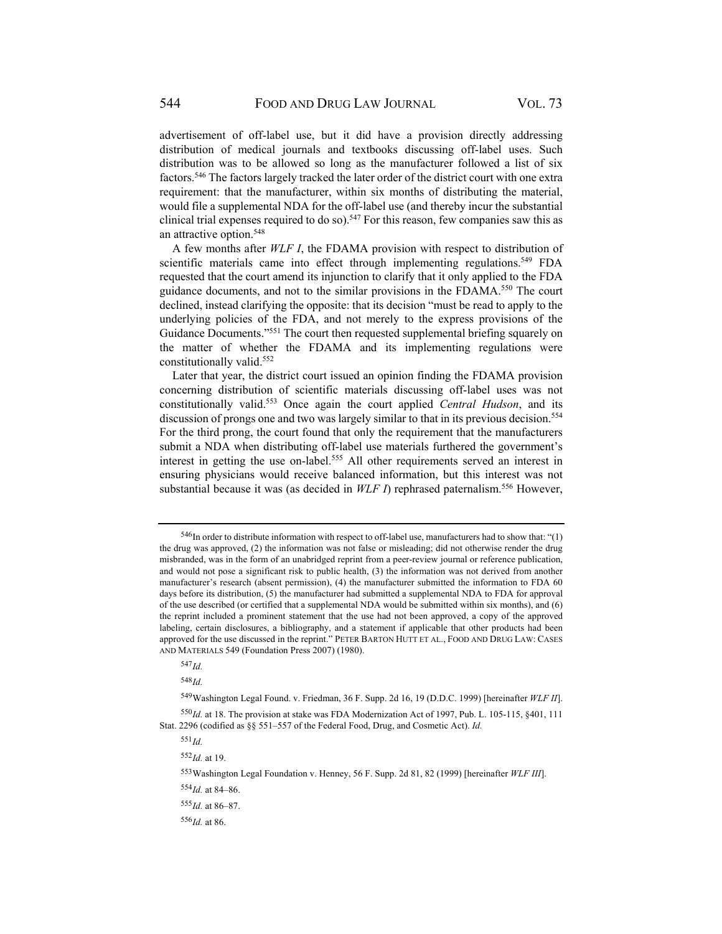advertisement of off-label use, but it did have a provision directly addressing distribution of medical journals and textbooks discussing off-label uses. Such distribution was to be allowed so long as the manufacturer followed a list of six factors.546 The factors largely tracked the later order of the district court with one extra requirement: that the manufacturer, within six months of distributing the material, would file a supplemental NDA for the off-label use (and thereby incur the substantial clinical trial expenses required to do so).<sup>547</sup> For this reason, few companies saw this as an attractive option.<sup>548</sup>

A few months after *WLF I*, the FDAMA provision with respect to distribution of scientific materials came into effect through implementing regulations.<sup>549</sup> FDA requested that the court amend its injunction to clarify that it only applied to the FDA guidance documents, and not to the similar provisions in the FDAMA.550 The court declined, instead clarifying the opposite: that its decision "must be read to apply to the underlying policies of the FDA, and not merely to the express provisions of the Guidance Documents."<sup>551</sup> The court then requested supplemental briefing squarely on the matter of whether the FDAMA and its implementing regulations were constitutionally valid.552

Later that year, the district court issued an opinion finding the FDAMA provision concerning distribution of scientific materials discussing off-label uses was not constitutionally valid.553 Once again the court applied *Central Hudson*, and its discussion of prongs one and two was largely similar to that in its previous decision.<sup>554</sup> For the third prong, the court found that only the requirement that the manufacturers submit a NDA when distributing off-label use materials furthered the government's interest in getting the use on-label.555 All other requirements served an interest in ensuring physicians would receive balanced information, but this interest was not substantial because it was (as decided in *WLF I*) rephrased paternalism.<sup>556</sup> However,

<sup>548</sup> *Id.*

549 Washington Legal Found. v. Friedman, 36 F. Supp. 2d 16, 19 (D.D.C. 1999) [hereinafter *WLF II*].

<sup>546</sup> In order to distribute information with respect to off-label use, manufacturers had to show that: "(1) the drug was approved, (2) the information was not false or misleading; did not otherwise render the drug misbranded, was in the form of an unabridged reprint from a peer-review journal or reference publication, and would not pose a significant risk to public health, (3) the information was not derived from another manufacturer's research (absent permission), (4) the manufacturer submitted the information to FDA 60 days before its distribution, (5) the manufacturer had submitted a supplemental NDA to FDA for approval of the use described (or certified that a supplemental NDA would be submitted within six months), and (6) the reprint included a prominent statement that the use had not been approved, a copy of the approved labeling, certain disclosures, a bibliography, and a statement if applicable that other products had been approved for the use discussed in the reprint." PETER BARTON HUTT ET AL., FOOD AND DRUG LAW: CASES AND MATERIALS 549 (Foundation Press 2007) (1980).

<sup>547</sup> *Id.*

 $550 \text{Id}$ , at 18. The provision at stake was FDA Modernization Act of 1997, Pub. L. 105-115, §401, 111 Stat. 2296 (codified as §§ 551–557 of the Federal Food, Drug, and Cosmetic Act). *Id.*

 $552$ *Id.* at 19.

<sup>553</sup> Washington Legal Foundation v. Henney, 56 F. Supp. 2d 81, 82 (1999) [hereinafter *WLF III*].

<sup>554</sup> *Id.* at 84–86.

<sup>555</sup> *Id.* at 86–87.

 $556$ *Id.* at 86.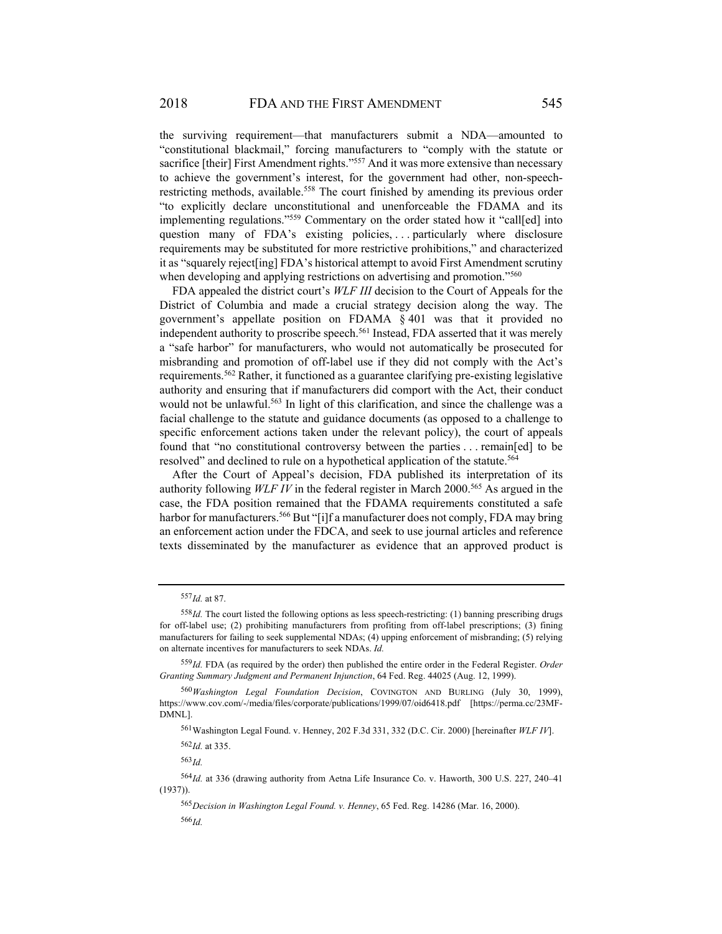the surviving requirement—that manufacturers submit a NDA—amounted to "constitutional blackmail," forcing manufacturers to "comply with the statute or sacrifice [their] First Amendment rights."<sup>557</sup> And it was more extensive than necessary to achieve the government's interest, for the government had other, non-speechrestricting methods, available.<sup>558</sup> The court finished by amending its previous order "to explicitly declare unconstitutional and unenforceable the FDAMA and its implementing regulations."559 Commentary on the order stated how it "call[ed] into question many of FDA's existing policies, ... particularly where disclosure requirements may be substituted for more restrictive prohibitions," and characterized it as "squarely reject[ing] FDA's historical attempt to avoid First Amendment scrutiny when developing and applying restrictions on advertising and promotion."<sup>560</sup>

FDA appealed the district court's *WLF III* decision to the Court of Appeals for the District of Columbia and made a crucial strategy decision along the way. The government's appellate position on FDAMA § 401 was that it provided no independent authority to proscribe speech.<sup>561</sup> Instead, FDA asserted that it was merely a "safe harbor" for manufacturers, who would not automatically be prosecuted for misbranding and promotion of off-label use if they did not comply with the Act's requirements.562 Rather, it functioned as a guarantee clarifying pre-existing legislative authority and ensuring that if manufacturers did comport with the Act, their conduct would not be unlawful.<sup>563</sup> In light of this clarification, and since the challenge was a facial challenge to the statute and guidance documents (as opposed to a challenge to specific enforcement actions taken under the relevant policy), the court of appeals found that "no constitutional controversy between the parties . . . remain[ed] to be resolved" and declined to rule on a hypothetical application of the statute.<sup>564</sup>

After the Court of Appeal's decision, FDA published its interpretation of its authority following *WLF IV* in the federal register in March 2000.<sup>565</sup> As argued in the case, the FDA position remained that the FDAMA requirements constituted a safe harbor for manufacturers.<sup>566</sup> But "[i]f a manufacturer does not comply, FDA may bring an enforcement action under the FDCA, and seek to use journal articles and reference texts disseminated by the manufacturer as evidence that an approved product is

<sup>557</sup> *Id.* at 87.

 $558 \text{ Id}$ . The court listed the following options as less speech-restricting: (1) banning prescribing drugs for off-label use; (2) prohibiting manufacturers from profiting from off-label prescriptions; (3) fining manufacturers for failing to seek supplemental NDAs; (4) upping enforcement of misbranding; (5) relying on alternate incentives for manufacturers to seek NDAs. *Id.*

<sup>559</sup> *Id.* FDA (as required by the order) then published the entire order in the Federal Register. *Order Granting Summary Judgment and Permanent Injunction*, 64 Fed. Reg. 44025 (Aug. 12, 1999).

<sup>560</sup> *Washington Legal Foundation Decision*, COVINGTON AND BURLING (July 30, 1999), https://www.cov.com/-/media/files/corporate/publications/1999/07/oid6418.pdf [https://perma.cc/23MF-DMNL].

<sup>561</sup> Washington Legal Found. v. Henney, 202 F.3d 331, 332 (D.C. Cir. 2000) [hereinafter *WLF IV*].

<sup>562</sup> *Id.* at 335.

<sup>564</sup> *Id.* at 336 (drawing authority from Aetna Life Insurance Co. v. Haworth, 300 U.S. 227, 240–41 (1937)).

<sup>565</sup> *Decision in Washington Legal Found. v. Henney*, 65 Fed. Reg. 14286 (Mar. 16, 2000). <sup>566</sup> *Id.*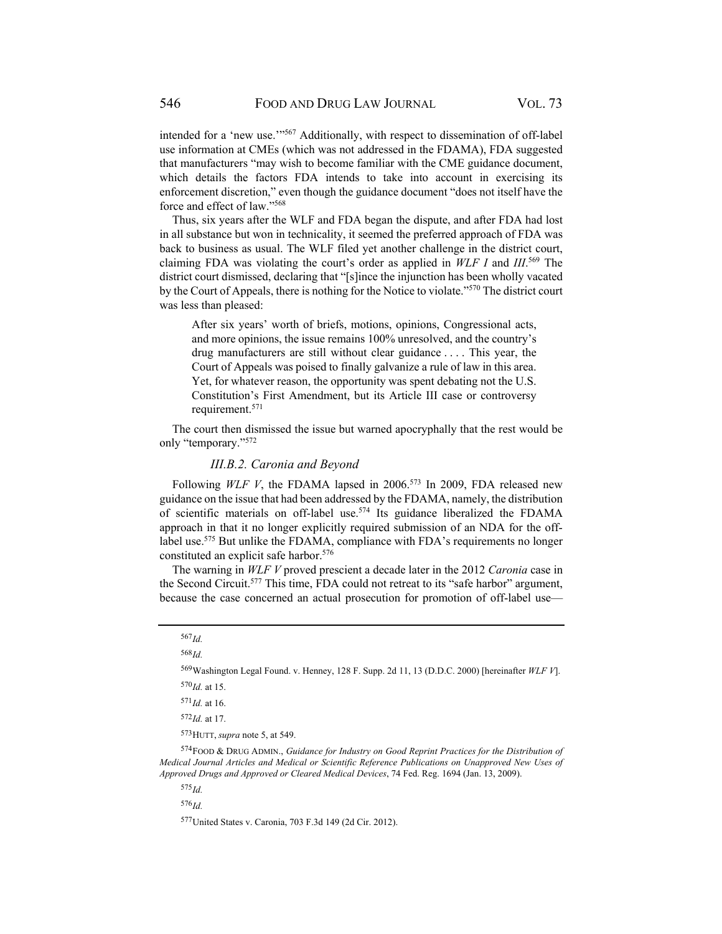intended for a 'new use.'"567 Additionally, with respect to dissemination of off-label use information at CMEs (which was not addressed in the FDAMA), FDA suggested that manufacturers "may wish to become familiar with the CME guidance document, which details the factors FDA intends to take into account in exercising its enforcement discretion," even though the guidance document "does not itself have the force and effect of law."568

Thus, six years after the WLF and FDA began the dispute, and after FDA had lost in all substance but won in technicality, it seemed the preferred approach of FDA was back to business as usual. The WLF filed yet another challenge in the district court, claiming FDA was violating the court's order as applied in *WLF I* and *III*. 569 The district court dismissed, declaring that "[s]ince the injunction has been wholly vacated by the Court of Appeals, there is nothing for the Notice to violate."570 The district court was less than pleased:

After six years' worth of briefs, motions, opinions, Congressional acts, and more opinions, the issue remains 100% unresolved, and the country's drug manufacturers are still without clear guidance . . . . This year, the Court of Appeals was poised to finally galvanize a rule of law in this area. Yet, for whatever reason, the opportunity was spent debating not the U.S. Constitution's First Amendment, but its Article III case or controversy requirement.571

The court then dismissed the issue but warned apocryphally that the rest would be only "temporary."572

#### *III.B.2. Caronia and Beyond*

Following *WLF V*, the FDAMA lapsed in 2006.<sup>573</sup> In 2009, FDA released new guidance on the issue that had been addressed by the FDAMA, namely, the distribution of scientific materials on off-label use.574 Its guidance liberalized the FDAMA approach in that it no longer explicitly required submission of an NDA for the offlabel use.<sup>575</sup> But unlike the FDAMA, compliance with FDA's requirements no longer constituted an explicit safe harbor.576

The warning in *WLF V* proved prescient a decade later in the 2012 *Caronia* case in the Second Circuit.<sup>577</sup> This time, FDA could not retreat to its "safe harbor" argument, because the case concerned an actual prosecution for promotion of off-label use—

<sup>568</sup> *Id.*

569 Washington Legal Found. v. Henney, 128 F. Supp. 2d 11, 13 (D.D.C. 2000) [hereinafter *WLF V*].

<sup>572</sup> *Id.* at 17.

574 FOOD & DRUG ADMIN., *Guidance for Industry on Good Reprint Practices for the Distribution of Medical Journal Articles and Medical or Scientific Reference Publications on Unapproved New Uses of Approved Drugs and Approved or Cleared Medical Devices*, 74 Fed. Reg. 1694 (Jan. 13, 2009).

<sup>575</sup> *Id.*

<sup>576</sup> *Id.*

577 United States v. Caronia, 703 F.3d 149 (2d Cir. 2012).

<sup>567</sup> *Id.* 

<sup>570</sup> *Id.* at 15.

<sup>571</sup> *Id.* at 16.

<sup>573</sup> HUTT, *supra* note 5, at 549.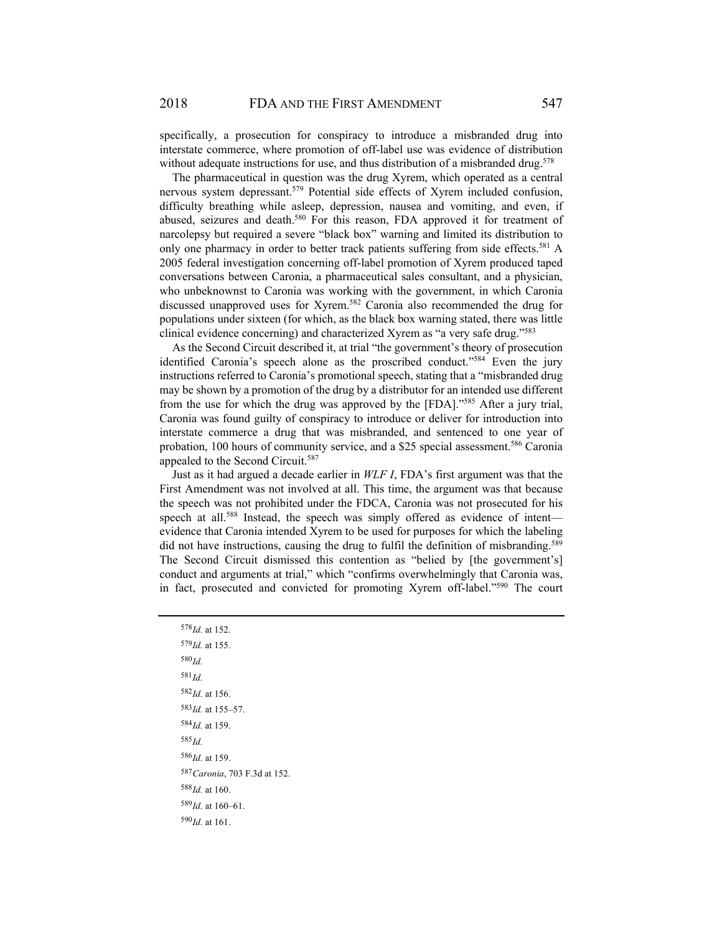specifically, a prosecution for conspiracy to introduce a misbranded drug into interstate commerce, where promotion of off-label use was evidence of distribution without adequate instructions for use, and thus distribution of a misbranded drug.<sup>578</sup>

The pharmaceutical in question was the drug Xyrem, which operated as a central nervous system depressant.<sup>579</sup> Potential side effects of Xyrem included confusion, difficulty breathing while asleep, depression, nausea and vomiting, and even, if abused, seizures and death.<sup>580</sup> For this reason, FDA approved it for treatment of narcolepsy but required a severe "black box" warning and limited its distribution to only one pharmacy in order to better track patients suffering from side effects.<sup>581</sup> A 2005 federal investigation concerning off-label promotion of Xyrem produced taped conversations between Caronia, a pharmaceutical sales consultant, and a physician, who unbeknownst to Caronia was working with the government, in which Caronia discussed unapproved uses for Xyrem.582 Caronia also recommended the drug for populations under sixteen (for which, as the black box warning stated, there was little clinical evidence concerning) and characterized Xyrem as "a very safe drug."583

As the Second Circuit described it, at trial "the government's theory of prosecution identified Caronia's speech alone as the proscribed conduct."<sup>584</sup> Even the jury instructions referred to Caronia's promotional speech, stating that a "misbranded drug may be shown by a promotion of the drug by a distributor for an intended use different from the use for which the drug was approved by the [FDA]."585 After a jury trial, Caronia was found guilty of conspiracy to introduce or deliver for introduction into interstate commerce a drug that was misbranded, and sentenced to one year of probation, 100 hours of community service, and a \$25 special assessment.<sup>586</sup> Caronia appealed to the Second Circuit.<sup>587</sup>

Just as it had argued a decade earlier in *WLF I*, FDA's first argument was that the First Amendment was not involved at all. This time, the argument was that because the speech was not prohibited under the FDCA, Caronia was not prosecuted for his speech at all.<sup>588</sup> Instead, the speech was simply offered as evidence of intent evidence that Caronia intended Xyrem to be used for purposes for which the labeling did not have instructions, causing the drug to fulfil the definition of misbranding.<sup>589</sup> The Second Circuit dismissed this contention as "belied by [the government's] conduct and arguments at trial," which "confirms overwhelmingly that Caronia was, in fact, prosecuted and convicted for promoting Xyrem off-label."590 The court

 *Id.* at 152.  *Id.* at 155. <sup>580</sup> *Id.* <sup>581</sup> *Id. Id.* at 156.  *Id.* at 155–57.  *Id.* at 159. <sup>585</sup> *Id. Id.* at 159.  *Caronia*, 703 F.3d at 152.  *Id.* at 160.  *Id.* at 160–61.  *Id.* at 161.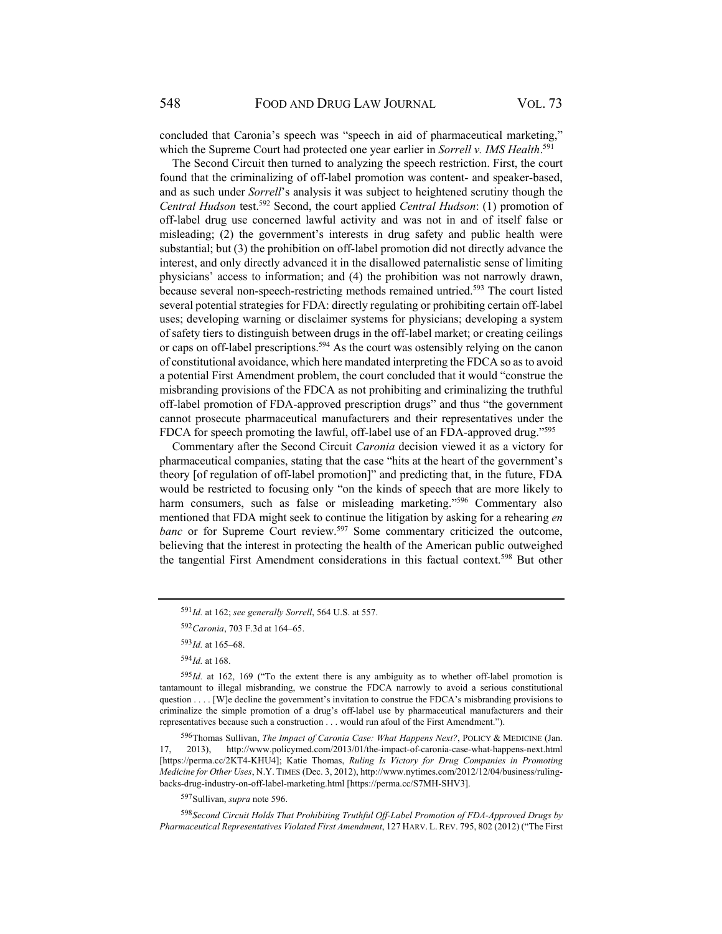concluded that Caronia's speech was "speech in aid of pharmaceutical marketing," which the Supreme Court had protected one year earlier in *Sorrell v. IMS Health*. 591

The Second Circuit then turned to analyzing the speech restriction. First, the court found that the criminalizing of off-label promotion was content- and speaker-based, and as such under *Sorrell*'s analysis it was subject to heightened scrutiny though the *Central Hudson* test.592 Second, the court applied *Central Hudson*: (1) promotion of off-label drug use concerned lawful activity and was not in and of itself false or misleading; (2) the government's interests in drug safety and public health were substantial; but (3) the prohibition on off-label promotion did not directly advance the interest, and only directly advanced it in the disallowed paternalistic sense of limiting physicians' access to information; and (4) the prohibition was not narrowly drawn, because several non-speech-restricting methods remained untried. 593 The court listed several potential strategies for FDA: directly regulating or prohibiting certain off-label uses; developing warning or disclaimer systems for physicians; developing a system of safety tiers to distinguish between drugs in the off-label market; or creating ceilings or caps on off-label prescriptions.<sup>594</sup> As the court was ostensibly relying on the canon of constitutional avoidance, which here mandated interpreting the FDCA so as to avoid a potential First Amendment problem, the court concluded that it would "construe the misbranding provisions of the FDCA as not prohibiting and criminalizing the truthful off-label promotion of FDA-approved prescription drugs" and thus "the government cannot prosecute pharmaceutical manufacturers and their representatives under the FDCA for speech promoting the lawful, off-label use of an FDA-approved drug."<sup>595</sup>

Commentary after the Second Circuit *Caronia* decision viewed it as a victory for pharmaceutical companies, stating that the case "hits at the heart of the government's theory [of regulation of off-label promotion]" and predicting that, in the future, FDA would be restricted to focusing only "on the kinds of speech that are more likely to harm consumers, such as false or misleading marketing."<sup>596</sup> Commentary also mentioned that FDA might seek to continue the litigation by asking for a rehearing *en banc* or for Supreme Court review.<sup>597</sup> Some commentary criticized the outcome, believing that the interest in protecting the health of the American public outweighed the tangential First Amendment considerations in this factual context.598 But other

<sup>598</sup> *Second Circuit Holds That Prohibiting Truthful Off-Label Promotion of FDA-Approved Drugs by Pharmaceutical Representatives Violated First Amendment*, 127 HARV. L. REV. 795, 802 (2012) ("The First

<sup>591</sup> *Id.* at 162; *see generally Sorrell*, 564 U.S. at 557.

<sup>592</sup> *Caronia*, 703 F.3d at 164–65.

<sup>593</sup> *Id.* at 165–68.

 $594$ *Id.* at 168.

<sup>595</sup>Id. at 162, 169 ("To the extent there is any ambiguity as to whether off-label promotion is tantamount to illegal misbranding, we construe the FDCA narrowly to avoid a serious constitutional question . . . . [W]e decline the government's invitation to construe the FDCA's misbranding provisions to criminalize the simple promotion of a drug's off-label use by pharmaceutical manufacturers and their representatives because such a construction . . . would run afoul of the First Amendment.").

<sup>596</sup> Thomas Sullivan, *The Impact of Caronia Case: What Happens Next?*, POLICY & MEDICINE (Jan. 17, 2013), http://www.policymed.com/2013/01/the-impact-of-caronia-case-what-happens-next.html [https://perma.cc/2KT4-KHU4]; Katie Thomas, *Ruling Is Victory for Drug Companies in Promoting Medicine for Other Uses*, N.Y. TIMES (Dec. 3, 2012), http://www.nytimes.com/2012/12/04/business/rulingbacks-drug-industry-on-off-label-marketing.html [https://perma.cc/S7MH-SHV3].

<sup>597</sup> Sullivan, *supra* note 596.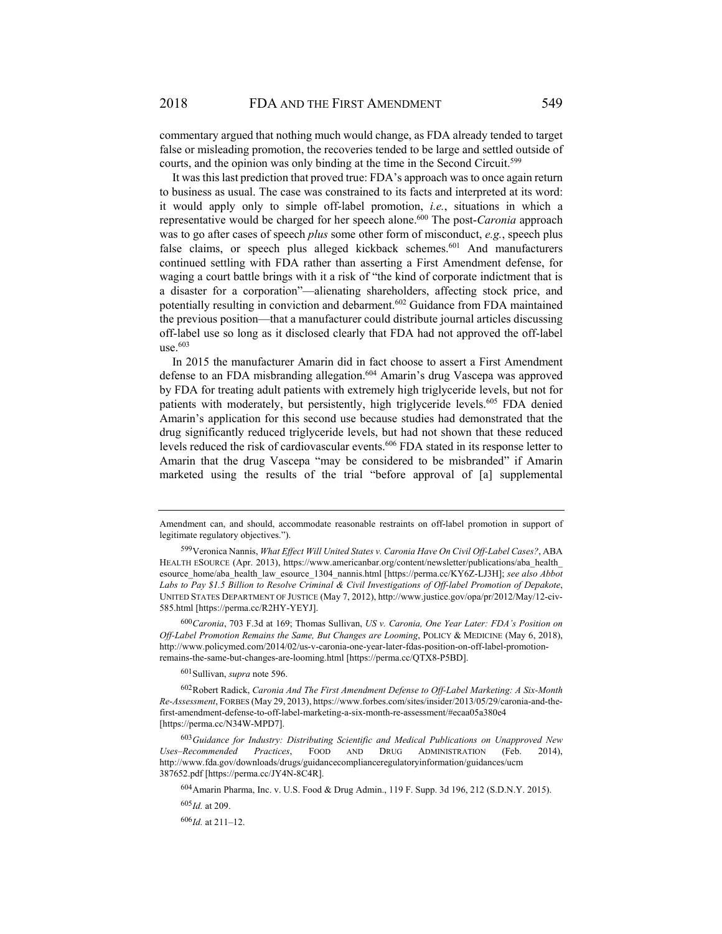commentary argued that nothing much would change, as FDA already tended to target false or misleading promotion, the recoveries tended to be large and settled outside of courts, and the opinion was only binding at the time in the Second Circuit.<sup>599</sup>

It was this last prediction that proved true: FDA's approach was to once again return to business as usual. The case was constrained to its facts and interpreted at its word: it would apply only to simple off-label promotion, *i.e.*, situations in which a representative would be charged for her speech alone.<sup>600</sup> The post-*Caronia* approach was to go after cases of speech *plus* some other form of misconduct, *e.g.*, speech plus false claims, or speech plus alleged kickback schemes.<sup>601</sup> And manufacturers continued settling with FDA rather than asserting a First Amendment defense, for waging a court battle brings with it a risk of "the kind of corporate indictment that is a disaster for a corporation"—alienating shareholders, affecting stock price, and potentially resulting in conviction and debarment.602 Guidance from FDA maintained the previous position—that a manufacturer could distribute journal articles discussing off-label use so long as it disclosed clearly that FDA had not approved the off-label  $use<sup>603</sup>$ 

In 2015 the manufacturer Amarin did in fact choose to assert a First Amendment defense to an FDA misbranding allegation.<sup>604</sup> Amarin's drug Vascepa was approved by FDA for treating adult patients with extremely high triglyceride levels, but not for patients with moderately, but persistently, high triglyceride levels.<sup>605</sup> FDA denied Amarin's application for this second use because studies had demonstrated that the drug significantly reduced triglyceride levels, but had not shown that these reduced levels reduced the risk of cardiovascular events.<sup>606</sup> FDA stated in its response letter to Amarin that the drug Vascepa "may be considered to be misbranded" if Amarin marketed using the results of the trial "before approval of [a] supplemental

601 Sullivan, *supra* note 596.

Amendment can, and should, accommodate reasonable restraints on off-label promotion in support of legitimate regulatory objectives.").

<sup>599</sup> Veronica Nannis, *What Effect Will United States v. Caronia Have On Civil Off-Label Cases?*, ABA HEALTH ESOURCE (Apr. 2013), https://www.americanbar.org/content/newsletter/publications/aba\_health\_ esource\_home/aba\_health\_law\_esource\_1304\_nannis.html [https://perma.cc/KY6Z-LJ3H]; *see also Abbot Labs to Pay \$1.5 Billion to Resolve Criminal & Civil Investigations of Off-label Promotion of Depakote*, UNITED STATES DEPARTMENT OF JUSTICE (May 7, 2012), http://www.justice.gov/opa/pr/2012/May/12-civ-585.html [https://perma.cc/R2HY-YEYJ].

<sup>600</sup> *Caronia*, 703 F.3d at 169; Thomas Sullivan, *US v. Caronia, One Year Later: FDA's Position on Off-Label Promotion Remains the Same, But Changes are Looming*, POLICY & MEDICINE (May 6, 2018), http://www.policymed.com/2014/02/us-v-caronia-one-year-later-fdas-position-on-off-label-promotionremains-the-same-but-changes-are-looming.html [https://perma.cc/QTX8-P5BD].

<sup>602</sup> Robert Radick, *Caronia And The First Amendment Defense to Off-Label Marketing: A Six-Month Re-Assessment*, FORBES (May 29, 2013), https://www.forbes.com/sites/insider/2013/05/29/caronia-and-thefirst-amendment-defense-to-off-label-marketing-a-six-month-re-assessment/#ecaa05a380e4 [https://perma.cc/N34W-MPD7].

<sup>603</sup> *Guidance for Industry: Distributing Scientific and Medical Publications on Unapproved New Uses–Recommended Practices*, FOOD AND DRUG ADMINISTRATION (Feb. 2014), http://www.fda.gov/downloads/drugs/guidancecomplianceregulatoryinformation/guidances/ucm 387652.pdf [https://perma.cc/JY4N-8C4R].

<sup>604</sup>Amarin Pharma, Inc. v. U.S. Food & Drug Admin., 119 F. Supp. 3d 196, 212 (S.D.N.Y. 2015).

<sup>605</sup> *Id.* at 209.

<sup>606</sup> *Id.* at 211–12.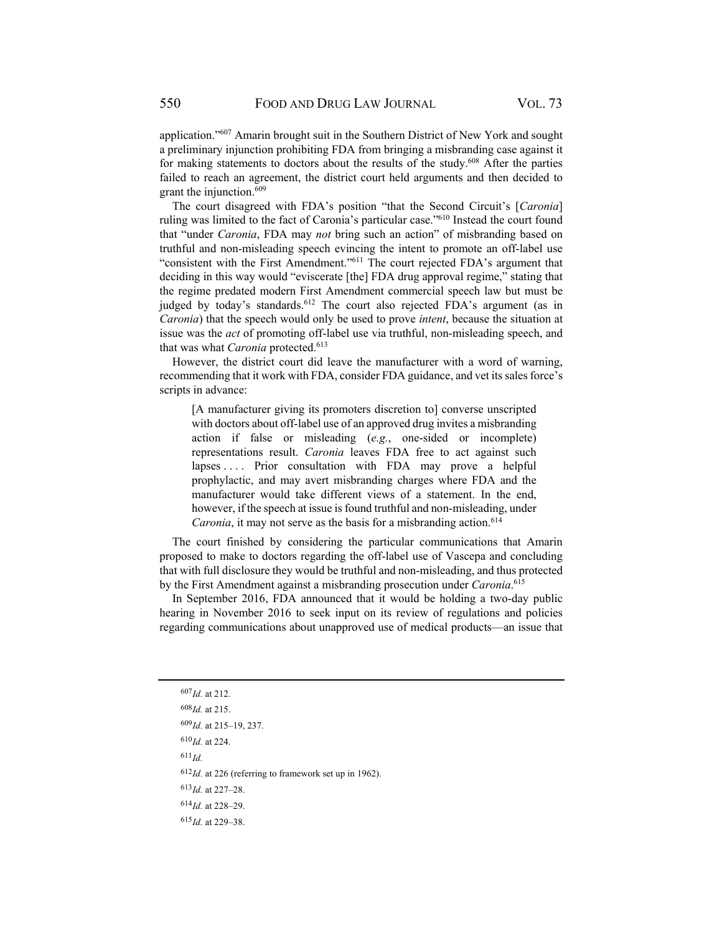application."607 Amarin brought suit in the Southern District of New York and sought a preliminary injunction prohibiting FDA from bringing a misbranding case against it for making statements to doctors about the results of the study.<sup>608</sup> After the parties failed to reach an agreement, the district court held arguments and then decided to grant the injunction.<sup>609</sup>

The court disagreed with FDA's position "that the Second Circuit's [*Caronia*] ruling was limited to the fact of Caronia's particular case."610 Instead the court found that "under *Caronia*, FDA may *not* bring such an action" of misbranding based on truthful and non-misleading speech evincing the intent to promote an off-label use "consistent with the First Amendment."611 The court rejected FDA's argument that deciding in this way would "eviscerate [the] FDA drug approval regime," stating that the regime predated modern First Amendment commercial speech law but must be judged by today's standards.<sup>612</sup> The court also rejected FDA's argument (as in *Caronia*) that the speech would only be used to prove *intent*, because the situation at issue was the *act* of promoting off-label use via truthful, non-misleading speech, and that was what *Caronia* protected.<sup>613</sup>

However, the district court did leave the manufacturer with a word of warning, recommending that it work with FDA, consider FDA guidance, and vet its sales force's scripts in advance:

[A manufacturer giving its promoters discretion to] converse unscripted with doctors about off-label use of an approved drug invites a misbranding action if false or misleading (*e.g.*, one-sided or incomplete) representations result. *Caronia* leaves FDA free to act against such lapses .... Prior consultation with FDA may prove a helpful prophylactic, and may avert misbranding charges where FDA and the manufacturer would take different views of a statement. In the end, however, if the speech at issue is found truthful and non-misleading, under *Caronia*, it may not serve as the basis for a misbranding action.<sup>614</sup>

The court finished by considering the particular communications that Amarin proposed to make to doctors regarding the off-label use of Vascepa and concluding that with full disclosure they would be truthful and non-misleading, and thus protected by the First Amendment against a misbranding prosecution under *Caronia*. 615

In September 2016, FDA announced that it would be holding a two-day public hearing in November 2016 to seek input on its review of regulations and policies regarding communications about unapproved use of medical products—an issue that

 $611$ *Id.* 

<sup>612</sup> *Id.* at 226 (referring to framework set up in 1962).

- <sup>613</sup> *Id.* at 227–28.
- <sup>614</sup> *Id.* at 228–29.
- <sup>615</sup> *Id.* at 229–38.

<sup>607</sup> *Id.* at 212.

<sup>608</sup> *Id.* at 215.

<sup>609</sup> *Id.* at 215–19, 237.

<sup>610</sup> *Id.* at 224.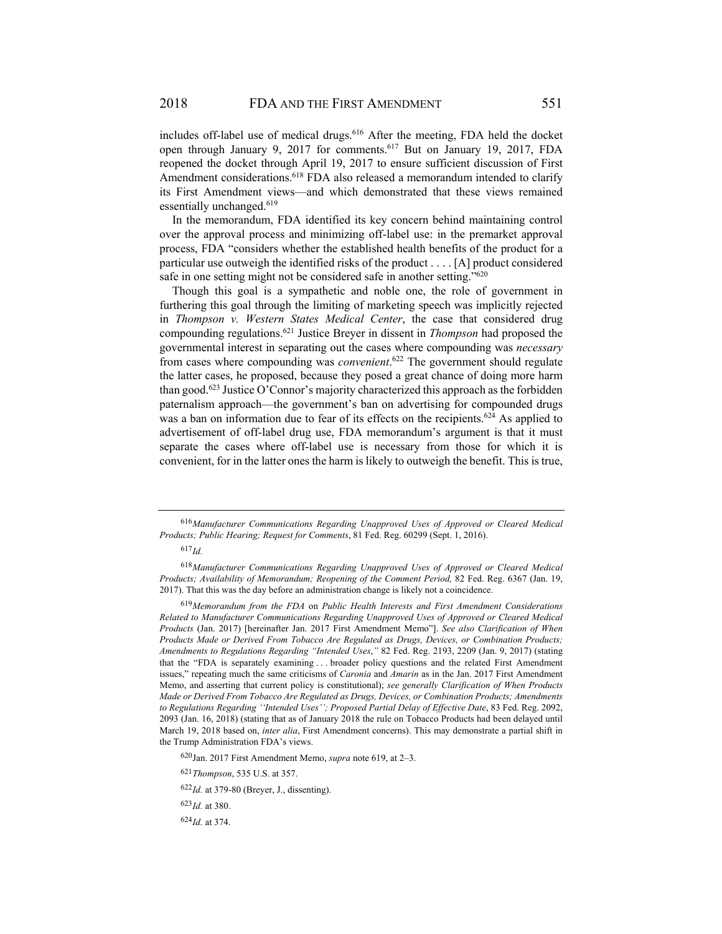includes off-label use of medical drugs.<sup>616</sup> After the meeting, FDA held the docket open through January 9, 2017 for comments.<sup>617</sup> But on January 19, 2017, FDA reopened the docket through April 19, 2017 to ensure sufficient discussion of First Amendment considerations.<sup>618</sup> FDA also released a memorandum intended to clarify its First Amendment views—and which demonstrated that these views remained essentially unchanged.<sup>619</sup>

In the memorandum, FDA identified its key concern behind maintaining control over the approval process and minimizing off-label use: in the premarket approval process, FDA "considers whether the established health benefits of the product for a particular use outweigh the identified risks of the product . . . . [A] product considered safe in one setting might not be considered safe in another setting."<sup>620</sup>

Though this goal is a sympathetic and noble one, the role of government in furthering this goal through the limiting of marketing speech was implicitly rejected in *Thompson v. Western States Medical Center*, the case that considered drug compounding regulations.621 Justice Breyer in dissent in *Thompson* had proposed the governmental interest in separating out the cases where compounding was *necessary* from cases where compounding was *convenient*. 622 The government should regulate the latter cases, he proposed, because they posed a great chance of doing more harm than good.<sup>623</sup> Justice O'Connor's majority characterized this approach as the forbidden paternalism approach—the government's ban on advertising for compounded drugs was a ban on information due to fear of its effects on the recipients.<sup>624</sup> As applied to advertisement of off-label drug use, FDA memorandum's argument is that it must separate the cases where off-label use is necessary from those for which it is convenient, for in the latter ones the harm is likely to outweigh the benefit. This is true,

<sup>616</sup> *Manufacturer Communications Regarding Unapproved Uses of Approved or Cleared Medical Products; Public Hearing; Request for Comments*, 81 Fed. Reg. 60299 (Sept. 1, 2016).

<sup>618</sup> *Manufacturer Communications Regarding Unapproved Uses of Approved or Cleared Medical Products; Availability of Memorandum; Reopening of the Comment Period,* 82 Fed. Reg. 6367 (Jan. 19, 2017). That this was the day before an administration change is likely not a coincidence.

<sup>619</sup> *Memorandum from the FDA* on *Public Health Interests and First Amendment Considerations Related to Manufacturer Communications Regarding Unapproved Uses of Approved or Cleared Medical Products* (Jan. 2017) [hereinafter Jan. 2017 First Amendment Memo"]. *See also Clarification of When Products Made or Derived From Tobacco Are Regulated as Drugs, Devices, or Combination Products; Amendments to Regulations Regarding "Intended Uses*,*"* 82 Fed. Reg. 2193, 2209 (Jan. 9, 2017) (stating that the "FDA is separately examining . . . broader policy questions and the related First Amendment issues," repeating much the same criticisms of *Caronia* and *Amarin* as in the Jan. 2017 First Amendment Memo, and asserting that current policy is constitutional); *see generally Clarification of When Products Made or Derived From Tobacco Are Regulated as Drugs, Devices, or Combination Products; Amendments to Regulations Regarding ''Intended Uses''; Proposed Partial Delay of Effective Date*, 83 Fed. Reg. 2092, 2093 (Jan. 16, 2018) (stating that as of January 2018 the rule on Tobacco Products had been delayed until March 19, 2018 based on, *inter alia*, First Amendment concerns). This may demonstrate a partial shift in the Trump Administration FDA's views.

<sup>620</sup> Jan. 2017 First Amendment Memo, *supra* note 619, at 2–3.

<sup>621</sup> *Thompson*, 535 U.S. at 357.

<sup>622</sup> *Id.* at 379-80 (Breyer, J., dissenting).

<sup>623</sup> *Id.* at 380.

 $624$ *Id.* at 374.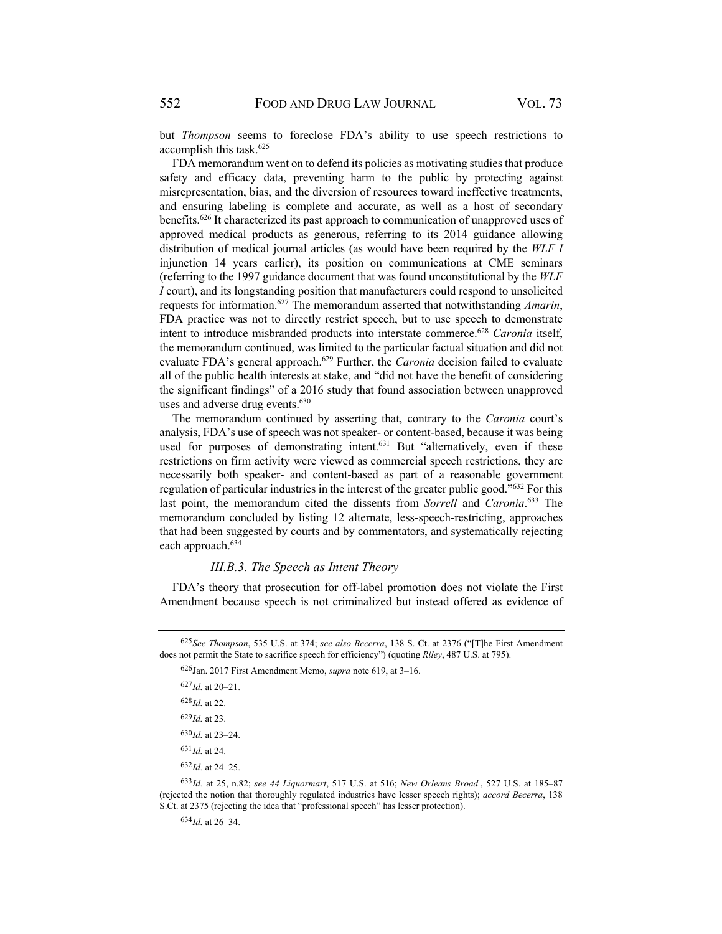but *Thompson* seems to foreclose FDA's ability to use speech restrictions to accomplish this task.625

FDA memorandum went on to defend its policies as motivating studies that produce safety and efficacy data, preventing harm to the public by protecting against misrepresentation, bias, and the diversion of resources toward ineffective treatments, and ensuring labeling is complete and accurate, as well as a host of secondary benefits.<sup>626</sup> It characterized its past approach to communication of unapproved uses of approved medical products as generous, referring to its 2014 guidance allowing distribution of medical journal articles (as would have been required by the *WLF I*  injunction 14 years earlier), its position on communications at CME seminars (referring to the 1997 guidance document that was found unconstitutional by the *WLF I* court), and its longstanding position that manufacturers could respond to unsolicited requests for information.627 The memorandum asserted that notwithstanding *Amarin*, FDA practice was not to directly restrict speech, but to use speech to demonstrate intent to introduce misbranded products into interstate commerce.628 *Caronia* itself, the memorandum continued, was limited to the particular factual situation and did not evaluate FDA's general approach.<sup>629</sup> Further, the *Caronia* decision failed to evaluate all of the public health interests at stake, and "did not have the benefit of considering the significant findings" of a 2016 study that found association between unapproved uses and adverse drug events.<sup>630</sup>

The memorandum continued by asserting that, contrary to the *Caronia* court's analysis, FDA's use of speech was not speaker- or content-based, because it was being used for purposes of demonstrating intent.<sup>631</sup> But "alternatively, even if these restrictions on firm activity were viewed as commercial speech restrictions, they are necessarily both speaker- and content-based as part of a reasonable government regulation of particular industries in the interest of the greater public good."632 For this last point, the memorandum cited the dissents from *Sorrell* and *Caronia*. 633 The memorandum concluded by listing 12 alternate, less-speech-restricting, approaches that had been suggested by courts and by commentators, and systematically rejecting each approach.634

#### *III.B.3. The Speech as Intent Theory*

FDA's theory that prosecution for off-label promotion does not violate the First Amendment because speech is not criminalized but instead offered as evidence of

626 Jan. 2017 First Amendment Memo, *supra* note 619, at 3–16.

- <sup>631</sup> *Id.* at 24.
- $632$ *Id.* at 24–25.

 $634$ *Id.* at 26–34.

<sup>625</sup> *See Thompson*, 535 U.S. at 374; *see also Becerra*, 138 S. Ct. at 2376 ("[T]he First Amendment does not permit the State to sacrifice speech for efficiency") (quoting *Riley*, 487 U.S. at 795).

<sup>633</sup> *Id.* at 25, n.82; *see 44 Liquormart*, 517 U.S. at 516; *New Orleans Broad.*, 527 U.S. at 185–87 (rejected the notion that thoroughly regulated industries have lesser speech rights); *accord Becerra*, 138 S.Ct. at 2375 (rejecting the idea that "professional speech" has lesser protection).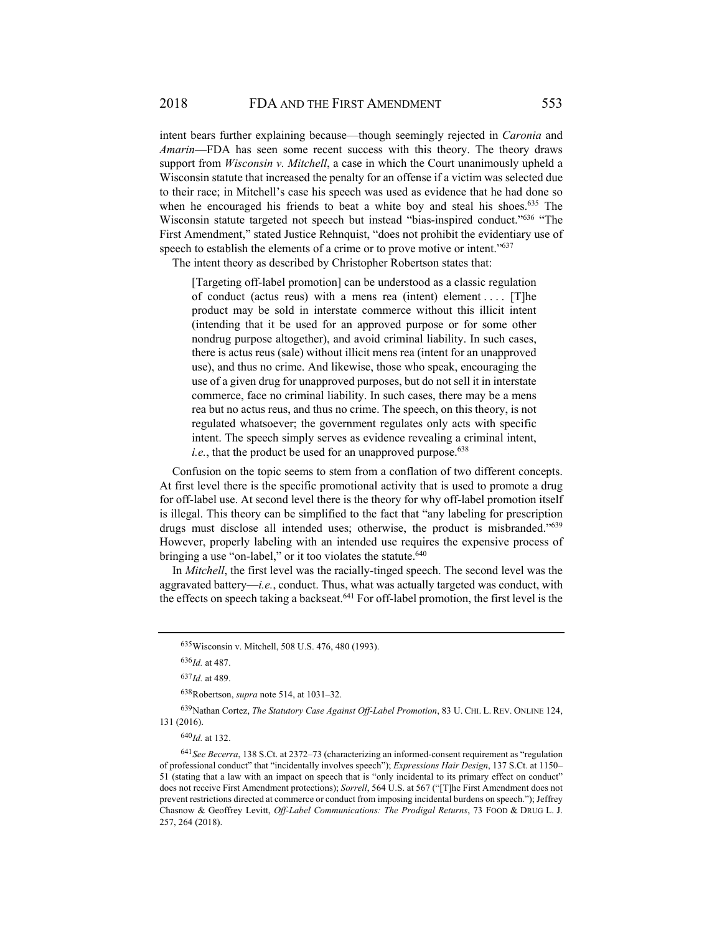intent bears further explaining because—though seemingly rejected in *Caronia* and *Amarin*—FDA has seen some recent success with this theory. The theory draws support from *Wisconsin v. Mitchell*, a case in which the Court unanimously upheld a Wisconsin statute that increased the penalty for an offense if a victim was selected due to their race; in Mitchell's case his speech was used as evidence that he had done so when he encouraged his friends to beat a white boy and steal his shoes.<sup>635</sup> The Wisconsin statute targeted not speech but instead "bias-inspired conduct."636 "The First Amendment," stated Justice Rehnquist, "does not prohibit the evidentiary use of speech to establish the elements of a crime or to prove motive or intent."<sup>637</sup>

The intent theory as described by Christopher Robertson states that:

[Targeting off-label promotion] can be understood as a classic regulation of conduct (actus reus) with a mens rea (intent) element . . . . [T]he product may be sold in interstate commerce without this illicit intent (intending that it be used for an approved purpose or for some other nondrug purpose altogether), and avoid criminal liability. In such cases, there is actus reus (sale) without illicit mens rea (intent for an unapproved use), and thus no crime. And likewise, those who speak, encouraging the use of a given drug for unapproved purposes, but do not sell it in interstate commerce, face no criminal liability. In such cases, there may be a mens rea but no actus reus, and thus no crime. The speech, on this theory, is not regulated whatsoever; the government regulates only acts with specific intent. The speech simply serves as evidence revealing a criminal intent, *i.e.*, that the product be used for an unapproved purpose. $638$ 

Confusion on the topic seems to stem from a conflation of two different concepts. At first level there is the specific promotional activity that is used to promote a drug for off-label use. At second level there is the theory for why off-label promotion itself is illegal. This theory can be simplified to the fact that "any labeling for prescription drugs must disclose all intended uses; otherwise, the product is misbranded."639 However, properly labeling with an intended use requires the expensive process of bringing a use "on-label," or it too violates the statute.<sup>640</sup>

In *Mitchell*, the first level was the racially-tinged speech. The second level was the aggravated battery—*i.e.*, conduct. Thus, what was actually targeted was conduct, with the effects on speech taking a backseat.<sup>641</sup> For off-label promotion, the first level is the

638 Robertson, *supra* note 514, at 1031–32.

639 Nathan Cortez, *The Statutory Case Against Off-Label Promotion*, 83 U. CHI. L. REV. ONLINE 124, 131 (2016).

<sup>640</sup> *Id.* at 132.

<sup>635</sup> Wisconsin v. Mitchell, 508 U.S. 476, 480 (1993).

<sup>636</sup> *Id.* at 487.

<sup>637</sup> *Id.* at 489.

<sup>641</sup> *See Becerra*, 138 S.Ct. at 2372–73 (characterizing an informed-consent requirement as "regulation of professional conduct" that "incidentally involves speech"); *Expressions Hair Design*, 137 S.Ct. at 1150– 51 (stating that a law with an impact on speech that is "only incidental to its primary effect on conduct" does not receive First Amendment protections); *Sorrell*, 564 U.S. at 567 ("[T]he First Amendment does not prevent restrictions directed at commerce or conduct from imposing incidental burdens on speech."); Jeffrey Chasnow & Geoffrey Levitt, *Off-Label Communications: The Prodigal Returns*, 73 FOOD & DRUG L. J. 257, 264 (2018).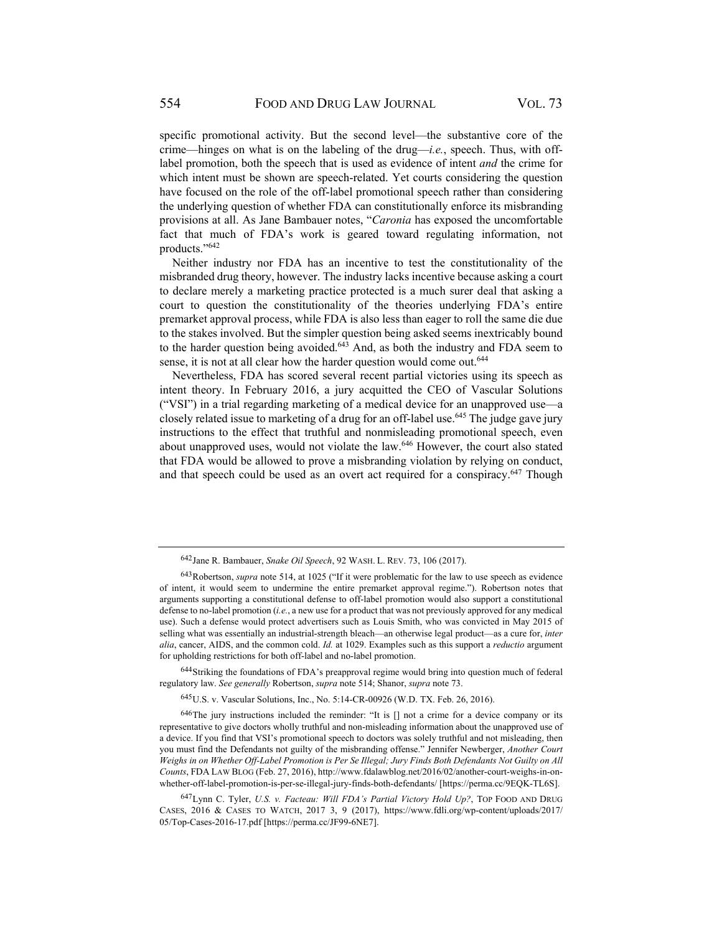specific promotional activity. But the second level—the substantive core of the crime—hinges on what is on the labeling of the drug—*i.e.*, speech. Thus, with offlabel promotion, both the speech that is used as evidence of intent *and* the crime for which intent must be shown are speech-related. Yet courts considering the question have focused on the role of the off-label promotional speech rather than considering the underlying question of whether FDA can constitutionally enforce its misbranding provisions at all. As Jane Bambauer notes, "*Caronia* has exposed the uncomfortable fact that much of FDA's work is geared toward regulating information, not products."642

Neither industry nor FDA has an incentive to test the constitutionality of the misbranded drug theory, however. The industry lacks incentive because asking a court to declare merely a marketing practice protected is a much surer deal that asking a court to question the constitutionality of the theories underlying FDA's entire premarket approval process, while FDA is also less than eager to roll the same die due to the stakes involved. But the simpler question being asked seems inextricably bound to the harder question being avoided.<sup>643</sup> And, as both the industry and FDA seem to sense, it is not at all clear how the harder question would come out.<sup>644</sup>

Nevertheless, FDA has scored several recent partial victories using its speech as intent theory. In February 2016, a jury acquitted the CEO of Vascular Solutions ("VSI") in a trial regarding marketing of a medical device for an unapproved use—a closely related issue to marketing of a drug for an off-label use.<sup>645</sup> The judge gave jury instructions to the effect that truthful and nonmisleading promotional speech, even about unapproved uses, would not violate the law.<sup>646</sup> However, the court also stated that FDA would be allowed to prove a misbranding violation by relying on conduct, and that speech could be used as an overt act required for a conspiracy.<sup>647</sup> Though

644 Striking the foundations of FDA's preapproval regime would bring into question much of federal regulatory law. *See generally* Robertson, *supra* note 514; Shanor, *supra* note 73.

645 U.S. v. Vascular Solutions, Inc., No. 5:14-CR-00926 (W.D. TX. Feb. 26, 2016).

646 The jury instructions included the reminder: "It is [] not a crime for a device company or its representative to give doctors wholly truthful and non-misleading information about the unapproved use of a device. If you find that VSI's promotional speech to doctors was solely truthful and not misleading, then you must find the Defendants not guilty of the misbranding offense." Jennifer Newberger, *Another Court Weighs in on Whether Off-Label Promotion is Per Se Illegal; Jury Finds Both Defendants Not Guilty on All Counts*, FDA LAW BLOG (Feb. 27, 2016), http://www.fdalawblog.net/2016/02/another-court-weighs-in-onwhether-off-label-promotion-is-per-se-illegal-jury-finds-both-defendants/ [https://perma.cc/9EQK-TL6S].

647 Lynn C. Tyler, *U.S. v. Facteau: Will FDA's Partial Victory Hold Up?*, TOP FOOD AND DRUG CASES, 2016 & CASES TO WATCH, 2017 3, 9 (2017), https://www.fdli.org/wp-content/uploads/2017/ 05/Top-Cases-2016-17.pdf [https://perma.cc/JF99-6NE7].

<sup>642</sup> Jane R. Bambauer, *Snake Oil Speech*, 92 WASH. L. REV. 73, 106 (2017).

<sup>643</sup> Robertson, *supra* note 514, at 1025 ("If it were problematic for the law to use speech as evidence of intent, it would seem to undermine the entire premarket approval regime."). Robertson notes that arguments supporting a constitutional defense to off-label promotion would also support a constitutional defense to no-label promotion (*i.e.*, a new use for a product that was not previously approved for any medical use). Such a defense would protect advertisers such as Louis Smith, who was convicted in May 2015 of selling what was essentially an industrial-strength bleach—an otherwise legal product—as a cure for, *inter alia*, cancer, AIDS, and the common cold. *Id.* at 1029. Examples such as this support a *reductio* argument for upholding restrictions for both off-label and no-label promotion.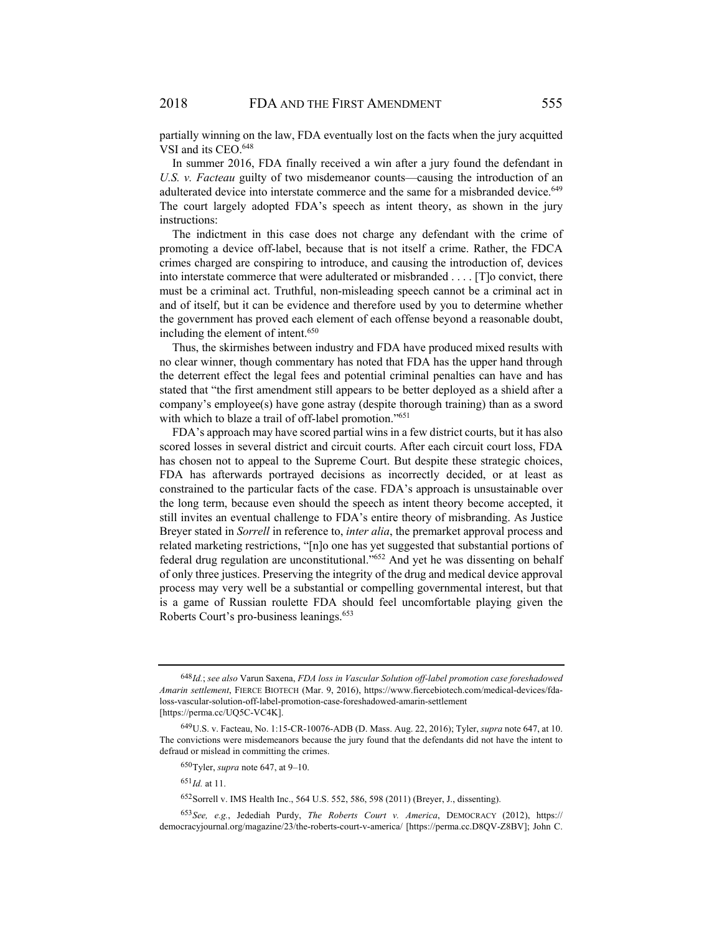partially winning on the law, FDA eventually lost on the facts when the jury acquitted VSI and its CEO.<sup>648</sup>

In summer 2016, FDA finally received a win after a jury found the defendant in *U.S. v. Facteau* guilty of two misdemeanor counts—causing the introduction of an adulterated device into interstate commerce and the same for a misbranded device.<sup>649</sup> The court largely adopted FDA's speech as intent theory, as shown in the jury instructions:

The indictment in this case does not charge any defendant with the crime of promoting a device off-label, because that is not itself a crime. Rather, the FDCA crimes charged are conspiring to introduce, and causing the introduction of, devices into interstate commerce that were adulterated or misbranded . . . . [T]o convict, there must be a criminal act. Truthful, non-misleading speech cannot be a criminal act in and of itself, but it can be evidence and therefore used by you to determine whether the government has proved each element of each offense beyond a reasonable doubt, including the element of intent.650

Thus, the skirmishes between industry and FDA have produced mixed results with no clear winner, though commentary has noted that FDA has the upper hand through the deterrent effect the legal fees and potential criminal penalties can have and has stated that "the first amendment still appears to be better deployed as a shield after a company's employee(s) have gone astray (despite thorough training) than as a sword with which to blaze a trail of off-label promotion."<sup>651</sup>

FDA's approach may have scored partial wins in a few district courts, but it has also scored losses in several district and circuit courts. After each circuit court loss, FDA has chosen not to appeal to the Supreme Court. But despite these strategic choices, FDA has afterwards portrayed decisions as incorrectly decided, or at least as constrained to the particular facts of the case. FDA's approach is unsustainable over the long term, because even should the speech as intent theory become accepted, it still invites an eventual challenge to FDA's entire theory of misbranding. As Justice Breyer stated in *Sorrell* in reference to, *inter alia*, the premarket approval process and related marketing restrictions, "[n]o one has yet suggested that substantial portions of federal drug regulation are unconstitutional."652 And yet he was dissenting on behalf of only three justices. Preserving the integrity of the drug and medical device approval process may very well be a substantial or compelling governmental interest, but that is a game of Russian roulette FDA should feel uncomfortable playing given the Roberts Court's pro-business leanings.653

<sup>648</sup> *Id.*; *see also* Varun Saxena, *FDA loss in Vascular Solution off-label promotion case foreshadowed Amarin settlement*, FIERCE BIOTECH (Mar. 9, 2016), https://www.fiercebiotech.com/medical-devices/fdaloss-vascular-solution-off-label-promotion-case-foreshadowed-amarin-settlement [https://perma.cc/UQ5C-VC4K].

<sup>649</sup> U.S. v. Facteau, No. 1:15-CR-10076-ADB (D. Mass. Aug. 22, 2016); Tyler, *supra* note 647, at 10. The convictions were misdemeanors because the jury found that the defendants did not have the intent to defraud or mislead in committing the crimes.

<sup>650</sup> Tyler, *supra* note 647, at 9–10.

 $651$ *Id.* at 11.

<sup>652</sup>Sorrell v. IMS Health Inc., 564 U.S. 552, 586, 598 (2011) (Breyer, J., dissenting).

<sup>653</sup> *See, e.g.*, Jedediah Purdy, *The Roberts Court v. America*, DEMOCRACY (2012), https:// democracyjournal.org/magazine/23/the-roberts-court-v-america/ [https://perma.cc.D8QV-Z8BV]; John C.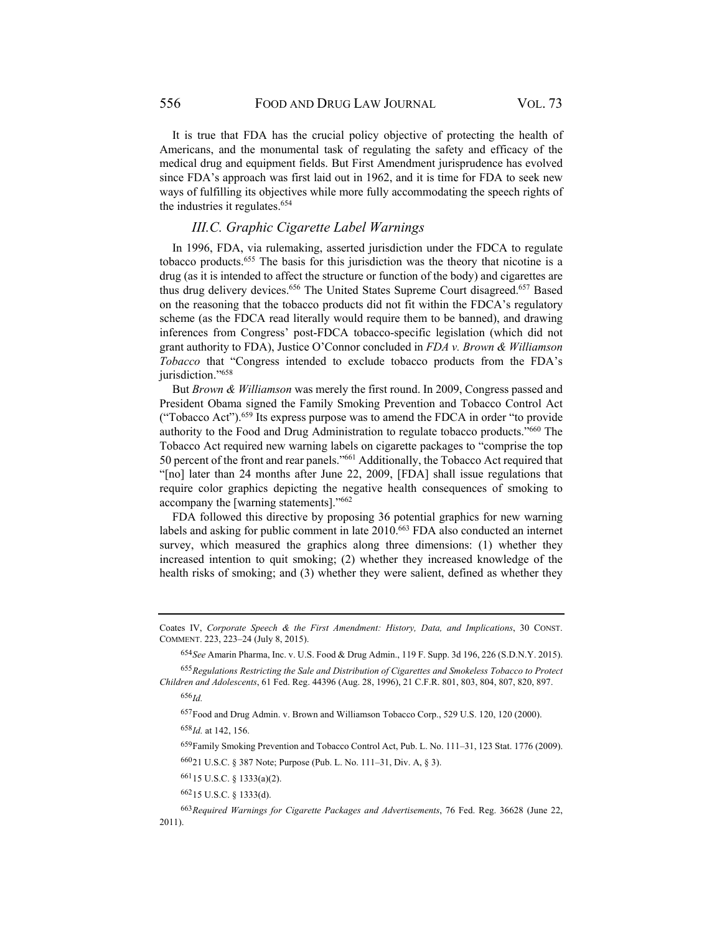It is true that FDA has the crucial policy objective of protecting the health of Americans, and the monumental task of regulating the safety and efficacy of the medical drug and equipment fields. But First Amendment jurisprudence has evolved since FDA's approach was first laid out in 1962, and it is time for FDA to seek new ways of fulfilling its objectives while more fully accommodating the speech rights of the industries it regulates.654

## *III.C. Graphic Cigarette Label Warnings*

In 1996, FDA, via rulemaking, asserted jurisdiction under the FDCA to regulate tobacco products.655 The basis for this jurisdiction was the theory that nicotine is a drug (as it is intended to affect the structure or function of the body) and cigarettes are thus drug delivery devices.<sup>656</sup> The United States Supreme Court disagreed.<sup>657</sup> Based on the reasoning that the tobacco products did not fit within the FDCA's regulatory scheme (as the FDCA read literally would require them to be banned), and drawing inferences from Congress' post-FDCA tobacco-specific legislation (which did not grant authority to FDA), Justice O'Connor concluded in *FDA v. Brown & Williamson Tobacco* that "Congress intended to exclude tobacco products from the FDA's jurisdiction."658

But *Brown & Williamson* was merely the first round. In 2009, Congress passed and President Obama signed the Family Smoking Prevention and Tobacco Control Act ("Tobacco Act").659 Its express purpose was to amend the FDCA in order "to provide authority to the Food and Drug Administration to regulate tobacco products."660 The Tobacco Act required new warning labels on cigarette packages to "comprise the top 50 percent of the front and rear panels."661 Additionally, the Tobacco Act required that "[no] later than 24 months after June 22, 2009, [FDA] shall issue regulations that require color graphics depicting the negative health consequences of smoking to accompany the [warning statements]."662

FDA followed this directive by proposing 36 potential graphics for new warning labels and asking for public comment in late 2010.663 FDA also conducted an internet survey, which measured the graphics along three dimensions: (1) whether they increased intention to quit smoking; (2) whether they increased knowledge of the health risks of smoking; and (3) whether they were salient, defined as whether they

<sup>656</sup> *Id.*

657Food and Drug Admin. v. Brown and Williamson Tobacco Corp., 529 U.S. 120, 120 (2000).

659 Family Smoking Prevention and Tobacco Control Act, Pub. L. No. 111–31, 123 Stat. 1776 (2009).

Coates IV, *Corporate Speech & the First Amendment: History, Data, and Implications*, 30 CONST. COMMENT. 223, 223–24 (July 8, 2015).

<sup>654</sup> *See* Amarin Pharma, Inc. v. U.S. Food & Drug Admin., 119 F. Supp. 3d 196, 226 (S.D.N.Y. 2015).

<sup>655</sup> *Regulations Restricting the Sale and Distribution of Cigarettes and Smokeless Tobacco to Protect Children and Adolescents*, 61 Fed. Reg. 44396 (Aug. 28, 1996), 21 C.F.R. 801, 803, 804, 807, 820, 897.

<sup>658</sup> *Id.* at 142, 156.

<sup>660 21</sup> U.S.C. § 387 Note; Purpose (Pub. L. No. 111–31, Div. A, § 3).

<sup>661 15</sup> U.S.C. § 1333(a)(2).

<sup>662 15</sup> U.S.C. § 1333(d).

<sup>663</sup> *Required Warnings for Cigarette Packages and Advertisements*, 76 Fed. Reg. 36628 (June 22, 2011).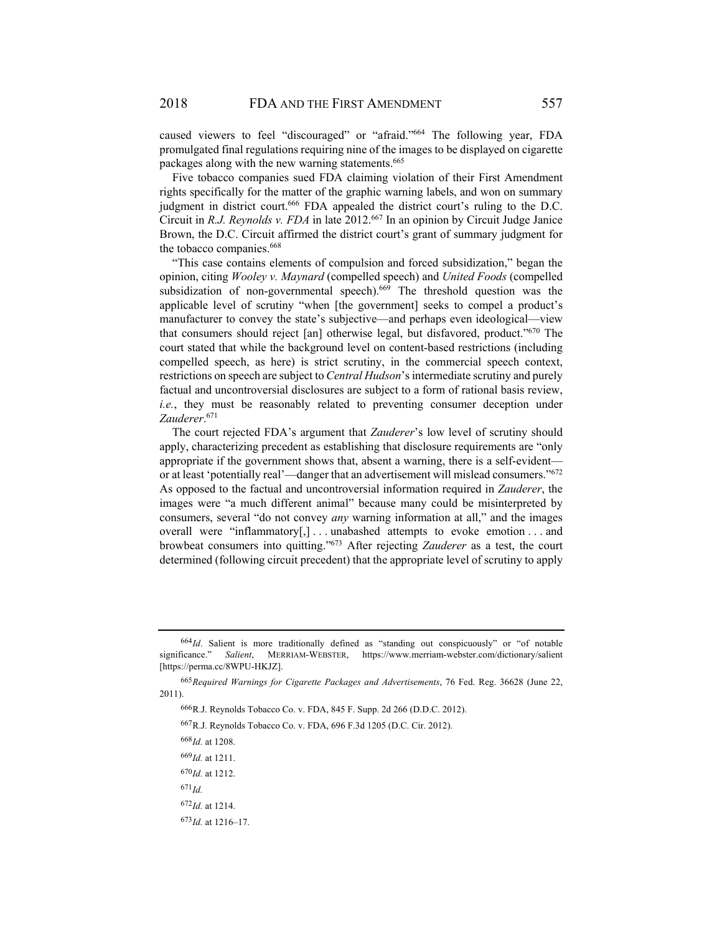caused viewers to feel "discouraged" or "afraid."664 The following year, FDA promulgated final regulations requiring nine of the images to be displayed on cigarette packages along with the new warning statements.<sup>665</sup>

Five tobacco companies sued FDA claiming violation of their First Amendment rights specifically for the matter of the graphic warning labels, and won on summary judgment in district court.<sup>666</sup> FDA appealed the district court's ruling to the D.C. Circuit in *R.J. Reynolds v. FDA* in late 2012.667 In an opinion by Circuit Judge Janice Brown, the D.C. Circuit affirmed the district court's grant of summary judgment for the tobacco companies.<sup>668</sup>

"This case contains elements of compulsion and forced subsidization," began the opinion, citing *Wooley v. Maynard* (compelled speech) and *United Foods* (compelled subsidization of non-governmental speech).<sup>669</sup> The threshold question was the applicable level of scrutiny "when [the government] seeks to compel a product's manufacturer to convey the state's subjective—and perhaps even ideological—view that consumers should reject [an] otherwise legal, but disfavored, product."670 The court stated that while the background level on content-based restrictions (including compelled speech, as here) is strict scrutiny, in the commercial speech context, restrictions on speech are subject to *Central Hudson*'s intermediate scrutiny and purely factual and uncontroversial disclosures are subject to a form of rational basis review, *i.e.*, they must be reasonably related to preventing consumer deception under *Zauderer*. 671

The court rejected FDA's argument that *Zauderer*'s low level of scrutiny should apply, characterizing precedent as establishing that disclosure requirements are "only appropriate if the government shows that, absent a warning, there is a self-evident or at least 'potentially real'—danger that an advertisement will mislead consumers."672 As opposed to the factual and uncontroversial information required in *Zauderer*, the images were "a much different animal" because many could be misinterpreted by consumers, several "do not convey *any* warning information at all," and the images overall were "inflammatory[,]...unabashed attempts to evoke emotion...and browbeat consumers into quitting."673 After rejecting *Zauderer* as a test, the court determined (following circuit precedent) that the appropriate level of scrutiny to apply

667 R.J. Reynolds Tobacco Co. v. FDA, 696 F.3d 1205 (D.C. Cir. 2012).

<sup>668</sup> *Id.* at 1208.

<sup>669</sup> *Id.* at 1211.

 $670$ *Id.* at 1212.

 $671$ *Id.* 

<sup>673</sup> *Id.* at 1216–17.

<sup>664</sup>Id. Salient is more traditionally defined as "standing out conspicuously" or "of notable significance." *Salient*, MERRIAM-WEBSTER, https://www.merriam-webster.com/dictionary/salient [https://perma.cc/8WPU-HKJZ].

<sup>665</sup>*Required Warnings for Cigarette Packages and Advertisements*, 76 Fed. Reg. 36628 (June 22, 2011).

<sup>666</sup> R.J. Reynolds Tobacco Co. v. FDA, 845 F. Supp. 2d 266 (D.D.C. 2012).

<sup>672</sup> *Id.* at 1214.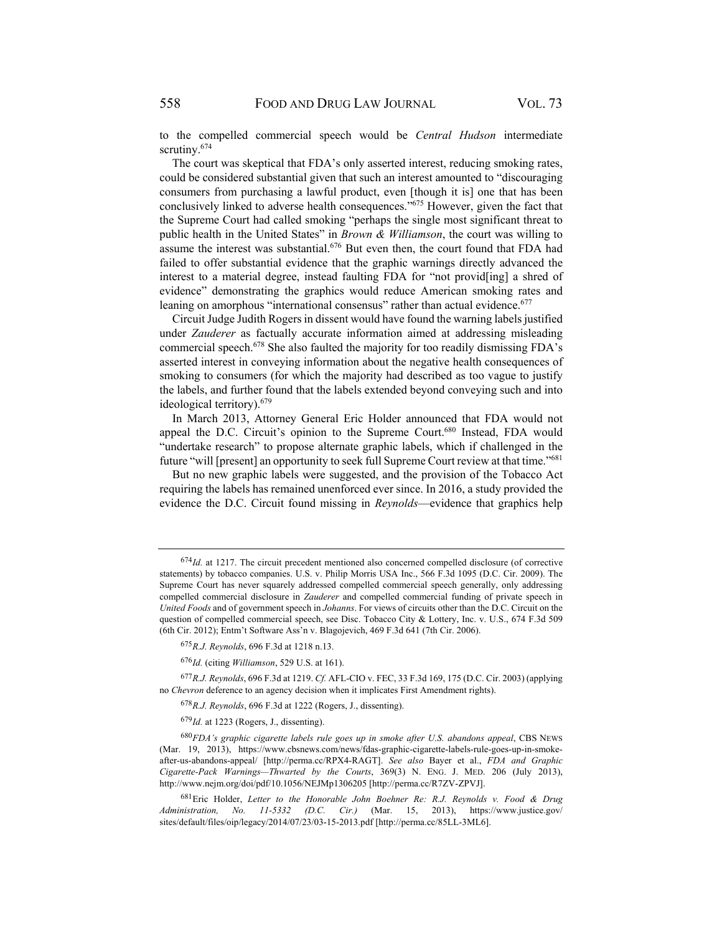to the compelled commercial speech would be *Central Hudson* intermediate scrutiny.<sup>674</sup>

The court was skeptical that FDA's only asserted interest, reducing smoking rates, could be considered substantial given that such an interest amounted to "discouraging consumers from purchasing a lawful product, even [though it is] one that has been conclusively linked to adverse health consequences."675 However, given the fact that the Supreme Court had called smoking "perhaps the single most significant threat to public health in the United States" in *Brown & Williamson*, the court was willing to assume the interest was substantial.<sup>676</sup> But even then, the court found that FDA had failed to offer substantial evidence that the graphic warnings directly advanced the interest to a material degree, instead faulting FDA for "not provid[ing] a shred of evidence" demonstrating the graphics would reduce American smoking rates and leaning on amorphous "international consensus" rather than actual evidence.<sup>677</sup>

Circuit Judge Judith Rogers in dissent would have found the warning labels justified under *Zauderer* as factually accurate information aimed at addressing misleading commercial speech.678 She also faulted the majority for too readily dismissing FDA's asserted interest in conveying information about the negative health consequences of smoking to consumers (for which the majority had described as too vague to justify the labels, and further found that the labels extended beyond conveying such and into ideological territory).679

In March 2013, Attorney General Eric Holder announced that FDA would not appeal the D.C. Circuit's opinion to the Supreme Court.<sup>680</sup> Instead, FDA would "undertake research" to propose alternate graphic labels, which if challenged in the future "will [present] an opportunity to seek full Supreme Court review at that time."681

But no new graphic labels were suggested, and the provision of the Tobacco Act requiring the labels has remained unenforced ever since. In 2016, a study provided the evidence the D.C. Circuit found missing in *Reynolds*—evidence that graphics help

<sup>674</sup> *Id.* at 1217. The circuit precedent mentioned also concerned compelled disclosure (of corrective statements) by tobacco companies. U.S. v. Philip Morris USA Inc., 566 F.3d 1095 (D.C. Cir. 2009). The Supreme Court has never squarely addressed compelled commercial speech generally, only addressing compelled commercial disclosure in *Zauderer* and compelled commercial funding of private speech in *United Foods* and of government speech in *Johanns*. For views of circuits other than the D.C. Circuit on the question of compelled commercial speech, see Disc. Tobacco City & Lottery, Inc. v. U.S., 674 F.3d 509 (6th Cir. 2012); Entm't Software Ass'n v. Blagojevich, 469 F.3d 641 (7th Cir. 2006).

<sup>675</sup> *R.J. Reynolds*, 696 F.3d at 1218 n.13.

<sup>676</sup> *Id.* (citing *Williamson*, 529 U.S. at 161).

<sup>677</sup> *R.J. Reynolds*, 696 F.3d at 1219. *Cf.* AFL-CIO v. FEC, 33 F.3d 169, 175 (D.C. Cir. 2003) (applying no *Chevron* deference to an agency decision when it implicates First Amendment rights).

<sup>678</sup> *R.J. Reynolds*, 696 F.3d at 1222 (Rogers, J., dissenting).

<sup>679</sup> *Id.* at 1223 (Rogers, J., dissenting).

<sup>680</sup> *FDA's graphic cigarette labels rule goes up in smoke after U.S. abandons appeal*, CBS NEWS (Mar. 19, 2013), https://www.cbsnews.com/news/fdas-graphic-cigarette-labels-rule-goes-up-in-smokeafter-us-abandons-appeal/ [http://perma.cc/RPX4-RAGT]. *See also* Bayer et al., *FDA and Graphic Cigarette-Pack Warnings—Thwarted by the Courts*, 369(3) N. ENG. J. MED. 206 (July 2013), http://www.nejm.org/doi/pdf/10.1056/NEJMp1306205 [http://perma.cc/R7ZV-ZPVJ].

<sup>681</sup> Eric Holder, *Letter to the Honorable John Boehner Re: R.J. Reynolds v. Food & Drug Administration, No. 11-5332 (D.C. Cir.)* (Mar. 15, 2013), https://www.justice.gov/ sites/default/files/oip/legacy/2014/07/23/03-15-2013.pdf [http://perma.cc/85LL-3ML6].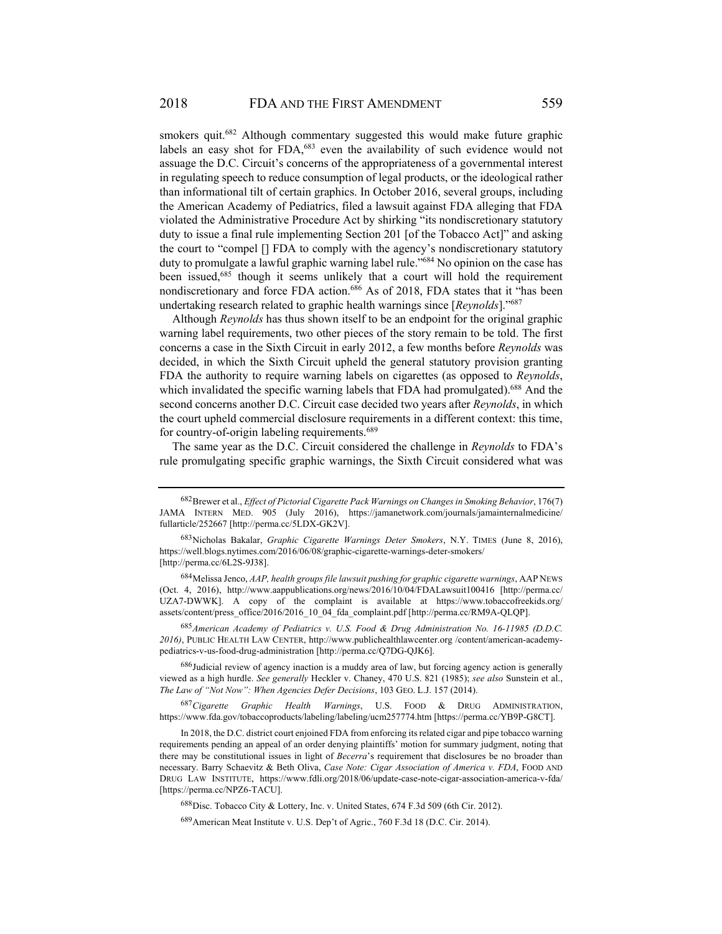smokers quit.682 Although commentary suggested this would make future graphic labels an easy shot for FDA,<sup>683</sup> even the availability of such evidence would not assuage the D.C. Circuit's concerns of the appropriateness of a governmental interest in regulating speech to reduce consumption of legal products, or the ideological rather than informational tilt of certain graphics. In October 2016, several groups, including the American Academy of Pediatrics, filed a lawsuit against FDA alleging that FDA violated the Administrative Procedure Act by shirking "its nondiscretionary statutory duty to issue a final rule implementing Section 201 [of the Tobacco Act]" and asking the court to "compel [] FDA to comply with the agency's nondiscretionary statutory duty to promulgate a lawful graphic warning label rule."<sup>684</sup> No opinion on the case has been issued,685 though it seems unlikely that a court will hold the requirement nondiscretionary and force FDA action.<sup>686</sup> As of 2018, FDA states that it "has been undertaking research related to graphic health warnings since [*Reynolds*]."687

Although *Reynolds* has thus shown itself to be an endpoint for the original graphic warning label requirements, two other pieces of the story remain to be told. The first concerns a case in the Sixth Circuit in early 2012, a few months before *Reynolds* was decided, in which the Sixth Circuit upheld the general statutory provision granting FDA the authority to require warning labels on cigarettes (as opposed to *Reynolds*, which invalidated the specific warning labels that FDA had promulgated).<sup>688</sup> And the second concerns another D.C. Circuit case decided two years after *Reynolds*, in which the court upheld commercial disclosure requirements in a different context: this time, for country-of-origin labeling requirements.689

The same year as the D.C. Circuit considered the challenge in *Reynolds* to FDA's rule promulgating specific graphic warnings, the Sixth Circuit considered what was

684 Melissa Jenco, *AAP, health groups file lawsuit pushing for graphic cigarette warnings*, AAP NEWS (Oct. 4, 2016), http://www.aappublications.org/news/2016/10/04/FDALawsuit100416 [http://perma.cc/ UZA7-DWWK]. A copy of the complaint is available at https://www.tobaccofreekids.org/ assets/content/press\_office/2016/2016\_10\_04\_fda\_complaint.pdf [http://perma.cc/RM9A-QLQP].

<sup>685</sup> *American Academy of Pediatrics v. U.S. Food & Drug Administration No. 16-11985 (D.D.C. 2016)*, PUBLIC HEALTH LAW CENTER, http://www.publichealthlawcenter.org /content/american-academypediatrics-v-us-food-drug-administration [http://perma.cc/Q7DG-QJK6].

686 Judicial review of agency inaction is a muddy area of law, but forcing agency action is generally viewed as a high hurdle. *See generally* Heckler v. Chaney, 470 U.S. 821 (1985); *see also* Sunstein et al., *The Law of "Not Now": When Agencies Defer Decisions*, 103 GEO. L.J. 157 (2014).

<sup>687</sup> *Cigarette Graphic Health Warnings*, U.S. FOOD & DRUG ADMINISTRATION, https://www.fda.gov/tobaccoproducts/labeling/labeling/ucm257774.htm [https://perma.cc/YB9P-G8CT].

<sup>682</sup> Brewer et al., *Effect of Pictorial Cigarette Pack Warnings on Changes in Smoking Behavior*, 176(7) JAMA INTERN MED. 905 (July 2016), https://jamanetwork.com/journals/jamainternalmedicine/ fullarticle/252667 [http://perma.cc/5LDX-GK2V].

<sup>683</sup> Nicholas Bakalar, *Graphic Cigarette Warnings Deter Smokers*, N.Y. TIMES (June 8, 2016), https://well.blogs.nytimes.com/2016/06/08/graphic-cigarette-warnings-deter-smokers/ [http://perma.cc/6L2S-9J38].

In 2018, the D.C. district court enjoined FDA from enforcing its related cigar and pipe tobacco warning requirements pending an appeal of an order denying plaintiffs' motion for summary judgment, noting that there may be constitutional issues in light of *Becerra*'s requirement that disclosures be no broader than necessary. Barry Schaevitz & Beth Oliva, *Case Note: Cigar Association of America v. FDA*, FOOD AND DRUG LAW INSTITUTE, https://www.fdli.org/2018/06/update-case-note-cigar-association-america-v-fda/ [https://perma.cc/NPZ6-TACU].

<sup>688</sup> Disc. Tobacco City & Lottery, Inc. v. United States, 674 F.3d 509 (6th Cir. 2012).

<sup>689</sup> American Meat Institute v. U.S. Dep't of Agric., 760 F.3d 18 (D.C. Cir. 2014).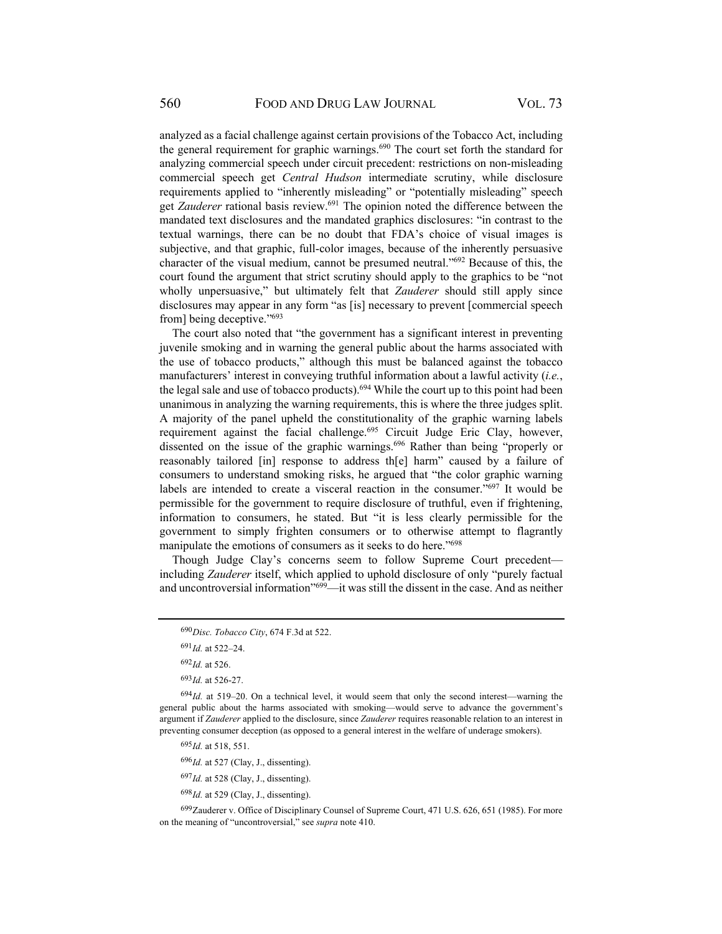analyzed as a facial challenge against certain provisions of the Tobacco Act, including the general requirement for graphic warnings.<sup>690</sup> The court set forth the standard for analyzing commercial speech under circuit precedent: restrictions on non-misleading commercial speech get *Central Hudson* intermediate scrutiny, while disclosure requirements applied to "inherently misleading" or "potentially misleading" speech get *Zauderer* rational basis review.<sup>691</sup> The opinion noted the difference between the mandated text disclosures and the mandated graphics disclosures: "in contrast to the textual warnings, there can be no doubt that FDA's choice of visual images is subjective, and that graphic, full-color images, because of the inherently persuasive character of the visual medium, cannot be presumed neutral."692 Because of this, the court found the argument that strict scrutiny should apply to the graphics to be "not wholly unpersuasive," but ultimately felt that *Zauderer* should still apply since disclosures may appear in any form "as [is] necessary to prevent [commercial speech from] being deceptive."693

The court also noted that "the government has a significant interest in preventing juvenile smoking and in warning the general public about the harms associated with the use of tobacco products," although this must be balanced against the tobacco manufacturers' interest in conveying truthful information about a lawful activity (*i.e.*, the legal sale and use of tobacco products).694 While the court up to this point had been unanimous in analyzing the warning requirements, this is where the three judges split. A majority of the panel upheld the constitutionality of the graphic warning labels requirement against the facial challenge.<sup>695</sup> Circuit Judge Eric Clay, however, dissented on the issue of the graphic warnings.696 Rather than being "properly or reasonably tailored [in] response to address th[e] harm" caused by a failure of consumers to understand smoking risks, he argued that "the color graphic warning labels are intended to create a visceral reaction in the consumer."<sup>697</sup> It would be permissible for the government to require disclosure of truthful, even if frightening, information to consumers, he stated. But "it is less clearly permissible for the government to simply frighten consumers or to otherwise attempt to flagrantly manipulate the emotions of consumers as it seeks to do here."<sup>698</sup>

Though Judge Clay's concerns seem to follow Supreme Court precedent including *Zauderer* itself, which applied to uphold disclosure of only "purely factual and uncontroversial information"<sup>699</sup>—it was still the dissent in the case. And as neither

<sup>696</sup> *Id.* at 527 (Clay, J., dissenting).

- <sup>697</sup> *Id.* at 528 (Clay, J., dissenting).
- <sup>698</sup> *Id.* at 529 (Clay, J., dissenting).

699 Zauderer v. Office of Disciplinary Counsel of Supreme Court, 471 U.S. 626, 651 (1985). For more on the meaning of "uncontroversial," see *supra* note 410.

<sup>690</sup> *Disc. Tobacco City*, 674 F.3d at 522.

<sup>691</sup> *Id.* at 522–24.

<sup>692</sup> *Id.* at 526.

<sup>693</sup> *Id.* at 526-27.

<sup>694</sup>Id. at 519-20. On a technical level, it would seem that only the second interest—warning the general public about the harms associated with smoking—would serve to advance the government's argument if *Zauderer* applied to the disclosure, since *Zauderer* requires reasonable relation to an interest in preventing consumer deception (as opposed to a general interest in the welfare of underage smokers).

<sup>695</sup> *Id.* at 518, 551.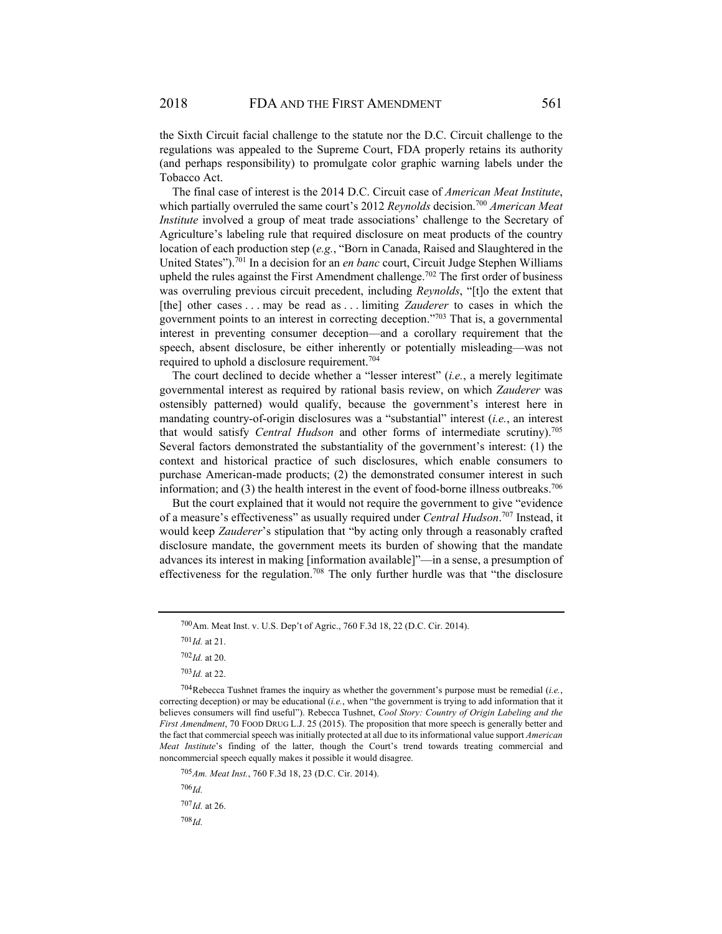the Sixth Circuit facial challenge to the statute nor the D.C. Circuit challenge to the regulations was appealed to the Supreme Court, FDA properly retains its authority (and perhaps responsibility) to promulgate color graphic warning labels under the Tobacco Act.

The final case of interest is the 2014 D.C. Circuit case of *American Meat Institute*, which partially overruled the same court's 2012 *Reynolds* decision.<sup>700</sup> *American Meat Institute* involved a group of meat trade associations' challenge to the Secretary of Agriculture's labeling rule that required disclosure on meat products of the country location of each production step (*e.g.*, "Born in Canada, Raised and Slaughtered in the United States").701 In a decision for an *en banc* court, Circuit Judge Stephen Williams upheld the rules against the First Amendment challenge.<sup>702</sup> The first order of business was overruling previous circuit precedent, including *Reynolds*, "[t]o the extent that [the] other cases . . . may be read as . . . limiting *Zauderer* to cases in which the government points to an interest in correcting deception."703 That is, a governmental interest in preventing consumer deception—and a corollary requirement that the speech, absent disclosure, be either inherently or potentially misleading—was not required to uphold a disclosure requirement.704

The court declined to decide whether a "lesser interest" (*i.e.*, a merely legitimate governmental interest as required by rational basis review, on which *Zauderer* was ostensibly patterned) would qualify, because the government's interest here in mandating country-of-origin disclosures was a "substantial" interest (*i.e.*, an interest that would satisfy *Central Hudson* and other forms of intermediate scrutiny).705 Several factors demonstrated the substantiality of the government's interest: (1) the context and historical practice of such disclosures, which enable consumers to purchase American-made products; (2) the demonstrated consumer interest in such information; and (3) the health interest in the event of food-borne illness outbreaks.<sup>706</sup>

But the court explained that it would not require the government to give "evidence of a measure's effectiveness" as usually required under *Central Hudson*. 707 Instead, it would keep *Zauderer*'s stipulation that "by acting only through a reasonably crafted disclosure mandate, the government meets its burden of showing that the mandate advances its interest in making [information available]"—in a sense, a presumption of effectiveness for the regulation.<sup>708</sup> The only further hurdle was that "the disclosure

<sup>700</sup> Am. Meat Inst. v. U.S. Dep't of Agric., 760 F.3d 18, 22 (D.C. Cir. 2014).

<sup>701</sup> *Id.* at 21.

<sup>702</sup> *Id.* at 20.

<sup>703</sup> *Id.* at 22.

<sup>704</sup> Rebecca Tushnet frames the inquiry as whether the government's purpose must be remedial (*i.e.*, correcting deception) or may be educational (*i.e.*, when "the government is trying to add information that it believes consumers will find useful"). Rebecca Tushnet, *Cool Story: Country of Origin Labeling and the First Amendment*, 70 FOOD DRUG L.J. 25 (2015). The proposition that more speech is generally better and the fact that commercial speech was initially protected at all due to its informational value support *American Meat Institute*'s finding of the latter, though the Court's trend towards treating commercial and noncommercial speech equally makes it possible it would disagree.

<sup>705</sup>*Am. Meat Inst.*, 760 F.3d 18, 23 (D.C. Cir. 2014).

<sup>706</sup> *Id.*  <sup>707</sup> *Id.* at 26. <sup>708</sup> *Id.*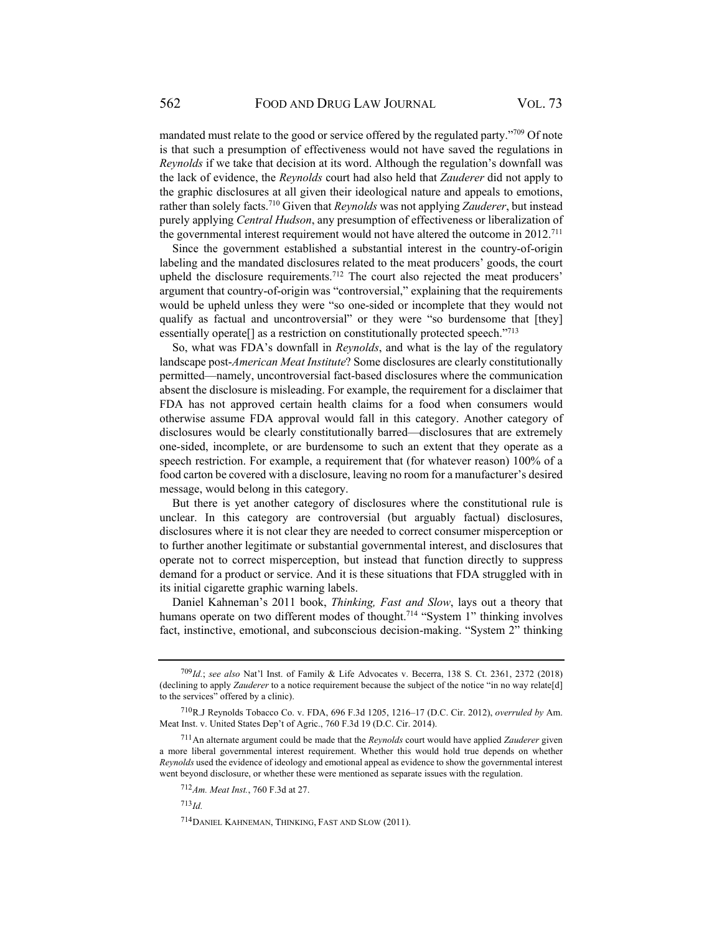mandated must relate to the good or service offered by the regulated party."709 Of note is that such a presumption of effectiveness would not have saved the regulations in *Reynolds* if we take that decision at its word. Although the regulation's downfall was the lack of evidence, the *Reynolds* court had also held that *Zauderer* did not apply to the graphic disclosures at all given their ideological nature and appeals to emotions, rather than solely facts.710 Given that *Reynolds* was not applying *Zauderer*, but instead purely applying *Central Hudson*, any presumption of effectiveness or liberalization of the governmental interest requirement would not have altered the outcome in 2012.<sup>711</sup>

Since the government established a substantial interest in the country-of-origin labeling and the mandated disclosures related to the meat producers' goods, the court upheld the disclosure requirements.<sup>712</sup> The court also rejected the meat producers' argument that country-of-origin was "controversial," explaining that the requirements would be upheld unless they were "so one-sided or incomplete that they would not qualify as factual and uncontroversial" or they were "so burdensome that [they] essentially operate[] as a restriction on constitutionally protected speech."713

So, what was FDA's downfall in *Reynolds*, and what is the lay of the regulatory landscape post-*American Meat Institute*? Some disclosures are clearly constitutionally permitted—namely, uncontroversial fact-based disclosures where the communication absent the disclosure is misleading. For example, the requirement for a disclaimer that FDA has not approved certain health claims for a food when consumers would otherwise assume FDA approval would fall in this category. Another category of disclosures would be clearly constitutionally barred—disclosures that are extremely one-sided, incomplete, or are burdensome to such an extent that they operate as a speech restriction. For example, a requirement that (for whatever reason) 100% of a food carton be covered with a disclosure, leaving no room for a manufacturer's desired message, would belong in this category.

But there is yet another category of disclosures where the constitutional rule is unclear. In this category are controversial (but arguably factual) disclosures, disclosures where it is not clear they are needed to correct consumer misperception or to further another legitimate or substantial governmental interest, and disclosures that operate not to correct misperception, but instead that function directly to suppress demand for a product or service. And it is these situations that FDA struggled with in its initial cigarette graphic warning labels.

Daniel Kahneman's 2011 book, *Thinking, Fast and Slow*, lays out a theory that humans operate on two different modes of thought.<sup>714</sup> "System 1" thinking involves fact, instinctive, emotional, and subconscious decision-making. "System 2" thinking

<sup>713</sup> *Id.*

<sup>709</sup> *Id.*; *see also* Nat'l Inst. of Family & Life Advocates v. Becerra, 138 S. Ct. 2361, 2372 (2018) (declining to apply *Zauderer* to a notice requirement because the subject of the notice "in no way relate[d] to the services" offered by a clinic).

<sup>710</sup> R.J Reynolds Tobacco Co. v. FDA, 696 F.3d 1205, 1216–17 (D.C. Cir. 2012), *overruled by* Am. Meat Inst. v. United States Dep't of Agric., 760 F.3d 19 (D.C. Cir. 2014).

<sup>711</sup> An alternate argument could be made that the *Reynolds* court would have applied *Zauderer* given a more liberal governmental interest requirement. Whether this would hold true depends on whether *Reynolds* used the evidence of ideology and emotional appeal as evidence to show the governmental interest went beyond disclosure, or whether these were mentioned as separate issues with the regulation.

<sup>712</sup> *Am. Meat Inst.*, 760 F.3d at 27.

<sup>714</sup> DANIEL KAHNEMAN, THINKING, FAST AND SLOW (2011).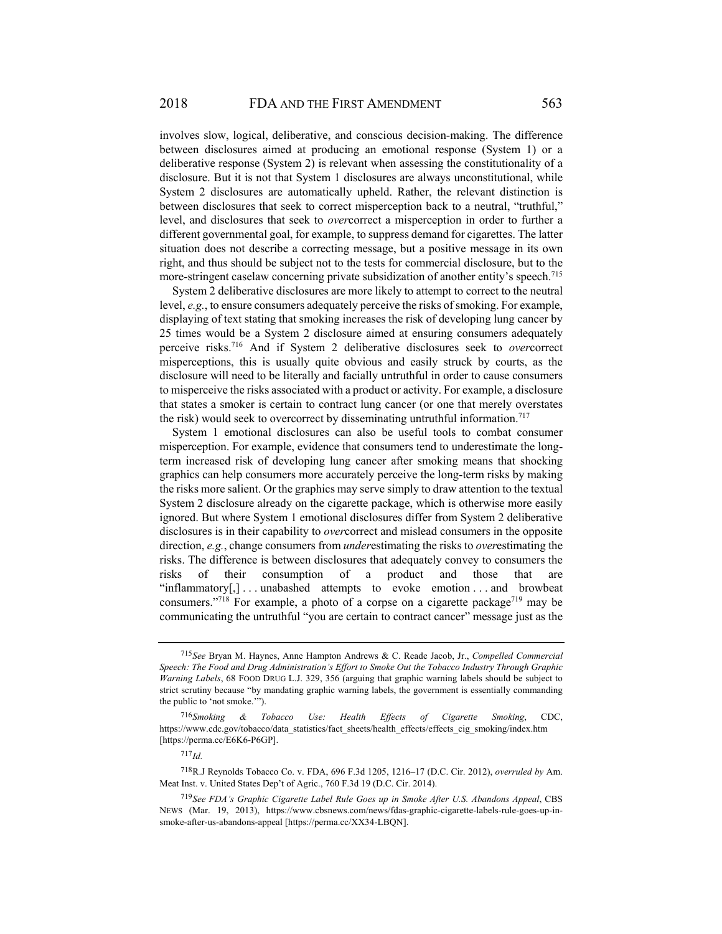involves slow, logical, deliberative, and conscious decision-making. The difference between disclosures aimed at producing an emotional response (System 1) or a deliberative response (System 2) is relevant when assessing the constitutionality of a disclosure. But it is not that System 1 disclosures are always unconstitutional, while System 2 disclosures are automatically upheld. Rather, the relevant distinction is between disclosures that seek to correct misperception back to a neutral, "truthful," level, and disclosures that seek to *over*correct a misperception in order to further a different governmental goal, for example, to suppress demand for cigarettes. The latter situation does not describe a correcting message, but a positive message in its own right, and thus should be subject not to the tests for commercial disclosure, but to the more-stringent caselaw concerning private subsidization of another entity's speech.<sup>715</sup>

System 2 deliberative disclosures are more likely to attempt to correct to the neutral level, *e.g.*, to ensure consumers adequately perceive the risks of smoking. For example, displaying of text stating that smoking increases the risk of developing lung cancer by 25 times would be a System 2 disclosure aimed at ensuring consumers adequately perceive risks.716 And if System 2 deliberative disclosures seek to *over*correct misperceptions, this is usually quite obvious and easily struck by courts, as the disclosure will need to be literally and facially untruthful in order to cause consumers to misperceive the risks associated with a product or activity. For example, a disclosure that states a smoker is certain to contract lung cancer (or one that merely overstates the risk) would seek to overcorrect by disseminating untruthful information.<sup>717</sup>

System 1 emotional disclosures can also be useful tools to combat consumer misperception. For example, evidence that consumers tend to underestimate the longterm increased risk of developing lung cancer after smoking means that shocking graphics can help consumers more accurately perceive the long-term risks by making the risks more salient. Or the graphics may serve simply to draw attention to the textual System 2 disclosure already on the cigarette package, which is otherwise more easily ignored. But where System 1 emotional disclosures differ from System 2 deliberative disclosures is in their capability to *over*correct and mislead consumers in the opposite direction, *e.g.*, change consumers from *under*estimating the risks to *over*estimating the risks. The difference is between disclosures that adequately convey to consumers the risks of their consumption of a product and those that are "inflammatory[,] . . . unabashed attempts to evoke emotion . . . and browbeat consumers."<sup>718</sup> For example, a photo of a corpse on a cigarette package<sup>719</sup> may be communicating the untruthful "you are certain to contract cancer" message just as the

<sup>715</sup> *See* Bryan M. Haynes, Anne Hampton Andrews & C. Reade Jacob, Jr., *Compelled Commercial Speech: The Food and Drug Administration's Effort to Smoke Out the Tobacco Industry Through Graphic Warning Labels*, 68 FOOD DRUG L.J. 329, 356 (arguing that graphic warning labels should be subject to strict scrutiny because "by mandating graphic warning labels, the government is essentially commanding the public to 'not smoke.'").

<sup>716</sup> *Smoking & Tobacco Use: Health Effects of Cigarette Smoking*, CDC, https://www.cdc.gov/tobacco/data\_statistics/fact\_sheets/health\_effects/effects\_cig\_smoking/index.htm [https://perma.cc/E6K6-P6GP].

 $717$ *Id.* 

<sup>718</sup> R.J Reynolds Tobacco Co. v. FDA, 696 F.3d 1205, 1216–17 (D.C. Cir. 2012), *overruled by* Am. Meat Inst. v. United States Dep't of Agric., 760 F.3d 19 (D.C. Cir. 2014).

<sup>719</sup> *See FDA's Graphic Cigarette Label Rule Goes up in Smoke After U.S. Abandons Appeal*, CBS NEWS (Mar. 19, 2013), https://www.cbsnews.com/news/fdas-graphic-cigarette-labels-rule-goes-up-insmoke-after-us-abandons-appeal [https://perma.cc/XX34-LBQN].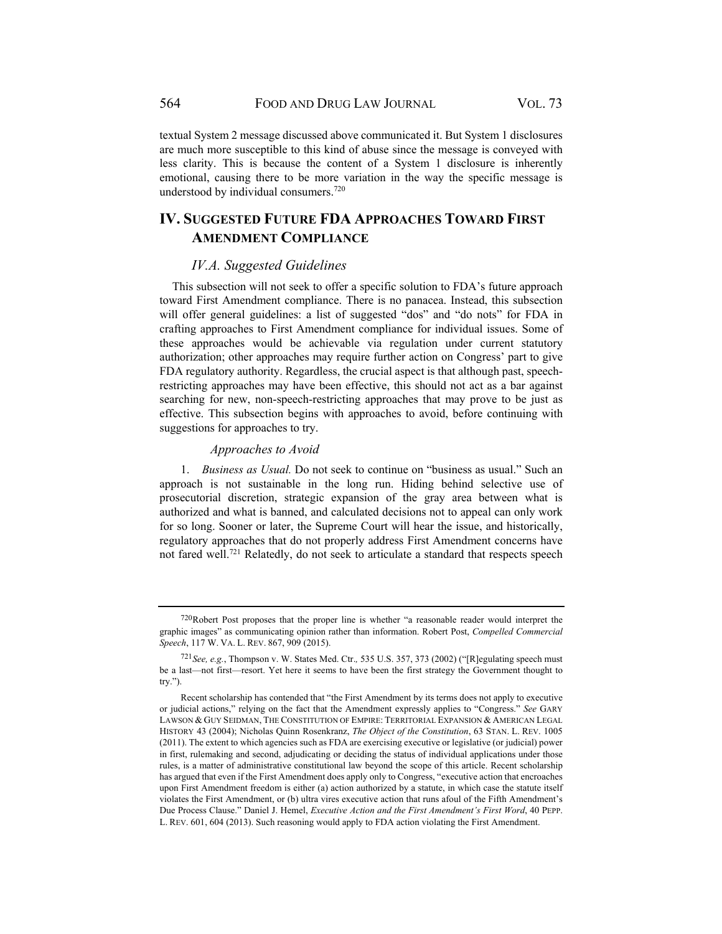textual System 2 message discussed above communicated it. But System 1 disclosures are much more susceptible to this kind of abuse since the message is conveyed with less clarity. This is because the content of a System 1 disclosure is inherently emotional, causing there to be more variation in the way the specific message is understood by individual consumers.720

# **IV. SUGGESTED FUTURE FDA APPROACHES TOWARD FIRST AMENDMENT COMPLIANCE**

#### *IV.A. Suggested Guidelines*

This subsection will not seek to offer a specific solution to FDA's future approach toward First Amendment compliance. There is no panacea. Instead, this subsection will offer general guidelines: a list of suggested "dos" and "do nots" for FDA in crafting approaches to First Amendment compliance for individual issues. Some of these approaches would be achievable via regulation under current statutory authorization; other approaches may require further action on Congress' part to give FDA regulatory authority. Regardless, the crucial aspect is that although past, speechrestricting approaches may have been effective, this should not act as a bar against searching for new, non-speech-restricting approaches that may prove to be just as effective. This subsection begins with approaches to avoid, before continuing with suggestions for approaches to try.

### *Approaches to Avoid*

1. *Business as Usual.* Do not seek to continue on "business as usual." Such an approach is not sustainable in the long run. Hiding behind selective use of prosecutorial discretion, strategic expansion of the gray area between what is authorized and what is banned, and calculated decisions not to appeal can only work for so long. Sooner or later, the Supreme Court will hear the issue, and historically, regulatory approaches that do not properly address First Amendment concerns have not fared well.721 Relatedly, do not seek to articulate a standard that respects speech

 $720$ Robert Post proposes that the proper line is whether "a reasonable reader would interpret the graphic images" as communicating opinion rather than information. Robert Post, *Compelled Commercial Speech*, 117 W. VA. L. REV. 867, 909 (2015).

<sup>721</sup> *See, e.g.*, Thompson v. W. States Med. Ctr.*,* 535 U.S. 357, 373 (2002) ("[R]egulating speech must be a last—not first—resort. Yet here it seems to have been the first strategy the Government thought to try.").

Recent scholarship has contended that "the First Amendment by its terms does not apply to executive or judicial actions," relying on the fact that the Amendment expressly applies to "Congress." *See* GARY LAWSON & GUY SEIDMAN, THE CONSTITUTION OF EMPIRE: TERRITORIAL EXPANSION & AMERICAN LEGAL HISTORY 43 (2004); Nicholas Quinn Rosenkranz, *The Object of the Constitution*, 63 STAN. L. REV. 1005 (2011). The extent to which agencies such as FDA are exercising executive or legislative (or judicial) power in first, rulemaking and second, adjudicating or deciding the status of individual applications under those rules, is a matter of administrative constitutional law beyond the scope of this article. Recent scholarship has argued that even if the First Amendment does apply only to Congress, "executive action that encroaches upon First Amendment freedom is either (a) action authorized by a statute, in which case the statute itself violates the First Amendment, or (b) ultra vires executive action that runs afoul of the Fifth Amendment's Due Process Clause." Daniel J. Hemel, *Executive Action and the First Amendment's First Word*, 40 PEPP. L. REV. 601, 604 (2013). Such reasoning would apply to FDA action violating the First Amendment.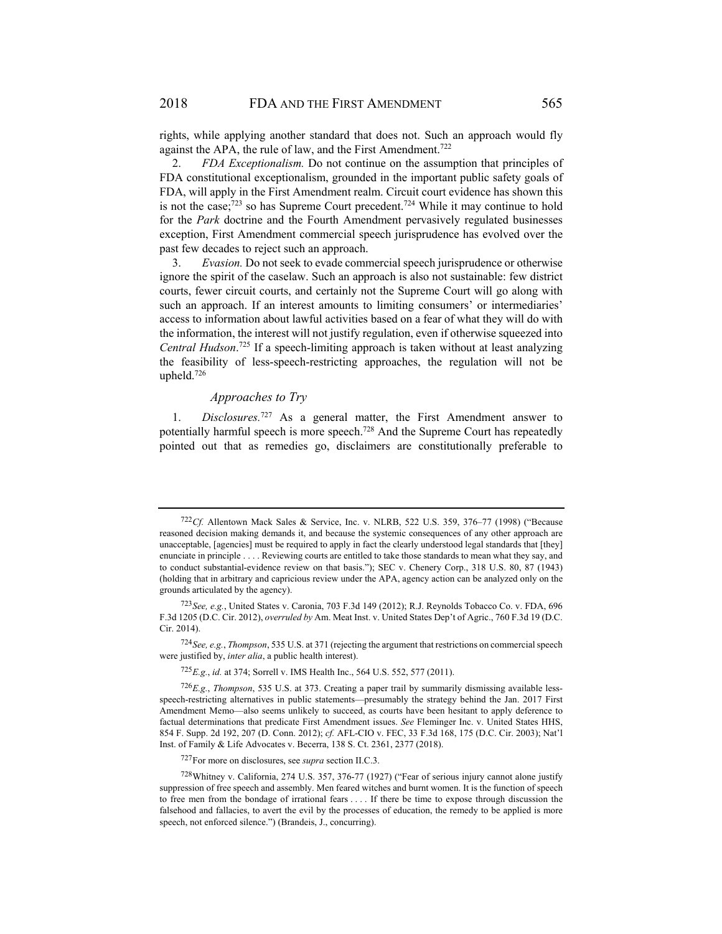rights, while applying another standard that does not. Such an approach would fly against the APA, the rule of law, and the First Amendment.<sup>722</sup>

2. *FDA Exceptionalism.* Do not continue on the assumption that principles of FDA constitutional exceptionalism, grounded in the important public safety goals of FDA, will apply in the First Amendment realm. Circuit court evidence has shown this is not the case; $723$  so has Supreme Court precedent. $724$  While it may continue to hold for the *Park* doctrine and the Fourth Amendment pervasively regulated businesses exception, First Amendment commercial speech jurisprudence has evolved over the past few decades to reject such an approach.

3. *Evasion.* Do not seek to evade commercial speech jurisprudence or otherwise ignore the spirit of the caselaw. Such an approach is also not sustainable: few district courts, fewer circuit courts, and certainly not the Supreme Court will go along with such an approach. If an interest amounts to limiting consumers' or intermediaries' access to information about lawful activities based on a fear of what they will do with the information, the interest will not justify regulation, even if otherwise squeezed into *Central Hudson*. 725 If a speech-limiting approach is taken without at least analyzing the feasibility of less-speech-restricting approaches, the regulation will not be upheld.726

### *Approaches to Try*

1. *Disclosures.*727 As a general matter, the First Amendment answer to potentially harmful speech is more speech.728 And the Supreme Court has repeatedly pointed out that as remedies go, disclaimers are constitutionally preferable to

<sup>722</sup> Cf. Allentown Mack Sales & Service, Inc. v. NLRB, 522 U.S. 359, 376-77 (1998) ("Because reasoned decision making demands it, and because the systemic consequences of any other approach are unacceptable, [agencies] must be required to apply in fact the clearly understood legal standards that [they] enunciate in principle . . . . Reviewing courts are entitled to take those standards to mean what they say, and to conduct substantial-evidence review on that basis."); SEC v. Chenery Corp., 318 U.S. 80, 87 (1943) (holding that in arbitrary and capricious review under the APA, agency action can be analyzed only on the grounds articulated by the agency).

<sup>723</sup> *See, e.g.*, United States v. Caronia, 703 F.3d 149 (2012); R.J. Reynolds Tobacco Co. v. FDA, 696 F.3d 1205 (D.C. Cir. 2012), *overruled by* Am. Meat Inst. v. United States Dep't of Agric., 760 F.3d 19 (D.C. Cir. 2014).

<sup>724</sup> *See, e.g.*, *Thompson*, 535 U.S. at 371 (rejecting the argument that restrictions on commercial speech were justified by, *inter alia*, a public health interest).

<sup>725</sup> *E.g.*, *id.* at 374; Sorrell v. IMS Health Inc., 564 U.S. 552, 577 (2011).

<sup>726</sup> *E.g.*, *Thompson*, 535 U.S. at 373. Creating a paper trail by summarily dismissing available lessspeech-restricting alternatives in public statements—presumably the strategy behind the Jan. 2017 First Amendment Memo—also seems unlikely to succeed, as courts have been hesitant to apply deference to factual determinations that predicate First Amendment issues. *See* Fleminger Inc. v. United States HHS, 854 F. Supp. 2d 192, 207 (D. Conn. 2012); *cf.* AFL-CIO v. FEC, 33 F.3d 168, 175 (D.C. Cir. 2003); Nat'l Inst. of Family & Life Advocates v. Becerra, 138 S. Ct. 2361, 2377 (2018).

<sup>727</sup> For more on disclosures, see *supra* section II.C.3.

<sup>728</sup> Whitney v. California, 274 U.S. 357, 376-77 (1927) ("Fear of serious injury cannot alone justify suppression of free speech and assembly. Men feared witches and burnt women. It is the function of speech to free men from the bondage of irrational fears . . . . If there be time to expose through discussion the falsehood and fallacies, to avert the evil by the processes of education, the remedy to be applied is more speech, not enforced silence.") (Brandeis, J., concurring).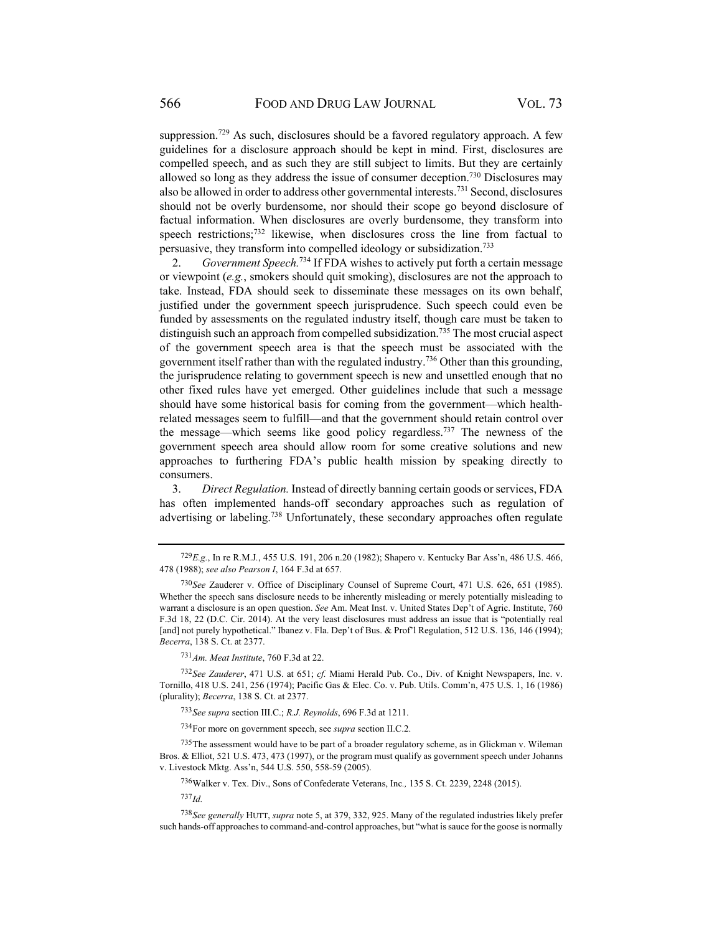suppression.<sup>729</sup> As such, disclosures should be a favored regulatory approach. A few guidelines for a disclosure approach should be kept in mind. First, disclosures are compelled speech, and as such they are still subject to limits. But they are certainly allowed so long as they address the issue of consumer deception.<sup>730</sup> Disclosures may also be allowed in order to address other governmental interests.731 Second, disclosures should not be overly burdensome, nor should their scope go beyond disclosure of factual information. When disclosures are overly burdensome, they transform into speech restrictions;<sup>732</sup> likewise, when disclosures cross the line from factual to persuasive, they transform into compelled ideology or subsidization.733

2. *Government Speech.*734 If FDA wishes to actively put forth a certain message or viewpoint (*e.g.*, smokers should quit smoking), disclosures are not the approach to take. Instead, FDA should seek to disseminate these messages on its own behalf, justified under the government speech jurisprudence. Such speech could even be funded by assessments on the regulated industry itself, though care must be taken to distinguish such an approach from compelled subsidization.735 The most crucial aspect of the government speech area is that the speech must be associated with the government itself rather than with the regulated industry.<sup>736</sup> Other than this grounding, the jurisprudence relating to government speech is new and unsettled enough that no other fixed rules have yet emerged. Other guidelines include that such a message should have some historical basis for coming from the government—which healthrelated messages seem to fulfill—and that the government should retain control over the message—which seems like good policy regardless.737 The newness of the government speech area should allow room for some creative solutions and new approaches to furthering FDA's public health mission by speaking directly to consumers.

3. *Direct Regulation.* Instead of directly banning certain goods or services, FDA has often implemented hands-off secondary approaches such as regulation of advertising or labeling.<sup>738</sup> Unfortunately, these secondary approaches often regulate

<sup>731</sup> *Am. Meat Institute*, 760 F.3d at 22.

<sup>732</sup> *See Zauderer*, 471 U.S. at 651; *cf.* Miami Herald Pub. Co., Div. of Knight Newspapers, Inc. v. Tornillo, 418 U.S. 241, 256 (1974); Pacific Gas & Elec. Co. v. Pub. Utils. Comm'n, 475 U.S. 1, 16 (1986) (plurality); *Becerra*, 138 S. Ct. at 2377.

<sup>733</sup> *See supra* section III.C.; *R.J. Reynolds*, 696 F.3d at 1211.

734 For more on government speech, see *supra* section II.C.2.

 $^{735}$ The assessment would have to be part of a broader regulatory scheme, as in Glickman v. Wileman Bros. & Elliot, 521 U.S. 473, 473 (1997), or the program must qualify as government speech under Johanns v. Livestock Mktg. Ass'n, 544 U.S. 550, 558-59 (2005).

736 Walker v. Tex. Div., Sons of Confederate Veterans, Inc*.,* 135 S. Ct. 2239, 2248 (2015).

<sup>737</sup> *Id.*

<sup>738</sup> *See generally* HUTT, *supra* note 5, at 379, 332, 925. Many of the regulated industries likely prefer such hands-off approaches to command-and-control approaches, but "what is sauce for the goose is normally

<sup>729</sup> *E.g.*, In re R.M.J*.*, 455 U.S. 191, 206 n.20 (1982); Shapero v. Kentucky Bar Ass'n, 486 U.S. 466, 478 (1988); *see also Pearson I*, 164 F.3d at 657.

<sup>730</sup> *See* Zauderer v. Office of Disciplinary Counsel of Supreme Court, 471 U.S. 626, 651 (1985). Whether the speech sans disclosure needs to be inherently misleading or merely potentially misleading to warrant a disclosure is an open question. *See* Am. Meat Inst. v. United States Dep't of Agric. Institute, 760 F.3d 18, 22 (D.C. Cir. 2014). At the very least disclosures must address an issue that is "potentially real [and] not purely hypothetical." Ibanez v. Fla. Dep't of Bus. & Prof'l Regulation, 512 U.S. 136, 146 (1994); *Becerra*, 138 S. Ct. at 2377.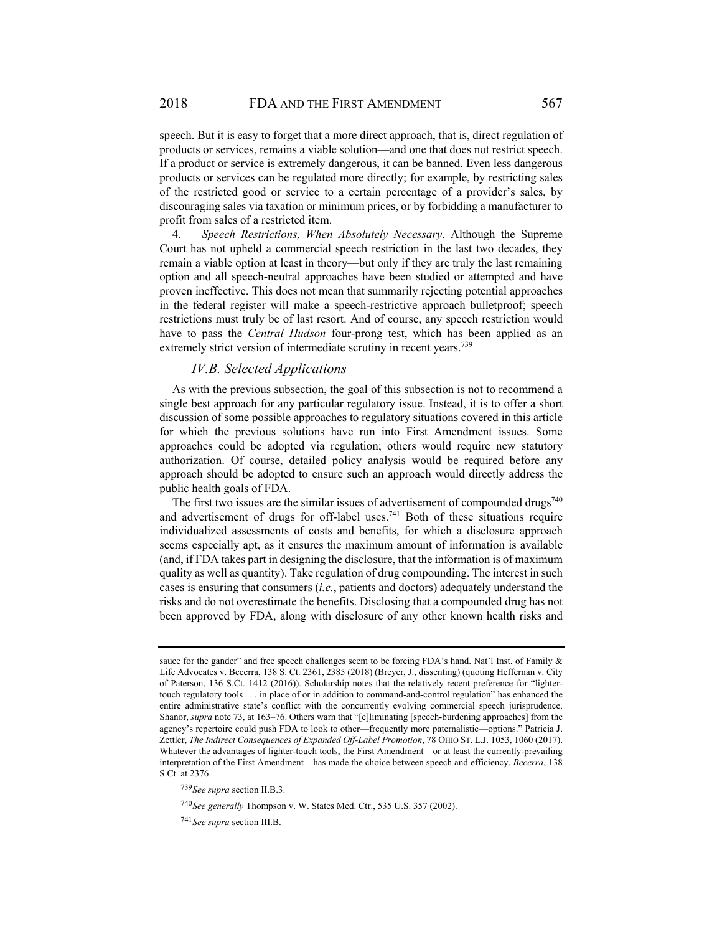speech. But it is easy to forget that a more direct approach, that is, direct regulation of products or services, remains a viable solution—and one that does not restrict speech. If a product or service is extremely dangerous, it can be banned. Even less dangerous products or services can be regulated more directly; for example, by restricting sales of the restricted good or service to a certain percentage of a provider's sales, by discouraging sales via taxation or minimum prices, or by forbidding a manufacturer to profit from sales of a restricted item.

4. *Speech Restrictions, When Absolutely Necessary*. Although the Supreme Court has not upheld a commercial speech restriction in the last two decades, they remain a viable option at least in theory—but only if they are truly the last remaining option and all speech-neutral approaches have been studied or attempted and have proven ineffective. This does not mean that summarily rejecting potential approaches in the federal register will make a speech-restrictive approach bulletproof; speech restrictions must truly be of last resort. And of course, any speech restriction would have to pass the *Central Hudson* four-prong test, which has been applied as an extremely strict version of intermediate scrutiny in recent years.<sup>739</sup>

## *IV.B. Selected Applications*

As with the previous subsection, the goal of this subsection is not to recommend a single best approach for any particular regulatory issue. Instead, it is to offer a short discussion of some possible approaches to regulatory situations covered in this article for which the previous solutions have run into First Amendment issues. Some approaches could be adopted via regulation; others would require new statutory authorization. Of course, detailed policy analysis would be required before any approach should be adopted to ensure such an approach would directly address the public health goals of FDA.

The first two issues are the similar issues of advertisement of compounded drugs<sup>740</sup> and advertisement of drugs for off-label uses.<sup>741</sup> Both of these situations require individualized assessments of costs and benefits, for which a disclosure approach seems especially apt, as it ensures the maximum amount of information is available (and, if FDA takes part in designing the disclosure, that the information is of maximum quality as well as quantity). Take regulation of drug compounding. The interest in such cases is ensuring that consumers (*i.e.*, patients and doctors) adequately understand the risks and do not overestimate the benefits. Disclosing that a compounded drug has not been approved by FDA, along with disclosure of any other known health risks and

sauce for the gander" and free speech challenges seem to be forcing FDA's hand. Nat'l Inst. of Family & Life Advocates v. Becerra, 138 S. Ct. 2361, 2385 (2018) (Breyer, J., dissenting) (quoting Heffernan v. City of Paterson, 136 S.Ct. 1412 (2016)). Scholarship notes that the relatively recent preference for "lightertouch regulatory tools . . . in place of or in addition to command-and-control regulation" has enhanced the entire administrative state's conflict with the concurrently evolving commercial speech jurisprudence. Shanor, *supra* note 73, at 163–76. Others warn that "[e]liminating [speech-burdening approaches] from the agency's repertoire could push FDA to look to other—frequently more paternalistic—options." Patricia J. Zettler, *The Indirect Consequences of Expanded Off-Label Promotion*, 78 OHIO ST. L.J. 1053, 1060 (2017). Whatever the advantages of lighter-touch tools, the First Amendment—or at least the currently-prevailing interpretation of the First Amendment—has made the choice between speech and efficiency. *Becerra*, 138 S.Ct. at 2376.

<sup>739</sup> *See supra* section II.B.3.

<sup>740</sup> *See generally* Thompson v. W. States Med. Ctr., 535 U.S. 357 (2002).

<sup>741</sup> *See supra* section III.B.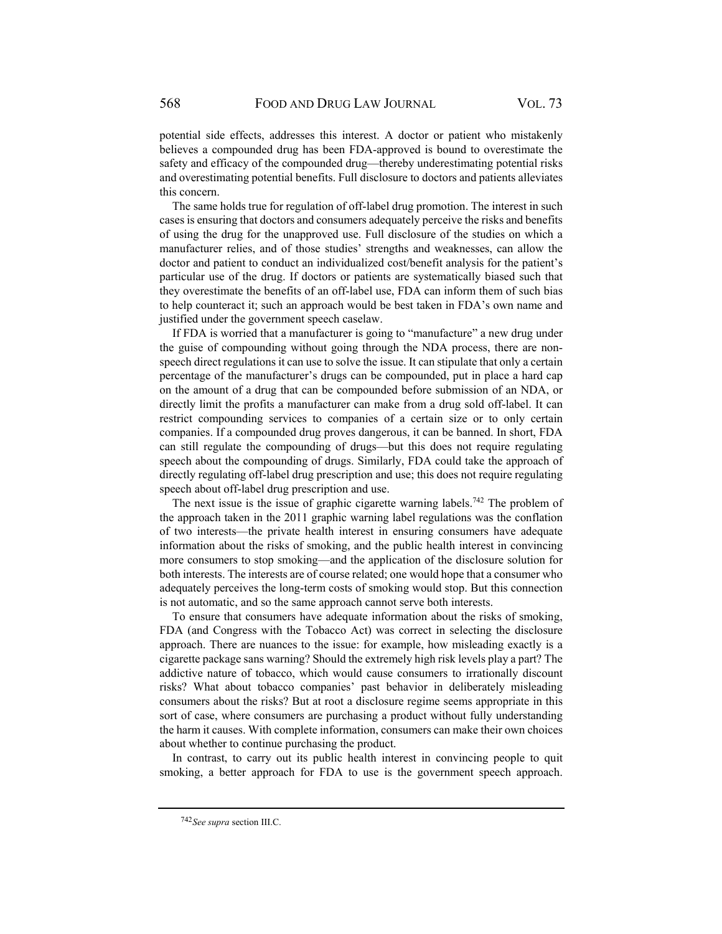potential side effects, addresses this interest. A doctor or patient who mistakenly believes a compounded drug has been FDA-approved is bound to overestimate the safety and efficacy of the compounded drug—thereby underestimating potential risks and overestimating potential benefits. Full disclosure to doctors and patients alleviates this concern.

The same holds true for regulation of off-label drug promotion. The interest in such cases is ensuring that doctors and consumers adequately perceive the risks and benefits of using the drug for the unapproved use. Full disclosure of the studies on which a manufacturer relies, and of those studies' strengths and weaknesses, can allow the doctor and patient to conduct an individualized cost/benefit analysis for the patient's particular use of the drug. If doctors or patients are systematically biased such that they overestimate the benefits of an off-label use, FDA can inform them of such bias to help counteract it; such an approach would be best taken in FDA's own name and justified under the government speech caselaw.

If FDA is worried that a manufacturer is going to "manufacture" a new drug under the guise of compounding without going through the NDA process, there are nonspeech direct regulations it can use to solve the issue. It can stipulate that only a certain percentage of the manufacturer's drugs can be compounded, put in place a hard cap on the amount of a drug that can be compounded before submission of an NDA, or directly limit the profits a manufacturer can make from a drug sold off-label. It can restrict compounding services to companies of a certain size or to only certain companies. If a compounded drug proves dangerous, it can be banned. In short, FDA can still regulate the compounding of drugs—but this does not require regulating speech about the compounding of drugs. Similarly, FDA could take the approach of directly regulating off-label drug prescription and use; this does not require regulating speech about off-label drug prescription and use.

The next issue is the issue of graphic cigarette warning labels.<sup>742</sup> The problem of the approach taken in the 2011 graphic warning label regulations was the conflation of two interests—the private health interest in ensuring consumers have adequate information about the risks of smoking, and the public health interest in convincing more consumers to stop smoking—and the application of the disclosure solution for both interests. The interests are of course related; one would hope that a consumer who adequately perceives the long-term costs of smoking would stop. But this connection is not automatic, and so the same approach cannot serve both interests.

To ensure that consumers have adequate information about the risks of smoking, FDA (and Congress with the Tobacco Act) was correct in selecting the disclosure approach. There are nuances to the issue: for example, how misleading exactly is a cigarette package sans warning? Should the extremely high risk levels play a part? The addictive nature of tobacco, which would cause consumers to irrationally discount risks? What about tobacco companies' past behavior in deliberately misleading consumers about the risks? But at root a disclosure regime seems appropriate in this sort of case, where consumers are purchasing a product without fully understanding the harm it causes. With complete information, consumers can make their own choices about whether to continue purchasing the product.

In contrast, to carry out its public health interest in convincing people to quit smoking, a better approach for FDA to use is the government speech approach.

<sup>742</sup> *See supra* section III.C.